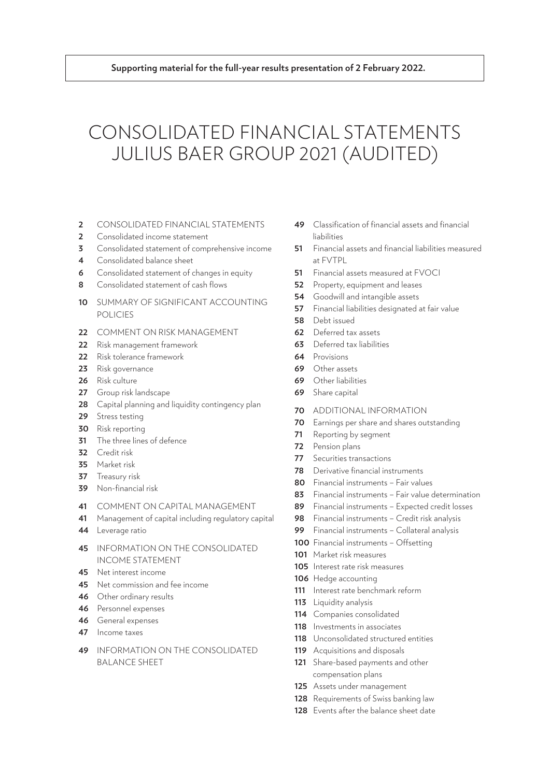# CONSOLIDATED FINANCIAL STATEMENTS JULIUS BAER GROUP 2021 (AUDITED)

- [CONSOLIDATED FINANCIAL STATEMENTS](#page-1-0)
- [Consolidated income statement](#page-1-0)
- [Consolidated statement of comprehensive income](#page-2-0)
- [Consolidated balance sheet](#page-3-0)
- [Consolidated statement of changes in equity](#page-5-0)
- [Consolidated statement of cash flows](#page-7-0)
- [SUMMARY OF SIGNIFICANT ACCOUNTING](#page-9-0)  [POLICIES](#page-9-0)
- [COMMENT ON RISK MANAGEMENT](#page-21-0)
- [Risk management framework](#page-21-0)
- [Risk tolerance framework](#page-21-0)
- [Risk governance](#page-22-0)
- [Risk culture](#page-25-0)
- [Group risk landscape](#page-26-0)
- [Capital planning and liquidity contingency plan](#page-27-0)
- [Stress testing](#page-28-0)
- [Risk reporting](#page-29-0)
- [The three lines of defence](#page-30-0)
- [Credit risk](#page-31-0)
- [Market risk](#page-34-0)
- [Treasury risk](#page-36-0)
- [Non-financial risk](#page-38-0)
- [COMMENT ON CAPITAL MANAGEMENT](#page-40-0)
- [Management of capital including regulatory capital](#page-40-0)
- [Leverage ratio](#page-43-0)
- [INFORMATION ON THE CONSOLIDATED](#page-44-0)  [INCOME STATEMENT](#page-44-0)
- [Net interest income](#page-44-0)
- [Net commission and fee income](#page-44-0)
- [Other ordinary results](#page-45-0)
- [Personnel expenses](#page-45-0)
- [General expenses](#page-45-0)
- [Income taxes](#page-46-0)
- [INFORMATION ON THE CONSOLIDATED](#page-48-0)  [BALANCE SHEET](#page-48-0)
- [Classification of financial assets and financial](#page-48-0)  [liabilities](#page-48-0)
- [Financial assets and financial liabilities measured](#page-50-0)  [at FVTPL](#page-50-0)
- [Financial assets measured at FVOCI](#page-50-0)
- [Property, equipment and leases](#page-51-0)
- [Goodwill and intangible assets](#page-53-0)
- [Financial liabilities designated at fair value](#page-56-0)
- [Debt issued](#page-57-0)
- [Deferred tax assets](#page-61-0)
- [Deferred tax liabilities](#page-62-0)
- [Provisions](#page-63-0)
- [Other assets](#page-68-0)
- [Other liabilities](#page-68-0)
- [Share capital](#page-68-0)
- [ADDITIONAL INFORMATION](#page-69-0)
- [Earnings per share and shares outstanding](#page-69-0)
- [Reporting by segment](#page-70-0)
- [Pension plans](#page-71-0)
- [Securities transactions](#page-76-0)
- [Derivative financial instruments](#page-77-0)
- [Financial instruments Fair values](#page-79-0)
- [Financial instruments Fair value determination](#page-82-0)
- [Financial instruments Expected credit losses](#page-88-0)
- [Financial instruments Credit risk analysis](#page-97-0)
- [Financial instruments Collateral analysis](#page-98-0)
- [Financial instruments Offsetting](#page-99-0)
- [Market risk measures](#page-100-0)
- [Interest rate risk measures](#page-104-0)
- [Hedge accounting](#page-105-0)
- [Interest rate benchmark reform](#page-110-0)
- [Liquidity analysis](#page-112-0)
- [Companies consolidated](#page-113-0)
- [Investments in associates](#page-117-0)
- [Unconsolidated structured entities](#page-117-0)
- [Acquisitions and disposals](#page-118-0)
- [Share-based payments and other](#page-120-0)  [compensation plans](#page-120-0)
- [Assets under management](#page-124-0)
- [Requirements of Swiss banking law](#page-127-0)
- [Events after the balance sheet date](#page-127-0)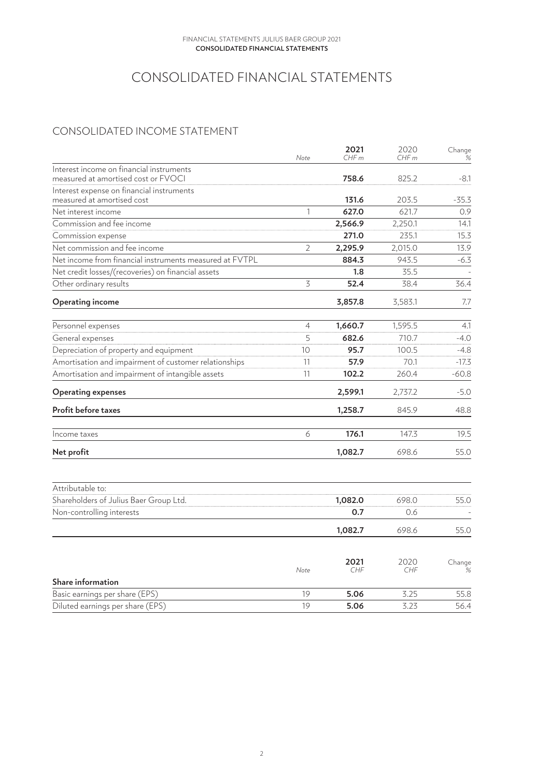# CONSOLIDATED FINANCIAL STATEMENTS

# <span id="page-1-0"></span>CONSOLIDATED INCOME STATEMENT

|                                                         | Note           | 2021<br>CHFm | 2020<br>CHF <sub>m</sub> | Change<br>% |
|---------------------------------------------------------|----------------|--------------|--------------------------|-------------|
| Interest income on financial instruments                |                |              |                          |             |
| measured at amortised cost or FVOCI                     |                | 758.6        | 825.2                    | -8.1        |
| Interest expense on financial instruments               |                |              |                          |             |
| measured at amortised cost                              |                | 131.6        | 203.5                    | $-35.3$     |
| Net interest income                                     | $\mathbf{1}$   | 627.0        | 621.7                    | 0.9         |
| Commission and fee income                               |                | 2,566.9      | 2,250.1                  | 14.1        |
| Commission expense                                      |                | 271.0        | 235.1                    | 15.3        |
| Net commission and fee income                           | $\overline{2}$ | 2,295.9      | 2,015.0                  | 13.9        |
| Net income from financial instruments measured at FVTPL |                | 884.3        | 943.5                    | $-6.3$      |
| Net credit losses/(recoveries) on financial assets      |                | 1.8          | 35.5                     |             |
| Other ordinary results                                  | $\overline{5}$ | 52.4         | 38.4                     | 36.4        |
| <b>Operating income</b>                                 |                | 3,857.8      | 3,583.1                  | 7.7         |
| Personnel expenses                                      | 4              | 1,660.7      | 1,595.5                  | 4.1         |
| General expenses                                        | 5              | 682.6        | 710.7                    | $-4.0$      |
| Depreciation of property and equipment                  | 10             | 95.7         | 100.5                    | $-4.8$      |
| Amortisation and impairment of customer relationships   | 11             | 57.9         | 70.1                     | $-17.3$     |
| Amortisation and impairment of intangible assets        | 11             | 102.2        | 260.4                    | $-60.8$     |
| <b>Operating expenses</b>                               |                | 2,599.1      | 2,737.2                  | $-5.0$      |
| Profit before taxes                                     |                | 1,258.7      | 845.9                    | 48.8        |
| Income taxes                                            | 6              | 176.1        | 147.3                    | 19.5        |
| Net profit                                              |                | 1,082.7      | 698.6                    | 55.0        |
|                                                         |                |              |                          |             |
| Attributable to:                                        |                |              |                          |             |
| Shareholders of Julius Baer Group Ltd.                  |                | 1,082.0      | 698.0                    | 55.0        |
| Non-controlling interests                               |                | 0.7          | 0.6                      |             |
|                                                         |                | 1,082.7      | 698.6                    | 55.0        |
|                                                         |                |              |                          |             |
|                                                         | Note           | 2021<br>CHF  | 2020<br>CHF              | Change<br>% |
| Share information                                       |                |              |                          |             |
| Basic earnings per share (EPS)                          | 19             | 5.06         | 3.25                     | 55.8        |
| Diluted earnings per share (EPS)                        | 19             | 5.06         | 3.23                     | 56.4        |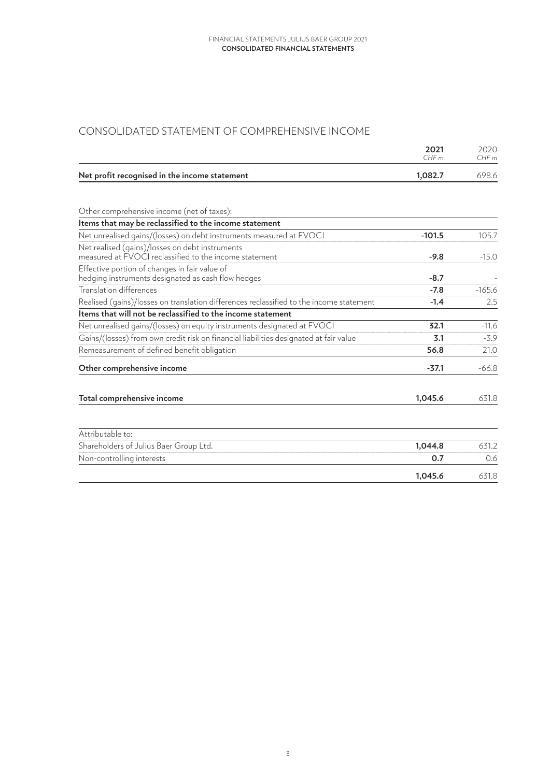# <span id="page-2-0"></span>CONSOLIDATED STATEMENT OF COMPREHENSIVE INCOME

|                                               | 2021<br>CHFm | 2020.<br>CHFm |
|-----------------------------------------------|--------------|---------------|
| Net profit recognised in the income statement | 1.082.7      | 698.6         |

| Other comprehensive income (net of taxes):                                                                                                             |          |          |
|--------------------------------------------------------------------------------------------------------------------------------------------------------|----------|----------|
| Items that may be reclassified to the income statement                                                                                                 |          |          |
| Net unrealised gains/(losses) on debt instruments measured at FVOCI                                                                                    | $-101.5$ | 105.7    |
| Net realised (gains)/losses on debt instruments<br>measured at $\breve{\mathsf{F}}\mathsf{VO}\breve{\mathsf{C}}'$ reclassified to the income statement | $-9.8$   | $-15.0$  |
| Effective portion of changes in fair value of<br>hedging instruments designated as cash flow hedges                                                    | $-8.7$   |          |
| <b>Translation differences</b>                                                                                                                         | $-7.8$   | $-165.6$ |
| Realised (gains)/losses on translation differences reclassified to the income statement                                                                | $-1.4$   | 2.5      |
| Items that will not be reclassified to the income statement                                                                                            |          |          |
| Net unrealised gains/(losses) on equity instruments designated at FVOCI                                                                                | 32.1     | $-11.6$  |
| Gains/(losses) from own credit risk on financial liabilities designated at fair value                                                                  | 3.1      | $-3.9$   |
| Remeasurement of defined benefit obligation                                                                                                            | 56.8     | 21.0     |
| Other comprehensive income                                                                                                                             | $-37.1$  | $-66.8$  |
| Total comprehensive income                                                                                                                             | 1,045.6  | 631.8    |
| Attributable to:                                                                                                                                       |          |          |
| Shareholders of Julius Baer Group Ltd.                                                                                                                 | 1,044.8  | 631.2    |
| Non-controlling interests                                                                                                                              | 0.7      | 0.6      |
|                                                                                                                                                        | 1,045.6  | 631.8    |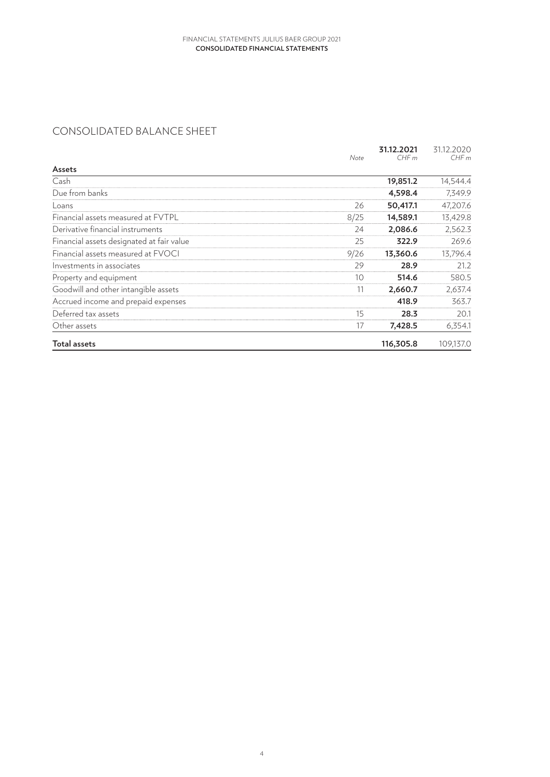# <span id="page-3-0"></span>CONSOLIDATED BALANCE SHEET

|                                           | Note | 31.12.2021<br>CHFm | 31.12.2020<br>CHFm |
|-------------------------------------------|------|--------------------|--------------------|
| Assets                                    |      |                    |                    |
| Cash                                      |      | 19,851.2           | 14,544.4           |
| Due from banks                            |      | 4,598.4            | 7,349.9            |
| Loans                                     | 26   | 50,417.1           | 47,207.6           |
| Financial assets measured at FVTPL        | 8/25 | 14,589.1           | 13,429.8           |
| Derivative financial instruments          | 24   | 2,086.6            | 2,562.3            |
| Financial assets designated at fair value | 25   | 322.9              | 269.6              |
| Financial assets measured at FVOCI        | 9/26 | 13,360.6           | 13,796.4           |
| Investments in associates                 | 29   | 28.9               | 21.2               |
| Property and equipment                    | 10   | 514.6              | 580.5              |
| Goodwill and other intangible assets      | 11   | 2,660.7            | 2,637.4            |
| Accrued income and prepaid expenses       |      | 418.9              | 363.7              |
| Deferred tax assets                       | 15   | 28.3               | 20.1               |
| Other assets                              | 17   | 7,428.5            | 6,354.1            |
| <b>Total assets</b>                       |      | 116,305.8          | 109,137.0          |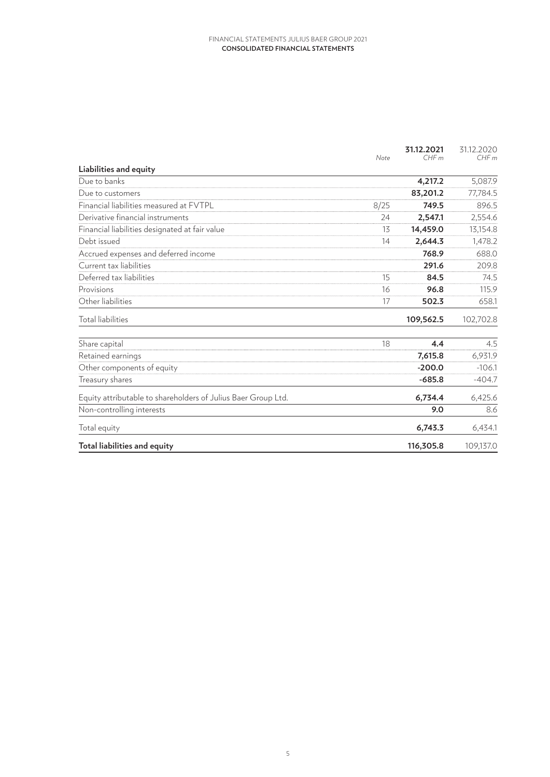|                                                               | Note | 31.12.2021<br>CHFm | 31.12.2020<br>CHFm |
|---------------------------------------------------------------|------|--------------------|--------------------|
| Liabilities and equity                                        |      |                    |                    |
| Due to banks                                                  |      | 4,217.2            | 5,087.9            |
| Due to customers                                              |      | 83,201.2           | 77,784.5           |
| Financial liabilities measured at FVTPL                       | 8/25 | 749.5              | 896.5              |
| Derivative financial instruments                              | 24   | 2,547.1            | 2,554.6            |
| Financial liabilities designated at fair value                | 13   | 14,459.0           | 13,154.8           |
| Debt issued                                                   | 14   | 2,644.3            | 1,478.2            |
| Accrued expenses and deferred income                          |      | 768.9              | 688.0              |
| Current tax liabilities                                       |      | 291.6              | 209.8              |
| Deferred tax liabilities                                      | 15   | 84.5               | 74.5               |
| Provisions                                                    | 16   | 96.8               | 115.9              |
| Other liabilities                                             | 17   | 502.3              | 658.1              |
| Total liabilities                                             |      | 109,562.5          | 102,702.8          |
| Share capital                                                 | 18   | 4.4                | 4.5                |
| Retained earnings                                             |      | 7,615.8            | 6,931.9            |
| Other components of equity                                    |      | $-200.0$           | $-106.1$           |
| Treasury shares                                               |      | $-685.8$           | $-404.7$           |
| Equity attributable to shareholders of Julius Baer Group Ltd. |      | 6,734.4            | 6,425.6            |
| Non-controlling interests                                     |      | 9.0                | 8.6                |
| Total equity                                                  |      | 6,743.3            | 6,434.1            |
| Total liabilities and equity                                  |      | 116,305.8          | 109,137.0          |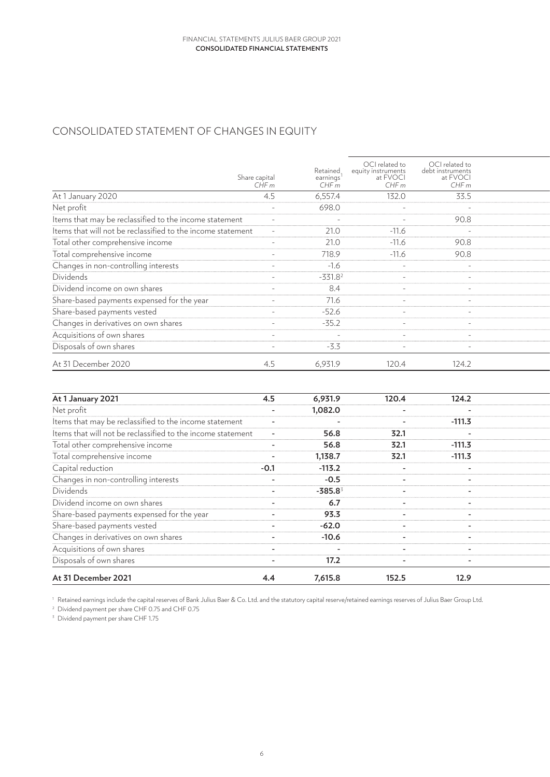# <span id="page-5-0"></span>CONSOLIDATED STATEMENT OF CHANGES IN EQUITY

|                                                             | Share capital<br>CHFm    | Retained<br>earnings <sup>1</sup><br>CHFm | OCI related to<br>equity instruments<br>at FVOCI<br>CHFm | OCI related to<br>debt instruments<br>at FVOCI<br>CHFm |  |
|-------------------------------------------------------------|--------------------------|-------------------------------------------|----------------------------------------------------------|--------------------------------------------------------|--|
| At 1 January 2020                                           | 4.5                      | 6,557.4                                   | 132.0                                                    | 33.5                                                   |  |
| Net profit                                                  |                          | 698.0                                     | $\sim$                                                   | $\sim$                                                 |  |
| Items that may be reclassified to the income statement      |                          |                                           | $\sim$                                                   | 90.8                                                   |  |
| Items that will not be reclassified to the income statement |                          | 21.0                                      | $-11.6$                                                  | $\overline{\phantom{a}}$                               |  |
| Total other comprehensive income                            | $\overline{\phantom{0}}$ | 21.0                                      | $-11.6$                                                  | 90.8                                                   |  |
| Total comprehensive income                                  | $\overline{a}$           | 718.9                                     | $-11.6$                                                  | 90.8                                                   |  |
| Changes in non-controlling interests                        | $\overline{a}$           | $-1.6$                                    | $\sim$ $-$                                               | $\sim$                                                 |  |
| Dividends                                                   | $\overline{\phantom{a}}$ | $-331.82$                                 | $\sim$                                                   | $\overline{\phantom{a}}$                               |  |
| Dividend income on own shares                               | $\overline{a}$           | 8.4                                       | $\sim$                                                   | $\overline{\phantom{0}}$                               |  |
| Share-based payments expensed for the year                  | $\overline{\phantom{0}}$ | 71.6                                      | $\sim$                                                   | $\overline{\phantom{0}}$                               |  |
| Share-based payments vested                                 | $\overline{\phantom{a}}$ | $-52.6$                                   | $\sim$                                                   |                                                        |  |
| Changes in derivatives on own shares                        |                          | $-35.2$                                   |                                                          |                                                        |  |
| Acquisitions of own shares                                  |                          | $\overline{\phantom{a}}$                  |                                                          | $\overline{\phantom{0}}$                               |  |
| Disposals of own shares                                     | $\overline{\phantom{a}}$ | $-3.3$                                    |                                                          | $\overline{\phantom{a}}$                               |  |
| At 31 December 2020                                         | 4.5                      | 6,931.9                                   | 120.4                                                    | 124.2                                                  |  |

| At 1 January 2021                                           | 4.5                      | 6,931.9    | 120.4                    | 124.2                    |  |
|-------------------------------------------------------------|--------------------------|------------|--------------------------|--------------------------|--|
| Net profit                                                  |                          | 1,082.0    | $\sim$                   | $\overline{\phantom{a}}$ |  |
| Items that may be reclassified to the income statement      |                          |            | $\overline{\phantom{0}}$ | $-111.3$                 |  |
| Items that will not be reclassified to the income statement |                          | 56.8       | 32.1                     | $\overline{\phantom{a}}$ |  |
| Total other comprehensive income                            | $\sim$                   | 56.8       | 32.1                     | $-111.3$                 |  |
| Total comprehensive income                                  |                          | 1,138.7    | 32.1                     | $-111.3$                 |  |
| Capital reduction                                           | $-0.1$                   | $-113.2$   | $\sim$                   | $\sim$                   |  |
| Changes in non-controlling interests                        | $\sim$                   | $-0.5$     | $\sim$                   | $\sim$                   |  |
| Dividends                                                   | $\sim$                   | $-385.8^3$ | $\overline{\phantom{a}}$ | $\overline{\phantom{a}}$ |  |
| Dividend income on own shares                               |                          | 6.7        | $\sim$                   | $\overline{\phantom{0}}$ |  |
| Share-based payments expensed for the year                  | $\overline{\phantom{0}}$ | 93.3       | $\overline{\phantom{a}}$ | $\overline{\phantom{0}}$ |  |
| Share-based payments vested                                 | $\sim$                   | $-62.0$    | $\overline{\phantom{a}}$ | $\overline{\phantom{a}}$ |  |
| Changes in derivatives on own shares                        | $\overline{a}$           | $-10.6$    | $\sim$                   | $\overline{\phantom{a}}$ |  |
| Acquisitions of own shares                                  | $\overline{a}$           |            | $\sim$                   | $\overline{\phantom{0}}$ |  |
| Disposals of own shares                                     |                          | 17.2       | $\overline{\phantom{a}}$ | $\overline{\phantom{a}}$ |  |
| At 31 December 2021                                         | 4.4                      | 7,615.8    | 152.5                    | 12.9                     |  |

<sup>1</sup> Retained earnings include the capital reserves of Bank Julius Baer & Co. Ltd. and the statutory capital reserve/retained earnings reserves of Julius Baer Group Ltd.

<sup>2</sup> Dividend payment per share CHF 0.75 and CHF 0.75

<sup>3</sup> Dividend payment per share CHF 1.75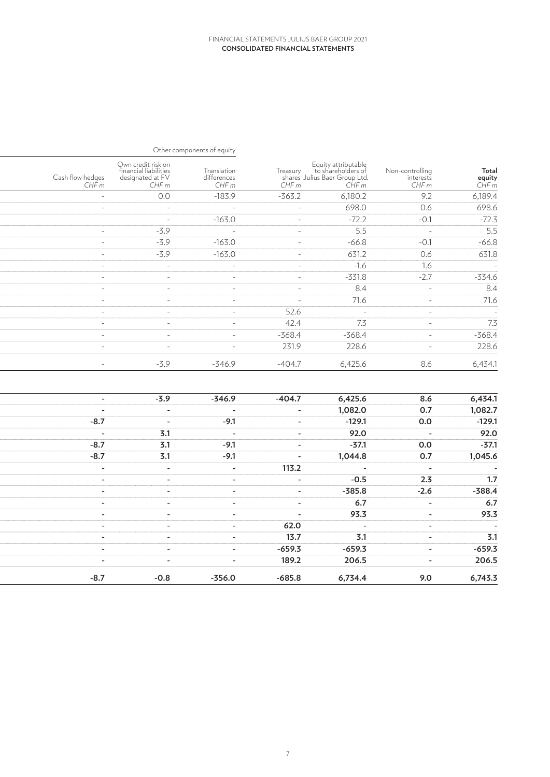|                                                                                     |                                       |                                                                                              |          | Other components of equity              |                                                                         |                           |
|-------------------------------------------------------------------------------------|---------------------------------------|----------------------------------------------------------------------------------------------|----------|-----------------------------------------|-------------------------------------------------------------------------|---------------------------|
| $\begin{array}{c} \textbf{Total} \\ \textbf{equity} \\ \textbf{CHF}\ m \end{array}$ | Non-controlling<br>interests<br>CHF m | Equity attributable<br>Treasury to shareholders of<br>shares Julius Baer Group Ltd.<br>CHF m |          | Translation<br>$differences$<br>CHF $m$ | Own credit risk on<br>financial liabilities<br>designated at FV<br>CHFm | Cash flow hedges<br>CHF m |
| 6,189.4                                                                             | 9.2                                   | 6,180.2                                                                                      | $-363.2$ | $-183.9$                                | 0.0                                                                     | $\sim$ $-$                |
| 698.6                                                                               | 0.6                                   | 698.0                                                                                        | $\sim$   | $\sim$ $ \sim$                          | $\sim$ $-$                                                              | $\sim$                    |
| $-72.3$                                                                             | $-0.1$                                | $-72.2$                                                                                      | $\sim$   | $-163.0$                                | $\sim$ $-$                                                              |                           |
| $\overline{5.5}$                                                                    | $\sim$ $-$                            | $\overline{5.5}$                                                                             | $\sim$   | $\alpha$ and $\alpha$                   | $-3.9$                                                                  | $\sim$                    |
| $-66.8$                                                                             | $-0.1$                                | $-66.8$                                                                                      | $\sim$   | $-163.0$                                | $-3.9$                                                                  | $\sim$                    |
| 631.8                                                                               | 0.6                                   | 631.2                                                                                        | $\sim$   | $-163.0$                                | $-3.9$                                                                  | $\sim$                    |
| $\sim$ $\sim$                                                                       | 1.6                                   | $-1.6$                                                                                       | $\sim$   | $\sim$                                  | $\sim$                                                                  | $\sim$                    |
| $-334.6$                                                                            | $-2.7$                                | $-331.8$                                                                                     | $\sim$   | $\sim$                                  | $\sim$                                                                  | $\sim$                    |
| 8.4                                                                                 | $\sim$                                | 8.4                                                                                          | $\sim$   | $\sim$                                  | $\sim$                                                                  | $\sim$                    |
| 71.6                                                                                | $\sim$                                | 71.6                                                                                         | $\sim$   | $\sim$                                  | $\sim$                                                                  | $\sim$                    |
|                                                                                     | $\sim$                                | $\sim$ $-$                                                                                   | 52.6     | $\sim$                                  | $\sim$                                                                  | $\sim$                    |
| 7.3                                                                                 | $\sim$                                | 7.3                                                                                          | 42.4     | $\sim$                                  | $\sim$                                                                  | $\sim$                    |
| $-368.4$                                                                            | $\sim$                                | $-368.4$                                                                                     | $-368.4$ | $\sim$                                  | $\sim$                                                                  | $\sim$                    |
| 228.6                                                                               | $\sim$                                | 228.6                                                                                        | 231.9    | $\sim$                                  | $\sim$                                                                  | $\sim$                    |
| 6,434.1                                                                             | 8.6                                   | 6,425.6                                                                                      | $-404.7$ | $-346.9$                                | $-3.9$                                                                  | $\sim$ $-$                |
|                                                                                     |                                       |                                                                                              |          |                                         |                                                                         |                           |
| 6,434.1                                                                             | 8.6                                   | 6,425.6                                                                                      | $-404.7$ | $-346.9$                                | $-3.9$                                                                  | $\sim$                    |
| 1,082.7                                                                             | 0.7                                   | 1,082.0                                                                                      | $\sim$   | $\sim$                                  | $\sim$                                                                  | $\sim$                    |
| $-129.1$                                                                            | 0.0                                   | $-129.1$                                                                                     | $\sim$   | $-9.1$                                  | $\sim$                                                                  | $-8.7$                    |
| 92.0                                                                                | $\sim$                                | 92.0                                                                                         | $\sim$   | $\sim$                                  | 3.1                                                                     | $\sim$                    |
| $-37.1$                                                                             | 0.0                                   | $-37.1$                                                                                      | $\sim$   | $-9.1$                                  | $\overline{3.1}$                                                        | $-8.7$                    |
| 1,045.6                                                                             | 0.7                                   | 1,044.8                                                                                      | $\sim$   | $-9.1$                                  | 3.1                                                                     | $-8.7$                    |
|                                                                                     | $\sim$                                | $\sim$                                                                                       | 113.2    | $\sim$ $-$                              | $\sim$                                                                  | $\sim$                    |
| 1.7                                                                                 | 2.3                                   | $-0.5$                                                                                       | $\sim$   | $\sim$                                  | $\sim$                                                                  | $\sim$                    |
| $-388.4$                                                                            | $-2.6$                                | $-385.8$                                                                                     | $\sim$   | $\sim$                                  | $\sim$                                                                  | $\sim$                    |
| 6.7                                                                                 | $\sim$                                | 6.7                                                                                          | $\sim$   | $\sim$                                  | $\sim$                                                                  | $\sim$                    |
| 93.3                                                                                | $\sim$                                | 93.3                                                                                         | $\sim$   | $\sim$                                  | $\sim$                                                                  | $\sim$                    |
|                                                                                     | $\sim$                                | $\sim$                                                                                       | 62.0     | $\sim$                                  | $\sim$                                                                  | $\sim$                    |
| 3.1                                                                                 | $\sim$                                | 3.1                                                                                          | 13.7     | $\sim$                                  | $\sim$                                                                  | $\sim$                    |
| $-659.3$                                                                            | $\sim$                                | $-659.3$                                                                                     | $-659.3$ | $\sim$                                  | $\sim$                                                                  | $\sim$                    |
| 206.5                                                                               | $\sim$                                | 206.5                                                                                        | 189.2    | $\sim$                                  | $\sim$                                                                  | $\sim$                    |
| 6,743.3                                                                             | 9.0                                   | 6,734.4                                                                                      | $-685.8$ | $-356.0$                                | $-0.8$                                                                  | $-8.7$                    |
|                                                                                     |                                       |                                                                                              |          |                                         |                                                                         |                           |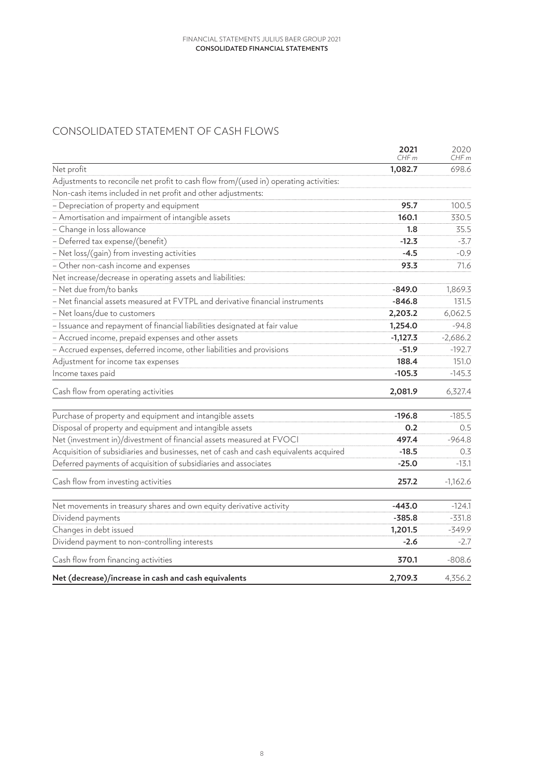# <span id="page-7-0"></span>CONSOLIDATED STATEMENT OF CASH FLOWS

|                                                                                       | 2021<br>CHFm | 2020<br>CHFm |
|---------------------------------------------------------------------------------------|--------------|--------------|
| Net profit                                                                            | 1,082.7      | 698.6        |
| Adjustments to reconcile net profit to cash flow from/(used in) operating activities: |              |              |
| Non-cash items included in net profit and other adjustments:                          |              |              |
| - Depreciation of property and equipment                                              | 95.7         | 100.5        |
| - Amortisation and impairment of intangible assets                                    | 160.1        | 330.5        |
| - Change in loss allowance                                                            | 1.8          | 35.5         |
| - Deferred tax expense/(benefit)                                                      | $-12.3$      | $-3.7$       |
| - Net loss/(gain) from investing activities                                           | $-4.5$       | $-0.9$       |
| - Other non-cash income and expenses                                                  | 93.3         | 71.6         |
| Net increase/decrease in operating assets and liabilities:                            |              |              |
| - Net due from/to banks                                                               | $-849.0$     | 1,869.3      |
| - Net financial assets measured at FVTPL and derivative financial instruments         | $-846.8$     | 131.5        |
| - Net loans/due to customers                                                          | 2,203.2      | 6,062.5      |
| - Issuance and repayment of financial liabilities designated at fair value            | 1,254.0      | $-94.8$      |
| - Accrued income, prepaid expenses and other assets                                   | $-1,127.3$   | $-2,686.2$   |
| - Accrued expenses, deferred income, other liabilities and provisions                 | $-51.9$      | $-192.7$     |
| Adjustment for income tax expenses                                                    | 188.4        | 151.0        |
| Income taxes paid                                                                     | $-105.3$     | $-145.3$     |
| Cash flow from operating activities                                                   | 2,081.9      | 6,327.4      |
| Purchase of property and equipment and intangible assets                              | $-196.8$     | $-185.5$     |
| Disposal of property and equipment and intangible assets                              | 0.2          | 0.5          |
| Net (investment in)/divestment of financial assets measured at FVOCI                  | 497.4        | $-964.8$     |
| Acquisition of subsidiaries and businesses, net of cash and cash equivalents acquired | $-18.5$      | 0.3          |
| Deferred payments of acquisition of subsidiaries and associates                       | $-25.0$      | $-13.1$      |
| Cash flow from investing activities                                                   | 257.2        | $-1,162.6$   |
| Net movements in treasury shares and own equity derivative activity                   | $-443.0$     | $-124.1$     |
| Dividend payments                                                                     | $-385.8$     | $-331.8$     |
| Changes in debt issued                                                                | 1,201.5      | $-349.9$     |
| Dividend payment to non-controlling interests                                         | $-2.6$       | $-2.7$       |
| Cash flow from financing activities                                                   | 370.1        | $-808.6$     |
| Net (decrease)/increase in cash and cash equivalents                                  | 2,709.3      | 4,356.2      |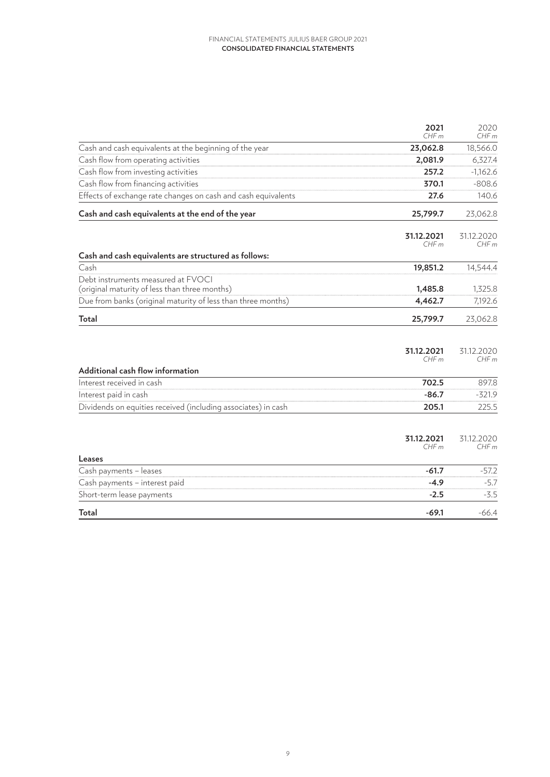|                                                                                     | 2021<br>CHFm       | 2020<br>CHFm                   |
|-------------------------------------------------------------------------------------|--------------------|--------------------------------|
| Cash and cash equivalents at the beginning of the year                              | 23,062.8           | 18,566.0                       |
| Cash flow from operating activities                                                 | 2,081.9            | 6,327.4                        |
| Cash flow from investing activities                                                 | 257.2              | $-1,162.6$                     |
| Cash flow from financing activities                                                 | 370.1              | $-808.6$                       |
| Effects of exchange rate changes on cash and cash equivalents                       | 27.6               | 140.6                          |
| Cash and cash equivalents at the end of the year                                    | 25,799.7           | 23,062.8                       |
|                                                                                     | 31.12.2021<br>CHFm | 31.12.2020<br>CHF <sub>m</sub> |
| Cash and cash equivalents are structured as follows:                                |                    |                                |
| Cash                                                                                | 19,851.2           | 14,544.4                       |
| Debt instruments measured at FVOCI<br>(original maturity of less than three months) | 1,485.8            | 1,325.8                        |
| Due from banks (original maturity of less than three months)                        | 4,462.7            | 7,192.6                        |
| Total                                                                               | 25,799.7           | 23,062.8                       |
| Additional cash flow information                                                    | 31.12.2021<br>CHFm | 31.12.2020<br>CHFm             |
| Interest received in cash                                                           | 702.5              | 897.8                          |
| Interest paid in cash                                                               | $-86.7$            | $-321.9$                       |
| Dividends on equities received (including associates) in cash                       | 205.1              | 225.5                          |
| Leases                                                                              | 31.12.2021<br>CHFm | 31.12.2020<br>CHFm             |
| Cash payments - leases                                                              | $-61.7$            | $-57.2$                        |
| Cash payments - interest paid                                                       | $-4.9$             | $-5.7$                         |
| Short-term lease payments                                                           | $-2.5$             | $-3.5$                         |
| Total                                                                               | $-69.1$            | $-66.4$                        |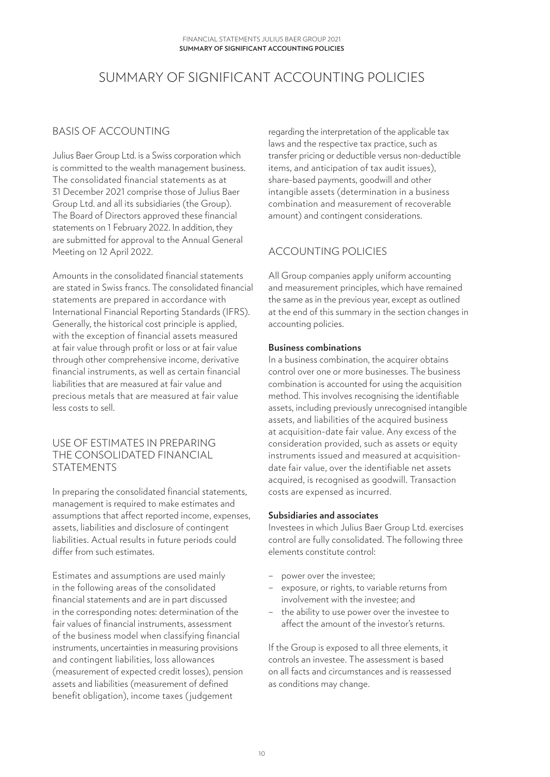# <span id="page-9-0"></span>SUMMARY OF SIGNIFICANT ACCOUNTING POLICIES

## BASIS OF ACCOUNTING

Julius Baer Group Ltd. is a Swiss corporation which is committed to the wealth management business. The consolidated financial statements as at 31 December 2021 comprise those of Julius Baer Group Ltd. and all its subsidiaries (the Group). The Board of Directors approved these financial statements on 1 February 2022. In addition, they are submitted for approval to the Annual General Meeting on 12 April 2022.

Amounts in the consolidated financial statements are stated in Swiss francs. The consolidated financial statements are prepared in accordance with International Financial Reporting Standards (IFRS). Generally, the historical cost principle is applied, with the exception of financial assets measured at fair value through profit or loss or at fair value through other comprehensive income, derivative financial instruments, as well as certain financial liabilities that are measured at fair value and precious metals that are measured at fair value less costs to sell.

#### USE OF ESTIMATES IN PREPARING THE CONSOLIDATED FINANCIAL STATEMENTS

In preparing the consolidated financial statements, management is required to make estimates and assumptions that affect reported income, expenses, assets, liabilities and disclosure of contingent liabilities. Actual results in future periods could differ from such estimates.

Estimates and assumptions are used mainly in the following areas of the consolidated financial statements and are in part discussed in the corresponding notes: determination of the fair values of financial instruments, assessment of the business model when classifying financial instruments, uncertainties in measuring provisions and contingent liabilities, loss allowances (measurement of expected credit losses), pension assets and liabilities (measurement of defined benefit obligation), income taxes (judgement

regarding the interpretation of the applicable tax laws and the respective tax practice, such as transfer pricing or deductible versus non-deductible items, and anticipation of tax audit issues), share-based payments, goodwill and other intangible assets (determination in a business combination and measurement of recoverable amount) and contingent considerations.

# ACCOUNTING POLICIES

All Group companies apply uniform accounting and measurement principles, which have remained the same as in the previous year, except as outlined at the end of this summary in the section changes in accounting policies.

#### **Business combinations**

In a business combination, the acquirer obtains control over one or more businesses. The business combination is accounted for using the acquisition method. This involves recognising the identifiable assets, including previously unrecognised intangible assets, and liabilities of the acquired business at acquisition-date fair value. Any excess of the consideration provided, such as assets or equity instruments issued and measured at acquisitiondate fair value, over the identifiable net assets acquired, is recognised as goodwill. Transaction costs are expensed as incurred.

#### **Subsidiaries and associates**

Investees in which Julius Baer Group Ltd. exercises control are fully consolidated. The following three elements constitute control:

- power over the investee;
- exposure, or rights, to variable returns from involvement with the investee; and
- the ability to use power over the investee to affect the amount of the investor's returns.

If the Group is exposed to all three elements, it controls an investee. The assessment is based on all facts and circumstances and is reassessed as conditions may change.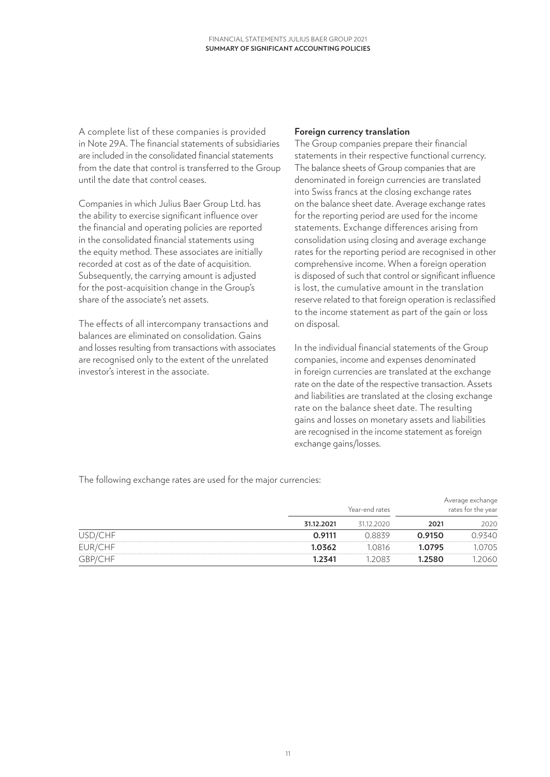A complete list of these companies is provided in Note 29A. The financial statements of subsidiaries are included in the consolidated financial statements from the date that control is transferred to the Group until the date that control ceases.

Companies in which Julius Baer Group Ltd. has the ability to exercise significant influence over the financial and operating policies are reported in the consolidated financial statements using the equity method. These associates are initially recorded at cost as of the date of acquisition. Subsequently, the carrying amount is adjusted for the post-acquisition change in the Group's share of the associate's net assets.

The effects of all intercompany transactions and balances are eliminated on consolidation. Gains and losses resulting from transactions with associates are recognised only to the extent of the unrelated investor's interest in the associate.

#### **Foreign currency translation**

The Group companies prepare their financial statements in their respective functional currency. The balance sheets of Group companies that are denominated in foreign currencies are translated into Swiss francs at the closing exchange rates on the balance sheet date. Average exchange rates for the reporting period are used for the income statements. Exchange differences arising from consolidation using closing and average exchange rates for the reporting period are recognised in other comprehensive income. When a foreign operation is disposed of such that control or significant influence is lost, the cumulative amount in the translation reserve related to that foreign operation is reclassified to the income statement as part of the gain or loss on disposal.

In the individual financial statements of the Group companies, income and expenses denominated in foreign currencies are translated at the exchange rate on the date of the respective transaction. Assets and liabilities are translated at the closing exchange rate on the balance sheet date. The resulting gains and losses on monetary assets and liabilities are recognised in the income statement as foreign exchange gains/losses.

The following exchange rates are used for the major currencies:

|         |            | Year-end rates |        | Average exchange<br>rates for the year |
|---------|------------|----------------|--------|----------------------------------------|
|         | 31.12.2021 | 31.12.2020     | 2021   | 2020                                   |
| USD/CHF | 0.9111     | 0.8839         | 0.9150 | 0.9340                                 |
| EUR/CHF | 1.0362     | 1.0816         | 1.0795 | 1.0705                                 |
| GBP/CHF | 1.2341     | 1.2083         | 1.2580 | 1.2060                                 |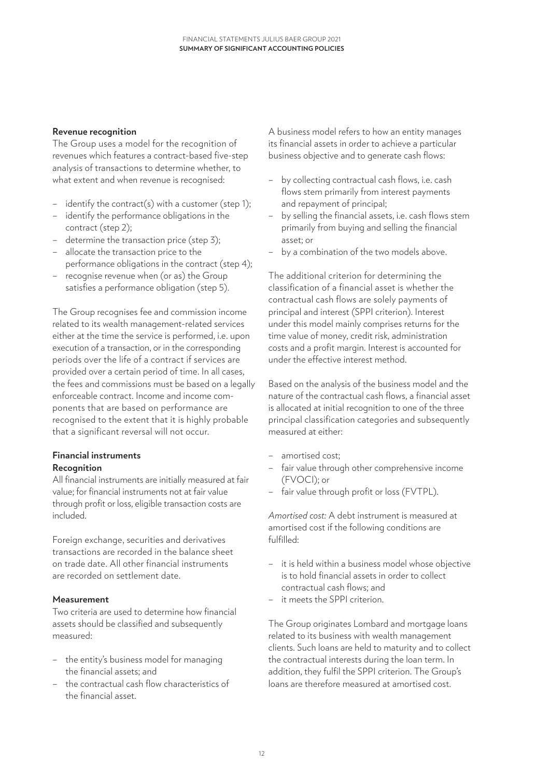#### **Revenue recognition**

The Group uses a model for the recognition of revenues which features a contract-based five-step analysis of transactions to determine whether, to what extent and when revenue is recognised:

- identify the contract(s) with a customer (step 1);
- identify the performance obligations in the contract (step 2);
- determine the transaction price (step 3);
- allocate the transaction price to the performance obligations in the contract (step 4);
- recognise revenue when (or as) the Group satisfies a performance obligation (step 5).

The Group recognises fee and commission income related to its wealth management-related services either at the time the service is performed, i.e. upon execution of a transaction, or in the corresponding periods over the life of a contract if services are provided over a certain period of time. In all cases, the fees and commissions must be based on a legally enforceable contract. Income and income components that are based on performance are recognised to the extent that it is highly probable that a significant reversal will not occur.

### **Financial instruments Recognition**

All financial instruments are initially measured at fair value; for financial instruments not at fair value through profit or loss, eligible transaction costs are included.

Foreign exchange, securities and derivatives transactions are recorded in the balance sheet on trade date. All other financial instruments are recorded on settlement date.

#### **Measurement**

Two criteria are used to determine how financial assets should be classified and subsequently measured:

- the entity's business model for managing the financial assets; and
- the contractual cash flow characteristics of the financial asset.

A business model refers to how an entity manages its financial assets in order to achieve a particular business objective and to generate cash flows:

- by collecting contractual cash flows, i.e. cash flows stem primarily from interest payments and repayment of principal;
- by selling the financial assets, i.e. cash flows stem primarily from buying and selling the financial asset; or
- by a combination of the two models above.

The additional criterion for determining the classification of a financial asset is whether the contractual cash flows are solely payments of principal and interest (SPPI criterion). Interest under this model mainly comprises returns for the time value of money, credit risk, administration costs and a profit margin. Interest is accounted for under the effective interest method.

Based on the analysis of the business model and the nature of the contractual cash flows, a financial asset is allocated at initial recognition to one of the three principal classification categories and subsequently measured at either:

- amortised cost;
- fair value through other comprehensive income (FVOCI); or
- fair value through profit or loss (FVTPL).

*Amortised cost:* A debt instrument is measured at amortised cost if the following conditions are fulfilled:

- it is held within a business model whose objective is to hold financial assets in order to collect contractual cash flows; and
- it meets the SPPI criterion

The Group originates Lombard and mortgage loans related to its business with wealth management clients. Such loans are held to maturity and to collect the contractual interests during the loan term. In addition, they fulfil the SPPI criterion. The Group's loans are therefore measured at amortised cost.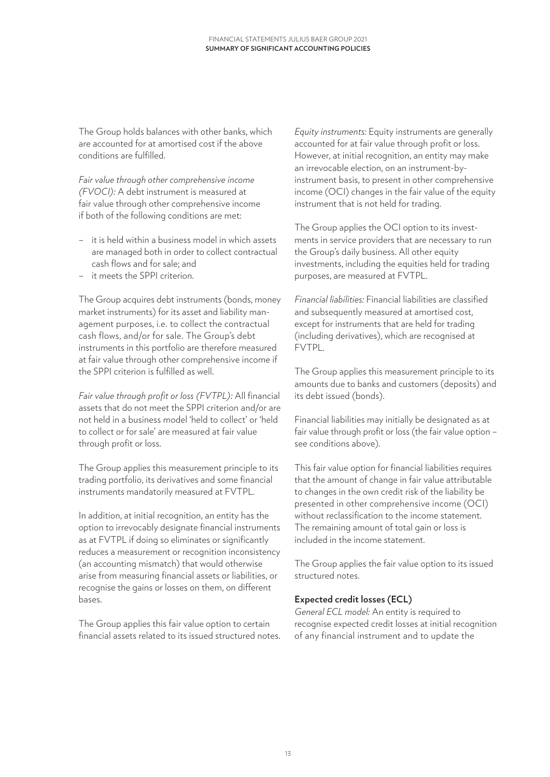The Group holds balances with other banks, which are accounted for at amortised cost if the above conditions are fulfilled.

*Fair value through other comprehensive income (FVOCI):* A debt instrument is measured at fair value through other comprehensive income if both of the following conditions are met:

- it is held within a business model in which assets are managed both in order to collect contractual cash flows and for sale; and
- it meets the SPPI criterion.

The Group acquires debt instruments (bonds, money market instruments) for its asset and liability man agement purposes, i.e. to collect the contractual cash flows, and/or for sale. The Group's debt instruments in this portfolio are therefore measured at fair value through other comprehensive income if the SPPI criterion is fulfilled as well.

*Fair value through profit or loss (FVTPL):* All financial assets that do not meet the SPPI criterion and/or are not held in a business model 'held to collect' or 'held to collect or for sale' are measured at fair value through profit or loss.

The Group applies this measurement principle to its trading portfolio, its derivatives and some financial instruments mandatorily measured at FVTPL.

In addition, at initial recognition, an entity has the option to irrevocably designate financial instruments as at FVTPL if doing so eliminates or significantly reduces a measurement or recognition inconsistency (an accounting mismatch) that would otherwise arise from measuring financial assets or liabilities, or recognise the gains or losses on them, on different bases.

The Group applies this fair value option to certain financial assets related to its issued structured notes.

*Equity instruments:* Equity instruments are generally accounted for at fair value through profit or loss. However, at initial recognition, an entity may make an irrevocable election, on an instrument-byinstrument basis, to present in other comprehensive income (OCI) changes in the fair value of the equity instrument that is not held for trading.

The Group applies the OCI option to its investments in service providers that are necessary to run the Group's daily business. All other equity investments, including the equities held for trading purposes, are measured at FVTPL.

*Financial liabilities:* Financial liabilities are classified and subsequently measured at amortised cost, except for instruments that are held for trading (including derivatives), which are recognised at FVTPL.

The Group applies this measurement principle to its amounts due to banks and customers (deposits) and its debt issued (bonds).

Financial liabilities may initially be designated as at fair value through profit or loss (the fair value option – see conditions above).

This fair value option for financial liabilities requires that the amount of change in fair value attributable to changes in the own credit risk of the liability be presented in other comprehensive income (OCI) without reclassification to the income statement. The remaining amount of total gain or loss is included in the income statement.

The Group applies the fair value option to its issued structured notes.

#### **Expected credit losses (ECL)**

*General ECL model:* An entity is required to recognise expected credit losses at initial recognition of any financial instrument and to update the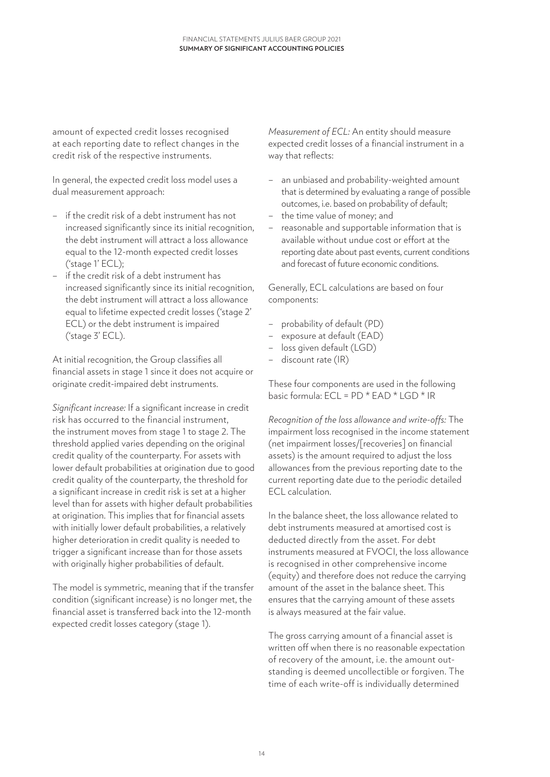amount of expected credit losses recognised at each reporting date to reflect changes in the credit risk of the respective instruments.

In general, the expected credit loss model uses a dual measurement approach:

- if the credit risk of a debt instrument has not increased significantly since its initial recognition, the debt instrument will attract a loss allowance equal to the 12-month expected credit losses ('stage 1' ECL);
- if the credit risk of a debt instrument has increased significantly since its initial recognition, the debt instrument will attract a loss allowance equal to lifetime expected credit losses ('stage 2' ECL) or the debt instrument is impaired ('stage 3' ECL).

At initial recognition, the Group classifies all financial assets in stage 1 since it does not acquire or originate credit-impaired debt instruments.

*Significant increase:* If a significant increase in credit risk has occurred to the financial instrument, the instrument moves from stage 1 to stage 2. The threshold applied varies depending on the original credit quality of the counterparty. For assets with lower default probabilities at origination due to good credit quality of the counterparty, the threshold for a significant increase in credit risk is set at a higher level than for assets with higher default probabilities at origination. This implies that for financial assets with initially lower default probabilities, a relatively higher deterioration in credit quality is needed to trigger a significant increase than for those assets with originally higher probabilities of default.

The model is symmetric, meaning that if the transfer condition (significant increase) is no longer met, the financial asset is transferred back into the 12-month expected credit losses category (stage 1).

*Measurement of ECL:* An entity should measure expected credit losses of a financial instrument in a way that reflects:

- an unbiased and probability-weighted amount that is determined by evaluating a range of possible outcomes, i.e. based on probability of default;
- the time value of money; and
- reasonable and supportable information that is available without undue cost or effort at the reporting date about past events, current conditions and forecast of future economic conditions.

Generally, ECL calculations are based on four components:

- probability of default (PD)
- exposure at default (EAD)
- loss given default (LGD)
- discount rate (IR)

These four components are used in the following basic formula: ECL = PD \* EAD \* LGD \* IR

*Recognition of the loss allowance and write-offs:* The impairment loss recognised in the income statement (net impairment losses/[recoveries] on financial assets) is the amount required to adjust the loss allowances from the previous reporting date to the current reporting date due to the periodic detailed ECL calculation.

In the balance sheet, the loss allowance related to debt instruments measured at amortised cost is deducted directly from the asset. For debt instruments measured at FVOCI, the loss allowance is recognised in other comprehensive income (equity) and therefore does not reduce the carrying amount of the asset in the balance sheet. This ensures that the carrying amount of these assets is always measured at the fair value.

The gross carrying amount of a financial asset is written off when there is no reasonable expectation of recovery of the amount, i.e. the amount outstanding is deemed uncollectible or forgiven. The time of each write-off is individually determined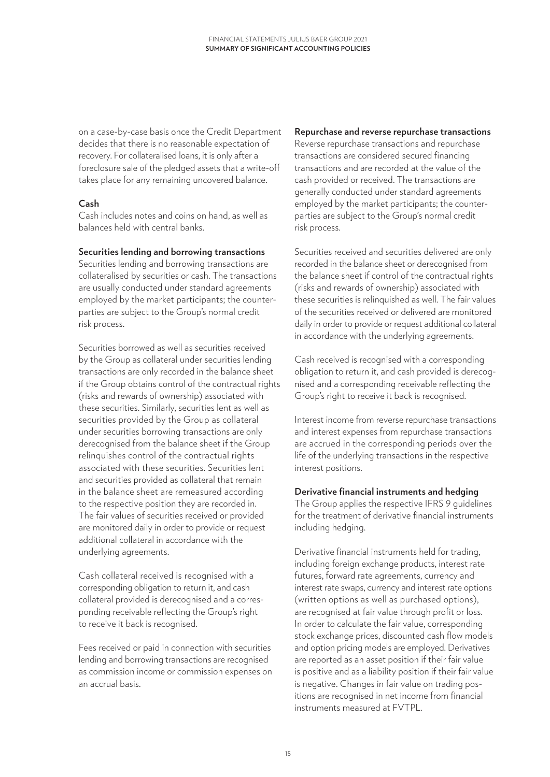on a case-by-case basis once the Credit Department decides that there is no reasonable expectation of recovery. For collateralised loans, it is only after a foreclosure sale of the pledged assets that a write-off takes place for any remaining uncovered balance.

#### **Cash**

Cash includes notes and coins on hand, as well as balances held with central banks.

#### **Securities lending and borrowing transactions**

Securities lending and borrowing transactions are collateralised by securities or cash. The transactions are usually conducted under standard agreements employed by the market participants; the counterparties are subject to the Group's normal credit risk process.

Securities borrowed as well as securities received by the Group as collateral under securities lending transactions are only recorded in the balance sheet if the Group obtains control of the contractual rights (risks and rewards of ownership) associated with these securities. Similarly, securities lent as well as securities provided by the Group as collateral under securities borrowing transactions are only derecognised from the balance sheet if the Group relinquishes control of the contractual rights associated with these securities. Securities lent and securities provided as collateral that remain in the balance sheet are remeasured according to the respective position they are recorded in. The fair values of securities received or provided are monitored daily in order to provide or request additional collateral in accordance with the underlying agreements.

Cash collateral received is recognised with a corresponding obligation to return it, and cash collateral provided is derecognised and a corresponding receivable reflecting the Group's right to receive it back is recognised.

Fees received or paid in connection with securities lending and borrowing transactions are recognised as commission income or commission expenses on an accrual basis.

#### **Repurchase and reverse repurchase transactions**

Reverse repurchase transactions and repurchase transactions are considered secured financing transactions and are recorded at the value of the cash provided or received. The transactions are generally conducted under standard agreements employed by the market participants; the counterparties are subject to the Group's normal credit risk process.

Securities received and securities delivered are only recorded in the balance sheet or derecognised from the balance sheet if control of the contractual rights (risks and rewards of ownership) associated with these securities is relinquished as well. The fair values of the securities received or delivered are monitored daily in order to provide or request additional collateral in accordance with the underlying agreements.

Cash received is recognised with a corresponding obligation to return it, and cash provided is derecognised and a corresponding receivable reflecting the Group's right to receive it back is recognised.

Interest income from reverse repurchase transactions and interest expenses from repurchase transactions are accrued in the corresponding periods over the life of the underlying transactions in the respective interest positions.

#### **Derivative financial instruments and hedging**

The Group applies the respective IFRS 9 guidelines for the treatment of derivative financial instruments including hedging.

Derivative financial instruments held for trading, including foreign exchange products, interest rate futures, forward rate agreements, currency and interest rate swaps, currency and interest rate options (written options as well as purchased options), are recognised at fair value through profit or loss. In order to calculate the fair value, corresponding stock exchange prices, discounted cash flow models and option pricing models are employed. Derivatives are reported as an asset position if their fair value is positive and as a liability position if their fair value is negative. Changes in fair value on trading positions are recognised in net income from financial instruments measured at FVTPL.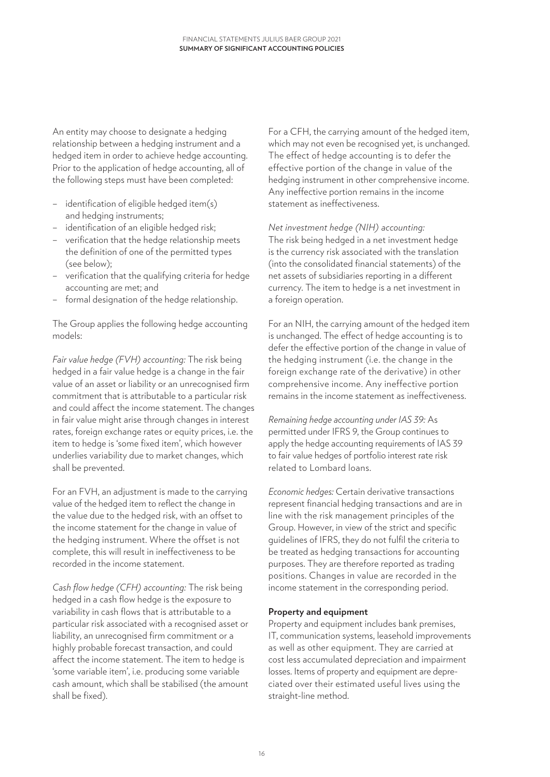An entity may choose to designate a hedging relationship between a hedging instrument and a hedged item in order to achieve hedge accounting. Prior to the application of hedge accounting, all of the following steps must have been completed:

- identification of eligible hedged item(s) and hedging instruments;
- identification of an eligible hedged risk;
- verification that the hedge relationship meets the definition of one of the permitted types (see below);
- verification that the qualifying criteria for hedge accounting are met; and
- formal designation of the hedge relationship.

The Group applies the following hedge accounting models:

*Fair value hedge (FVH) accounting:* The risk being hedged in a fair value hedge is a change in the fair value of an asset or liability or an unrecognised firm commitment that is attributable to a particular risk and could affect the income statement. The changes in fair value might arise through changes in interest rates, foreign exchange rates or equity prices, i.e. the item to hedge is 'some fixed item', which however underlies variability due to market changes, which shall be prevented.

For an FVH, an adjustment is made to the carrying value of the hedged item to reflect the change in the value due to the hedged risk, with an offset to the income statement for the change in value of the hedging instrument. Where the offset is not complete, this will result in ineffectiveness to be recorded in the income statement.

*Cash flow hedge (CFH) accounting:* The risk being hedged in a cash flow hedge is the exposure to variability in cash flows that is attributable to a particular risk associated with a recognised asset or liability, an unrecognised firm commitment or a highly probable forecast transaction, and could affect the income statement. The item to hedge is 'some variable item', i.e. producing some variable cash amount, which shall be stabilised (the amount shall be fixed).

For a CFH, the carrying amount of the hedged item, which may not even be recognised yet, is unchanged. The effect of hedge accounting is to defer the effective portion of the change in value of the hedging instrument in other comprehensive income. Any ineffective portion remains in the income statement as ineffectiveness.

*Net investment hedge (NIH) accounting:*

The risk being hedged in a net investment hedge is the currency risk associated with the translation (into the consolidated financial statements) of the net assets of subsidiaries reporting in a different currency. The item to hedge is a net investment in a foreign operation.

For an NIH, the carrying amount of the hedged item is unchanged. The effect of hedge accounting is to defer the effective portion of the change in value of the hedging instrument (i.e. the change in the foreign exchange rate of the derivative) in other comprehensive income. Any ineffective portion remains in the income statement as ineffectiveness.

*Remaining hedge accounting under IAS 39:* As permitted under IFRS 9, the Group continues to apply the hedge accounting requirements of IAS 39 to fair value hedges of portfolio interest rate risk related to Lombard loans.

*Economic hedges:* Certain derivative transactions represent financial hedging transactions and are in line with the risk management principles of the Group. However, in view of the strict and specific guidelines of IFRS, they do not fulfil the criteria to be treated as hedging transactions for accounting purposes. They are therefore reported as trading positions. Changes in value are recorded in the income statement in the corresponding period.

#### **Property and equipment**

Property and equipment includes bank premises, IT, communication systems, leasehold improvements as well as other equipment. They are carried at cost less accumulated depreciation and impairment losses. Items of property and equipment are depreciated over their estimated useful lives using the straight-line method.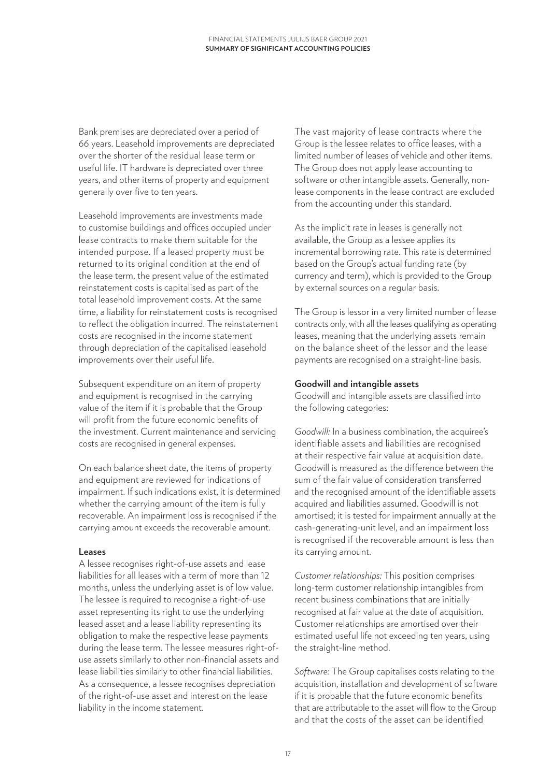Bank premises are depreciated over a period of 66 years. Leasehold improvements are depreciated over the shorter of the residual lease term or useful life. IT hardware is depreciated over three years, and other items of property and equipment generally over five to ten years.

Leasehold improvements are investments made to customise buildings and offices occupied under lease contracts to make them suitable for the intended purpose. If a leased property must be returned to its original condition at the end of the lease term, the present value of the estimated reinstatement costs is capitalised as part of the total leasehold improvement costs. At the same time, a liability for reinstatement costs is recognised to reflect the obligation incurred. The reinstatement costs are recognised in the income statement through depreciation of the capitalised leasehold improvements over their useful life.

Subsequent expenditure on an item of property and equipment is recognised in the carrying value of the item if it is probable that the Group will profit from the future economic benefits of the investment. Current maintenance and servicing costs are recognised in general expenses.

On each balance sheet date, the items of property and equipment are reviewed for indications of impairment. If such indications exist, it is determined whether the carrying amount of the item is fully recoverable. An impairment loss is recognised if the carrying amount exceeds the recoverable amount.

#### **Leases**

A lessee recognises right-of-use assets and lease liabilities for all leases with a term of more than 12 months, unless the underlying asset is of low value. The lessee is required to recognise a right-of-use asset representing its right to use the underlying leased asset and a lease liability representing its obligation to make the respective lease payments during the lease term. The lessee measures right-ofuse assets similarly to other non-financial assets and lease liabilities similarly to other financial liabilities. As a consequence, a lessee recognises depreciation of the right-of-use asset and interest on the lease liability in the income statement.

The vast majority of lease contracts where the Group is the lessee relates to office leases, with a limited number of leases of vehicle and other items. The Group does not apply lease accounting to software or other intangible assets. Generally, nonlease components in the lease contract are excluded from the accounting under this standard.

As the implicit rate in leases is generally not available, the Group as a lessee applies its incremental borrowing rate. This rate is determined based on the Group's actual funding rate (by currency and term), which is provided to the Group by external sources on a regular basis.

The Group is lessor in a very limited number of lease contracts only, with all the leases qualifying as operating leases, meaning that the underlying assets remain on the balance sheet of the lessor and the lease payments are recognised on a straight-line basis.

#### **Goodwill and intangible assets**

Goodwill and intangible assets are classified into the following categories:

*Goodwill:* In a business combination, the acquiree's identifiable assets and liabilities are recognised at their respective fair value at acquisition date. Goodwill is measured as the difference between the sum of the fair value of consideration transferred and the recognised amount of the identifiable assets acquired and liabilities assumed. Goodwill is not amortised; it is tested for impairment annually at the cash-generating-unit level, and an impairment loss is recognised if the recoverable amount is less than its carrying amount.

*Customer relationships:* This position comprises long-term customer relationship intangibles from recent business combinations that are initially recognised at fair value at the date of acquisition. Customer relationships are amortised over their estimated useful life not exceeding ten years, using the straight-line method.

*Software:* The Group capitalises costs relating to the acquisition, installation and development of software if it is probable that the future economic benefits that are attributable to the asset will flow to the Group and that the costs of the asset can be identified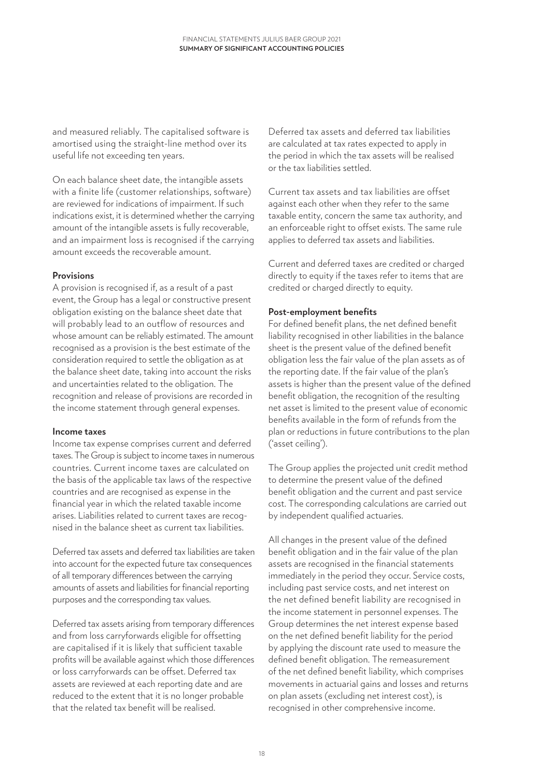and measured reliably. The capitalised software is amortised using the straight-line method over its useful life not exceeding ten years.

On each balance sheet date, the intangible assets with a finite life (customer relationships, software) are reviewed for indications of impairment. If such indications exist, it is determined whether the carrying amount of the intangible assets is fully recoverable, and an impairment loss is recognised if the carrying amount exceeds the recoverable amount.

#### **Provisions**

A provision is recognised if, as a result of a past event, the Group has a legal or constructive present obligation existing on the balance sheet date that will probably lead to an outflow of resources and whose amount can be reliably estimated. The amount recognised as a provision is the best estimate of the consideration required to settle the obligation as at the balance sheet date, taking into account the risks and uncertainties related to the obligation. The recognition and release of provisions are recorded in the income statement through general expenses.

#### **Income taxes**

Income tax expense comprises current and deferred taxes. The Group is subject to income taxes in numerous countries. Current income taxes are calculated on the basis of the applicable tax laws of the respective countries and are recognised as expense in the financial year in which the related taxable income arises. Liabilities related to current taxes are recognised in the balance sheet as current tax liabilities.

Deferred tax assets and deferred tax liabilities are taken into account for the expected future tax consequences of all temporary differences between the carrying amounts of assets and liabilities for financial reporting purposes and the corresponding tax values.

Deferred tax assets arising from temporary differences and from loss carryforwards eligible for offsetting are capitalised if it is likely that sufficient taxable profits will be available against which those differences or loss carryforwards can be offset. Deferred tax assets are reviewed at each reporting date and are reduced to the extent that it is no longer probable that the related tax benefit will be realised.

Deferred tax assets and deferred tax liabilities are calculated at tax rates expected to apply in the period in which the tax assets will be realised or the tax liabilities settled.

Current tax assets and tax liabilities are offset against each other when they refer to the same taxable entity, concern the same tax authority, and an enforceable right to offset exists. The same rule applies to deferred tax assets and liabilities.

Current and deferred taxes are credited or charged directly to equity if the taxes refer to items that are credited or charged directly to equity.

#### **Post-employment benefits**

For defined benefit plans, the net defined benefit liability recognised in other liabilities in the balance sheet is the present value of the defined benefit obligation less the fair value of the plan assets as of the reporting date. If the fair value of the plan's assets is higher than the present value of the defined benefit obligation, the recognition of the resulting net asset is limited to the present value of economic benefits available in the form of refunds from the plan or reductions in future contributions to the plan ('asset ceiling').

The Group applies the projected unit credit method to determine the present value of the defined benefit obligation and the current and past service cost. The corresponding calculations are carried out by independent qualified actuaries.

All changes in the present value of the defined benefit obligation and in the fair value of the plan assets are recognised in the financial statements immediately in the period they occur. Service costs, including past service costs, and net interest on the net defined benefit liability are recognised in the income statement in personnel expenses. The Group determines the net interest expense based on the net defined benefit liability for the period by applying the discount rate used to measure the defined benefit obligation. The remeasurement of the net defined benefit liability, which comprises movements in actuarial gains and losses and returns on plan assets (excluding net interest cost), is recognised in other comprehensive income.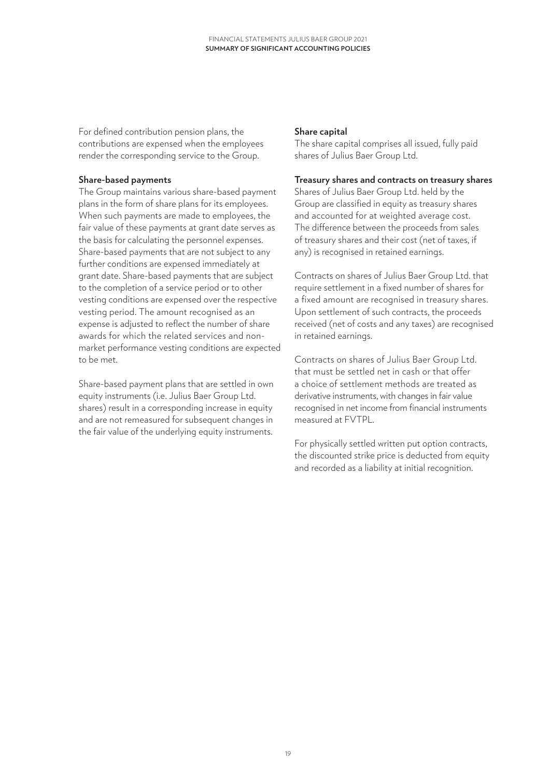For defined contribution pension plans, the contributions are expensed when the employees render the corresponding service to the Group.

#### **Share-based payments**

The Group maintains various share-based payment plans in the form of share plans for its employees. When such payments are made to employees, the fair value of these payments at grant date serves as the basis for calculating the personnel expenses. Share-based payments that are not subject to any further conditions are expensed immediately at grant date. Share-based payments that are subject to the completion of a service period or to other vesting conditions are expensed over the respective vesting period. The amount recognised as an expense is adjusted to reflect the number of share awards for which the related services and nonmarket performance vesting conditions are expected to be met.

Share-based payment plans that are settled in own equity instruments (i.e. Julius Baer Group Ltd. shares) result in a corresponding increase in equity and are not remeasured for subsequent changes in the fair value of the underlying equity instruments.

#### **Share capital**

The share capital comprises all issued, fully paid shares of Julius Baer Group Ltd.

#### **Treasury shares and contracts on treasury shares**

Shares of Julius Baer Group Ltd. held by the Group are classified in equity as treasury shares and accounted for at weighted average cost. The difference between the proceeds from sales of treasury shares and their cost (net of taxes, if any) is recognised in retained earnings.

Contracts on shares of Julius Baer Group Ltd. that require settlement in a fixed number of shares for a fixed amount are recognised in treasury shares. Upon settlement of such contracts, the proceeds received (net of costs and any taxes) are recognised in retained earnings.

Contracts on shares of Julius Baer Group Ltd. that must be settled net in cash or that offer a choice of settlement methods are treated as derivative instruments, with changes in fair value recognised in net income from financial instruments measured at FVTPL.

For physically settled written put option contracts, the discounted strike price is deducted from equity and recorded as a liability at initial recognition.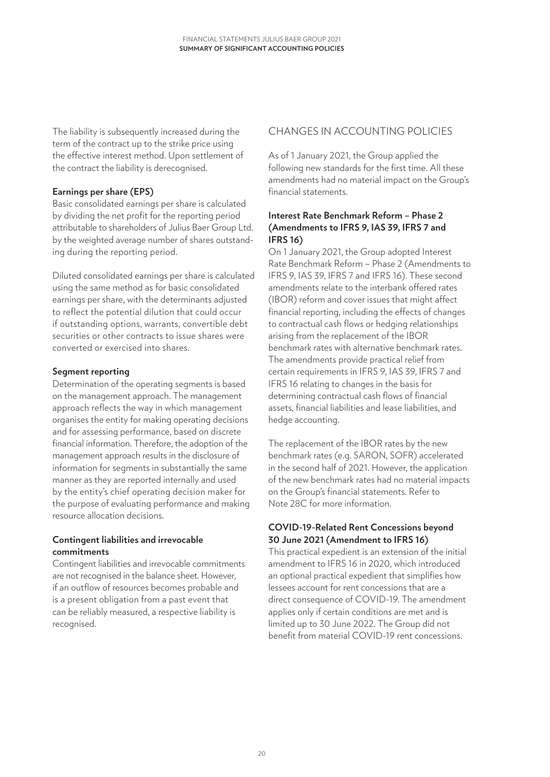The liability is subsequently increased during the term of the contract up to the strike price using the effective interest method. Upon settlement of the contract the liability is derecognised.

#### **Earnings per share (EPS)**

Basic consolidated earnings per share is calculated by dividing the net profit for the reporting period attributable to shareholders of Julius Baer Group Ltd. by the weighted average number of shares outstanding during the reporting period.

Diluted consolidated earnings per share is calculated using the same method as for basic consolidated earnings per share, with the determinants adjusted to reflect the potential dilution that could occur if outstanding options, warrants, convertible debt securities or other contracts to issue shares were converted or exercised into shares.

#### **Segment reporting**

Determination of the operating segments is based on the management approach. The management approach reflects the way in which management organises the entity for making operating decisions and for assessing performance, based on discrete financial information. Therefore, the adoption of the management approach results in the disclosure of information for segments in substantially the same manner as they are reported internally and used by the entity's chief operating decision maker for the purpose of evaluating performance and making resource allocation decisions.

#### **Contingent liabilities and irrevocable commitments**

Contingent liabilities and irrevocable commitments are not recognised in the balance sheet. However, if an outflow of resources becomes probable and is a present obligation from a past event that can be reliably measured, a respective liability is recognised.

# CHANGES IN ACCOUNTING POLICIES

As of 1 January 2021, the Group applied the following new standards for the first time. All these amendments had no material impact on the Group's financial statements.

#### **Interest Rate Benchmark Reform – Phase 2 (Amendments to IFRS 9, IAS 39, IFRS 7 and IFRS 16)**

On 1 January 2021, the Group adopted Interest Rate Benchmark Reform – Phase 2 (Amendments to IFRS 9, IAS 39, IFRS 7 and IFRS 16). These second amendments relate to the interbank offered rates (IBOR) reform and cover issues that might affect financial reporting, including the effects of changes to contractual cash flows or hedging relationships arising from the replacement of the IBOR benchmark rates with alternative benchmark rates. The amendments provide practical relief from certain requirements in IFRS 9, IAS 39, IFRS 7 and IFRS 16 relating to changes in the basis for determining contractual cash flows of financial assets, financial liabilities and lease liabilities, and hedge accounting.

The replacement of the IBOR rates by the new benchmark rates (e.g. SARON, SOFR) accelerated in the second half of 2021. However, the application of the new benchmark rates had no material impacts on the Group's financial statements. Refer to Note 28C for more information.

#### **COVID-19-Related Rent Concessions beyond 30 June 2021 (Amendment to IFRS 16)**

This practical expedient is an extension of the initial amendment to IFRS 16 in 2020, which introduced an optional practical expedient that simplifies how lessees account for rent concessions that are a direct consequence of COVID-19. The amendment applies only if certain conditions are met and is limited up to 30 June 2022. The Group did not benefit from material COVID-19 rent concessions.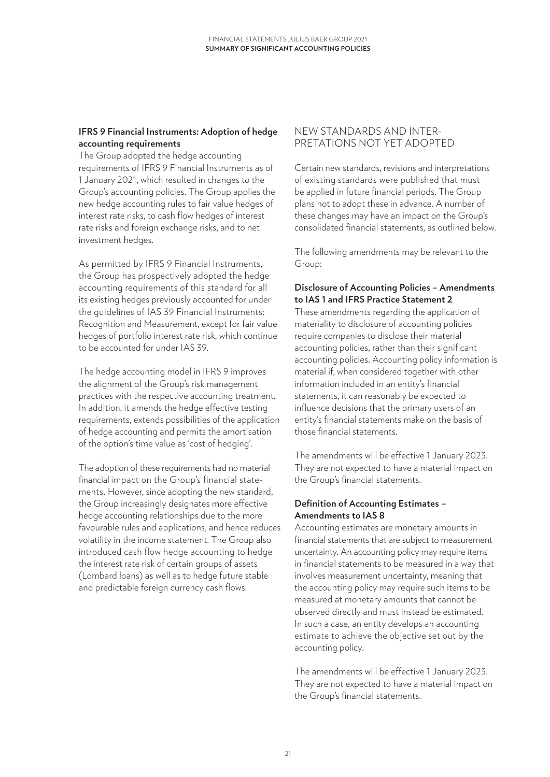#### **IFRS 9 Financial Instruments: Adoption of hedge accounting requirements**

The Group adopted the hedge accounting requirements of IFRS 9 Financial Instruments as of 1 January 2021, which resulted in changes to the Group's accounting policies. The Group applies the new hedge accounting rules to fair value hedges of interest rate risks, to cash flow hedges of interest rate risks and foreign exchange risks, and to net investment hedges.

As permitted by IFRS 9 Financial Instruments, the Group has prospectively adopted the hedge accounting requirements of this standard for all its existing hedges previously accounted for under the guidelines of IAS 39 Financial Instruments: Recognition and Measurement, except for fair value hedges of portfolio interest rate risk, which continue to be accounted for under IAS 39.

The hedge accounting model in IFRS 9 improves the alignment of the Group's risk management practices with the respective accounting treatment. In addition, it amends the hedge effective testing requirements, extends possibilities of the application of hedge accounting and permits the amortisation of the option's time value as 'cost of hedging'.

The adoption of these requirements had no material financial impact on the Group's financial statements. However, since adopting the new standard, the Group increasingly designates more effective hedge accounting relationships due to the more favourable rules and applications, and hence reduces volatility in the income statement. The Group also introduced cash flow hedge accounting to hedge the interest rate risk of certain groups of assets (Lombard loans) as well as to hedge future stable and predictable foreign currency cash flows.

### NEW STANDARDS AND INTER-PRETATIONS NOT YET ADOPTED

Certain new standards, revisions and interpretations of existing standards were published that must be applied in future financial periods. The Group plans not to adopt these in advance. A number of these changes may have an impact on the Group's consolidated financial statements, as outlined below.

The following amendments may be relevant to the Group:

#### **Disclosure of Accounting Policies – Amendments to IAS 1 and IFRS Practice Statement 2**

These amendments regarding the application of materiality to disclosure of accounting policies require companies to disclose their material accounting policies, rather than their significant accounting policies. Accounting policy information is material if, when considered together with other information included in an entity's financial statements, it can reasonably be expected to influence decisions that the primary users of an entity's financial statements make on the basis of those financial statements.

The amendments will be effective 1 January 2023. They are not expected to have a material impact on the Group's financial statements.

#### **Definition of Accounting Estimates – Amendments to IAS 8**

Accounting estimates are monetary amounts in financial statements that are subject to measurement uncertainty. An accounting policy may require items in financial statements to be measured in a way that involves measurement uncertainty, meaning that the accounting policy may require such items to be measured at monetary amounts that cannot be observed directly and must instead be estimated. In such a case, an entity develops an accounting estimate to achieve the objective set out by the accounting policy.

The amendments will be effective 1 January 2023. They are not expected to have a material impact on the Group's financial statements.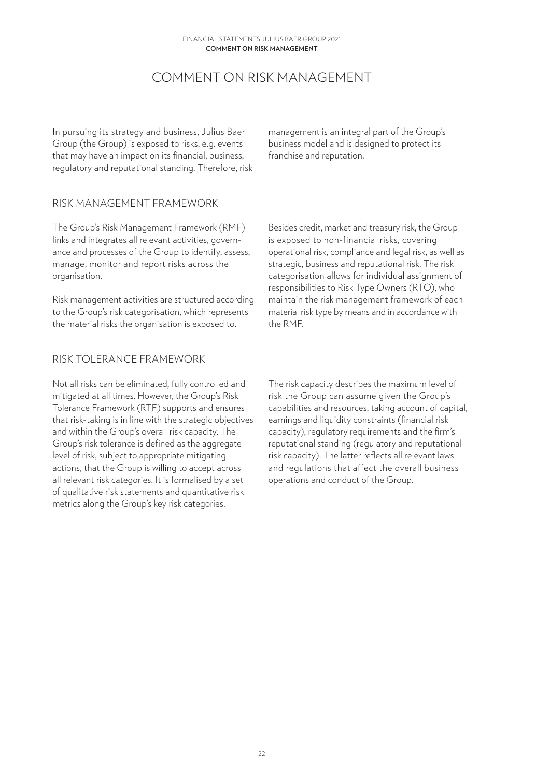# COMMENT ON RISK MANAGEMENT

<span id="page-21-0"></span>In pursuing its strategy and business, Julius Baer Group (the Group) is exposed to risks, e.g. events that may have an impact on its financial, business, regulatory and reputational standing. Therefore, risk

management is an integral part of the Group's business model and is designed to protect its franchise and reputation.

#### RISK MANAGEMENT FRAMEWORK

The Group's Risk Management Framework (RMF) links and integrates all relevant activities, governance and processes of the Group to identify, assess, manage, monitor and report risks across the organisation.

Risk management activities are structured according to the Group's risk categorisation, which represents the material risks the organisation is exposed to.

Besides credit, market and treasury risk, the Group is exposed to non-financial risks, covering operational risk, compliance and legal risk, as well as strategic, business and reputational risk. The risk categorisation allows for individual assignment of responsibilities to Risk Type Owners (RTO), who maintain the risk management framework of each material risk type by means and in accordance with the RMF.

### RISK TOLERANCE FRAMEWORK

Not all risks can be eliminated, fully controlled and mitigated at all times. However, the Group's Risk Tolerance Framework (RTF) supports and ensures that risk-taking is in line with the strategic objectives and within the Group's overall risk capacity. The Group's risk tolerance is defined as the aggregate level of risk, subject to appropriate mitigating actions, that the Group is willing to accept across all relevant risk categories. It is formalised by a set of qualitative risk statements and quantitative risk metrics along the Group's key risk categories.

The risk capacity describes the maximum level of risk the Group can assume given the Group's capabilities and resources, taking account of capital, earnings and liquidity constraints (financial risk capacity), regulatory requirements and the firm's reputational standing (regulatory and reputational risk capacity). The latter reflects all relevant laws and regulations that affect the overall business operations and conduct of the Group.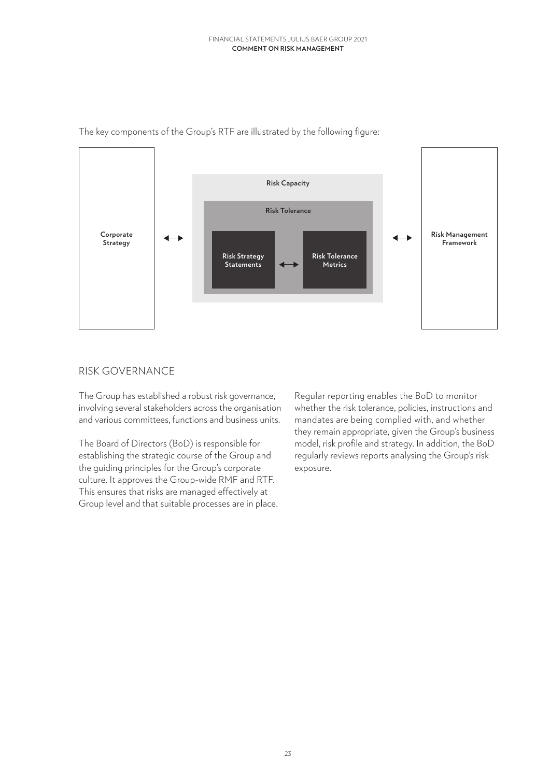

<span id="page-22-0"></span>The key components of the Group's RTF are illustrated by the following figure:

# RISK GOVERNANCE

The Group has established a robust risk governance, involving several stakeholders across the organisation and various committees, functions and business units.

The Board of Directors (BoD) is responsible for establishing the strategic course of the Group and the guiding principles for the Group's corporate culture. It approves the Group-wide RMF and RTF. This ensures that risks are managed effectively at Group level and that suitable processes are in place.

Regular reporting enables the BoD to monitor whether the risk tolerance, policies, instructions and mandates are being complied with, and whether they remain appropriate, given the Group's business model, risk profile and strategy. In addition, the BoD regularly reviews reports analysing the Group's risk exposure.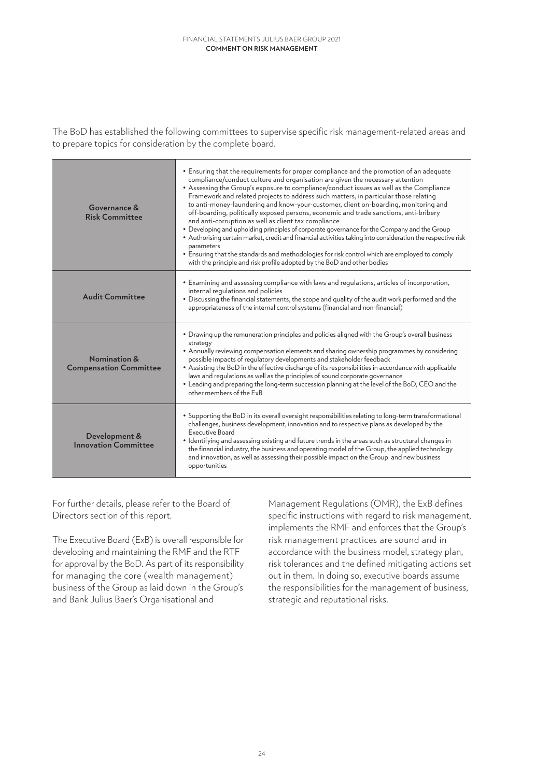The BoD has established the following committees to supervise specific risk management-related areas and to prepare topics for consideration by the complete board.

| Governance &<br><b>Risk Committee</b>         | • Ensuring that the requirements for proper compliance and the promotion of an adequate<br>compliance/conduct culture and organisation are given the necessary attention<br>• Assessing the Group's exposure to compliance/conduct issues as well as the Compliance<br>Framework and related projects to address such matters, in particular those relating<br>to anti-money-laundering and know-your-customer, client on-boarding, monitoring and<br>off-boarding, politically exposed persons, economic and trade sanctions, anti-bribery<br>and anti-corruption as well as client tax compliance<br>• Developing and upholding principles of corporate governance for the Company and the Group<br>• Authorising certain market, credit and financial activities taking into consideration the respective risk<br>parameters<br>• Ensuring that the standards and methodologies for risk control which are employed to comply<br>with the principle and risk profile adopted by the BoD and other bodies |
|-----------------------------------------------|-------------------------------------------------------------------------------------------------------------------------------------------------------------------------------------------------------------------------------------------------------------------------------------------------------------------------------------------------------------------------------------------------------------------------------------------------------------------------------------------------------------------------------------------------------------------------------------------------------------------------------------------------------------------------------------------------------------------------------------------------------------------------------------------------------------------------------------------------------------------------------------------------------------------------------------------------------------------------------------------------------------|
| <b>Audit Committee</b>                        | • Examining and assessing compliance with laws and regulations, articles of incorporation,<br>internal regulations and policies<br>. Discussing the financial statements, the scope and quality of the audit work performed and the<br>appropriateness of the internal control systems (financial and non-financial)                                                                                                                                                                                                                                                                                                                                                                                                                                                                                                                                                                                                                                                                                        |
| Nomination &<br><b>Compensation Committee</b> | • Drawing up the remuneration principles and policies aligned with the Group's overall business<br>strategy<br>• Annually reviewing compensation elements and sharing ownership programmes by considering<br>possible impacts of regulatory developments and stakeholder feedback<br>• Assisting the BoD in the effective discharge of its responsibilities in accordance with applicable<br>laws and regulations as well as the principles of sound corporate governance<br>• Leading and preparing the long-term succession planning at the level of the BoD, CEO and the<br>other members of the ExB                                                                                                                                                                                                                                                                                                                                                                                                     |
| Development &<br><b>Innovation Committee</b>  | • Supporting the BoD in its overall oversight responsibilities relating to long-term transformational<br>challenges, business development, innovation and to respective plans as developed by the<br><b>Executive Board</b><br>• Identifying and assessing existing and future trends in the areas such as structural changes in<br>the financial industry, the business and operating model of the Group, the applied technology<br>and innovation, as well as assessing their possible impact on the Group and new business<br>opportunities                                                                                                                                                                                                                                                                                                                                                                                                                                                              |

For further details, please refer to the Board of Directors section of this report.

The Executive Board (ExB) is overall responsible for developing and maintaining the RMF and the RTF for approval by the BoD. As part of its responsibility for managing the core (wealth management) business of the Group as laid down in the Group's and Bank Julius Baer's Organisational and

Management Regulations (OMR), the ExB defines specific instructions with regard to risk management, implements the RMF and enforces that the Group's risk management practices are sound and in accordance with the business model, strategy plan, risk tolerances and the defined mitigating actions set out in them. In doing so, executive boards assume the responsibilities for the management of business, strategic and reputational risks.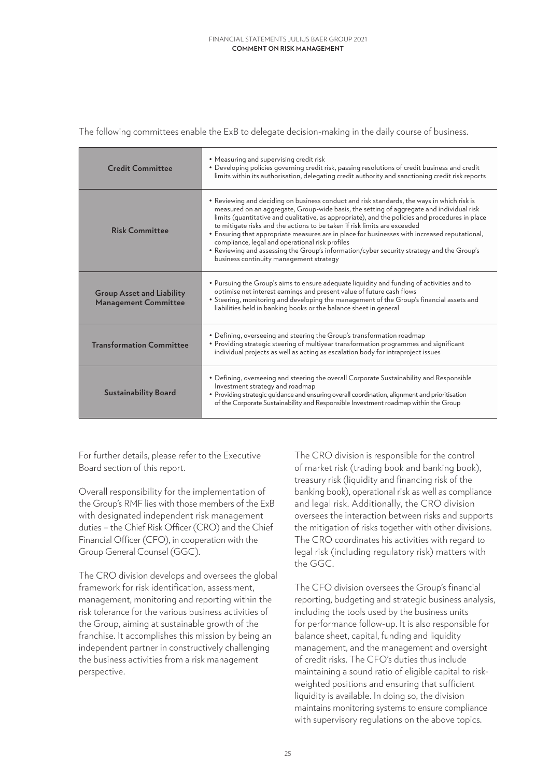The following committees enable the ExB to delegate decision-making in the daily course of business.

| <b>Credit Committee</b>                                         | • Measuring and supervising credit risk<br>. Developing policies governing credit risk, passing resolutions of credit business and credit<br>limits within its authorisation, delegating credit authority and sanctioning credit risk reports                                                                                                                                                                                                                                                                                                                                                                                                                      |
|-----------------------------------------------------------------|--------------------------------------------------------------------------------------------------------------------------------------------------------------------------------------------------------------------------------------------------------------------------------------------------------------------------------------------------------------------------------------------------------------------------------------------------------------------------------------------------------------------------------------------------------------------------------------------------------------------------------------------------------------------|
| <b>Risk Committee</b>                                           | . Reviewing and deciding on business conduct and risk standards, the ways in which risk is<br>measured on an aggregate, Group-wide basis, the setting of aggregate and individual risk<br>limits (quantitative and qualitative, as appropriate), and the policies and procedures in place<br>to mitigate risks and the actions to be taken if risk limits are exceeded<br>• Ensuring that appropriate measures are in place for businesses with increased reputational,<br>compliance, legal and operational risk profiles<br>. Reviewing and assessing the Group's information/cyber security strategy and the Group's<br>business continuity management strategy |
| <b>Group Asset and Liability</b><br><b>Management Committee</b> | . Pursuing the Group's aims to ensure adequate liquidity and funding of activities and to<br>optimise net interest earnings and present value of future cash flows<br>• Steering, monitoring and developing the management of the Group's financial assets and<br>liabilities held in banking books or the balance sheet in general                                                                                                                                                                                                                                                                                                                                |
| <b>Transformation Committee</b>                                 | • Defining, overseeing and steering the Group's transformation roadmap<br>• Providing strategic steering of multiyear transformation programmes and significant<br>individual projects as well as acting as escalation body for intraproject issues                                                                                                                                                                                                                                                                                                                                                                                                                |
| <b>Sustainability Board</b>                                     | • Defining, overseeing and steering the overall Corporate Sustainability and Responsible<br>Investment strategy and roadmap<br>· Providing strategic guidance and ensuring overall coordination, alignment and prioritisation<br>of the Corporate Sustainability and Responsible Investment roadmap within the Group                                                                                                                                                                                                                                                                                                                                               |

For further details, please refer to the Executive Board section of this report.

Overall responsibility for the implementation of the Group's RMF lies with those members of the ExB with designated independent risk management duties – the Chief Risk Officer (CRO) and the Chief Financial Officer (CFO), in cooperation with the Group General Counsel (GGC).

The CRO division develops and oversees the global framework for risk identification, assessment, management, monitoring and reporting within the risk tolerance for the various business activities of the Group, aiming at sustainable growth of the franchise. It accomplishes this mission by being an independent partner in constructively challenging the business activities from a risk management perspective.

The CRO division is responsible for the control of market risk (trading book and banking book), treasury risk (liquidity and financing risk of the banking book), operational risk as well as compliance and legal risk. Additionally, the CRO division oversees the interaction between risks and supports the mitigation of risks together with other divisions. The CRO coordinates his activities with regard to legal risk (including regulatory risk) matters with the GGC.

The CFO division oversees the Group's financial reporting, budgeting and strategic business analysis, including the tools used by the business units for performance follow-up. It is also responsible for balance sheet, capital, funding and liquidity management, and the management and oversight of credit risks. The CFO's duties thus include maintaining a sound ratio of eligible capital to riskweighted positions and ensuring that sufficient liquidity is available. In doing so, the division maintains monitoring systems to ensure compliance with supervisory regulations on the above topics.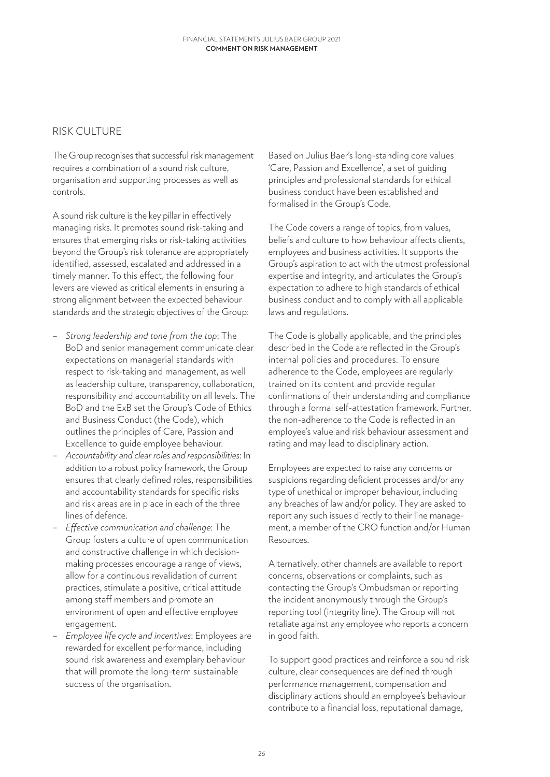## <span id="page-25-0"></span>RISK CULTURE

The Group recognises that successful risk management requires a combination of a sound risk culture, organisation and supporting processes as well as controls.

A sound risk culture is the key pillar in effectively managing risks. It promotes sound risk-taking and ensures that emerging risks or risk-taking activities beyond the Group's risk tolerance are appropriately identified, assessed, escalated and addressed in a timely manner. To this effect, the following four levers are viewed as critical elements in ensuring a strong alignment between the expected behaviour standards and the strategic objectives of the Group:

- *Strong leadership and tone from the top*: The BoD and senior management communicate clear expectations on managerial standards with respect to risk-taking and management, as well as leadership culture, transparency, collaboration, responsibility and accountability on all levels. The BoD and the ExB set the Group's Code of Ethics and Business Conduct (the Code), which outlines the principles of Care, Passion and Excellence to guide employee behaviour.
- *Accountability and clear roles and responsibilities*: In addition to a robust policy framework, the Group ensures that clearly defined roles, responsibilities and accountability standards for specific risks and risk areas are in place in each of the three lines of defence.
- *Effective communication and challenge*: The Group fosters a culture of open communication and constructive challenge in which decisionmaking processes encourage a range of views, allow for a continuous revalidation of current practices, stimulate a positive, critical attitude among staff members and promote an environment of open and effective employee engagement.
- *Employee life cycle and incentives*: Employees are rewarded for excellent performance, including sound risk awareness and exemplary behaviour that will promote the long-term sustainable success of the organisation.

Based on Julius Baer's long-standing core values 'Care, Passion and Excellence', a set of guiding principles and professional standards for ethical business conduct have been established and formalised in the Group's Code.

The Code covers a range of topics, from values, beliefs and culture to how behaviour affects clients, employees and business activities. It supports the Group's aspiration to act with the utmost professional expertise and integrity, and articulates the Group's expectation to adhere to high standards of ethical business conduct and to comply with all applicable laws and regulations.

The Code is globally applicable, and the principles described in the Code are reflected in the Group's internal policies and procedures. To ensure adherence to the Code, employees are regularly trained on its content and provide regular confirmations of their understanding and compliance through a formal self-attestation framework. Further, the non-adherence to the Code is reflected in an employee's value and risk behaviour assessment and rating and may lead to disciplinary action.

Employees are expected to raise any concerns or suspicions regarding deficient processes and/or any type of unethical or improper behaviour, including any breaches of law and/or policy. They are asked to report any such issues directly to their line management, a member of the CRO function and/or Human Resources.

Alternatively, other channels are available to report concerns, observations or complaints, such as contacting the Group's Ombudsman or reporting the incident anonymously through the Group's reporting tool (integrity line). The Group will not retaliate against any employee who reports a concern in good faith.

To support good practices and reinforce a sound risk culture, clear consequences are defined through performance management, compensation and disciplinary actions should an employee's behaviour contribute to a financial loss, reputational damage,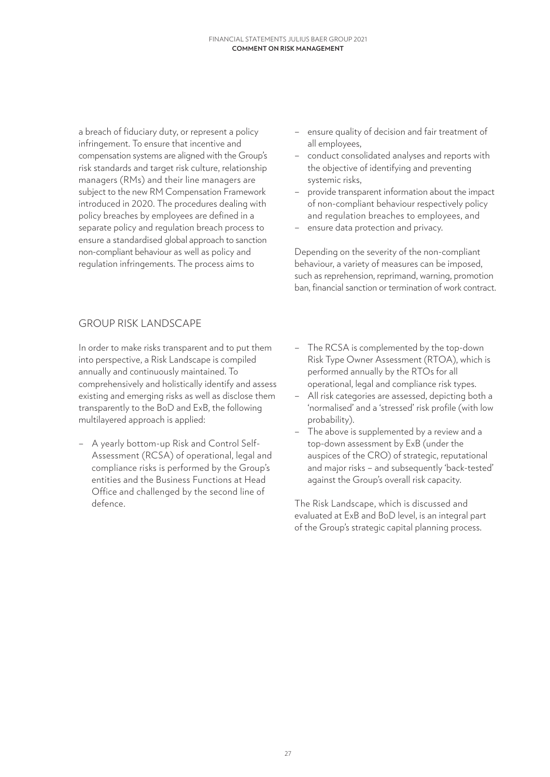<span id="page-26-0"></span>a breach of fiduciary duty, or represent a policy infringement. To ensure that incentive and compensation systems are aligned with the Group's risk standards and target risk culture, relationship managers (RMs) and their line managers are subject to the new RM Compensation Framework introduced in 2020. The procedures dealing with policy breaches by employees are defined in a separate policy and regulation breach process to ensure a standardised global approach to sanction non-compliant behaviour as well as policy and regulation infringements. The process aims to

- ensure quality of decision and fair treatment of all employees,
- conduct consolidated analyses and reports with the objective of identifying and preventing systemic risks,
- provide transparent information about the impact of non-compliant behaviour respectively policy and regulation breaches to employees, and
- ensure data protection and privacy.

Depending on the severity of the non-compliant behaviour, a variety of measures can be imposed, such as reprehension, reprimand, warning, promotion ban, financial sanction or termination of work contract.

# GROUP RISK LANDSCAPE

In order to make risks transparent and to put them into perspective, a Risk Landscape is compiled annually and continuously maintained. To comprehensively and holistically identify and assess existing and emerging risks as well as disclose them transparently to the BoD and ExB, the following multilayered approach is applied:

- A yearly bottom-up Risk and Control Self-Assessment (RCSA) of operational, legal and compliance risks is performed by the Group's entities and the Business Functions at Head Office and challenged by the second line of defence.
- The RCSA is complemented by the top-down Risk Type Owner Assessment (RTOA), which is performed annually by the RTOs for all operational, legal and compliance risk types.
- All risk categories are assessed, depicting both a 'normalised' and a 'stressed' risk profile (with low probability).
- The above is supplemented by a review and a top-down assessment by ExB (under the auspices of the CRO) of strategic, reputational and major risks – and subsequently 'back-tested' against the Group's overall risk capacity.

The Risk Landscape, which is discussed and evaluated at ExB and BoD level, is an integral part of the Group's strategic capital planning process.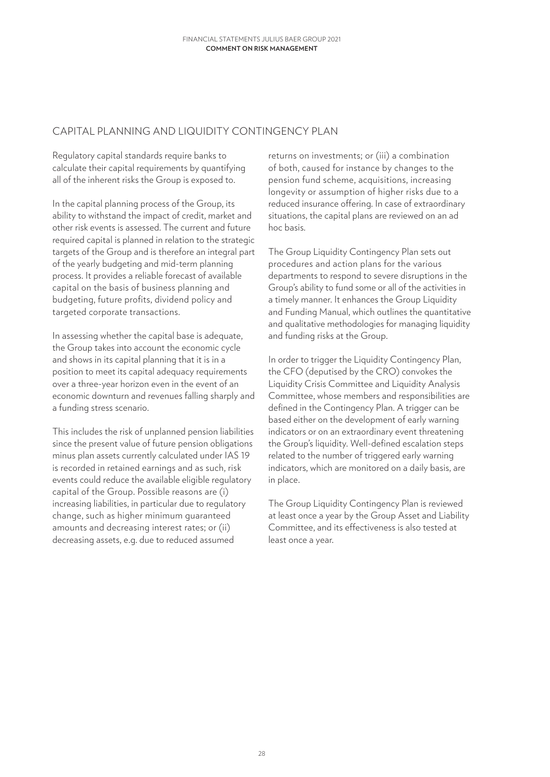## <span id="page-27-0"></span>CAPITAL PLANNING AND LIQUIDITY CONTINGENCY PLAN

Regulatory capital standards require banks to calculate their capital requirements by quantifying all of the inherent risks the Group is exposed to.

In the capital planning process of the Group, its ability to withstand the impact of credit, market and other risk events is assessed. The current and future required capital is planned in relation to the strategic targets of the Group and is therefore an integral part of the yearly budgeting and mid-term planning process. It provides a reliable forecast of available capital on the basis of business planning and budgeting, future profits, dividend policy and targeted corporate transactions.

In assessing whether the capital base is adequate, the Group takes into account the economic cycle and shows in its capital planning that it is in a position to meet its capital adequacy requirements over a three-year horizon even in the event of an economic downturn and revenues falling sharply and a funding stress scenario.

This includes the risk of unplanned pension liabilities since the present value of future pension obligations minus plan assets currently calculated under IAS 19 is recorded in retained earnings and as such, risk events could reduce the available eligible regulatory capital of the Group. Possible reasons are (i) increasing liabilities, in particular due to regulatory change, such as higher minimum guaranteed amounts and decreasing interest rates; or (ii) decreasing assets, e.g. due to reduced assumed

returns on investments; or (iii) a combination of both, caused for instance by changes to the pension fund scheme, acquisitions, increasing longevity or assumption of higher risks due to a reduced insurance offering. In case of extraordinary situations, the capital plans are reviewed on an ad hoc basis.

The Group Liquidity Contingency Plan sets out procedures and action plans for the various departments to respond to severe disruptions in the Group's ability to fund some or all of the activities in a timely manner. It enhances the Group Liquidity and Funding Manual, which outlines the quantitative and qualitative methodologies for managing liquidity and funding risks at the Group.

In order to trigger the Liquidity Contingency Plan, the CFO (deputised by the CRO) convokes the Liquidity Crisis Committee and Liquidity Analysis Committee, whose members and responsibilities are defined in the Contingency Plan. A trigger can be based either on the development of early warning indicators or on an extraordinary event threatening the Group's liquidity. Well-defined escalation steps related to the number of triggered early warning indicators, which are monitored on a daily basis, are in place.

The Group Liquidity Contingency Plan is reviewed at least once a year by the Group Asset and Liability Committee, and its effectiveness is also tested at least once a year.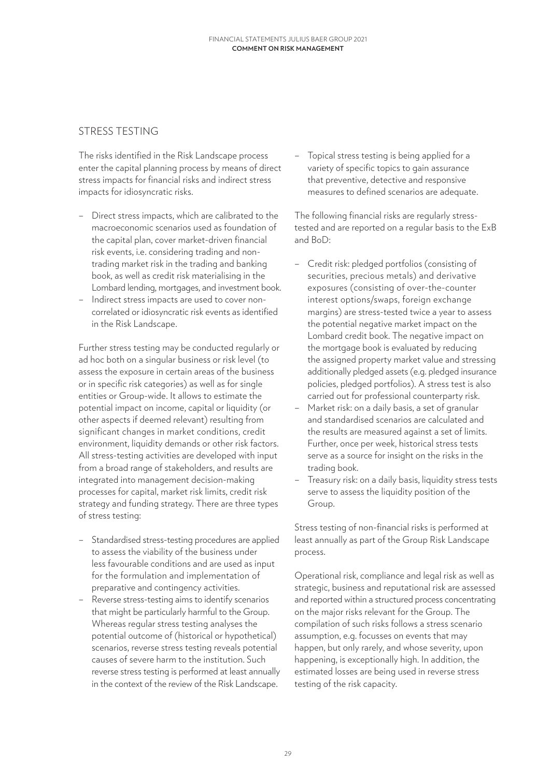## <span id="page-28-0"></span>STRESS TESTING

The risks identified in the Risk Landscape process enter the capital planning process by means of direct stress impacts for financial risks and indirect stress impacts for idiosyncratic risks.

- Direct stress impacts, which are calibrated to the macroeconomic scenarios used as foundation of the capital plan, cover market-driven financial risk events, i.e. considering trading and nontrading market risk in the trading and banking book, as well as credit risk materialising in the Lombard lending, mortgages, and investment book.
- Indirect stress impacts are used to cover noncorrelated or idiosyncratic risk events as identified in the Risk Landscape.

Further stress testing may be conducted regularly or ad hoc both on a singular business or risk level (to assess the exposure in certain areas of the business or in specific risk categories) as well as for single entities or Group-wide. It allows to estimate the potential impact on income, capital or liquidity (or other aspects if deemed relevant) resulting from significant changes in market conditions, credit environment, liquidity demands or other risk factors. All stress-testing activities are developed with input from a broad range of stakeholders, and results are integrated into management decision-making processes for capital, market risk limits, credit risk strategy and funding strategy. There are three types of stress testing:

- Standardised stress-testing procedures are applied to assess the viability of the business under less favourable conditions and are used as input for the formulation and implementation of preparative and contingency activities.
- Reverse stress-testing aims to identify scenarios that might be particularly harmful to the Group. Whereas regular stress testing analyses the potential outcome of (historical or hypothetical) scenarios, reverse stress testing reveals potential causes of severe harm to the institution. Such reverse stress testing is performed at least annually in the context of the review of the Risk Landscape.

– Topical stress testing is being applied for a variety of specific topics to gain assurance that preventive, detective and responsive measures to defined scenarios are adequate.

The following financial risks are regularly stresstested and are reported on a regular basis to the ExB and BoD:

- Credit risk: pledged portfolios (consisting of securities, precious metals) and derivative exposures (consisting of over-the-counter interest options/swaps, foreign exchange margins) are stress-tested twice a year to assess the potential negative market impact on the Lombard credit book. The negative impact on the mortgage book is evaluated by reducing the assigned property market value and stressing additionally pledged assets (e.g. pledged insurance policies, pledged portfolios). A stress test is also carried out for professional counterparty risk.
- Market risk: on a daily basis, a set of granular and standardised scenarios are calculated and the results are measured against a set of limits. Further, once per week, historical stress tests serve as a source for insight on the risks in the trading book.
- Treasury risk: on a daily basis, liquidity stress tests serve to assess the liquidity position of the Group.

Stress testing of non-financial risks is performed at least annually as part of the Group Risk Landscape process.

Operational risk, compliance and legal risk as well as strategic, business and reputational risk are assessed and reported within a structured process concentrating on the major risks relevant for the Group. The compilation of such risks follows a stress scenario assumption, e.g. focusses on events that may happen, but only rarely, and whose severity, upon happening, is exceptionally high. In addition, the estimated losses are being used in reverse stress testing of the risk capacity.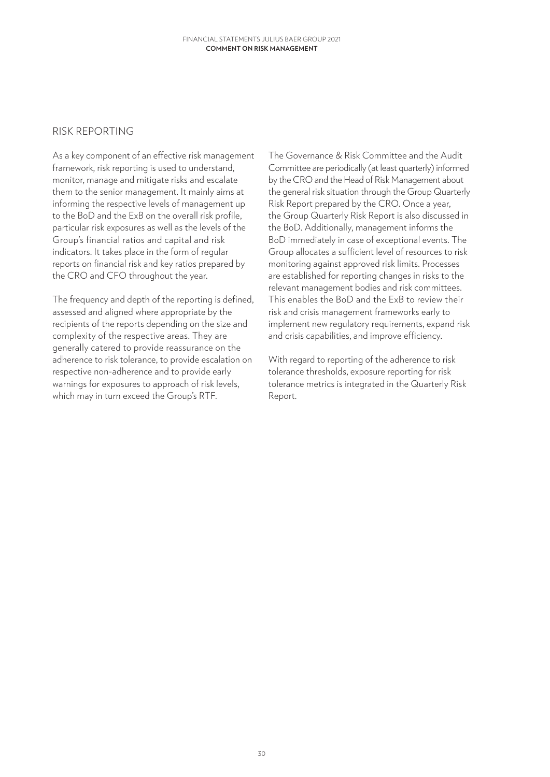#### <span id="page-29-0"></span>RISK REPORTING

As a key component of an effective risk management framework, risk reporting is used to understand, monitor, manage and mitigate risks and escalate them to the senior management. It mainly aims at informing the respective levels of management up to the BoD and the ExB on the overall risk profile, particular risk exposures as well as the levels of the Group's financial ratios and capital and risk indicators. It takes place in the form of regular reports on financial risk and key ratios prepared by the CRO and CFO throughout the year.

The frequency and depth of the reporting is defined, assessed and aligned where appropriate by the recipients of the reports depending on the size and complexity of the respective areas. They are generally catered to provide reassurance on the adherence to risk tolerance, to provide escalation on respective non-adherence and to provide early warnings for exposures to approach of risk levels, which may in turn exceed the Group's RTF.

The Governance & Risk Committee and the Audit Committee are periodically (at least quarterly) informed by the CRO and the Head of Risk Management about the general risk situation through the Group Quarterly Risk Report prepared by the CRO. Once a year, the Group Quarterly Risk Report is also discussed in the BoD. Additionally, management informs the BoD immediately in case of exceptional events. The Group allocates a sufficient level of resources to risk monitoring against approved risk limits. Processes are established for reporting changes in risks to the relevant management bodies and risk committees. This enables the BoD and the ExB to review their risk and crisis management frameworks early to implement new regulatory requirements, expand risk and crisis capabilities, and improve efficiency.

With regard to reporting of the adherence to risk tolerance thresholds, exposure reporting for risk tolerance metrics is integrated in the Quarterly Risk Report.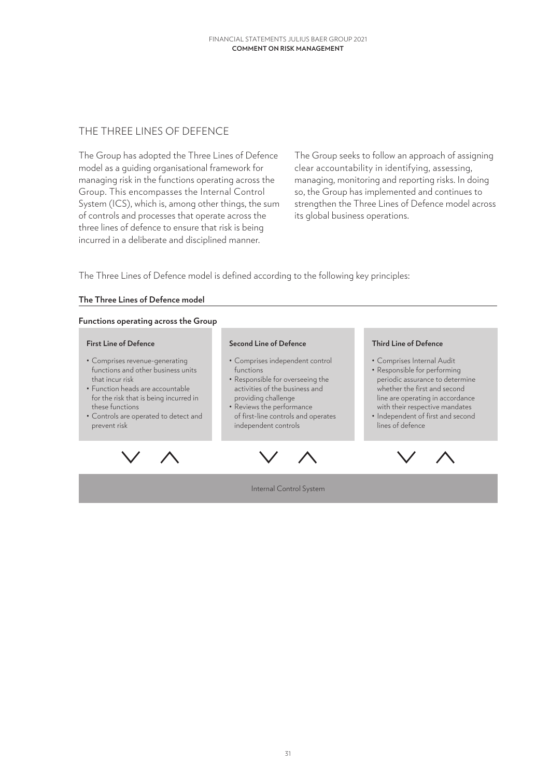### <span id="page-30-0"></span>THE THREE LINES OF DEFENCE

The Group has adopted the Three Lines of Defence model as a guiding organisational framework for managing risk in the functions operating across the Group. This encompasses the Internal Control System (ICS), which is, among other things, the sum of controls and processes that operate across the three lines of defence to ensure that risk is being incurred in a deliberate and disciplined manner.

The Group seeks to follow an approach of assigning clear accountability in identifying, assessing, managing, monitoring and reporting risks. In doing so, the Group has implemented and continues to strengthen the Three Lines of Defence model across its global business operations.

The Three Lines of Defence model is defined according to the following key principles:

#### **The Three Lines of Defence model**

#### **Functions operating across the Group**

#### **First Line of Defence**

- Comprises revenue-generating functions and other business units that incur risk
- Function heads are accountable for the risk that is being incurred in these functions
- Controls are operated to detect and prevent risk

#### **Second Line of Defence**

- Comprises independent control functions
- Responsible for overseeing the activities of the business and providing challenge
- Reviews the performance of first-line controls and operates independent controls



#### **Third Line of Defence** • Comprises Internal Audit

- Responsible for performing periodic assurance to determine whether the first and second line are operating in accordance with their respective mandates
- Independent of first and second lines of defence



Internal Control System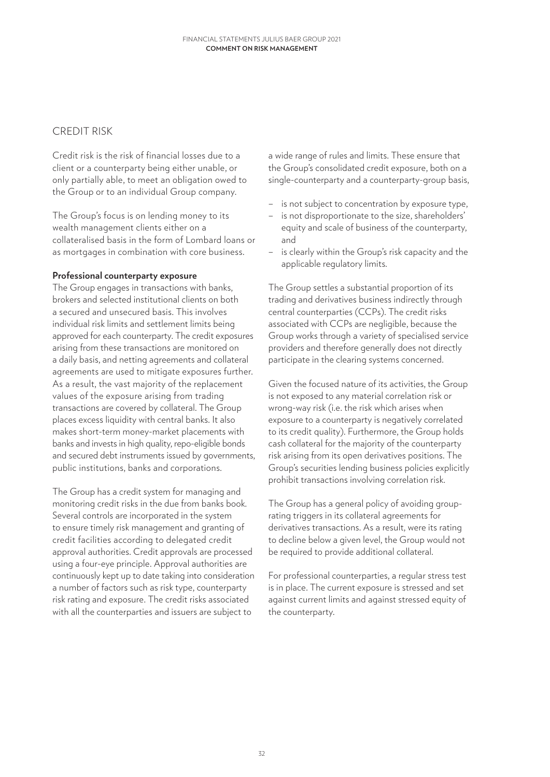### <span id="page-31-0"></span>CREDIT RISK

Credit risk is the risk of financial losses due to a client or a counterparty being either unable, or only partially able, to meet an obligation owed to the Group or to an individual Group company.

The Group's focus is on lending money to its wealth management clients either on a collateralised basis in the form of Lombard loans or as mortgages in combination with core business.

#### **Professional counterparty exposure**

The Group engages in transactions with banks, brokers and selected institutional clients on both a secured and unsecured basis. This involves individual risk limits and settlement limits being approved for each counterparty. The credit exposures arising from these transactions are monitored on a daily basis, and netting agreements and collateral agreements are used to mitigate exposures further. As a result, the vast majority of the replacement values of the exposure arising from trading transactions are covered by collateral. The Group places excess liquidity with central banks. It also makes short-term money-market placements with banks and invests in high quality, repo-eligible bonds and secured debt instruments issued by governments, public institutions, banks and corporations.

The Group has a credit system for managing and monitoring credit risks in the due from banks book. Several controls are incorporated in the system to ensure timely risk management and granting of credit facilities according to delegated credit approval authorities. Credit approvals are processed using a four-eye principle. Approval authorities are continuously kept up to date taking into consideration a number of factors such as risk type, counterparty risk rating and exposure. The credit risks associated with all the counterparties and issuers are subject to

a wide range of rules and limits. These ensure that the Group's consolidated credit exposure, both on a single-counterparty and a counterparty-group basis,

- is not subject to concentration by exposure type,
- is not disproportionate to the size, shareholders' equity and scale of business of the counterparty, and
- is clearly within the Group's risk capacity and the applicable regulatory limits.

The Group settles a substantial proportion of its trading and derivatives business indirectly through central counterparties (CCPs). The credit risks associated with CCPs are negligible, because the Group works through a variety of specialised service providers and therefore generally does not directly participate in the clearing systems concerned.

Given the focused nature of its activities, the Group is not exposed to any material correlation risk or wrong-way risk (i.e. the risk which arises when exposure to a counterparty is negatively correlated to its credit quality). Furthermore, the Group holds cash collateral for the majority of the counterparty risk arising from its open derivatives positions. The Group's securities lending business policies explicitly prohibit transactions involving correlation risk.

The Group has a general policy of avoiding grouprating triggers in its collateral agreements for derivatives transactions. As a result, were its rating to decline below a given level, the Group would not be required to provide additional collateral.

For professional counterparties, a regular stress test is in place. The current exposure is stressed and set against current limits and against stressed equity of the counterparty.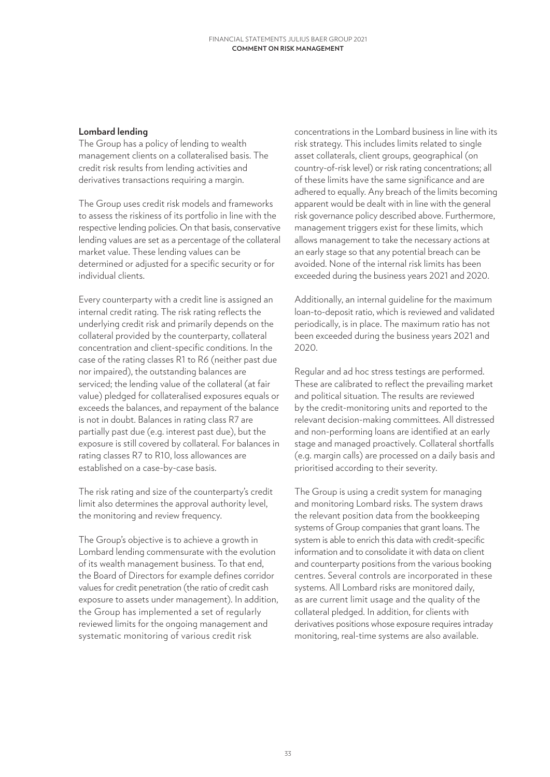#### **Lombard lending**

The Group has a policy of lending to wealth management clients on a collateralised basis. The credit risk results from lending activities and derivatives transactions requiring a margin.

The Group uses credit risk models and frameworks to assess the riskiness of its portfolio in line with the respective lending policies. On that basis, conservative lending values are set as a percentage of the collateral market value. These lending values can be determined or adjusted for a specific security or for individual clients.

Every counterparty with a credit line is assigned an internal credit rating. The risk rating reflects the underlying credit risk and primarily depends on the collateral provided by the counterparty, collateral concentration and client-specific conditions. In the case of the rating classes R1 to R6 (neither past due nor impaired), the outstanding balances are serviced; the lending value of the collateral (at fair value) pledged for collateralised exposures equals or exceeds the balances, and repayment of the balance is not in doubt. Balances in rating class R7 are partially past due (e.g. interest past due), but the exposure is still covered by collateral. For balances in rating classes R7 to R10, loss allowances are established on a case-by-case basis.

The risk rating and size of the counterparty's credit limit also determines the approval authority level, the monitoring and review frequency.

The Group's objective is to achieve a growth in Lombard lending commensurate with the evolution of its wealth management business. To that end, the Board of Directors for example defines corridor values for credit penetration (the ratio of credit cash exposure to assets under management). In addition, the Group has implemented a set of regularly reviewed limits for the ongoing management and systematic monitoring of various credit risk

concentrations in the Lombard business in line with its risk strategy. This includes limits related to single asset collaterals, client groups, geographical (on country-of-risk level) or risk rating concentrations; all of these limits have the same significance and are adhered to equally. Any breach of the limits becoming apparent would be dealt with in line with the general risk governance policy described above. Furthermore, management triggers exist for these limits, which allows management to take the necessary actions at an early stage so that any potential breach can be avoided. None of the internal risk limits has been exceeded during the business years 2021 and 2020.

Additionally, an internal guideline for the maximum loan-to-deposit ratio, which is reviewed and validated periodically, is in place. The maximum ratio has not been exceeded during the business years 2021 and 2020.

Regular and ad hoc stress testings are performed. These are calibrated to reflect the prevailing market and political situation. The results are reviewed by the credit-monitoring units and reported to the relevant decision-making committees. All distressed and non-performing loans are identified at an early stage and managed proactively. Collateral shortfalls (e.g. margin calls) are processed on a daily basis and prioritised according to their severity.

The Group is using a credit system for managing and monitoring Lombard risks. The system draws the relevant position data from the bookkeeping systems of Group companies that grant loans. The system is able to enrich this data with credit-specific information and to consolidate it with data on client and counterparty positions from the various booking centres. Several controls are incorporated in these systems. All Lombard risks are monitored daily, as are current limit usage and the quality of the collateral pledged. In addition, for clients with derivatives positions whose exposure requires intraday monitoring, real-time systems are also available.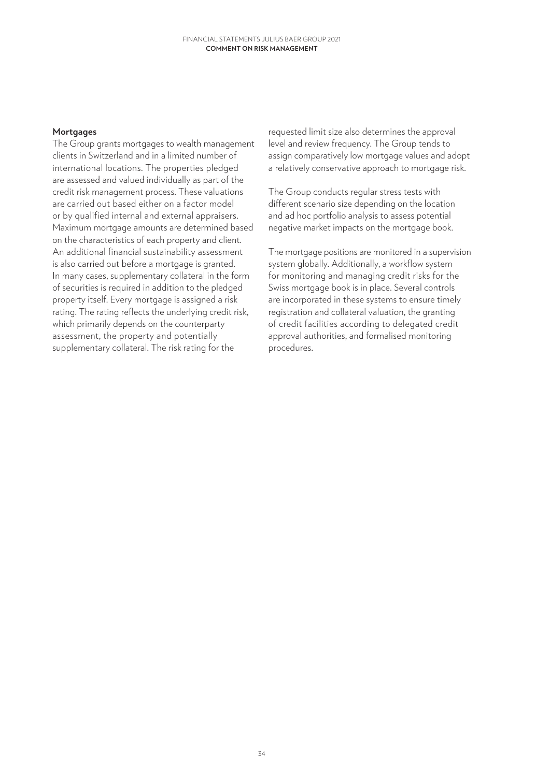#### **Mortgages**

The Group grants mortgages to wealth management clients in Switzerland and in a limited number of international locations. The properties pledged are assessed and valued individually as part of the credit risk management process. These valuations are carried out based either on a factor model or by qualified internal and external appraisers. Maximum mortgage amounts are determined based on the characteristics of each property and client. An additional financial sustainability assessment is also carried out before a mortgage is granted. In many cases, supplementary collateral in the form of securities is required in addition to the pledged property itself. Every mortgage is assigned a risk rating. The rating reflects the underlying credit risk, which primarily depends on the counterparty assessment, the property and potentially supplementary collateral. The risk rating for the

requested limit size also determines the approval level and review frequency. The Group tends to assign comparatively low mortgage values and adopt a relatively conservative approach to mortgage risk.

The Group conducts regular stress tests with different scenario size depending on the location and ad hoc portfolio analysis to assess potential negative market impacts on the mortgage book.

The mortgage positions are monitored in a supervision system globally. Additionally, a workflow system for monitoring and managing credit risks for the Swiss mortgage book is in place. Several controls are incorporated in these systems to ensure timely registration and collateral valuation, the granting of credit facilities according to delegated credit approval authorities, and formalised monitoring procedures.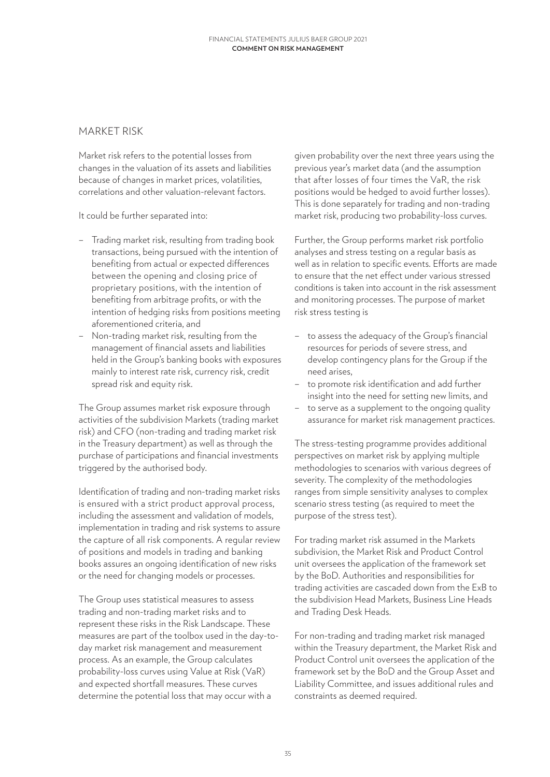#### <span id="page-34-0"></span>MARKET RISK

Market risk refers to the potential losses from changes in the valuation of its assets and liabilities because of changes in market prices, volatilities, correlations and other valuation-relevant factors.

It could be further separated into:

- Trading market risk, resulting from trading book transactions, being pursued with the intention of benefiting from actual or expected differences between the opening and closing price of proprietary positions, with the intention of benefiting from arbitrage profits, or with the intention of hedging risks from positions meeting aforementioned criteria, and
- Non-trading market risk, resulting from the management of financial assets and liabilities held in the Group's banking books with exposures mainly to interest rate risk, currency risk, credit spread risk and equity risk.

The Group assumes market risk exposure through activities of the subdivision Markets (trading market risk) and CFO (non-trading and trading market risk in the Treasury department) as well as through the purchase of participations and financial investments triggered by the authorised body.

Identification of trading and non-trading market risks is ensured with a strict product approval process, including the assessment and validation of models, implementation in trading and risk systems to assure the capture of all risk components. A regular review of positions and models in trading and banking books assures an ongoing identification of new risks or the need for changing models or processes.

The Group uses statistical measures to assess trading and non-trading market risks and to represent these risks in the Risk Landscape. These measures are part of the toolbox used in the day-today market risk management and measurement process. As an example, the Group calculates probability-loss curves using Value at Risk (VaR) and expected shortfall measures. These curves determine the potential loss that may occur with a

given probability over the next three years using the previous year's market data (and the assumption that after losses of four times the VaR, the risk positions would be hedged to avoid further losses). This is done separately for trading and non-trading market risk, producing two probability-loss curves.

Further, the Group performs market risk portfolio analyses and stress testing on a regular basis as well as in relation to specific events. Efforts are made to ensure that the net effect under various stressed conditions is taken into account in the risk assessment and monitoring processes. The purpose of market risk stress testing is

- to assess the adequacy of the Group's financial resources for periods of severe stress, and develop contingency plans for the Group if the need arises,
- to promote risk identification and add further insight into the need for setting new limits, and
- to serve as a supplement to the ongoing quality assurance for market risk management practices.

The stress-testing programme provides additional perspectives on market risk by applying multiple methodologies to scenarios with various degrees of severity. The complexity of the methodologies ranges from simple sensitivity analyses to complex scenario stress testing (as required to meet the purpose of the stress test).

For trading market risk assumed in the Markets subdivision, the Market Risk and Product Control unit oversees the application of the framework set by the BoD. Authorities and responsibilities for trading activities are cascaded down from the ExB to the subdivision Head Markets, Business Line Heads and Trading Desk Heads.

For non-trading and trading market risk managed within the Treasury department, the Market Risk and Product Control unit oversees the application of the framework set by the BoD and the Group Asset and Liability Committee, and issues additional rules and constraints as deemed required.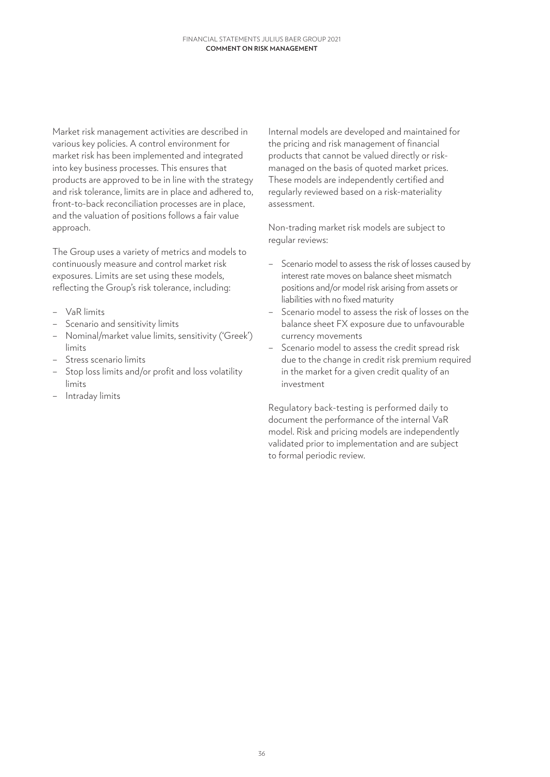Market risk management activities are described in various key policies. A control environment for market risk has been implemented and integrated into key business processes. This ensures that products are approved to be in line with the strategy and risk tolerance, limits are in place and adhered to, front-to-back reconciliation processes are in place, and the valuation of positions follows a fair value approach.

The Group uses a variety of metrics and models to continuously measure and control market risk exposures. Limits are set using these models, reflecting the Group's risk tolerance, including:

- VaR limits
- Scenario and sensitivity limits
- Nominal/market value limits, sensitivity ('Greek') limits
- Stress scenario limits
- Stop loss limits and/or profit and loss volatility limits
- Intraday limits

Internal models are developed and maintained for the pricing and risk management of financial products that cannot be valued directly or riskmanaged on the basis of quoted market prices. These models are independently certified and regularly reviewed based on a risk-materiality assessment.

Non-trading market risk models are subject to regular reviews:

- Scenario model to assess the risk of losses caused by interest rate moves on balance sheet mismatch positions and/or model risk arising from assets or liabilities with no fixed maturity
- Scenario model to assess the risk of losses on the balance sheet FX exposure due to unfavourable currency movements
- Scenario model to assess the credit spread risk due to the change in credit risk premium required in the market for a given credit quality of an investment

Regulatory back-testing is performed daily to document the performance of the internal VaR model. Risk and pricing models are independently validated prior to implementation and are subject to formal periodic review.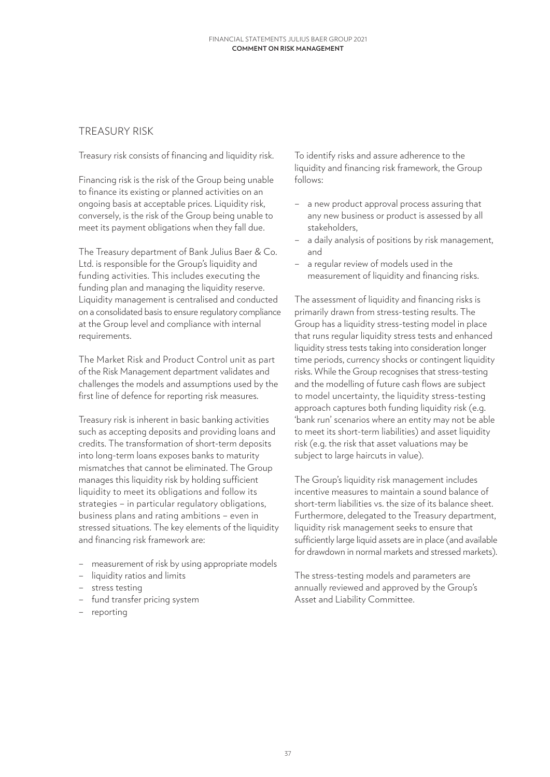# TREASURY RISK

Treasury risk consists of financing and liquidity risk.

Financing risk is the risk of the Group being unable to finance its existing or planned activities on an ongoing basis at acceptable prices. Liquidity risk, conversely, is the risk of the Group being unable to meet its payment obligations when they fall due.

The Treasury department of Bank Julius Baer & Co. Ltd. is responsible for the Group's liquidity and funding activities. This includes executing the funding plan and managing the liquidity reserve. Liquidity management is centralised and conducted on a consolidated basis to ensure regulatory compliance at the Group level and compliance with internal requirements.

The Market Risk and Product Control unit as part of the Risk Management department validates and challenges the models and assumptions used by the first line of defence for reporting risk measures.

Treasury risk is inherent in basic banking activities such as accepting deposits and providing loans and credits. The transformation of short-term deposits into long-term loans exposes banks to maturity mismatches that cannot be eliminated. The Group manages this liquidity risk by holding sufficient liquidity to meet its obligations and follow its strategies – in particular regulatory obligations, business plans and rating ambitions – even in stressed situations. The key elements of the liquidity and financing risk framework are:

- measurement of risk by using appropriate models
- liquidity ratios and limits
- stress testing
- fund transfer pricing system
- reporting

To identify risks and assure adherence to the liquidity and financing risk framework, the Group follows:

- a new product approval process assuring that any new business or product is assessed by all stakeholders,
- a daily analysis of positions by risk management, and
- a regular review of models used in the measurement of liquidity and financing risks.

The assessment of liquidity and financing risks is primarily drawn from stress-testing results. The Group has a liquidity stress-testing model in place that runs regular liquidity stress tests and enhanced liquidity stress tests taking into consideration longer time periods, currency shocks or contingent liquidity risks. While the Group recognises that stress-testing and the modelling of future cash flows are subject to model uncertainty, the liquidity stress-testing approach captures both funding liquidity risk (e.g. 'bank run' scenarios where an entity may not be able to meet its short-term liabilities) and asset liquidity risk (e.g. the risk that asset valuations may be subject to large haircuts in value).

The Group's liquidity risk management includes incentive measures to maintain a sound balance of short-term liabilities vs. the size of its balance sheet. Furthermore, delegated to the Treasury department, liquidity risk management seeks to ensure that sufficiently large liquid assets are in place (and available for drawdown in normal markets and stressed markets).

The stress-testing models and parameters are annually reviewed and approved by the Group's Asset and Liability Committee.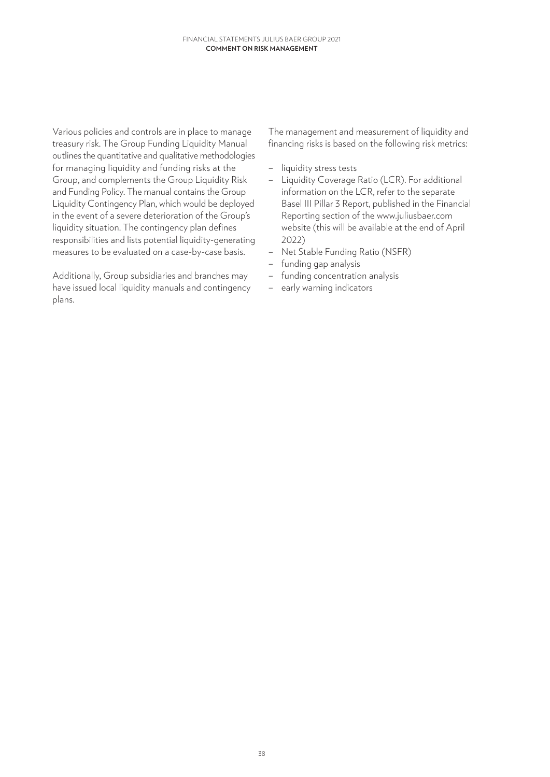Various policies and controls are in place to manage treasury risk. The Group Funding Liquidity Manual outlines the quantitative and qualitative methodologies for managing liquidity and funding risks at the Group, and complements the Group Liquidity Risk and Funding Policy. The manual contains the Group Liquidity Contingency Plan, which would be deployed in the event of a severe deterioration of the Group's liquidity situation. The contingency plan defines responsibilities and lists potential liquidity-generating measures to be evaluated on a case-by-case basis.

Additionally, Group subsidiaries and branches may have issued local liquidity manuals and contingency plans.

The management and measurement of liquidity and financing risks is based on the following risk metrics:

- liquidity stress tests
- Liquidity Coverage Ratio (LCR). For additional information on the LCR, refer to the separate Basel III Pillar 3 Report, published in the Financial Reporting section of the www.juliusbaer.com website (this will be available at the end of April 2022)
- Net Stable Funding Ratio (NSFR)
- funding gap analysis
- funding concentration analysis
- early warning indicators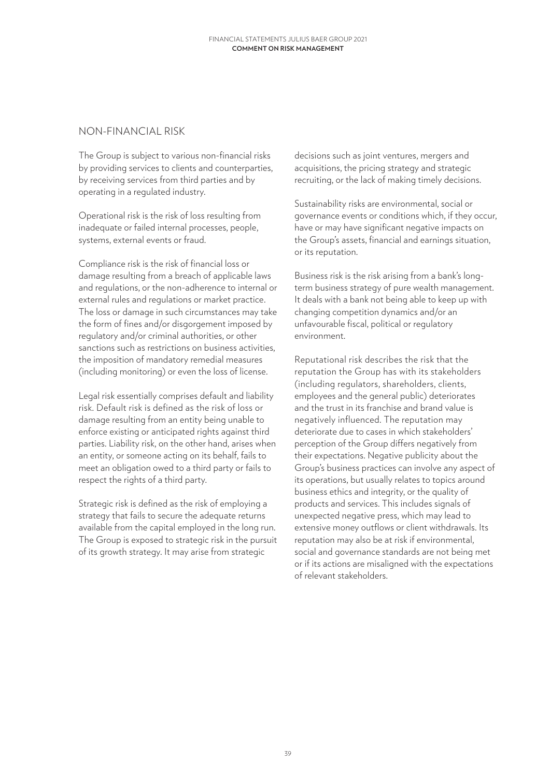### NON-FINANCIAL RISK

The Group is subject to various non-financial risks by providing services to clients and counterparties, by receiving services from third parties and by operating in a regulated industry.

Operational risk is the risk of loss resulting from inadequate or failed internal processes, people, systems, external events or fraud.

Compliance risk is the risk of financial loss or damage resulting from a breach of applicable laws and regulations, or the non-adherence to internal or external rules and regulations or market practice. The loss or damage in such circumstances may take the form of fines and/or disgorgement imposed by regulatory and/or criminal authorities, or other sanctions such as restrictions on business activities, the imposition of mandatory remedial measures (including monitoring) or even the loss of license.

Legal risk essentially comprises default and liability risk. Default risk is defined as the risk of loss or damage resulting from an entity being unable to enforce existing or anticipated rights against third parties. Liability risk, on the other hand, arises when an entity, or someone acting on its behalf, fails to meet an obligation owed to a third party or fails to respect the rights of a third party.

Strategic risk is defined as the risk of employing a strategy that fails to secure the adequate returns available from the capital employed in the long run. The Group is exposed to strategic risk in the pursuit of its growth strategy. It may arise from strategic

decisions such as joint ventures, mergers and acquisitions, the pricing strategy and strategic recruiting, or the lack of making timely decisions.

Sustainability risks are environmental, social or governance events or conditions which, if they occur, have or may have significant negative impacts on the Group's assets, financial and earnings situation, or its reputation.

Business risk is the risk arising from a bank's longterm business strategy of pure wealth management. It deals with a bank not being able to keep up with changing competition dynamics and/or an unfavourable fiscal, political or regulatory environment.

Reputational risk describes the risk that the reputation the Group has with its stakeholders (including regulators, shareholders, clients, employees and the general public) deteriorates and the trust in its franchise and brand value is negatively influenced. The reputation may deteriorate due to cases in which stakeholders' perception of the Group differs negatively from their expectations. Negative publicity about the Group's business practices can involve any aspect of its operations, but usually relates to topics around business ethics and integrity, or the quality of products and services. This includes signals of unexpected negative press, which may lead to extensive money outflows or client withdrawals. Its reputation may also be at risk if environmental, social and governance standards are not being met or if its actions are misaligned with the expectations of relevant stakeholders.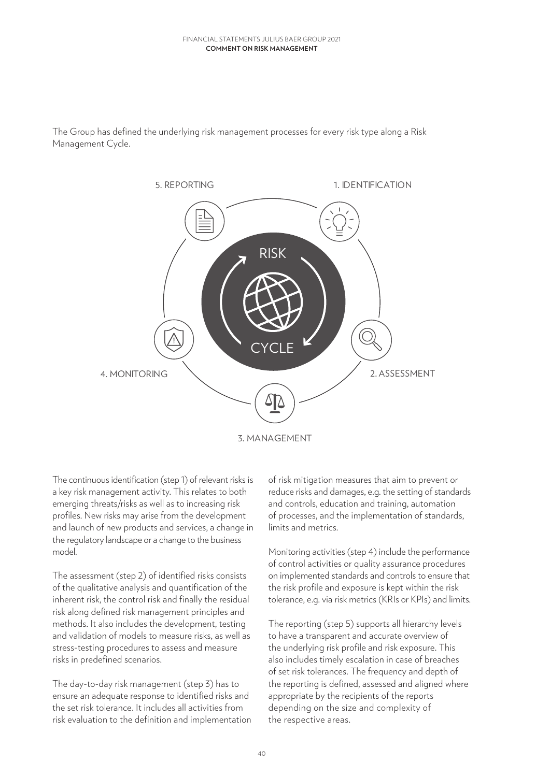#### **Comment on risk management** FINANCIAL STATEMENTS JULIUS BAER GROUP 2021

The Group has defined the underlying risk management processes for every risk type along a Risk Management Cycle.



The continuous identification (step 1) of relevant risks is a key risk management activity. This relates to both emerging threats/risks as well as to increasing risk profiles. New risks may arise from the development and launch of new products and services, a change in the regulatory landscape or a change to the business model.

The assessment (step 2) of identified risks consists of the qualitative analysis and quantification of the inherent risk, the control risk and finally the residual risk along defined risk management principles and methods. It also includes the development, testing and validation of models to measure risks, as well as stress-testing procedures to assess and measure risks in predefined scenarios.

The day-to-day risk management (step 3) has to ensure an adequate response to identified risks and the set risk tolerance. It includes all activities from risk evaluation to the definition and implementation of risk mitigation measures that aim to prevent or reduce risks and damages, e.g. the setting of standards and controls, education and training, automation of processes, and the implementation of standards, limits and metrics.

Monitoring activities (step 4) include the performance of control activities or quality assurance procedures on implemented standards and controls to ensure that the risk profile and exposure is kept within the risk tolerance, e.g. via risk metrics (KRIs or KPIs) and limits.

The reporting (step 5) supports all hierarchy levels to have a transparent and accurate overview of the underlying risk profile and risk exposure. This also includes timely escalation in case of breaches of set risk tolerances. The frequency and depth of the reporting is defined, assessed and aligned where appropriate by the recipients of the reports depending on the size and complexity of the respective areas.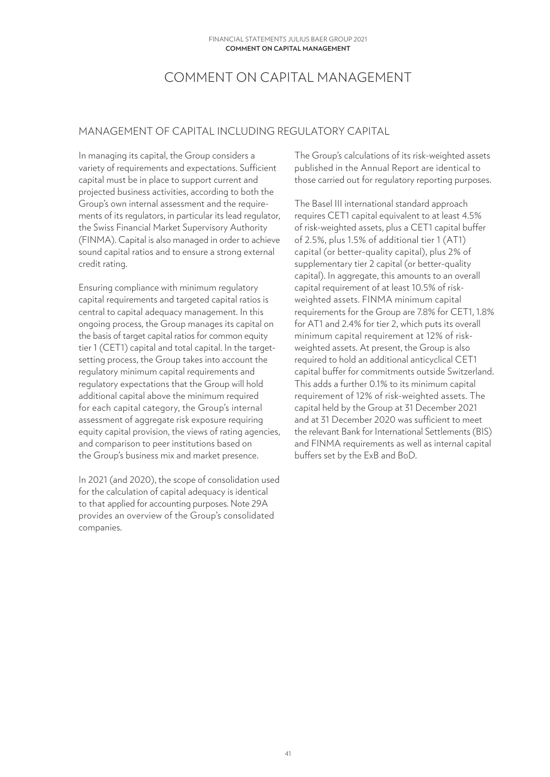# COMMENT ON CAPITAL MANAGEMENT

## MANAGEMENT OF CAPITAL INCLUDING REGULATORY CAPITAL

In managing its capital, the Group considers a variety of requirements and expectations. Sufficient capital must be in place to support current and projected business activities, according to both the Group's own internal assessment and the requirements of its regulators, in particular its lead regulator, the Swiss Financial Market Supervisory Authority (FINMA). Capital is also managed in order to achieve sound capital ratios and to ensure a strong external credit rating.

Ensuring compliance with minimum regulatory capital requirements and targeted capital ratios is central to capital adequacy management. In this ongoing process, the Group manages its capital on the basis of target capital ratios for common equity tier 1 (CET1) capital and total capital. In the targetsetting process, the Group takes into account the regulatory minimum capital requirements and regulatory expectations that the Group will hold additional capital above the minimum required for each capital category, the Group's internal assessment of aggregate risk exposure requiring equity capital provision, the views of rating agencies, and comparison to peer institutions based on the Group's business mix and market presence.

In 2021 (and 2020), the scope of consolidation used for the calculation of capital adequacy is identical to that applied for accounting purposes. Note 29A provides an overview of the Group's consolidated companies.

The Group's calculations of its risk-weighted assets published in the Annual Report are identical to those carried out for regulatory reporting purposes.

The Basel III international standard approach requires CET1 capital equivalent to at least 4.5% of risk-weighted assets, plus a CET1 capital buffer of 2.5%, plus 1.5% of additional tier 1 (AT1) capital (or better-quality capital), plus 2% of supplementary tier 2 capital (or better-quality capital). In aggregate, this amounts to an overall capital requirement of at least 10.5% of riskweighted assets. FINMA minimum capital requirements for the Group are 7.8% for CET1, 1.8% for AT1 and 2.4% for tier 2, which puts its overall minimum capital requirement at 12% of riskweighted assets. At present, the Group is also required to hold an additional anticyclical CET1 capital buffer for commitments outside Switzerland. This adds a further 0.1% to its minimum capital requirement of 12% of risk-weighted assets. The capital held by the Group at 31 December 2021 and at 31 December 2020 was sufficient to meet the relevant Bank for International Settlements (BIS) and FINMA requirements as well as internal capital buffers set by the ExB and BoD.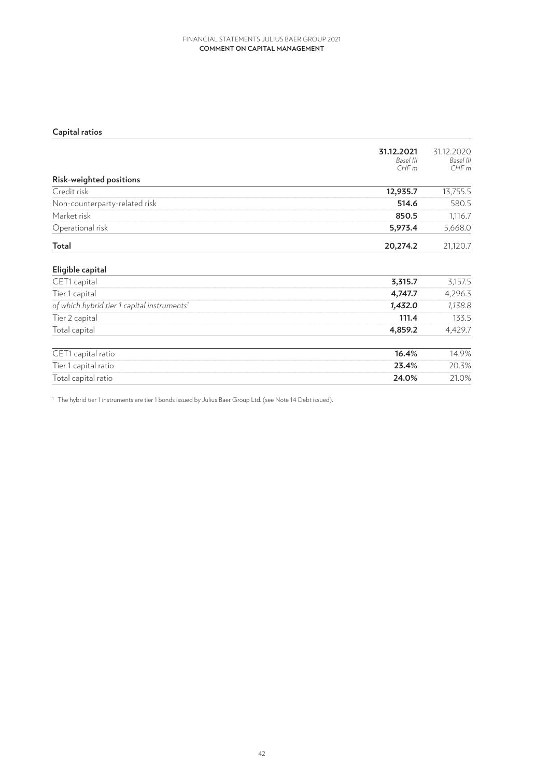#### **Comment on capital management** FINANCIAL STATEMENTS JULIUS BAER GROUP 2021

# **Capital ratios**

|                                                         | 31.12.2021<br>Basel III<br>CHFm | 31.12.2020<br>Basel III<br>CHFm |
|---------------------------------------------------------|---------------------------------|---------------------------------|
| Risk-weighted positions                                 |                                 |                                 |
| Credit risk                                             | 12,935.7                        | 13,755.5                        |
| Non-counterparty-related risk                           | 514.6                           | 580.5                           |
| Market risk                                             | 850.5                           | 1,116.7                         |
| Operational risk                                        | 5,973.4                         | 5,668.0                         |
| Total                                                   | 20,274.2                        | 21,120.7                        |
| Eligible capital                                        |                                 |                                 |
| CET1 capital                                            | 3,315.7                         | 3,157.5                         |
| Tier 1 capital                                          | 4,747.7                         | 4,296.3                         |
| of which hybrid tier 1 capital instruments <sup>1</sup> | 1,432.0                         | 1,138.8                         |
| Tier 2 capital                                          | 111.4                           | 133.5                           |
| Total capital                                           | 4,859.2                         | 4,429.7                         |
| CET1 capital ratio                                      | 16.4%                           | 14.9%                           |
| Tier 1 capital ratio                                    | 23.4%                           | 20.3%                           |
| Total capital ratio                                     | 24.0%                           | 21.0%                           |

<sup>1</sup> The hybrid tier 1 instruments are tier 1 bonds issued by Julius Baer Group Ltd. (see Note 14 Debt issued).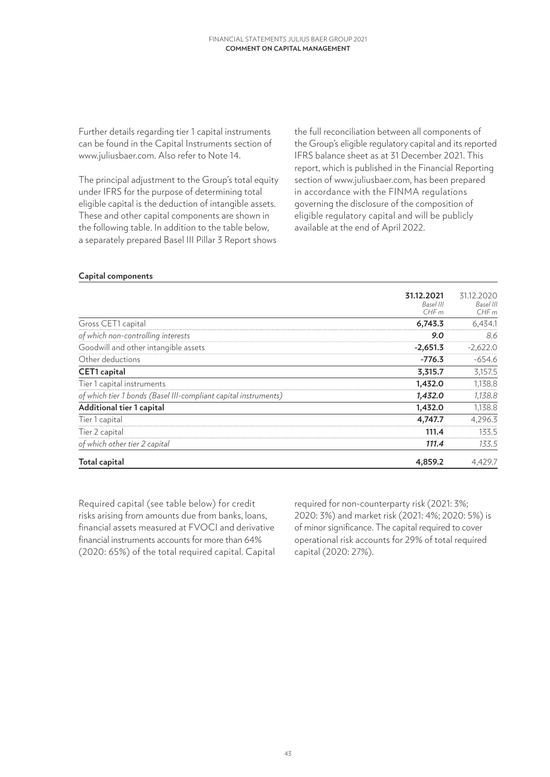Further details regarding tier 1 capital instruments can be found in the Capital Instruments section of www.juliusbaer.com. Also refer to Note 14.

The principal adjustment to the Group's total equity under IFRS for the purpose of determining total eligible capital is the deduction of intangible assets. These and other capital components are shown in the following table. In addition to the table below, a separately prepared Basel III Pillar 3 Report shows

the full reconciliation between all components of the Group's eligible regulatory capital and its reported IFRS balance sheet as at 31 December 2021. This report, which is published in the Financial Reporting section of www.juliusbaer.com, has been prepared in accordance with the FINMA regulations governing the disclosure of the composition of eligible regulatory capital and will be publicly available at the end of April 2022.

### **Capital components**

|                                                                 | 31.12.2021<br>Basel III<br>CHFm | 31.12.2020<br>Basel III<br>CHFm |
|-----------------------------------------------------------------|---------------------------------|---------------------------------|
| Gross CET1 capital                                              | 6,743.3                         | 6,434.1                         |
| of which non-controlling interests                              | 9.0                             | 8.6                             |
| Goodwill and other intangible assets                            | $-2,651.3$                      | $-2,622.0$                      |
| Other deductions                                                | $-776.3$                        | $-654.6$                        |
| <b>CET1</b> capital                                             | 3,315.7                         | 3,157.5                         |
| Tier 1 capital instruments                                      | 1,432.0                         | 1,138.8                         |
| of which tier 1 bonds (Basel III-compliant capital instruments) | 1,432.0                         | 1,138.8                         |
| Additional tier 1 capital                                       | 1,432.0                         | 1,138.8                         |
| Tier 1 capital                                                  | 4,747.7                         | 4,296.3                         |
| Tier 2 capital                                                  | 111.4                           | 133.5                           |
| of which other tier 2 capital                                   | 111.4                           | 133.5                           |
| <b>Total capital</b>                                            | 4,859.2                         | 4,429.7                         |

Required capital (see table below) for credit risks arising from amounts due from banks, loans, financial assets measured at FVOCI and derivative financial instruments accounts for more than 64% (2020: 65%) of the total required capital. Capital required for non-counterparty risk (2021: 3%; 2020: 3%) and market risk (2021: 4%; 2020: 5%) is of minor significance. The capital required to cover operational risk accounts for 29% of total required capital (2020: 27%).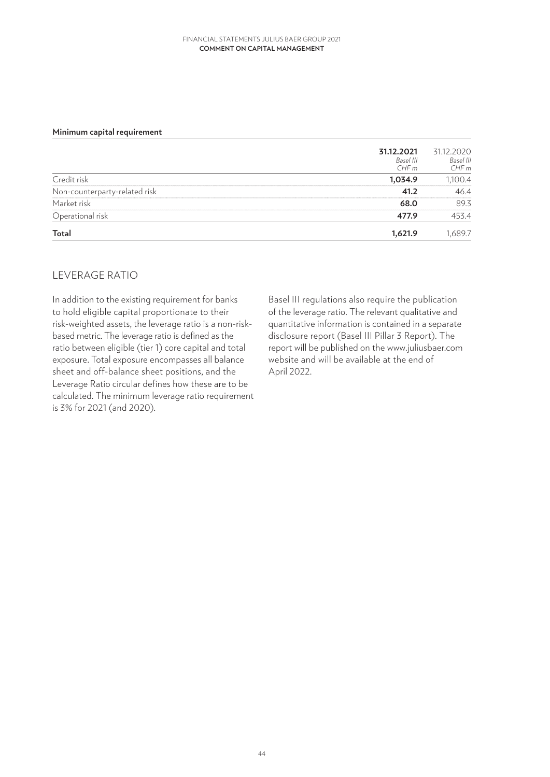#### **Comment on capital management** FINANCIAL STATEMENTS JULIUS BAER GROUP 2021

#### **Minimum capital requirement**

|                               | 31.12.2021<br>Basel III<br>CHFm | 31.12.2020<br>Basel III<br>CHFm |
|-------------------------------|---------------------------------|---------------------------------|
| Credit risk                   | 1,034.9                         | 1,100.4                         |
| Non-counterparty-related risk | 41.2                            | 46.4                            |
| Market risk                   | 68.0                            | 89.3                            |
| Operational risk              | 477.9                           | 453.4                           |
| <b>Total</b>                  | 1,621.9                         | 1,689.7                         |

### LEVERAGE RATIO

In addition to the existing requirement for banks to hold eligible capital proportionate to their risk-weighted assets, the leverage ratio is a non-riskbased metric. The leverage ratio is defined as the ratio between eligible (tier 1) core capital and total exposure. Total exposure encompasses all balance sheet and off-balance sheet positions, and the Leverage Ratio circular defines how these are to be calculated. The minimum leverage ratio requirement is 3% for 2021 (and 2020).

Basel III regulations also require the publication of the leverage ratio. The relevant qualitative and quantitative information is contained in a separate disclosure report (Basel III Pillar 3 Report). The report will be published on the www.juliusbaer.com website and will be available at the end of April 2022.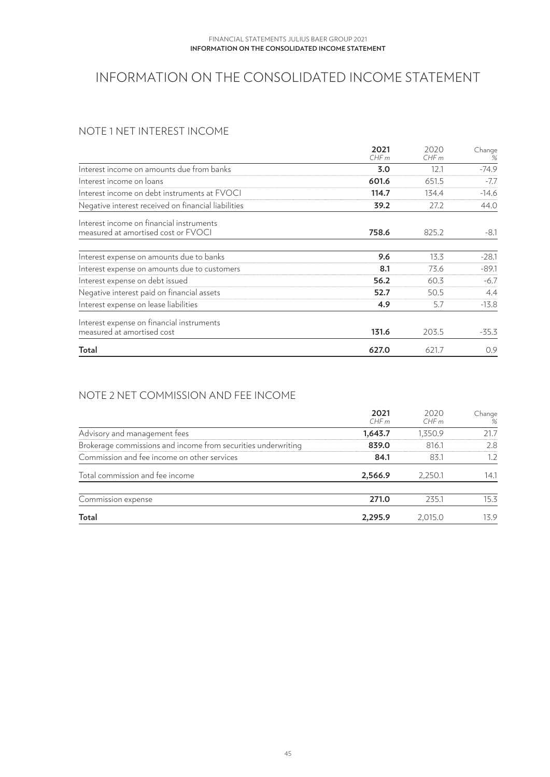# INFORMATION ON THE CONSOLIDATED INCOME STATEMENT

# NOTE 1 NET INTEREST INCOME

|                                                     | 2021<br>CHFm | 2020<br>CHFm | Change<br>% |
|-----------------------------------------------------|--------------|--------------|-------------|
|                                                     |              |              |             |
| Interest income on amounts due from banks           | 3.0          | 12.1         | $-74.9$     |
| Interest income on loans                            | 601.6        | 651.5        | $-7.7$      |
| Interest income on debt instruments at FVOCI        | 114.7        | 134.4        | $-14.6$     |
| Negative interest received on financial liabilities | 39.2         | 27.2         | 44.0        |
| Interest income on financial instruments            |              |              |             |
| measured at amortised cost or FVOCI                 | 758.6        | 825.2        | $-8.1$      |
| Interest expense on amounts due to banks            | 9.6          | 13.3         | $-28.1$     |
| Interest expense on amounts due to customers        | 8.1          | 73.6         | $-89.1$     |
| Interest expense on debt issued                     | 56.2         | 60.3         | $-6.7$      |
| Negative interest paid on financial assets          | 52.7         | 50.5         | 4.4         |
| Interest expense on lease liabilities               | 4.9          | 5.7          | $-13.8$     |
| Interest expense on financial instruments           |              |              |             |
| measured at amortised cost                          | 131.6        | 203.5        | $-35.3$     |
| Total                                               | 627.0        | 621.7        | 0.9         |

# NOTE 2 NET COMMISSION AND FEE INCOME

|                                                               | 2021<br>CHFm | 2020<br>CHFm | Change<br>% |
|---------------------------------------------------------------|--------------|--------------|-------------|
| Advisory and management fees                                  | 1,643.7      | 1,350.9      | 21.7        |
| Brokerage commissions and income from securities underwriting | 839.0        | 816.1        | 2.8         |
| Commission and fee income on other services                   | 84.1         | 83.1         | 1.2         |
| Total commission and fee income                               | 2,566.9      | 2,250.1      | 14.1        |
| Commission expense                                            | 271.0        | 235.1        | 15.3        |
| Total                                                         | 2,295.9      | 2,015.0      | 13.9        |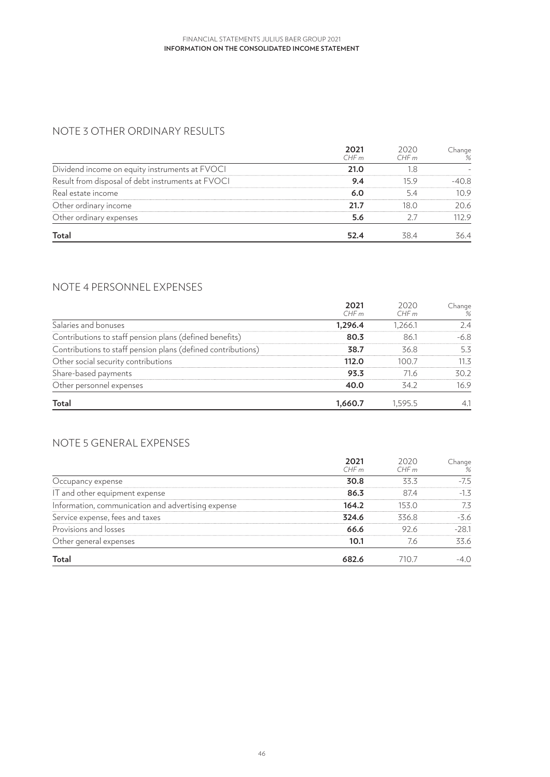# NOTE 3 OTHER ORDINARY RESULTS

|                                                   | 2021<br>CHFm | 2020<br>CHFm | Change<br>% |
|---------------------------------------------------|--------------|--------------|-------------|
| Dividend income on equity instruments at FVOCI    | 21.0         | 1.8          |             |
| Result from disposal of debt instruments at FVOCI | 9.4          | 15.9         | $-40.8$     |
| Real estate income                                | 6.0          | 5.4          | 10.9        |
| Other ordinary income                             | 21.7         | 18.0         | 20.6        |
| Other ordinary expenses                           | 5.6          | 27           | 112.9       |
| Total                                             | 52.4         | 38.4         | 36.4        |

# NOTE 4 PERSONNEL EXPENSES

|                                                              | 2021<br>CHFm | 2020<br>CHFm | Change<br>% |
|--------------------------------------------------------------|--------------|--------------|-------------|
| Salaries and bonuses                                         | 1,296.4      | 1,266.1      | 2.4         |
| Contributions to staff pension plans (defined benefits)      | 80.3         | 86.1         | $-6.8$      |
| Contributions to staff pension plans (defined contributions) | 38.7         | 36.8         | 5.3         |
| Other social security contributions                          | 112.0        | 100.7        | 11.3        |
| Share-based payments                                         | 93.3         | 71.6         | 30.2        |
| Other personnel expenses                                     | 40.0         | 34.2         | 16.9        |
| Total                                                        | 1,660.7      | 1.595.5      | 4.1         |

# NOTE 5 GENERAL EXPENSES

|                                                    | 2021<br>CHFm | 2020<br>CHFm | Change<br>% |
|----------------------------------------------------|--------------|--------------|-------------|
| Occupancy expense                                  | 30.8         | 33.3         | $-7.5$      |
| IT and other equipment expense                     | 86.3         | 87.4         | $-1.3$      |
| Information, communication and advertising expense | 164.2        | 153.0        | 7.3         |
| Service expense, fees and taxes                    | 324.6        | 336.8        | $-3.6$      |
| Provisions and losses                              | 66.6         | 92.6         | $-28.1$     |
| Other general expenses                             | 10.1         | 7.6          | 33.6        |
| Total                                              | 682.6        | 710.7        | -4.O        |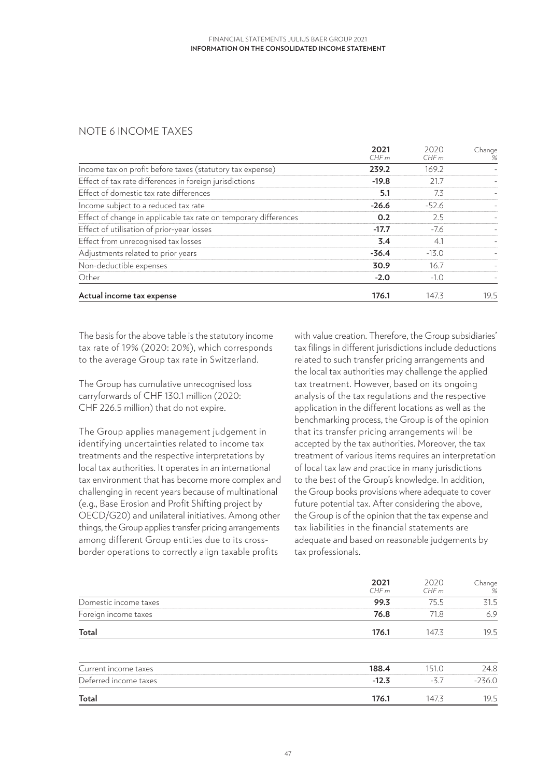# NOTE 6 INCOME TAXES

|                                                                  | 2021<br>CHFm | 2020<br>CHFm | Change<br>% |
|------------------------------------------------------------------|--------------|--------------|-------------|
| Income tax on profit before taxes (statutory tax expense)        | 239.2        | 169.2        |             |
| Effect of tax rate differences in foreign jurisdictions          | $-19.8$      | 21.7         |             |
| Effect of domestic tax rate differences                          | 5.1          | 7.3          |             |
| Income subject to a reduced tax rate                             | $-26.6$      | $-52.6$      |             |
| Effect of change in applicable tax rate on temporary differences | 0.2          | 2.5          |             |
| Effect of utilisation of prior-year losses                       | $-17.7$      | $-7.6$       |             |
| Effect from unrecognised tax losses                              | 3.4          | 4.1          |             |
| Adjustments related to prior years                               | $-36.4$      | $-13.0$      |             |
| Non-deductible expenses                                          | 30.9         | 16.7         |             |
| Other                                                            | $-2.0$       | $-1.0$       |             |
| Actual income tax expense                                        | 176.1        | 147.3        | 19.5        |

The basis for the above table is the statutory income tax rate of 19% (2020: 20%), which corresponds to the average Group tax rate in Switzerland.

The Group has cumulative unrecognised loss carryforwards of CHF 130.1 million (2020: CHF 226.5 million) that do not expire.

The Group applies management judgement in identifying uncertainties related to income tax treatments and the respective interpretations by local tax authorities. It operates in an international tax environment that has become more complex and challenging in recent years because of multinational (e.g., Base Erosion and Profit Shifting project by OECD/G20) and unilateral initiatives. Among other things, the Group applies transfer pricing arrangements among different Group entities due to its crossborder operations to correctly align taxable profits

with value creation. Therefore, the Group subsidiaries' tax filings in different jurisdictions include deductions related to such transfer pricing arrangements and the local tax authorities may challenge the applied tax treatment. However, based on its ongoing analysis of the tax regulations and the respective application in the different locations as well as the benchmarking process, the Group is of the opinion that its transfer pricing arrangements will be accepted by the tax authorities. Moreover, the tax treatment of various items requires an interpretation of local tax law and practice in many jurisdictions to the best of the Group's knowledge. In addition, the Group books provisions where adequate to cover future potential tax. After considering the above, the Group is of the opinion that the tax expense and tax liabilities in the financial statements are adequate and based on reasonable judgements by tax professionals.

|                       | 2021<br>CHFm | 2020<br>CHFm | _hange<br>% |
|-----------------------|--------------|--------------|-------------|
| Domestic income taxes | 99.3         | '5.5         | 31.5        |
| Foreign income taxes  | 76.8         |              | 6.9         |
| Total                 | 176.1        | 1473         | 19.5        |

| <b>Total</b>          | 176.1   | 147.1   | 19.5     |
|-----------------------|---------|---------|----------|
| Deferred income taxes | $-12.3$ | $ \sim$ | $-236.0$ |
| Current income taxes  | 188.4   | ה הי    | 24.8     |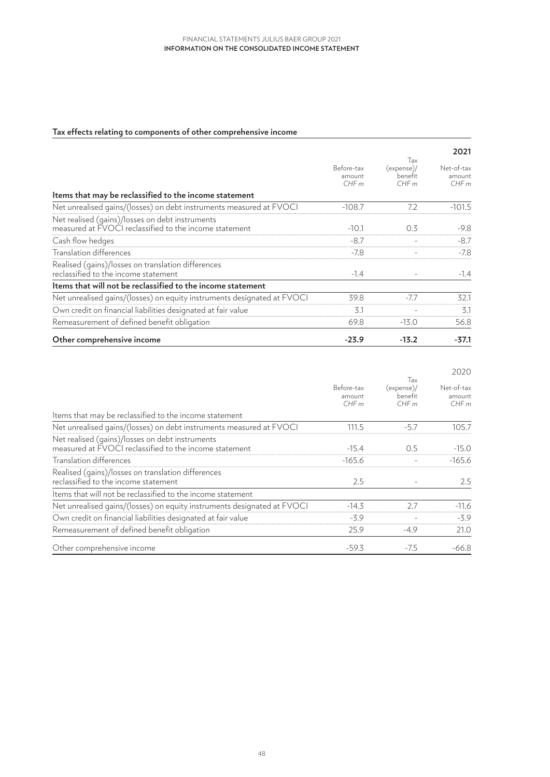### **Tax effects relating to components of other comprehensive income**

|                                                                                                           |                              |                                     | 2021                         |
|-----------------------------------------------------------------------------------------------------------|------------------------------|-------------------------------------|------------------------------|
|                                                                                                           | Before-tax<br>amount<br>CHFm | Tax<br>(expense)<br>benefit<br>CHFm | Net-of-tax<br>amount<br>CHFm |
| Items that may be reclassified to the income statement                                                    |                              |                                     |                              |
| Net unrealised gains/(losses) on debt instruments measured at FVOCI                                       | $-108.7$                     | 7.2                                 | $-101.5$                     |
| Net realised (gains)/losses on debt instruments<br>measured at FVOCI reclassified to the income statement | $-10.1$                      | 0.3                                 | $-9.8$                       |
| Cash flow hedges                                                                                          | $-8.7$                       |                                     | $-8.7$                       |
| Translation differences                                                                                   | $-7.8$                       |                                     | $-7.8$                       |
| Realised (gains)/losses on translation differences                                                        |                              |                                     |                              |
| reclassified to the income statement                                                                      | $-1.4$                       |                                     | $-1.4$                       |
| Items that will not be reclassified to the income statement                                               |                              |                                     |                              |
| Net unrealised gains/(losses) on equity instruments designated at FVOCI                                   | 39.8                         | $-7.7$                              | 32.1                         |
| Own credit on financial liabilities designated at fair value                                              | 3.1                          |                                     | 3.1                          |
| Remeasurement of defined benefit obligation                                                               | 69.8                         | $-13.0$                             | 56.8                         |
| Other comprehensive income                                                                                | $-23.9$                      | $-13.2$                             | $-37.1$                      |

|                                                                                                           |                              |                                      | 2020                         |
|-----------------------------------------------------------------------------------------------------------|------------------------------|--------------------------------------|------------------------------|
|                                                                                                           | Before-tax<br>amount<br>CHFm | Tax<br>(expense)/<br>benefit<br>CHFm | Net-of-tax<br>amount<br>CHFm |
| Items that may be reclassified to the income statement                                                    |                              |                                      |                              |
| Net unrealised gains/(losses) on debt instruments measured at FVOCI                                       | 111.5                        | $-5.7$                               | 105.7                        |
| Net realised (gains)/losses on debt instruments<br>measured at FVOCI reclassified to the income statement | $-15.4$                      | 0.5                                  | $-15.0$                      |
| Translation differences                                                                                   | $-165.6$                     |                                      | $-165.6$                     |
| Realised (gains)/losses on translation differences<br>reclassified to the income statement                | 2.5                          |                                      | 2.5                          |
| Items that will not be reclassified to the income statement                                               |                              |                                      |                              |
| Net unrealised gains/(losses) on equity instruments designated at FVOCI                                   | $-14.3$                      | 2.7                                  | $-11.6$                      |
| Own credit on financial liabilities designated at fair value                                              | $-3.9$                       |                                      | $-3.9$                       |
| Remeasurement of defined benefit obligation                                                               | 25.9                         | $-4.9$                               | 21.0                         |
| Other comprehensive income                                                                                | $-59.3$                      | $-7.5$                               | $-66.8$                      |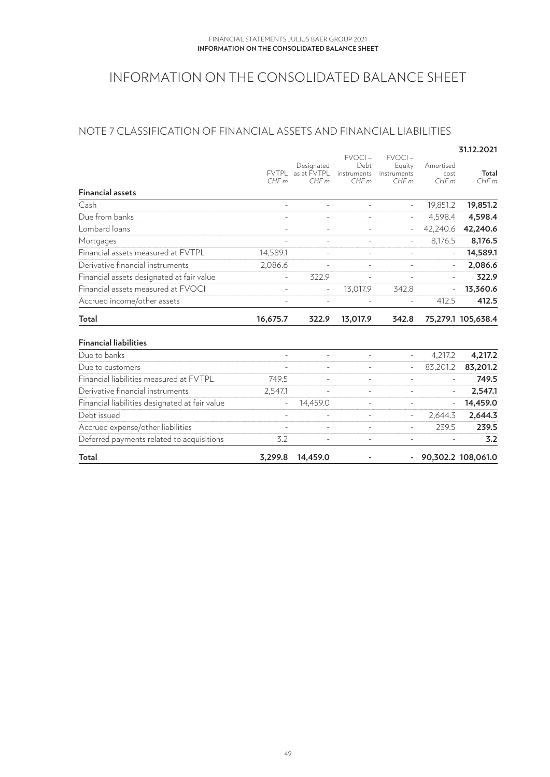# INFORMATION ON THE CONSOLIDATED BALANCE SHEET

# NOTE 7 CLASSIFICATION OF FINANCIAL ASSETS AND FINANCIAL LIABILITIES

|                                                |              |                          |                     |                          |                          | 31.12.2021         |
|------------------------------------------------|--------------|--------------------------|---------------------|--------------------------|--------------------------|--------------------|
|                                                |              | Designated               | $FVOCI -$<br>Debt   | $FVOCI -$<br>Equity      | Amortised                |                    |
|                                                | <b>FVTPL</b> | as at FVTPL              | instruments         | instruments              | cost                     | Total              |
|                                                | CHFm         | CHFm                     | CHFm                | CHFm                     | CHFm                     | CHFm               |
| <b>Financial assets</b>                        |              |                          |                     |                          |                          |                    |
| Cash                                           | $\bar{a}$    | $\overline{\phantom{a}}$ | $\equiv$            | $\overline{\phantom{a}}$ | 19,851.2                 | 19,851.2           |
| Due from banks                                 |              |                          |                     |                          | 4.598.4                  | 4,598.4            |
| Lombard loans                                  |              |                          |                     |                          | 42,240.6                 | 42,240.6           |
| Mortgages                                      |              |                          |                     |                          | 8,176.5                  | 8,176.5            |
| Financial assets measured at FVTPL             | 14,589.1     |                          |                     |                          | $\bar{a}$                | 14,589.1           |
| Derivative financial instruments               | 2,086.6      | L,                       | $\bar{\phantom{a}}$ | $\bar{\phantom{a}}$      | $\bar{a}$                | 2,086.6            |
| Financial assets designated at fair value      |              | 322.9                    |                     |                          | $\overline{\phantom{a}}$ | 322.9              |
| Financial assets measured at FVOCI             |              | L.                       | 13,017.9            | 342.8                    |                          | 13,360.6           |
| Accrued income/other assets                    |              | L.                       |                     |                          | 412.5                    | 412.5              |
| Total                                          | 16,675.7     | 322.9                    | 13,017.9            | 342.8                    |                          | 75,279.1 105,638.4 |
| <b>Financial liabilities</b>                   |              |                          |                     |                          |                          |                    |
| Due to banks                                   |              |                          |                     |                          | 4,217.2                  | 4,217.2            |
| Due to customers                               |              |                          |                     |                          | 83,201.2                 | 83,201.2           |
| Financial liabilities measured at FVTPL        | 749.5        |                          |                     | $\overline{a}$           | $\overline{a}$           | 749.5              |
| Derivative financial instruments               | 2,547.1      | $\overline{a}$           | $\equiv$            | $\bar{\phantom{a}}$      | $\overline{\phantom{a}}$ | 2,547.1            |
| Financial liabilities designated at fair value | $\equiv$     | 14,459.0                 | $\blacksquare$      |                          | $\overline{\phantom{a}}$ | 14,459.0           |
| Debt issued                                    |              |                          |                     |                          | 2,644.3                  | 2,644.3            |
| Accrued expense/other liabilities              |              |                          |                     |                          | 239.5                    | 239.5              |
| Deferred payments related to acquisitions      | 3.2          | L.                       |                     | $\blacksquare$           |                          | 3.2                |
| Total                                          | 3,299.8      | 14,459.0                 |                     |                          |                          | 90,302.2 108,061.0 |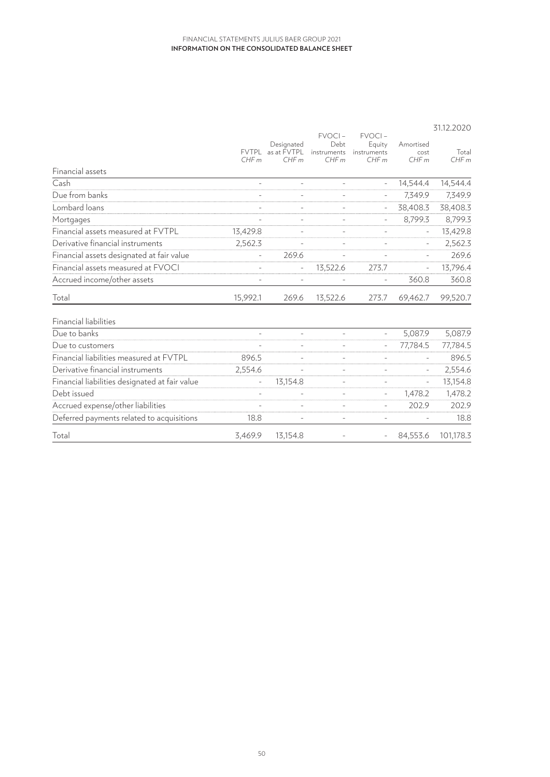|                                                |                          |                                         | <b>FVOCI-</b>               | $FVOCI -$                     |                           | 31.12.2020    |
|------------------------------------------------|--------------------------|-----------------------------------------|-----------------------------|-------------------------------|---------------------------|---------------|
|                                                | CHFm                     | Designated<br>FVTPL as at FVTPL<br>CHFm | Debt<br>instruments<br>CHFm | Equity<br>instruments<br>CHFm | Amortised<br>cost<br>CHFm | Total<br>CHFm |
| Financial assets                               |                          |                                         |                             |                               |                           |               |
| Cash                                           |                          |                                         |                             |                               | 14.544.4                  | 14,544.4      |
| Due from banks                                 |                          |                                         |                             |                               | 7,349.9                   | 7,349.9       |
| Lombard loans                                  |                          |                                         |                             | $\overline{\phantom{a}}$      | 38,408.3                  | 38,408.3      |
| Mortgages                                      |                          | $\overline{\phantom{a}}$                |                             | $\bar{a}$                     | 8,799.3                   | 8,799.3       |
| Financial assets measured at FVTPL             | 13,429.8                 |                                         |                             |                               | $\overline{\phantom{a}}$  | 13,429.8      |
| Derivative financial instruments               | 2,562.3                  |                                         |                             | $\equiv$                      | $\overline{\phantom{a}}$  | 2,562.3       |
| Financial assets designated at fair value      | $\overline{\phantom{a}}$ | 269.6                                   |                             |                               |                           | 269.6         |
| Financial assets measured at FVOCI             |                          |                                         | 13,522.6                    | 273.7                         |                           | 13,796.4      |
| Accrued income/other assets                    |                          | $\overline{\phantom{a}}$                |                             | $\overline{\phantom{a}}$      | 360.8                     | 360.8         |
| Total                                          | 15,992.1                 | 269.6                                   | 13,522.6                    | 273.7                         | 69,462.7                  | 99,520.7      |
| Financial liabilities                          |                          |                                         |                             |                               |                           |               |
| Due to banks                                   |                          | ÷                                       | ÷                           | $\overline{\phantom{a}}$      | 5,087.9                   | 5,087.9       |
| Due to customers                               |                          | $\overline{\phantom{a}}$                |                             | $\bar{a}$                     | 77,784.5                  | 77,784.5      |
| Financial liabilities measured at FVTPL        | 896.5                    |                                         |                             |                               |                           | 896.5         |
| Derivative financial instruments               | 2,554.6                  |                                         |                             |                               | $\overline{\phantom{a}}$  | 2,554.6       |
| Financial liabilities designated at fair value |                          | 13,154.8                                |                             |                               |                           | 13,154.8      |
| Debt issued                                    |                          |                                         |                             | $\bar{ }$                     | 1,478.2                   | 1,478.2       |
| Accrued expense/other liabilities              | $\overline{\phantom{a}}$ | $\overline{\phantom{a}}$                | $\equiv$                    | $\equiv$                      | 202.9                     | 202.9         |
| Deferred payments related to acquisitions      | 18.8                     | $\overline{\phantom{a}}$                | $\bar{ }$                   | $\overline{\phantom{a}}$      |                           | 18.8          |
| Total                                          | 3,469.9                  | 13,154.8                                |                             | $\overline{\phantom{a}}$      | 84,553.6                  | 101,178.3     |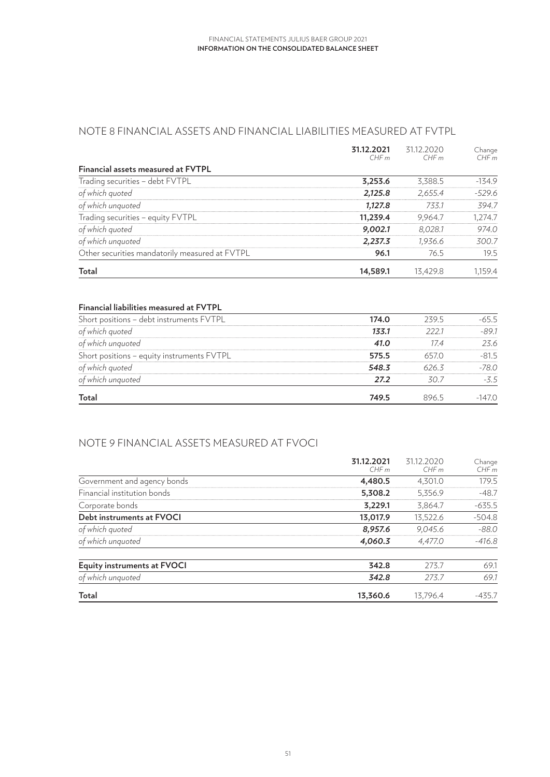# NOTE 8 FINANCIAL ASSETS AND FINANCIAL LIABILITIES MEASURED AT FVTPL

|                                                | 31.12.2021<br>CHFm | 31.12.2020<br>CHFm | Change<br>CHFm |
|------------------------------------------------|--------------------|--------------------|----------------|
| Financial assets measured at FVTPL             |                    |                    |                |
| Trading securities - debt FVTPL                | 3,253.6            | 3,388.5            | $-134.9$       |
| of which quoted                                | 2,125.8            | 2,655.4            | $-529.6$       |
| of which unquoted                              | 1,127.8            | 733.1              | 394.7          |
| Trading securities - equity FVTPL              | 11,239.4           | 9,964.7            | 1,274.7        |
| of which quoted                                | 9,002.1            | 8,028.1            | 974.0          |
| of which unquoted                              | 2,237.3            | 1,936.6            | 300.7          |
| Other securities mandatorily measured at FVTPL | 96.1               | 76.5               | 19.5           |
| Total                                          | 14,589.1           | 13.429.8           | 1,159.4        |

### **Financial liabilities measured at FVTPL**

| Short positions - debt instruments FVTPL   | 174.0 | 239.5 | $-65.5$  |
|--------------------------------------------|-------|-------|----------|
| of which quoted                            | 133.1 | 222.1 | $-89.1$  |
| of which unquoted                          | 41.0  | 17.4  | 23.6     |
| Short positions - equity instruments FVTPL | 575.5 | 657.0 | $-81.5$  |
| of which quoted                            | 548.3 | 626.3 | $-78.0$  |
| of which unquoted                          | 27.2  | 30.7  | $-3.5$   |
| Total                                      | 749.5 | 896.5 | $-147.0$ |

# NOTE 9 FINANCIAL ASSETS MEASURED AT FVOCI

|                                    | 31.12.2021<br>CHFm | 31.12.2020<br>CHFm | Change<br>CHFm |
|------------------------------------|--------------------|--------------------|----------------|
| Government and agency bonds        | 4,480.5            | 4,301.0            | 179.5          |
| Financial institution bonds        | 5,308.2            | 5,356.9            | $-48.7$        |
| Corporate bonds                    | 3,229.1            | 3,864.7            | $-635.5$       |
| Debt instruments at FVOCI          | 13,017.9           | 13,522.6           | $-504.8$       |
| of which quoted                    | 8,957.6            | 9.045.6            | $-88.0$        |
| of which unquoted                  | 4,060.3            | 4,477.0            | $-416.8$       |
| <b>Equity instruments at FVOCI</b> | 342.8              | 273.7              | 69.1           |
| of which unquoted                  | 342.8              | 273.7              | 69.1           |
| Total                              | 13,360.6           | 13.796.4           | $-435.7$       |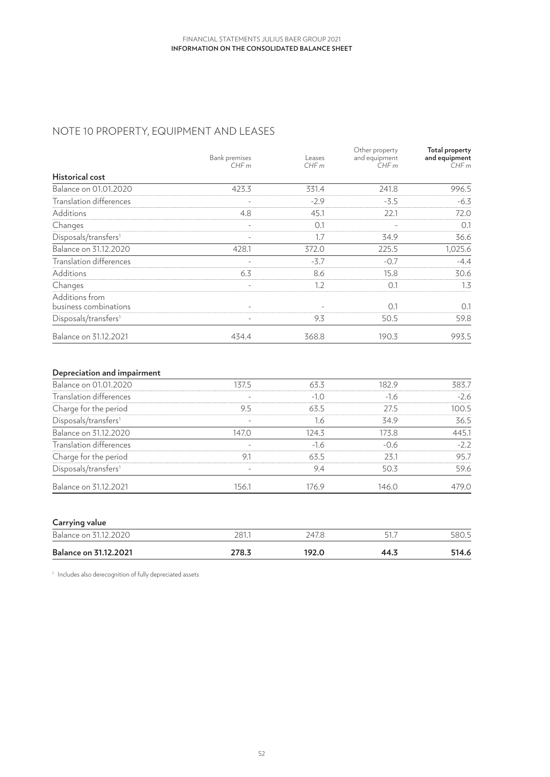# NOTE 10 PROPERTY, EQUIPMENT AND LEASES

|                                  | Bank premises<br>CHFm    | Leases<br>CHFm | Other property<br>and equipment<br>CHFm | <b>Total property</b><br>and equipment<br>CHFm |
|----------------------------------|--------------------------|----------------|-----------------------------------------|------------------------------------------------|
| <b>Historical cost</b>           |                          |                |                                         |                                                |
| Balance on 01.01.2020            | 423.3                    | 331.4          | 241.8                                   | 996.5                                          |
| Translation differences          | $\overline{\phantom{a}}$ | $-2.9$         | $-3.5$                                  | $-6.3$                                         |
| Additions                        | 4.8                      | 45.1           | 22.1                                    | 72.0                                           |
| Changes                          | $\overline{\phantom{0}}$ | 0.1            |                                         | 0.1                                            |
| Disposals/transfers <sup>1</sup> |                          | 1.7            | 34.9                                    | 36.6                                           |
| Balance on 31.12.2020            | 428.1                    | 372.0          | 225.5                                   | 1,025.6                                        |
| Translation differences          |                          | $-3.7$         | $-0.7$                                  | $-4.4$                                         |
| Additions                        | 6.3                      | 8.6            | 15.8                                    | 30.6                                           |
| Changes                          | $\qquad \qquad -$        | 1.2            | 0.1                                     | 1.3                                            |
| Additions from                   |                          |                |                                         |                                                |
| business combinations            | $\overline{\phantom{a}}$ |                | 0.1                                     | 0.1                                            |
| Disposals/transfers <sup>1</sup> | $\overline{\phantom{a}}$ | 9.3            | 50.5                                    | 59.8                                           |
| Balance on 31.12.2021            | 434.4                    | 368.8          | 190.3                                   | 993.5                                          |

### **Depreciation and impairment**

| Balance on 01.01.2020            | 137.5                    | 63.3   | 182.9  | 383.7  |
|----------------------------------|--------------------------|--------|--------|--------|
| Translation differences          |                          | $-1.0$ | $-1.6$ | $-2.6$ |
| Charge for the period            | 9.5                      | 63.5   | 27.5   | 100.5  |
| Disposals/transfers <sup>1</sup> | $\overline{\phantom{a}}$ | 1.6    | 34.9   | 36.5   |
| Balance on 31.12.2020            | 147.0                    | 124.3  | 173.8  | 445.1  |
| Translation differences          |                          | $-1.6$ | $-0.6$ | $-2.2$ |
| Charge for the period            | 9.1                      | 63.5   | 23.1   | 95.7   |
| Disposals/transfers <sup>1</sup> |                          | 9.4    | 50.3   | 59.6   |
| Balance on 31.12.2021            | 156.1                    | 176.9  | 146.0  | 479.0  |

| Carrying value               |       |       |      |       |
|------------------------------|-------|-------|------|-------|
| Balance on 31.12.2020        | 281.  | 247.8 | 51   | 580.5 |
| <b>Balance on 31.12.2021</b> | 278.3 | 192.0 | 44.3 | 514.6 |

<sup>1</sup> Includes also derecognition of fully depreciated assets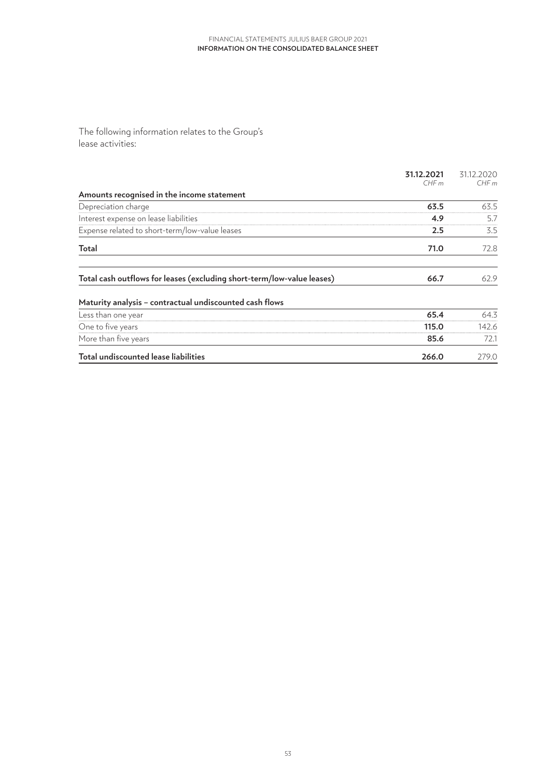The following information relates to the Group's lease activities:

|                                                                        | 31.12.2021<br>CHFm | 31.12.2020<br>CHFm |
|------------------------------------------------------------------------|--------------------|--------------------|
| Amounts recognised in the income statement                             |                    |                    |
| Depreciation charge                                                    | 63.5               | 63.5               |
| Interest expense on lease liabilities                                  | 4.9                | 5.7                |
| Expense related to short-term/low-value leases                         | 2.5                | 3.5                |
| Total                                                                  | 71.0               | 72.8               |
| Total cash outflows for leases (excluding short-term/low-value leases) | 66.7               | 62.9               |
| Maturity analysis - contractual undiscounted cash flows                |                    |                    |
| Less than one year                                                     | 65.4               | 64.3               |
| One to five years                                                      | 115.0              | 142.6              |
| More than five years                                                   | 85.6               | 72.1               |
| Total undiscounted lease liabilities                                   | 266.0              | 279.0              |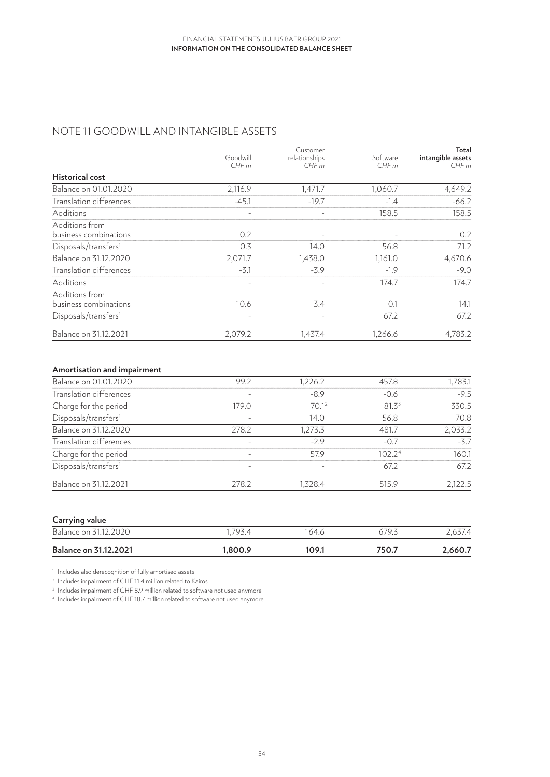# NOTE 11 GOODWILL AND INTANGIBLE ASSETS

|                                  |                          | Customer                 |          | Total             |
|----------------------------------|--------------------------|--------------------------|----------|-------------------|
|                                  | Goodwill                 | relationships            | Software | intangible assets |
|                                  | CHFm                     | CHFm                     | CHFm     | CHFm              |
| <b>Historical cost</b>           |                          |                          |          |                   |
| Balance on 01.01.2020            | 2,116.9                  | 1,471.7                  | 1,060.7  | 4,649.2           |
| Translation differences          | $-45.1$                  | $-19.7$                  | $-1.4$   | $-66.2$           |
| Additions                        | $\overline{\phantom{a}}$ |                          | 158.5    | 158.5             |
| Additions from                   |                          |                          |          |                   |
| business combinations            | 0.2                      |                          |          | 0.2               |
| Disposals/transfers <sup>1</sup> | 0.3                      | 14.0                     | 56.8     | 71.2              |
| Balance on 31.12.2020            | 2,071.7                  | 1,438.0                  | 1,161.0  | 4,670.6           |
| Translation differences          | $-3.1$                   | $-3.9$                   | $-1.9$   | $-9.0$            |
| Additions                        | $\overline{\phantom{a}}$ | $\overline{\phantom{a}}$ | 174.7    | 174.7             |
| Additions from                   |                          |                          |          |                   |
| business combinations            | 10.6                     | 3.4                      | 0.1      | 14.1              |
| Disposals/transfers <sup>1</sup> | -                        | $\overline{\phantom{a}}$ | 67.2     | 67.2              |
| Balance on 31.12.2021            | 2,079.2                  | 1,437.4                  | 1,266.6  | 4,783.2           |

### **Amortisation and impairment**

| Balance on 01.01.2020            | 99.2                     | 1,226.2 | 457.8              | 1,783.1 |
|----------------------------------|--------------------------|---------|--------------------|---------|
| Translation differences          |                          | $-8.9$  | $-0.6$             | $-9.5$  |
| Charge for the period            | 179.0                    | 70.12   | 81.3 <sup>3</sup>  | 330.5   |
| Disposals/transfers <sup>1</sup> |                          | 14.0    | 56.8               | 70.8    |
| Balance on 31.12.2020            | 278.2                    | 1,273.3 | 481.7              | 2,033.2 |
| Translation differences          |                          | $-2.9$  | $-0.7$             | $-3.7$  |
| Charge for the period            | $\overline{\phantom{a}}$ | 57.9    | 102.2 <sup>4</sup> | 160.1   |
| Disposals/transfers <sup>1</sup> |                          |         | 67.2               | 67.2    |
| Balance on 31.12.2021            | 278.2                    | 1,328.4 | 515.9              | 2,122.5 |

### **Carrying value**

| Balance on 31.<br>12.2020    | 707A<br><i>__</i> . | 64.6  | 679.3 |         |
|------------------------------|---------------------|-------|-------|---------|
| <b>Balance on 31.12.2021</b> | 1.800.9             | 109.1 | 750.7 | 2.660.7 |

<sup>1</sup> Includes also derecognition of fully amortised assets

<sup>2</sup> Includes impairment of CHF 11.4 million related to Kairos

<sup>3</sup> Includes impairment of CHF 8.9 million related to software not used anymore

<sup>4</sup> Includes impairment of CHF 18.7 million related to software not used anymore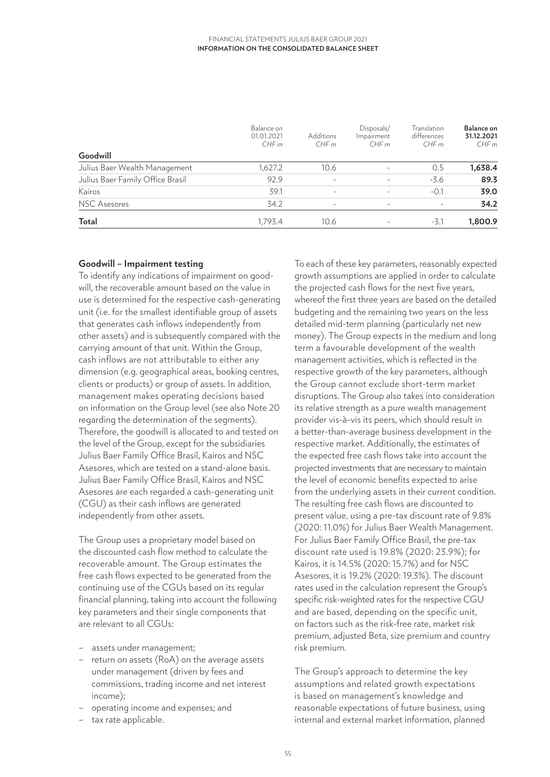|                                  | Balance on<br>01.01.2021<br>CHFm | <b>Additions</b><br>CHFm | Disposals/<br>Impairment<br>CHFm | <b>Translation</b><br>differences<br>CHFm | Balance on<br>31.12.2021<br>CHFm |
|----------------------------------|----------------------------------|--------------------------|----------------------------------|-------------------------------------------|----------------------------------|
| Goodwill                         |                                  |                          |                                  |                                           |                                  |
| Julius Baer Wealth Management    | 1.627.2                          | 10.6                     | $\overline{\phantom{m}}$         | 0.5                                       | 1,638.4                          |
| Julius Baer Family Office Brasil | 92.9                             |                          |                                  | $-3.6$                                    | 89.3                             |
| Kairos                           | 39.1                             |                          |                                  | $-0.1$                                    | 39.0                             |
| NSC Asesores                     | 34.2                             | $\overline{\phantom{a}}$ | $\overline{\phantom{m}}$         |                                           | 34.2                             |
| Total                            | 1.793.4                          | 10.6                     | $\overline{\phantom{m}}$         | -3.1                                      | 1,800.9                          |

### **Goodwill – Impairment testing**

To identify any indications of impairment on goodwill, the recoverable amount based on the value in use is determined for the respective cash-generating unit (i.e. for the smallest identifiable group of assets that generates cash inflows independently from other assets) and is subsequently compared with the carrying amount of that unit. Within the Group, cash inflows are not attributable to either any dimension (e.g. geographical areas, booking centres, clients or products) or group of assets. In addition, management makes operating decisions based on information on the Group level (see also Note 20 regarding the determination of the segments). Therefore, the goodwill is allocated to and tested on the level of the Group, except for the subsidiaries Julius Baer Family Office Brasil, Kairos and NSC Asesores, which are tested on a stand-alone basis. Julius Baer Family Office Brasil, Kairos and NSC Asesores are each regarded a cash-generating unit (CGU) as their cash inflows are generated independently from other assets.

The Group uses a proprietary model based on the discounted cash flow method to calculate the recoverable amount. The Group estimates the free cash flows expected to be generated from the continuing use of the CGUs based on its regular financial planning, taking into account the following key parameters and their single components that are relevant to all CGUs:

- assets under management;
- return on assets (RoA) on the average assets under management (driven by fees and commissions, trading income and net interest income);
- operating income and expenses; and
- tax rate applicable.

To each of these key parameters, reasonably expected growth assumptions are applied in order to calculate the projected cash flows for the next five years, whereof the first three years are based on the detailed budgeting and the remaining two years on the less detailed mid-term planning (particularly net new money). The Group expects in the medium and long term a favourable development of the wealth management activities, which is reflected in the respective growth of the key parameters, although the Group cannot exclude short-term market disruptions. The Group also takes into consideration its relative strength as a pure wealth management provider vis-à-vis its peers, which should result in a better-than-average business development in the respective market. Additionally, the estimates of the expected free cash flows take into account the projected investments that are necessary to maintain the level of economic benefits expected to arise from the underlying assets in their current condition. The resulting free cash flows are discounted to present value, using a pre-tax discount rate of 9.8% (2020: 11.0%) for Julius Baer Wealth Management. For Julius Baer Family Office Brasil, the pre-tax discount rate used is 19.8% (2020: 23.9%); for Kairos, it is 14.5% (2020: 15.7%) and for NSC Asesores, it is 19.2% (2020: 19.3%). The discount rates used in the calculation represent the Group's specific risk-weighted rates for the respective CGU and are based, depending on the specific unit, on factors such as the risk-free rate, market risk premium, adjusted Beta, size premium and country risk premium.

The Group's approach to determine the key assumptions and related growth expectations is based on management's knowledge and reasonable expectations of future business, using internal and external market information, planned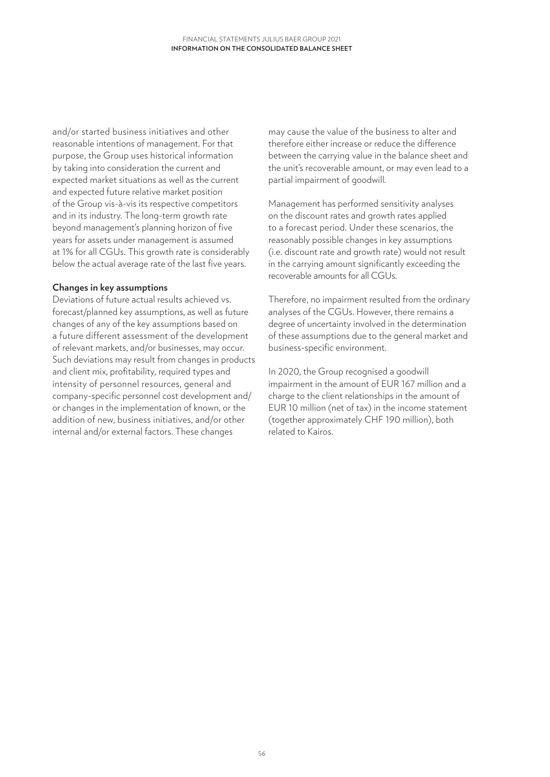and/or started business initiatives and other reasonable intentions of management. For that purpose, the Group uses historical information by taking into consideration the current and expected market situations as well as the current and expected future relative market position of the Group vis-à-vis its respective competitors and in its industry. The long-term growth rate beyond management's planning horizon of five years for assets under management is assumed at 1% for all CGUs. This growth rate is considerably below the actual average rate of the last five years.

### **Changes in key assumptions**

Deviations of future actual results achieved vs. forecast/planned key assumptions, as well as future changes of any of the key assumptions based on a future different assessment of the development of relevant markets, and/or businesses, may occur. Such deviations may result from changes in products and client mix, profitability, required types and intensity of personnel resources, general and company-specific personnel cost development and/ or changes in the implementation of known, or the addition of new, business initiatives, and/or other internal and/or external factors. These changes

may cause the value of the business to alter and therefore either increase or reduce the difference between the carrying value in the balance sheet and the unit's recoverable amount, or may even lead to a partial impairment of goodwill.

Management has performed sensitivity analyses on the discount rates and growth rates applied to a forecast period. Under these scenarios, the reasonably possible changes in key assumptions (i.e. discount rate and growth rate) would not result in the carrying amount significantly exceeding the recoverable amounts for all CGUs.

Therefore, no impairment resulted from the ordinary analyses of the CGUs. However, there remains a degree of uncertainty involved in the determination of these assumptions due to the general market and business-specific environment.

In 2020, the Group recognised a goodwill impairment in the amount of EUR 167 million and a charge to the client relationships in the amount of EUR 10 million (net of tax) in the income statement (together approximately CHF 190 million), both related to Kairos.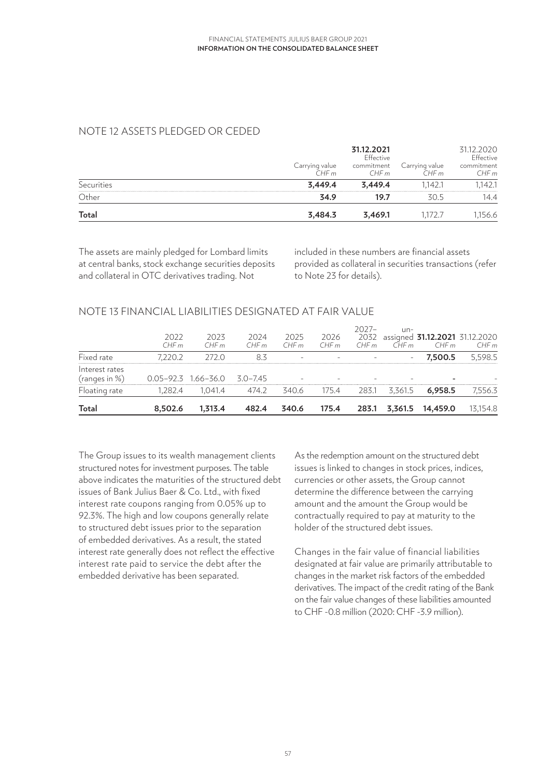# NOTE 12 ASSETS PLEDGED OR CEDED

| Total      | 3,484.3                | 3,469.1                 | 1.172.7                 | 1,156.6                 |
|------------|------------------------|-------------------------|-------------------------|-------------------------|
| Other      | 34.9                   | 19.7                    | 30.5                    | 14.4                    |
| Securities | 3,449.4                | 3,449.4                 | 1.142.1                 | 1,142.1                 |
|            | Carrying value<br>CHFm | commitment<br>CHFm      | Carrying value<br>CHF m | commitment<br>CHFm      |
|            |                        | 31.12.2021<br>Effective |                         | 31.12.2020<br>Effective |

The assets are mainly pledged for Lombard limits at central banks, stock exchange securities deposits and collateral in OTC derivatives trading. Not

included in these numbers are financial assets provided as collateral in securities transactions (refer to Note 23 for details).

## NOTE 13 FINANCIAL LIABILITIES DESIGNATED AT FAIR VALUE

| Total                           | 8.502.6      | 1.313.4                     | 482.4        | 340.6        | 175.4        | 283.1           | 3.361.5                  | 14.459.0                                    | 13,154.8 |
|---------------------------------|--------------|-----------------------------|--------------|--------------|--------------|-----------------|--------------------------|---------------------------------------------|----------|
| Floating rate                   | 1.282.4      | 1.041.4                     | 474.2        | 340.6        | 175.4        | 283.1           | 3.361.5                  | 6,958.5                                     | 7,556.3  |
| Interest rates<br>(ranges in %) |              | $0.05 - 92.3$ $1.66 - 36.0$ | 3.0–7.45     |              |              |                 |                          |                                             |          |
| Fixed rate                      | 7.220.2      | 272.0                       | 8.3          |              | $\sim$       |                 | $\overline{\phantom{m}}$ | 7.500.5                                     | 5,598.5  |
|                                 | 2022<br>CHFm | 2023<br>CHFm                | 2024<br>CHFm | 2025<br>CHFm | 2026<br>CHFm | $2027-$<br>CHFm | $un-$<br>CHFm            | 2032 assigned 31.12.2021 31.12.2020<br>CHFm | CHFm     |

The Group issues to its wealth management clients structured notes for investment purposes. The table above indicates the maturities of the structured debt issues of Bank Julius Baer & Co. Ltd., with fixed interest rate coupons ranging from 0.05% up to 92.3%. The high and low coupons generally relate to structured debt issues prior to the separation of embedded derivatives. As a result, the stated interest rate generally does not reflect the effective interest rate paid to service the debt after the embedded derivative has been separated.

As the redemption amount on the structured debt issues is linked to changes in stock prices, indices, currencies or other assets, the Group cannot determine the difference between the carrying amount and the amount the Group would be contractually required to pay at maturity to the holder of the structured debt issues.

Changes in the fair value of financial liabilities designated at fair value are primarily attributable to changes in the market risk factors of the embedded derivatives. The impact of the credit rating of the Bank on the fair value changes of these liabilities amounted to CHF -0.8 million (2020: CHF -3.9 million).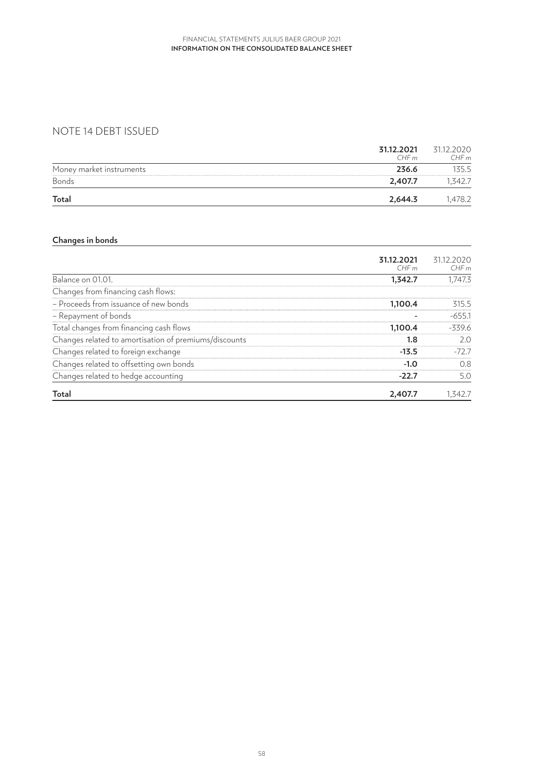# NOTE 14 DEBT ISSUED

|                          | 31.12.2021<br>CHFm | 31.12.2020<br>CHFm |
|--------------------------|--------------------|--------------------|
| Money market instruments | 236.6              | 135.5              |
| Bonds                    | 2.407.7            | .342.7             |
| Total                    | 2,644.3            | .478.2             |

# **Changes in bonds**

|                                                       | 31.12.2021<br>CHFm | 31.12.2020<br>CHFm |
|-------------------------------------------------------|--------------------|--------------------|
| Balance on 01.01.                                     | 1,342.7            | 1,747.3            |
| Changes from financing cash flows:                    |                    |                    |
| - Proceeds from issuance of new bonds                 | 1,100.4            | 315.5              |
| - Repayment of bonds                                  |                    | $-655.1$           |
| Total changes from financing cash flows               | 1,100.4            | $-339.6$           |
| Changes related to amortisation of premiums/discounts | 1.8                | 2.0                |
| Changes related to foreign exchange                   | $-13.5$            | $-72.7$            |
| Changes related to offsetting own bonds               | $-1.0$             | 0.8                |
| Changes related to hedge accounting                   | $-22.7$            | 5.0                |
| Total                                                 | 2,407.7            | 1.342.7            |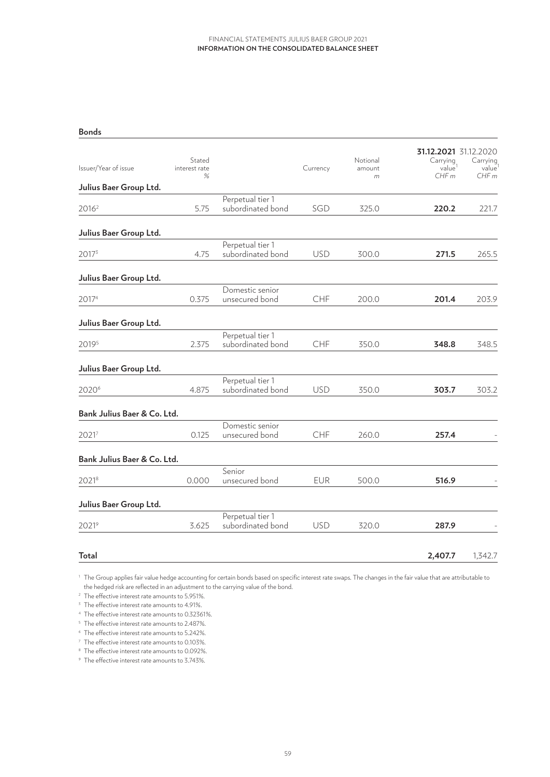#### **Bonds**

| Issuer/Year of issue        | Stated<br>interest rate<br>% |                                       | Currency   | Notional<br>amount<br>m | 31.12.2021 31.12.2020<br>Carrying<br>value<br>CHFm | Carrying<br>value<br>CHFm |
|-----------------------------|------------------------------|---------------------------------------|------------|-------------------------|----------------------------------------------------|---------------------------|
| Julius Baer Group Ltd.      |                              |                                       |            |                         |                                                    |                           |
| 2016 <sup>2</sup>           | 5.75                         | Perpetual tier 1<br>subordinated bond | SGD        | 325.0                   | 220.2                                              | 221.7                     |
| Julius Baer Group Ltd.      |                              |                                       |            |                         |                                                    |                           |
| 20173                       | 4.75                         | Perpetual tier 1<br>subordinated bond | <b>USD</b> | 300.0                   | 271.5                                              | 265.5                     |
| Julius Baer Group Ltd.      |                              |                                       |            |                         |                                                    |                           |
| 20174                       | 0.375                        | Domestic senior<br>unsecured bond     | CHF        | 200.0                   | 201.4                                              | 203.9                     |
| Julius Baer Group Ltd.      |                              |                                       |            |                         |                                                    |                           |
| 20195                       | 2.375                        | Perpetual tier 1<br>subordinated bond | CHF        | 350.0                   | 348.8                                              | 348.5                     |
| Julius Baer Group Ltd.      |                              |                                       |            |                         |                                                    |                           |
| 2020 <sup>6</sup>           | 4.875                        | Perpetual tier 1<br>subordinated bond | <b>USD</b> | 350.0                   | 303.7                                              | 303.2                     |
| Bank Julius Baer & Co. Ltd. |                              |                                       |            |                         |                                                    |                           |
| 20217                       | 0.125                        | Domestic senior<br>unsecured bond     | CHF        | 260.0                   | 257.4                                              |                           |
| Bank Julius Baer & Co. Ltd. |                              |                                       |            |                         |                                                    |                           |
| 20218                       | 0.000                        | Senior<br>unsecured bond              | <b>EUR</b> | 500.0                   | 516.9                                              |                           |
| Julius Baer Group Ltd.      |                              |                                       |            |                         |                                                    |                           |
| 20219                       | 3.625                        | Perpetual tier 1<br>subordinated bond | <b>USD</b> | 320.0                   | 287.9                                              |                           |
| <b>Total</b>                |                              |                                       |            |                         | 2.407.7                                            | 1,342.7                   |

<sup>1</sup> The Group applies fair value hedge accounting for certain bonds based on specific interest rate swaps. The changes in the fair value that are attributable to the hedged risk are reflected in an adjustment to the carrying value of the bond.

<sup>2</sup> The effective interest rate amounts to 5.951%.

<sup>3</sup> The effective interest rate amounts to 4.91%.

<sup>4</sup> The effective interest rate amounts to 0.32361%.

<sup>5</sup> The effective interest rate amounts to 2.487%.

<sup>6</sup> The effective interest rate amounts to 5.242%.

<sup>7</sup> The effective interest rate amounts to 0.103%. <sup>8</sup> The effective interest rate amounts to 0.092%.

<sup>9</sup> The effective interest rate amounts to 3.743%.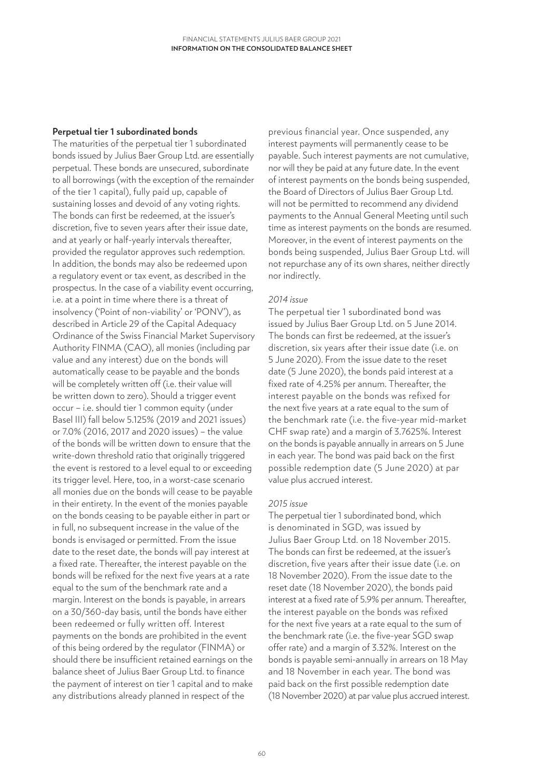### **Perpetual tier 1 subordinated bonds**

The maturities of the perpetual tier 1 subordinated bonds issued by Julius Baer Group Ltd. are essentially perpetual. These bonds are unsecured, subordinate to all borrowings (with the exception of the remainder of the tier 1 capital), fully paid up, capable of sustaining losses and devoid of any voting rights. The bonds can first be redeemed, at the issuer's discretion, five to seven years after their issue date, and at yearly or half-yearly intervals thereafter, provided the regulator approves such redemption. In addition, the bonds may also be redeemed upon a regulatory event or tax event, as described in the prospectus. In the case of a viability event occurring, i.e. at a point in time where there is a threat of insolvency ('Point of non-viability' or 'PONV'), as described in Article 29 of the Capital Adequacy Ordinance of the Swiss Financial Market Supervisory Authority FINMA (CAO), all monies (including par value and any interest) due on the bonds will automatically cease to be payable and the bonds will be completely written off (i.e. their value will be written down to zero). Should a trigger event occur – i.e. should tier 1 common equity (under Basel III) fall below 5.125% (2019 and 2021 issues) or 7.0% (2016, 2017 and 2020 issues) – the value of the bonds will be written down to ensure that the write-down threshold ratio that originally triggered the event is restored to a level equal to or exceeding its trigger level. Here, too, in a worst-case scenario all monies due on the bonds will cease to be payable in their entirety. In the event of the monies payable on the bonds ceasing to be payable either in part or in full, no subsequent increase in the value of the bonds is envisaged or permitted. From the issue date to the reset date, the bonds will pay interest at a fixed rate. Thereafter, the interest payable on the bonds will be refixed for the next five years at a rate equal to the sum of the benchmark rate and a margin. Interest on the bonds is payable, in arrears on a 30/360-day basis, until the bonds have either been redeemed or fully written off. Interest payments on the bonds are prohibited in the event of this being ordered by the regulator (FINMA) or should there be insufficient retained earnings on the balance sheet of Julius Baer Group Ltd. to finance the payment of interest on tier 1 capital and to make any distributions already planned in respect of the

previous financial year. Once suspended, any interest payments will permanently cease to be payable. Such interest payments are not cumulative, nor will they be paid at any future date. In the event of interest payments on the bonds being suspended, the Board of Directors of Julius Baer Group Ltd. will not be permitted to recommend any dividend payments to the Annual General Meeting until such time as interest payments on the bonds are resumed. Moreover, in the event of interest payments on the bonds being suspended, Julius Baer Group Ltd. will not repurchase any of its own shares, neither directly nor indirectly.

### *2014 issue*

The perpetual tier 1 subordinated bond was issued by Julius Baer Group Ltd. on 5 June 2014. The bonds can first be redeemed, at the issuer's discretion, six years after their issue date (i.e. on 5 June 2020). From the issue date to the reset date (5 June 2020), the bonds paid interest at a fixed rate of 4.25% per annum. Thereafter, the interest payable on the bonds was refixed for the next five years at a rate equal to the sum of the benchmark rate (i.e. the five-year mid-market CHF swap rate) and a margin of 3.7625%. Interest on the bonds is payable annually in arrears on 5 June in each year. The bond was paid back on the first possible redemption date (5 June 2020) at par value plus accrued interest.

### *2015 issue*

The perpetual tier 1 subordinated bond, which is denominated in SGD, was issued by Julius Baer Group Ltd. on 18 November 2015. The bonds can first be redeemed, at the issuer's discretion, five years after their issue date (i.e. on 18 November 2020). From the issue date to the reset date (18 November 2020), the bonds paid interest at a fixed rate of 5.9% per annum. Thereafter, the interest payable on the bonds was refixed for the next five years at a rate equal to the sum of the benchmark rate (i.e. the five-year SGD swap offer rate) and a margin of 3.32%. Interest on the bonds is payable semi-annually in arrears on 18 May and 18 November in each year. The bond was paid back on the first possible redemption date (18 November 2020) at par value plus accrued interest.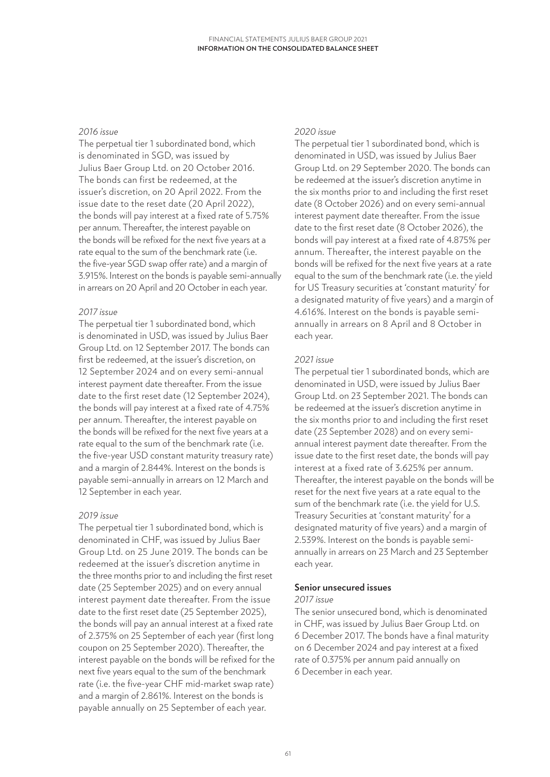### *2016 issue*

The perpetual tier 1 subordinated bond, which is denominated in SGD, was issued by Julius Baer Group Ltd. on 20 October 2016. The bonds can first be redeemed, at the issuer's discretion, on 20 April 2022. From the issue date to the reset date (20 April 2022), the bonds will pay interest at a fixed rate of 5.75% per annum. Thereafter, the interest payable on the bonds will be refixed for the next five years at a rate equal to the sum of the benchmark rate (i.e. the five-year SGD swap offer rate) and a margin of 3.915%. Interest on the bonds is payable semi-annually in arrears on 20 April and 20 October in each year.

### *2017 issue*

The perpetual tier 1 subordinated bond, which is denominated in USD, was issued by Julius Baer Group Ltd. on 12 September 2017. The bonds can first be redeemed, at the issuer's discretion, on 12 September 2024 and on every semi-annual interest payment date thereafter. From the issue date to the first reset date (12 September 2024), the bonds will pay interest at a fixed rate of 4.75% per annum. Thereafter, the interest payable on the bonds will be refixed for the next five years at a rate equal to the sum of the benchmark rate (i.e. the five-year USD constant maturity treasury rate) and a margin of 2.844%. Interest on the bonds is payable semi-annually in arrears on 12 March and 12 September in each year.

### *2019 issue*

The perpetual tier 1 subordinated bond, which is denominated in CHF, was issued by Julius Baer Group Ltd. on 25 June 2019. The bonds can be redeemed at the issuer's discretion anytime in the three months prior to and including the first reset date (25 September 2025) and on every annual interest payment date thereafter. From the issue date to the first reset date (25 September 2025), the bonds will pay an annual interest at a fixed rate of 2.375% on 25 September of each year (first long coupon on 25 September 2020). Thereafter, the interest payable on the bonds will be refixed for the next five years equal to the sum of the benchmark rate (i.e. the five-year CHF mid-market swap rate) and a margin of 2.861%. Interest on the bonds is payable annually on 25 September of each year.

### *2020 issue*

The perpetual tier 1 subordinated bond, which is denominated in USD, was issued by Julius Baer Group Ltd. on 29 September 2020. The bonds can be redeemed at the issuer's discretion anytime in the six months prior to and including the first reset date (8 October 2026) and on every semi-annual interest payment date thereafter. From the issue date to the first reset date (8 October 2026), the bonds will pay interest at a fixed rate of 4.875% per annum. Thereafter, the interest payable on the bonds will be refixed for the next five years at a rate equal to the sum of the benchmark rate (i.e. the yield for US Treasury securities at 'constant maturity' for a designated maturity of five years) and a margin of 4.616%. Interest on the bonds is payable semiannually in arrears on 8 April and 8 October in each year.

### *2021 issue*

The perpetual tier 1 subordinated bonds, which are denominated in USD, were issued by Julius Baer Group Ltd. on 23 September 2021. The bonds can be redeemed at the issuer's discretion anytime in the six months prior to and including the first reset date (23 September 2028) and on every semiannual interest payment date thereafter. From the issue date to the first reset date, the bonds will pay interest at a fixed rate of 3.625% per annum. Thereafter, the interest payable on the bonds will be reset for the next five years at a rate equal to the sum of the benchmark rate (i.e. the yield for U.S. Treasury Securities at 'constant maturity' for a designated maturity of five years) and a margin of 2.539%. Interest on the bonds is payable semiannually in arrears on 23 March and 23 September each year.

### **Senior unsecured issues**

### *2017 issue*

The senior unsecured bond, which is denominated in CHF, was issued by Julius Baer Group Ltd. on 6 December 2017. The bonds have a final maturity on 6 December 2024 and pay interest at a fixed rate of 0.375% per annum paid annually on 6 December in each year.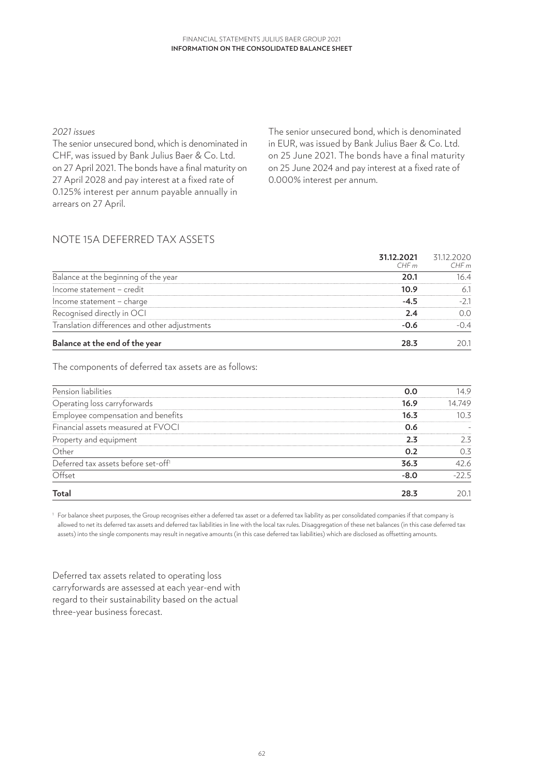### *2021 issues*

The senior unsecured bond, which is denominated in CHF, was issued by Bank Julius Baer & Co. Ltd. on 27 April 2021. The bonds have a final maturity on 27 April 2028 and pay interest at a fixed rate of 0.125% interest per annum payable annually in arrears on 27 April.

The senior unsecured bond, which is denominated in EUR, was issued by Bank Julius Baer & Co. Ltd. on 25 June 2021. The bonds have a final maturity on 25 June 2024 and pay interest at a fixed rate of 0.000% interest per annum.

# NOTE 15A DEFERRED TAX ASSETS

|                                               | 31.12.2021<br>CHFm | 31.12.2020<br>CHFm |
|-----------------------------------------------|--------------------|--------------------|
| Balance at the beginning of the year          | 20.1               | 16.4               |
| Income statement - credit                     | 10.9               | 6.1                |
| Income statement - charge                     | $-4.5$             | $-2.1$             |
| Recognised directly in OCI                    | 2.4                | 0.0                |
| Translation differences and other adjustments | $-0.6$             | $-0.4$             |
| Balance at the end of the year                | 28.3               | 20.1               |

The components of deferred tax assets are as follows:

| Pension liabilities                             | 0.0    | 14.9    |
|-------------------------------------------------|--------|---------|
| Operating loss carryforwards                    | 16.9   | 14.749  |
| Employee compensation and benefits              | 16.3   | 10.3    |
| Financial assets measured at FVOCI              | 0.6    |         |
| Property and equipment                          | 2.3    | 2.3     |
| Other                                           | 0.2    | 0.3     |
| Deferred tax assets before set-off <sup>1</sup> | 36.3   | 42.6    |
| Offset                                          | $-8.0$ | $-22.5$ |
| <b>Total</b>                                    | 28.3   | 20.     |

<sup>1</sup> For balance sheet purposes, the Group recognises either a deferred tax asset or a deferred tax liability as per consolidated companies if that company is allowed to net its deferred tax assets and deferred tax liabilities in line with the local tax rules. Disaggregation of these net balances (in this case deferred tax assets) into the single components may result in negative amounts (in this case deferred tax liabilities) which are disclosed as offsetting amounts.

Deferred tax assets related to operating loss carryforwards are assessed at each year-end with regard to their sustainability based on the actual three-year business forecast.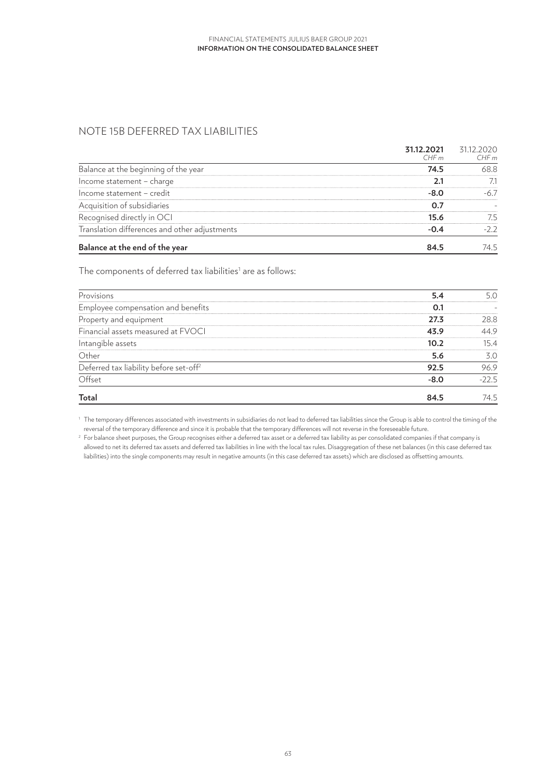# NOTE 15B DEFERRED TAX LIABILITIES

|                                               | 31.12.2021<br>CHF m | 31.12.2020<br>CHFm |
|-----------------------------------------------|---------------------|--------------------|
| Balance at the beginning of the year          | 74.5                | 68.8               |
| Income statement - charge                     | 2.1                 | 7.1                |
| Income statement - credit                     | $-8.0$              | $-6.7$             |
| Acquisition of subsidiaries                   | 0.7                 |                    |
| Recognised directly in OCI                    | 15.6                | 7.5                |
| Translation differences and other adjustments | $-0.4$              | $-2.2$             |
| Balance at the end of the year                | 84.5                | 74.5               |

The components of deferred tax liabilities $^{\scriptscriptstyle 1}$  are as follows:

| Provisions                                         | 5.4    | 5.0     |
|----------------------------------------------------|--------|---------|
| Employee compensation and benefits                 | 0.1    |         |
| Property and equipment                             | 27.3   | 28.8    |
| Financial assets measured at FVOCI                 | 43.9   | 44.9    |
| Intangible assets                                  | 10.2   | 15.4    |
| Other                                              | 5.6    | 3.0     |
| Deferred tax liability before set-off <sup>2</sup> | 92.5   | 96.9    |
| Offset                                             | $-8.0$ | $-22.5$ |
| Total                                              | 84.5   | 74.5    |

<sup>1</sup> The temporary differences associated with investments in subsidiaries do not lead to deferred tax liabilities since the Group is able to control the timing of the reversal of the temporary difference and since it is probable that the temporary differences will not reverse in the foreseeable future.

<sup>2</sup> For balance sheet purposes, the Group recognises either a deferred tax asset or a deferred tax liability as per consolidated companies if that company is allowed to net its deferred tax assets and deferred tax liabilities in line with the local tax rules. Disaggregation of these net balances (in this case deferred tax liabilities) into the single components may result in negative amounts (in this case deferred tax assets) which are disclosed as offsetting amounts.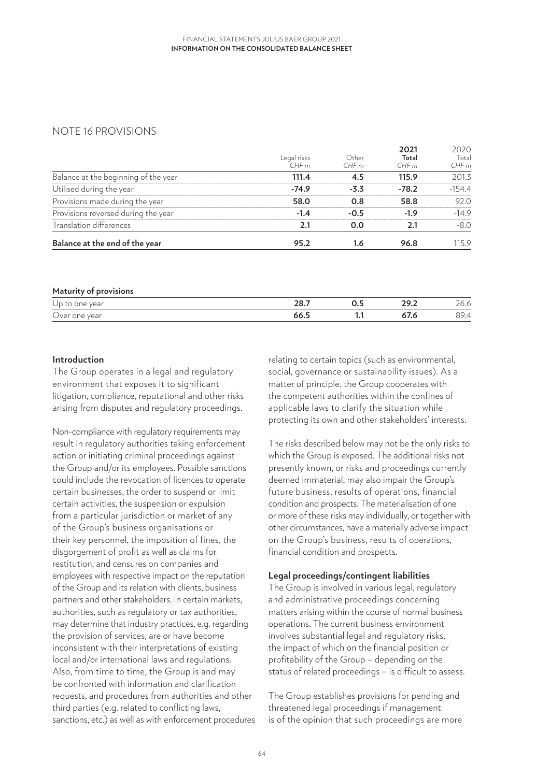## NOTE 16 PROVISIONS

| Balance at the end of the year       | 95.2                | 1.6           | 96.8                  | 115.9                 |
|--------------------------------------|---------------------|---------------|-----------------------|-----------------------|
| Translation differences              | 2.1                 | 0.0           | 2.1                   | $-8.0$                |
| Provisions reversed during the year  | $-1.4$              | $-0.5$        | $-1.9$                | $-14.9$               |
| Provisions made during the year      | 58.0                | 0.8           | 58.8                  | 92.0                  |
| Utilised during the year             | $-74.9$             | $-3.3$        | $-78.2$               | $-154.4$              |
| Balance at the beginning of the year | 111.4               | 4.5           | 115.9                 | 201.3                 |
|                                      | Legal risks<br>CHFm | Other<br>CHFm | 2021<br>Total<br>CHFm | 2020<br>Total<br>CHFm |

| Maturity of provisions |      |   |  |
|------------------------|------|---|--|
| Up to one year         |      |   |  |
| Over one year          | 66.5 | . |  |

### **Introduction**

The Group operates in a legal and regulatory environment that exposes it to significant litigation, compliance, reputational and other risks arising from disputes and regulatory proceedings.

Non-compliance with regulatory requirements may result in regulatory authorities taking enforcement action or initiating criminal proceedings against the Group and/or its employees. Possible sanctions could include the revocation of licences to operate certain businesses, the order to suspend or limit certain activities, the suspension or expulsion from a particular jurisdiction or market of any of the Group's business organisations or their key personnel, the imposition of fines, the disgorgement of profit as well as claims for restitution, and censures on companies and employees with respective impact on the reputation of the Group and its relation with clients, business partners and other stakeholders. In certain markets, authorities, such as regulatory or tax authorities, may determine that industry practices, e.g. regarding the provision of services, are or have become inconsistent with their interpretations of existing local and/or international laws and regulations. Also, from time to time, the Group is and may be confronted with information and clarification requests, and procedures from authorities and other third parties (e.g. related to conflicting laws, sanctions, etc.) as well as with enforcement procedures relating to certain topics (such as environmental, social, governance or sustainability issues). As a matter of principle, the Group cooperates with the competent authorities within the confines of applicable laws to clarify the situation while protecting its own and other stakeholders' interests.

The risks described below may not be the only risks to which the Group is exposed. The additional risks not presently known, or risks and proceedings currently deemed immaterial, may also impair the Group's future business, results of operations, financial condition and prospects. The materialisation of one or more of these risks may individually, or together with other circumstances, have a materially adverse impact on the Group's business, results of operations, financial condition and prospects.

### **Legal proceedings/contingent liabilities**

The Group is involved in various legal, regulatory and administrative proceedings concerning matters arising within the course of normal business operations. The current business environment involves substantial legal and regulatory risks. the impact of which on the financial position or profitability of the Group – depending on the status of related proceedings – is difficult to assess.

The Group establishes provisions for pending and threatened legal proceedings if management is of the opinion that such proceedings are more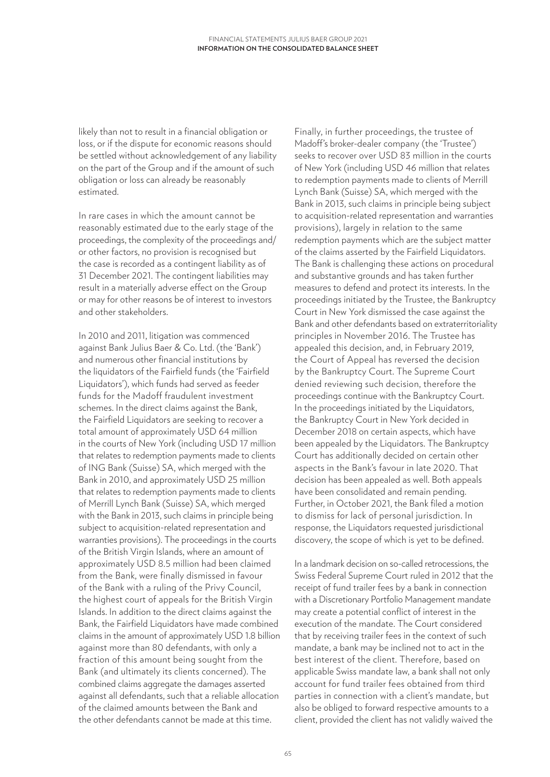likely than not to result in a financial obligation or loss, or if the dispute for economic reasons should be settled without acknowledgement of any liability on the part of the Group and if the amount of such obligation or loss can already be reasonably estimated.

In rare cases in which the amount cannot be reasonably estimated due to the early stage of the proceedings, the complexity of the proceedings and/ or other factors, no provision is recognised but the case is recorded as a contingent liability as of 31 December 2021. The contingent liabilities may result in a materially adverse effect on the Group or may for other reasons be of interest to investors and other stakeholders.

In 2010 and 2011, litigation was commenced against Bank Julius Baer & Co. Ltd. (the 'Bank') and numerous other financial institutions by the liquidators of the Fairfield funds (the 'Fairfield Liquidators'), which funds had served as feeder funds for the Madoff fraudulent investment schemes. In the direct claims against the Bank, the Fairfield Liquidators are seeking to recover a total amount of approximately USD 64 million in the courts of New York (including USD 17 million that relates to redemption payments made to clients of ING Bank (Suisse) SA, which merged with the Bank in 2010, and approximately USD 25 million that relates to redemption payments made to clients of Merrill Lynch Bank (Suisse) SA, which merged with the Bank in 2013, such claims in principle being subject to acquisition-related representation and warranties provisions). The proceedings in the courts of the British Virgin Islands, where an amount of approximately USD 8.5 million had been claimed from the Bank, were finally dismissed in favour of the Bank with a ruling of the Privy Council, the highest court of appeals for the British Virgin Islands. In addition to the direct claims against the Bank, the Fairfield Liquidators have made combined claims in the amount of approximately USD 1.8 billion against more than 80 defendants, with only a fraction of this amount being sought from the Bank (and ultimately its clients concerned). The combined claims aggregate the damages asserted against all defendants, such that a reliable allocation of the claimed amounts between the Bank and the other defendants cannot be made at this time.

Finally, in further proceedings, the trustee of Madoff's broker-dealer company (the 'Trustee') seeks to recover over USD 83 million in the courts of New York (including USD 46 million that relates to redemption payments made to clients of Merrill Lynch Bank (Suisse) SA, which merged with the Bank in 2013, such claims in principle being subject to acquisition-related representation and warranties provisions), largely in relation to the same redemption payments which are the subject matter of the claims asserted by the Fairfield Liquidators. The Bank is challenging these actions on procedural and substantive grounds and has taken further measures to defend and protect its interests. In the proceedings initiated by the Trustee, the Bankruptcy Court in New York dismissed the case against the Bank and other defendants based on extraterritoriality principles in November 2016. The Trustee has appealed this decision, and, in February 2019, the Court of Appeal has reversed the decision by the Bankruptcy Court. The Supreme Court denied reviewing such decision, therefore the proceedings continue with the Bankruptcy Court. In the proceedings initiated by the Liquidators, the Bankruptcy Court in New York decided in December 2018 on certain aspects, which have been appealed by the Liquidators. The Bankruptcy Court has additionally decided on certain other aspects in the Bank's favour in late 2020. That decision has been appealed as well. Both appeals have been consolidated and remain pending. Further, in October 2021, the Bank filed a motion to dismiss for lack of personal jurisdiction. In response, the Liquidators requested jurisdictional discovery, the scope of which is yet to be defined.

In a landmark decision on so-called retrocessions, the Swiss Federal Supreme Court ruled in 2012 that the receipt of fund trailer fees by a bank in connection with a Discretionary Portfolio Management mandate may create a potential conflict of interest in the execution of the mandate. The Court considered that by receiving trailer fees in the context of such mandate, a bank may be inclined not to act in the best interest of the client. Therefore, based on applicable Swiss mandate law, a bank shall not only account for fund trailer fees obtained from third parties in connection with a client's mandate, but also be obliged to forward respective amounts to a client, provided the client has not validly waived the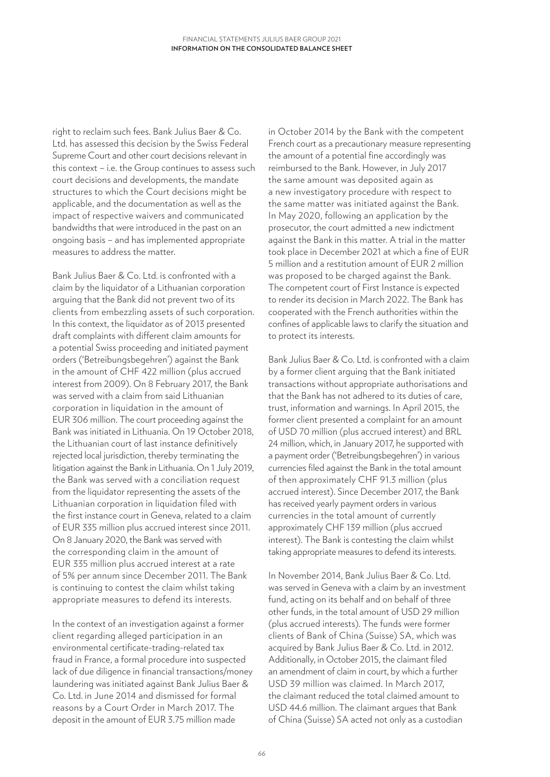right to reclaim such fees. Bank Julius Baer & Co. Ltd. has assessed this decision by the Swiss Federal Supreme Court and other court decisions relevant in this context – i.e. the Group continues to assess such court decisions and developments, the mandate structures to which the Court decisions might be applicable, and the documentation as well as the impact of respective waivers and communicated bandwidths that were introduced in the past on an ongoing basis – and has implemented appropriate measures to address the matter.

Bank Julius Baer & Co. Ltd. is confronted with a claim by the liquidator of a Lithuanian corporation arguing that the Bank did not prevent two of its clients from embezzling assets of such corporation. In this context, the liquidator as of 2013 presented draft complaints with different claim amounts for a potential Swiss proceeding and initiated payment orders ('Betreibungsbegehren') against the Bank in the amount of CHF 422 million (plus accrued interest from 2009). On 8 February 2017, the Bank was served with a claim from said Lithuanian corporation in liquidation in the amount of EUR 306 million. The court proceeding against the Bank was initiated in Lithuania. On 19 October 2018, the Lithuanian court of last instance definitively rejected local jurisdiction, thereby terminating the litigation against the Bank in Lithuania. On 1 July 2019, the Bank was served with a conciliation request from the liquidator representing the assets of the Lithuanian corporation in liquidation filed with the first instance court in Geneva, related to a claim of EUR 335 million plus accrued interest since 2011. On 8 January 2020, the Bank was served with the corresponding claim in the amount of EUR 335 million plus accrued interest at a rate of 5% per annum since December 2011. The Bank is continuing to contest the claim whilst taking appropriate measures to defend its interests.

In the context of an investigation against a former client regarding alleged participation in an environmental certificate-trading-related tax fraud in France, a formal procedure into suspected lack of due diligence in financial transactions/money laundering was initiated against Bank Julius Baer & Co. Ltd. in June 2014 and dismissed for formal reasons by a Court Order in March 2017. The deposit in the amount of EUR 3.75 million made

in October 2014 by the Bank with the competent French court as a precautionary measure representing the amount of a potential fine accordingly was reimbursed to the Bank. However, in July 2017 the same amount was deposited again as a new investigatory procedure with respect to the same matter was initiated against the Bank. In May 2020, following an application by the prosecutor, the court admitted a new indictment against the Bank in this matter. A trial in the matter took place in December 2021 at which a fine of EUR 5 million and a restitution amount of EUR 2 million was proposed to be charged against the Bank. The competent court of First Instance is expected to render its decision in March 2022. The Bank has cooperated with the French authorities within the confines of applicable laws to clarify the situation and to protect its interests.

Bank Julius Baer & Co. Ltd. is confronted with a claim by a former client arguing that the Bank initiated transactions without appropriate authorisations and that the Bank has not adhered to its duties of care, trust, information and warnings. In April 2015, the former client presented a complaint for an amount of USD 70 million (plus accrued interest) and BRL 24 million, which, in January 2017, he supported with a payment order ('Betreibungsbegehren') in various currencies filed against the Bank in the total amount of then approximately CHF 91.3 million (plus accrued interest). Since December 2017, the Bank has received yearly payment orders in various currencies in the total amount of currently approximately CHF 139 million (plus accrued interest). The Bank is contesting the claim whilst taking appropriate measures to defend its interests.

In November 2014, Bank Julius Baer & Co. Ltd. was served in Geneva with a claim by an investment fund, acting on its behalf and on behalf of three other funds, in the total amount of USD 29 million (plus accrued interests). The funds were former clients of Bank of China (Suisse) SA, which was acquired by Bank Julius Baer & Co. Ltd. in 2012. Additionally, in October 2015, the claimant filed an amendment of claim in court, by which a further USD 39 million was claimed. In March 2017, the claimant reduced the total claimed amount to USD 44.6 million. The claimant argues that Bank of China (Suisse) SA acted not only as a custodian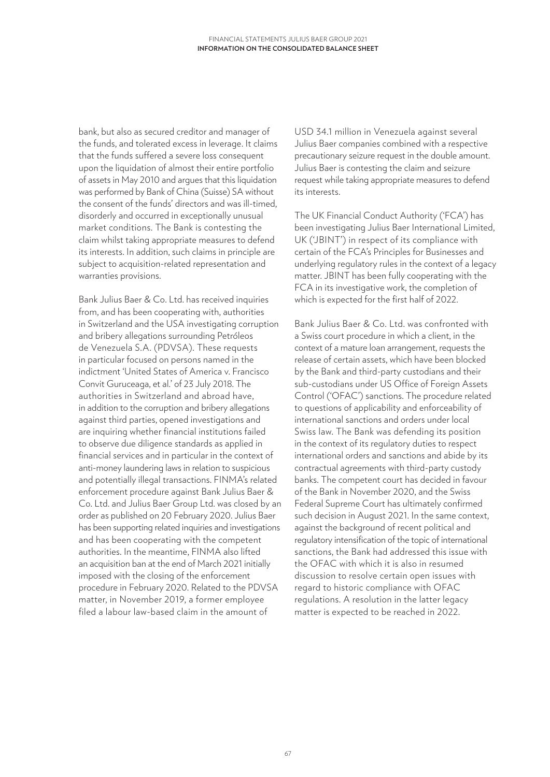bank, but also as secured creditor and manager of the funds, and tolerated excess in leverage. It claims that the funds suffered a severe loss consequent upon the liquidation of almost their entire portfolio of assets in May 2010 and argues that this liquidation was performed by Bank of China (Suisse) SA without the consent of the funds' directors and was ill-timed, disorderly and occurred in exceptionally unusual market conditions. The Bank is contesting the claim whilst taking appropriate measures to defend its interests. In addition, such claims in principle are subject to acquisition-related representation and warranties provisions.

Bank Julius Baer & Co. Ltd. has received inquiries from, and has been cooperating with, authorities in Switzerland and the USA investigating corruption and bribery allegations surrounding Petróleos de Venezuela S.A. (PDVSA). These requests in particular focused on persons named in the indictment 'United States of America v. Francisco Convit Guruceaga, et al.' of 23 July 2018. The authorities in Switzerland and abroad have, in addition to the corruption and bribery allegations against third parties, opened investigations and are inquiring whether financial institutions failed to observe due diligence standards as applied in financial services and in particular in the context of anti-money laundering laws in relation to suspicious and potentially illegal transactions. FINMA's related enforcement procedure against Bank Julius Baer & Co. Ltd. and Julius Baer Group Ltd. was closed by an order as published on 20 February 2020. Julius Baer has been supporting related inquiries and investigations and has been cooperating with the competent authorities. In the meantime, FINMA also lifted an acquisition ban at the end of March 2021 initially imposed with the closing of the enforcement procedure in February 2020. Related to the PDVSA matter, in November 2019, a former employee filed a labour law-based claim in the amount of

USD 34.1 million in Venezuela against several Julius Baer companies combined with a respective precautionary seizure request in the double amount. Julius Baer is contesting the claim and seizure request while taking appropriate measures to defend its interests.

The UK Financial Conduct Authority ('FCA') has been investigating Julius Baer International Limited, UK ('JBINT') in respect of its compliance with certain of the FCA's Principles for Businesses and underlying regulatory rules in the context of a legacy matter. JBINT has been fully cooperating with the FCA in its investigative work, the completion of which is expected for the first half of 2022.

Bank Julius Baer & Co. Ltd. was confronted with a Swiss court procedure in which a client, in the context of a mature loan arrangement, requests the release of certain assets, which have been blocked by the Bank and third-party custodians and their sub-custodians under US Office of Foreign Assets Control ('OFAC') sanctions. The procedure related to questions of applicability and enforceability of international sanctions and orders under local Swiss law. The Bank was defending its position in the context of its regulatory duties to respect international orders and sanctions and abide by its contractual agreements with third-party custody banks. The competent court has decided in favour of the Bank in November 2020, and the Swiss Federal Supreme Court has ultimately confirmed such decision in August 2021. In the same context, against the background of recent political and regulatory intensification of the topic of international sanctions, the Bank had addressed this issue with the OFAC with which it is also in resumed discussion to resolve certain open issues with regard to historic compliance with OFAC regulations. A resolution in the latter legacy matter is expected to be reached in 2022.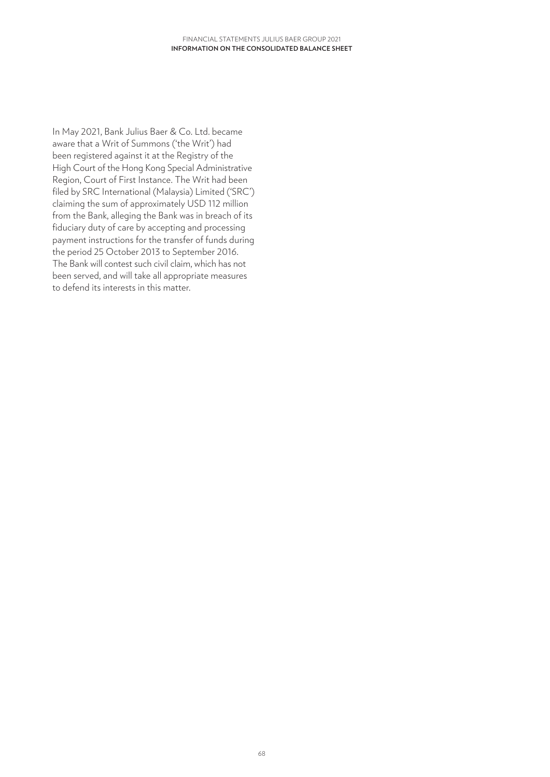In May 2021, Bank Julius Baer & Co. Ltd. became aware that a Writ of Summons ('the Writ') had been registered against it at the Registry of the High Court of the Hong Kong Special Administrative Region, Court of First Instance. The Writ had been filed by SRC International (Malaysia) Limited ('SRC') claiming the sum of approximately USD 112 million from the Bank, alleging the Bank was in breach of its fiduciary duty of care by accepting and processing payment instructions for the transfer of funds during the period 25 October 2013 to September 2016. The Bank will contest such civil claim, which has not been served, and will take all appropriate measures to defend its interests in this matter.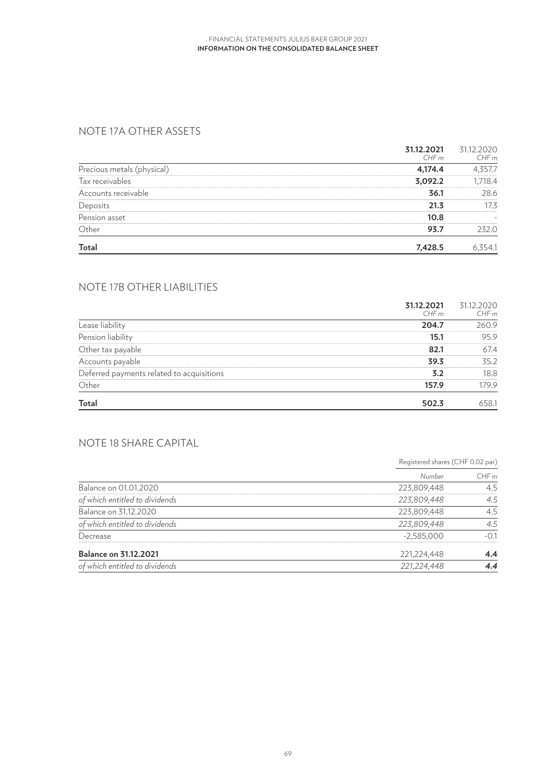# NOTE 17A OTHER ASSETS

|                            | 31.12.2021<br>CHFm | 31.12.2020<br>CHFm |
|----------------------------|--------------------|--------------------|
| Precious metals (physical) | 4,174.4            | 4,357.7            |
| Tax receivables            | 3,092.2            | 1,718.4            |
| Accounts receivable        | 36.1               | 28.6               |
| Deposits                   | 21.3               | 17.3               |
| Pension asset              | 10.8               |                    |
| Other                      | 93.7               | 232.0              |
| <b>Total</b>               | 7,428.5            | 6,354.1            |

# NOTE 17B OTHER LIABILITIES

|                                           | 31.12.2021<br>CHFm | 31.12.2020<br>CHFm |
|-------------------------------------------|--------------------|--------------------|
| Lease liability                           | 204.7              | 260.9              |
| Pension liability                         | 15.1               | 95.9               |
| Other tax payable                         | 82.1               | 67.4               |
| Accounts payable                          | 39.3               | 35.2               |
| Deferred payments related to acquisitions | 3.2                | 18.8               |
| Other                                     | 157.9              | 179.9              |
| <b>Total</b>                              | 502.3              | 658.1              |

# NOTE 18 SHARE CAPITAL

|                                |               | Registered shares (CHF 0.02 par) |  |
|--------------------------------|---------------|----------------------------------|--|
|                                | Number        | CHFm                             |  |
| Balance on 01.01.2020          | 223,809,448   | 4.5                              |  |
| of which entitled to dividends | 223,809,448   | 4.5                              |  |
| Balance on 31.12.2020          | 223,809,448   | 4.5                              |  |
| of which entitled to dividends | 223,809,448   | 4.5                              |  |
| Decrease                       | $-2,585,000$  | $-0.1$                           |  |
| <b>Balance on 31.12.2021</b>   | 221,224,448   | 4.4                              |  |
| of which entitled to dividends | 221, 224, 448 | 4.4                              |  |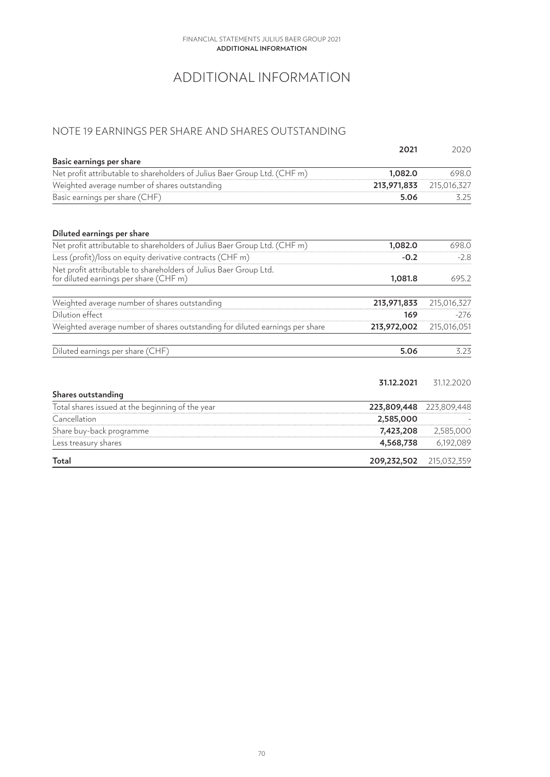#### **Additional information** FINANCIAL STATEMENTS JULIUS BAER GROUP 2021

# ADDITIONAL INFORMATION

# NOTE 19 EARNINGS PER SHARE AND SHARES OUTSTANDING

|                                                                                                             | 2021        | 2020        |
|-------------------------------------------------------------------------------------------------------------|-------------|-------------|
| Basic earnings per share                                                                                    |             |             |
| Net profit attributable to shareholders of Julius Baer Group Ltd. (CHF m)                                   | 1,082.0     | 698.0       |
| Weighted average number of shares outstanding                                                               | 213,971,833 | 215,016,327 |
| Basic earnings per share (CHF)                                                                              | 5.06        | 3.25        |
| Diluted earnings per share                                                                                  |             |             |
| Net profit attributable to shareholders of Julius Baer Group Ltd. (CHF m)                                   | 1,082.0     | 698.0       |
| Less (profit)/loss on equity derivative contracts (CHF m)                                                   | $-0.2$      | $-2.8$      |
| Net profit attributable to shareholders of Julius Baer Group Ltd.<br>for diluted earnings per share (CHF m) | 1,081.8     | 695.2       |
| Weighted average number of shares outstanding                                                               | 213,971,833 | 215,016,327 |
| Dilution effect                                                                                             | 169         | $-276$      |
| Weighted average number of shares outstanding for diluted earnings per share                                | 213,972,002 | 215,016,051 |
| Diluted earnings per share (CHF)                                                                            | 5.06        | 3.23        |
|                                                                                                             | 31.12.2021  | 31.12.2020  |
| Shares outstanding                                                                                          |             |             |
| Total shares issued at the beginning of the year                                                            | 223,809,448 | 223,809,448 |
| Cancellation                                                                                                | 2,585,000   |             |
| Share buy-back programme                                                                                    | 7,423,208   | 2,585,000   |
| Less treasury shares                                                                                        | 4,568,738   | 6,192,089   |
| Total                                                                                                       | 209,232,502 | 215,032,359 |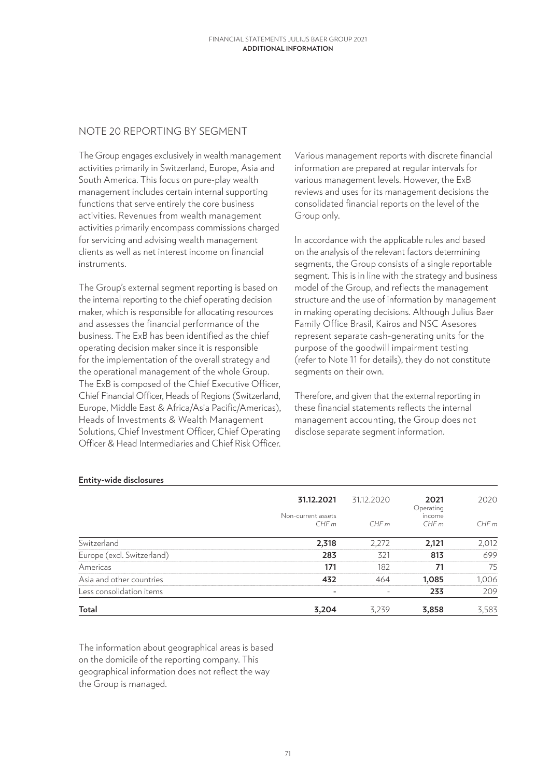### NOTE 20 REPORTING BY SEGMENT

The Group engages exclusively in wealth management activities primarily in Switzerland, Europe, Asia and South America. This focus on pure-play wealth management includes certain internal supporting functions that serve entirely the core business activities. Revenues from wealth management activities primarily encompass commissions charged for servicing and advising wealth management clients as well as net interest income on financial instruments.

The Group's external segment reporting is based on the internal reporting to the chief operating decision maker, which is responsible for allocating resources and assesses the financial performance of the business. The ExB has been identified as the chief operating decision maker since it is responsible for the implementation of the overall strategy and the operational management of the whole Group. The ExB is composed of the Chief Executive Officer, Chief Financial Officer, Heads of Regions (Switzerland, Europe, Middle East & Africa/Asia Pacific/Americas), Heads of Investments & Wealth Management Solutions, Chief Investment Officer, Chief Operating Officer & Head Intermediaries and Chief Risk Officer.

Various management reports with discrete financial information are prepared at regular intervals for various management levels. However, the ExB reviews and uses for its management decisions the consolidated financial reports on the level of the Group only.

In accordance with the applicable rules and based on the analysis of the relevant factors determining segments, the Group consists of a single reportable segment. This is in line with the strategy and business model of the Group, and reflects the management structure and the use of information by management in making operating decisions. Although Julius Baer Family Office Brasil, Kairos and NSC Asesores represent separate cash-generating units for the purpose of the goodwill impairment testing (refer to Note 11 for details), they do not constitute segments on their own.

Therefore, and given that the external reporting in these financial statements reflects the internal management accounting, the Group does not disclose separate segment information.

| <b>Total</b>               | 3,204                      | 3,239      | 3,858             | 3,583 |
|----------------------------|----------------------------|------------|-------------------|-------|
| Less consolidation items   |                            |            | 233               | 209   |
| Asia and other countries   | 432                        | 464        | 1,085             | 1,006 |
| Americas                   | 171                        | 182        | 71                | 75    |
| Europe (excl. Switzerland) | 283                        | 321        | 813               | 699   |
| Switzerland                | 2,318                      | 2,272      | 2,121             | 2,012 |
|                            | Non-current assets<br>CHFm | CHFm       | income<br>CHFm    | CHFm  |
|                            | 31.12.2021                 | 31.12.2020 | 2021<br>Operating | 2020  |

### **Entity-wide disclosures**

The information about geographical areas is based on the domicile of the reporting company. This geographical information does not reflect the way the Group is managed.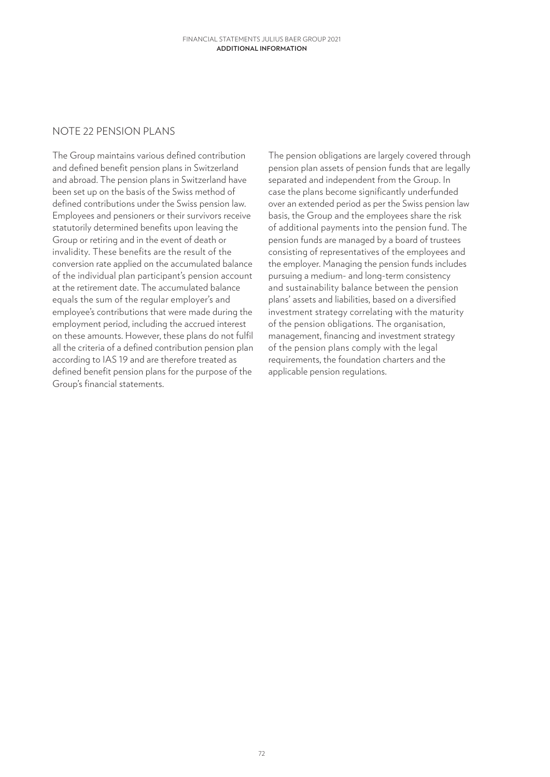### NOTE 22 PENSION PLANS

The Group maintains various defined contribution and defined benefit pension plans in Switzerland and abroad. The pension plans in Switzerland have been set up on the basis of the Swiss method of defined contributions under the Swiss pension law. Employees and pensioners or their survivors receive statutorily determined benefits upon leaving the Group or retiring and in the event of death or invalidity. These benefits are the result of the conversion rate applied on the accumulated balance of the individual plan participant's pension account at the retirement date. The accumulated balance equals the sum of the regular employer's and employee's contributions that were made during the employment period, including the accrued interest on these amounts. However, these plans do not fulfil all the criteria of a defined contribution pension plan according to IAS 19 and are therefore treated as defined benefit pension plans for the purpose of the Group's financial statements.

The pension obligations are largely covered through pension plan assets of pension funds that are legally separated and independent from the Group. In case the plans become significantly underfunded over an extended period as per the Swiss pension law basis, the Group and the employees share the risk of additional payments into the pension fund. The pension funds are managed by a board of trustees consisting of representatives of the employees and the employer. Managing the pension funds includes pursuing a medium- and long-term consistency and sustainability balance between the pension plans' assets and liabilities, based on a diversified investment strategy correlating with the maturity of the pension obligations. The organisation, management, financing and investment strategy of the pension plans comply with the legal requirements, the foundation charters and the applicable pension regulations.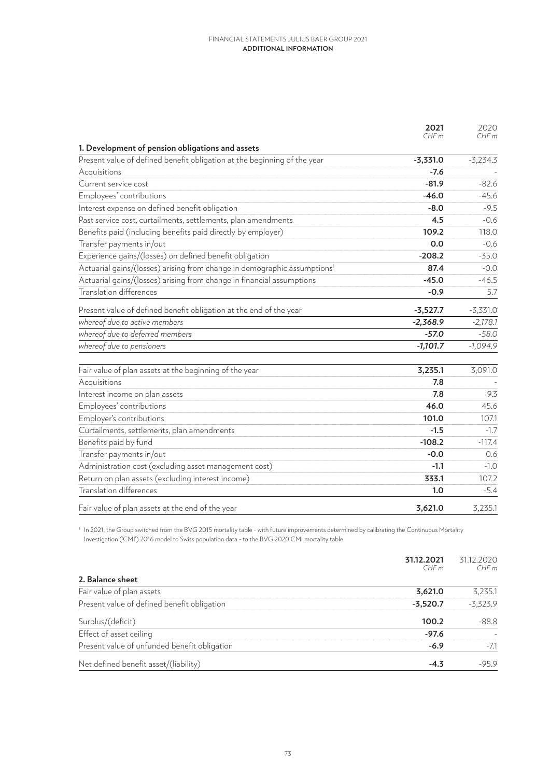|                                                                                                                              | 2021       | 2020       |
|------------------------------------------------------------------------------------------------------------------------------|------------|------------|
|                                                                                                                              | CHFm       | CHFm       |
| 1. Development of pension obligations and assets<br>Present value of defined benefit obligation at the beginning of the year | $-3,331.0$ | $-3,234.3$ |
| Acquisitions                                                                                                                 | $-7.6$     |            |
| Current service cost                                                                                                         | $-81.9$    | $-82.6$    |
| Employees' contributions                                                                                                     | $-46.0$    | $-45.6$    |
| Interest expense on defined benefit obligation                                                                               | $-8.0$     | $-9.5$     |
| Past service cost, curtailments, settlements, plan amendments                                                                | 4.5        | $-0.6$     |
|                                                                                                                              | 109.2      | 118.0      |
| Benefits paid (including benefits paid directly by employer)                                                                 |            |            |
| Transfer payments in/out                                                                                                     | 0.0        | $-0.6$     |
| Experience gains/(losses) on defined benefit obligation                                                                      | $-208.2$   | $-35.0$    |
| Actuarial gains/(losses) arising from change in demographic assumptions <sup>1</sup>                                         | 87.4       | $-0.0$     |
| Actuarial gains/(losses) arising from change in financial assumptions                                                        | $-45.0$    | $-46.5$    |
| <b>Translation differences</b>                                                                                               | $-0.9$     | 5.7        |
| Present value of defined benefit obligation at the end of the year                                                           | $-3,527.7$ | $-3,331.0$ |
| whereof due to active members                                                                                                | $-2,368.9$ | $-2,178.1$ |
| whereof due to deferred members                                                                                              | $-57.0$    | $-58.0$    |
| whereof due to pensioners                                                                                                    | $-1,101.7$ | $-1,094.9$ |
| Fair value of plan assets at the beginning of the year                                                                       | 3,235.1    | 3,091.0    |
| Acquisitions                                                                                                                 | 7.8        |            |
| Interest income on plan assets                                                                                               | 7.8        | 9.3        |
| Employees' contributions                                                                                                     | 46.0       | 45.6       |
| Employer's contributions                                                                                                     | 101.0      | 107.1      |
| Curtailments, settlements, plan amendments                                                                                   | $-1.5$     | $-1.7$     |
| Benefits paid by fund                                                                                                        | $-108.2$   | $-117.4$   |
| Transfer payments in/out                                                                                                     | $-0.0$     | 0.6        |
| Administration cost (excluding asset management cost)                                                                        | $-1.1$     | $-1.0$     |
| Return on plan assets (excluding interest income)                                                                            | 333.1      | 107.2      |
| <b>Translation differences</b>                                                                                               | 1.0        | $-5.4$     |
| Fair value of plan assets at the end of the year                                                                             | 3,621.0    | 3,235.1    |

 $^{\rm 1}$  In 2021, the Group switched from the BVG 2015 mortality table - with future improvements determined by calibrating the Continuous Mortality Investigation ('CMI') 2016 model to Swiss population data - to the BVG 2020 CMI mortality table.

|                                              | 31.12.2021<br>CHFm | 31.12.2020<br>CHFm |
|----------------------------------------------|--------------------|--------------------|
| 2. Balance sheet                             |                    |                    |
| Fair value of plan assets                    | 3,621.0            | 3,235.1            |
| Present value of defined benefit obligation  | $-3,520.7$         | $-3,323.9$         |
| Surplus/(deficit)                            | 100.2              | $-88.8$            |
| Effect of asset ceiling                      | $-97.6$            |                    |
| Present value of unfunded benefit obligation | $-6.9$             | $-7.1$             |
| Net defined benefit asset/(liability)        | $-4.3$             | $-95.9$            |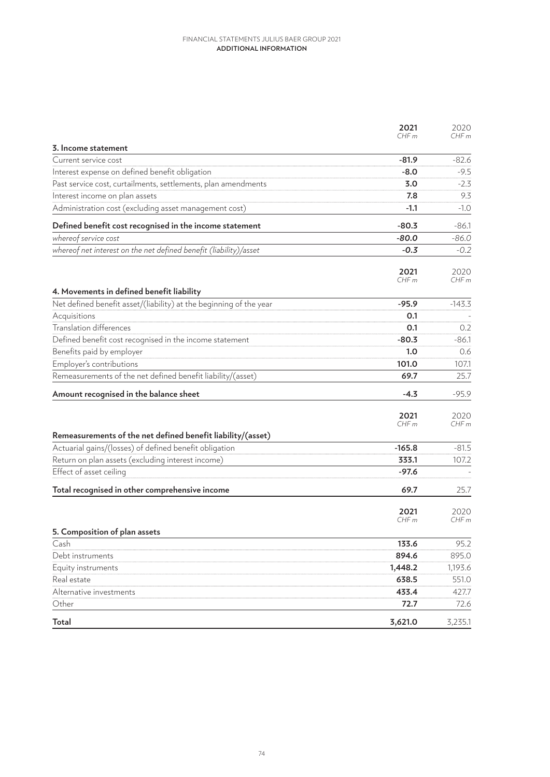|                                                                    | 2021             | 2020     |
|--------------------------------------------------------------------|------------------|----------|
|                                                                    | CHFm             | CHFm     |
| 3. Income statement                                                |                  |          |
| Current service cost                                               | $-81.9$          | $-82.6$  |
| Interest expense on defined benefit obligation                     | $-8.0$           | $-9.5$   |
| Past service cost, curtailments, settlements, plan amendments      | 3.0              | $-2.3$   |
| Interest income on plan assets                                     | 7.8              | 9.3      |
| Administration cost (excluding asset management cost)              | $-1.1$           | $-1.0$   |
| Defined benefit cost recognised in the income statement            | $-80.3$          | $-86.1$  |
| whereof service cost                                               | $-80.0$          | $-86.0$  |
| whereof net interest on the net defined benefit (liability)/asset  | $-0.3$           | $-0.2$   |
|                                                                    | 2021             | 2020     |
|                                                                    | CHF <sub>m</sub> | CHF m    |
| 4. Movements in defined benefit liability                          |                  |          |
| Net defined benefit asset/(liability) at the beginning of the year | $-95.9$          | $-143.3$ |
| Acquisitions                                                       | 0.1              |          |
| <b>Translation differences</b>                                     | 0.1              | 0.2      |
| Defined benefit cost recognised in the income statement            | $-80.3$          | $-86.1$  |
| Benefits paid by employer                                          | 1.0              | 0.6      |
| Employer's contributions                                           | 101.0            | 107.1    |
| Remeasurements of the net defined benefit liability/(asset)        | 69.7             | 25.7     |
| Amount recognised in the balance sheet                             | -4.3             | $-95.9$  |
|                                                                    | 2021             | 2020     |
|                                                                    | CHFm             | CHF m    |
| Remeasurements of the net defined benefit liability/(asset)        |                  |          |
| Actuarial gains/(losses) of defined benefit obligation             | $-165.8$         | $-81.5$  |
| Return on plan assets (excluding interest income)                  | 333.1            | 107.2    |
| Effect of asset ceiling                                            | $-97.6$          |          |
| Total recognised in other comprehensive income                     | 69.7             | 25.7     |
|                                                                    | 2021             | 2020     |
|                                                                    | CHF <sub>m</sub> | CHF m    |
| 5. Composition of plan assets                                      |                  |          |
| Cash                                                               | 133.6            | 95.2     |
| Debt instruments                                                   | 894.6            | 895.0    |
| Equity instruments                                                 | 1,448.2          | 1,193.6  |
| Real estate                                                        | 638.5            | 551.0    |
| Alternative investments                                            | 433.4            | 427.7    |
| Other                                                              | 72.7             | 72.6     |
| <b>Total</b>                                                       | 3,621.0          | 3,235.1  |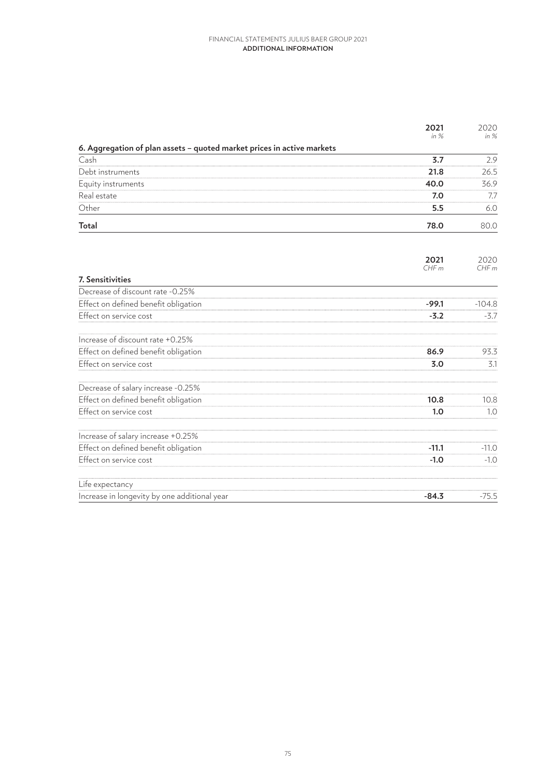|                                                                        | 2021         | 2020         |
|------------------------------------------------------------------------|--------------|--------------|
|                                                                        | in $%$       | in %         |
| 6. Aggregation of plan assets - quoted market prices in active markets |              |              |
| Cash                                                                   | 3.7          | 2.9          |
| Debt instruments                                                       | 21.8         | 26.5         |
| Equity instruments                                                     | 40.0         | 36.9         |
| Real estate                                                            | 7.0          | 7.7          |
| Other                                                                  | 5.5          | 6.0          |
| Total                                                                  | 78.0         | 80.0         |
|                                                                        | 2021<br>CHFm | 2020<br>CHFm |
| <b>7. Sensitivities</b>                                                |              |              |
| Decrease of discount rate -0.25%                                       |              |              |
| Effect on defined benefit obligation                                   | $-99.1$      | $-104.8$     |
| Effect on service cost                                                 | $-3.2$       | $-3.7$       |
| Increase of discount rate +0.25%                                       |              |              |
| Effect on defined benefit obligation                                   | 86.9         | 93.3         |
| Effect on service cost                                                 | 3.0          | 3.1          |
| Decrease of salary increase -0.25%                                     |              |              |
| Effect on defined benefit obligation                                   | 10.8         | 10.8         |
| Effect on service cost                                                 | 1.0          | 1.0          |
| Increase of salary increase +0.25%                                     |              |              |
| Effect on defined benefit obligation                                   | $-11.1$      | $-11.0$      |
| Effect on service cost                                                 | $-1.0$       | $-1.0$       |
| Life expectancy                                                        |              |              |
| Increase in longevity by one additional year                           | $-84.3$      | $-75.5$      |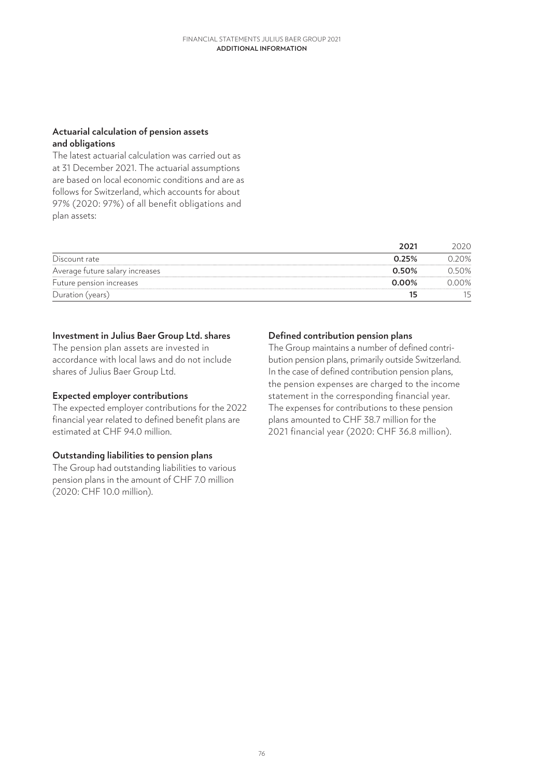## **Actuarial calculation of pension assets and obligations**

The latest actuarial calculation was carried out as at 31 December 2021. The actuarial assumptions are based on local economic conditions and are as follows for Switzerland, which accounts for about 97% (2020: 97%) of all benefit obligations and plan assets:

|                                 | 2021     | 2020     |
|---------------------------------|----------|----------|
| Discount rate                   | 0.25%    | 0.20%    |
| Average future salary increases | 0.50%    | 0.50%    |
| Future pension increases        | $0.00\%$ | $0.00\%$ |
| Duration (years)                | 15       |          |

### **Investment in Julius Baer Group Ltd. shares**

The pension plan assets are invested in accordance with local laws and do not include shares of Julius Baer Group Ltd.

## **Expected employer contributions**

The expected employer contributions for the 2022 financial year related to defined benefit plans are estimated at CHF 94.0 million.

## **Outstanding liabilities to pension plans**

The Group had outstanding liabilities to various pension plans in the amount of CHF 7.0 million (2020: CHF 10.0 million).

## **Defined contribution pension plans**

The Group maintains a number of defined contribution pension plans, primarily outside Switzerland. In the case of defined contribution pension plans, the pension expenses are charged to the income statement in the corresponding financial year. The expenses for contributions to these pension plans amounted to CHF 38.7 million for the 2021 financial year (2020: CHF 36.8 million).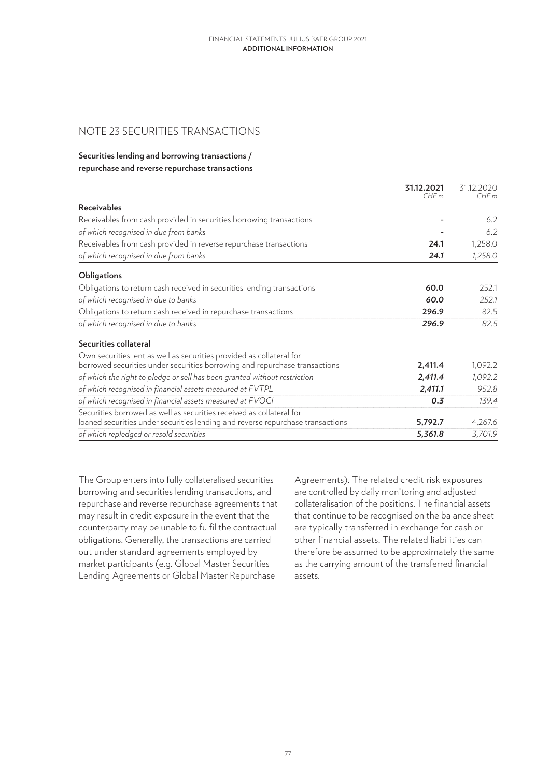## NOTE 23 SECURITIES TRANSACTIONS

#### **Securities lending and borrowing transactions / repurchase and reverse repurchase transactions**

|                                                                                                                                                        | 31.12.2021<br>CHFm | 31.12.2020<br>CHFm |
|--------------------------------------------------------------------------------------------------------------------------------------------------------|--------------------|--------------------|
| <b>Receivables</b>                                                                                                                                     |                    |                    |
| Receivables from cash provided in securities borrowing transactions                                                                                    |                    | 6.2                |
| of which recognised in due from banks                                                                                                                  |                    | 6.2                |
| Receivables from cash provided in reverse repurchase transactions                                                                                      | 24.1               | 1,258.0            |
| of which recognised in due from banks                                                                                                                  | 24.1               | 1,258.0            |
| <b>Obligations</b>                                                                                                                                     |                    |                    |
| Obligations to return cash received in securities lending transactions                                                                                 | 60.0               | 252.1              |
| of which recognised in due to banks                                                                                                                    | 60.0               | 252.1              |
| Obligations to return cash received in repurchase transactions                                                                                         | 296.9              | 82.5               |
| of which recognised in due to banks                                                                                                                    | 296.9              | 82.5               |
| Securities collateral                                                                                                                                  |                    |                    |
| Own securities lent as well as securities provided as collateral for<br>borrowed securities under securities borrowing and repurchase transactions     | 2,411.4            | 1,092.2            |
| of which the right to pledge or sell has been granted without restriction                                                                              | 2,411.4            | 1,092.2            |
| of which recognised in financial assets measured at FVTPL                                                                                              | 2,411.1            | 952.8              |
| of which recognised in financial assets measured at FVOCI                                                                                              | 0.3                | 139.4              |
| Securities borrowed as well as securities received as collateral for<br>loaned securities under securities lending and reverse repurchase transactions | 5,792.7            | 4,267.6            |
| of which repledged or resold securities                                                                                                                | 5,361.8            | 3,701.9            |

The Group enters into fully collateralised securities borrowing and securities lending transactions, and repurchase and reverse repurchase agreements that may result in credit exposure in the event that the counterparty may be unable to fulfil the contractual obligations. Generally, the transactions are carried out under standard agreements employed by market participants (e.g. Global Master Securities Lending Agreements or Global Master Repurchase

Agreements). The related credit risk exposures are controlled by daily monitoring and adjusted collateralisation of the positions. The financial assets that continue to be recognised on the balance sheet are typically transferred in exchange for cash or other financial assets. The related liabilities can therefore be assumed to be approximately the same as the carrying amount of the transferred financial assets.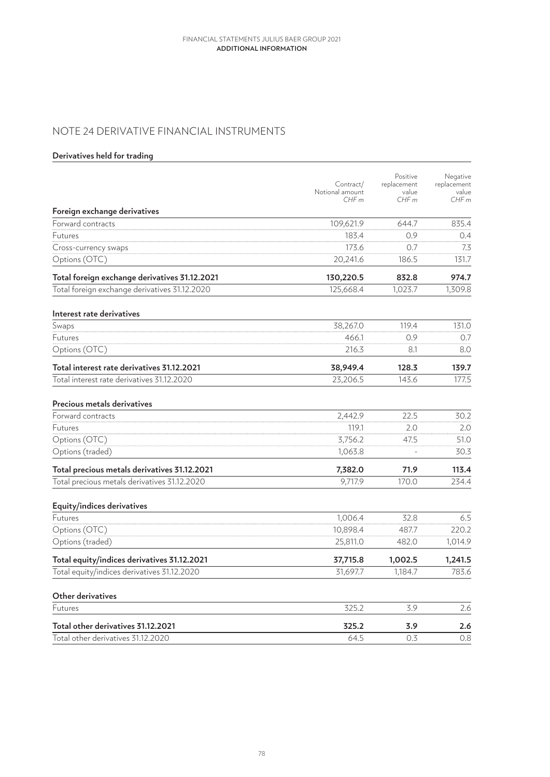# NOTE 24 DERIVATIVE FINANCIAL INSTRUMENTS

## **Derivatives held for trading**

|                                               | Contract/<br>Notional amount<br>CHFm | Positive<br>replacement<br>value<br>CHFm | Negative<br>replacement<br>value<br>CHFm |
|-----------------------------------------------|--------------------------------------|------------------------------------------|------------------------------------------|
| Foreign exchange derivatives                  |                                      |                                          |                                          |
| Forward contracts                             | 109,621.9                            | 644.7                                    | 835.4                                    |
| <b>Futures</b>                                | 183.4                                | 0.9                                      | 0.4                                      |
| Cross-currency swaps                          | 173.6                                | 0.7                                      | 7.3                                      |
| Options (OTC)                                 | 20,241.6                             | 186.5                                    | 131.7                                    |
| Total foreign exchange derivatives 31.12.2021 | 130,220.5                            | 832.8                                    | 974.7                                    |
| Total foreign exchange derivatives 31.12.2020 | 125,668.4                            | 1,023.7                                  | 1,309.8                                  |
| Interest rate derivatives                     |                                      |                                          |                                          |
| Swaps                                         | 38,267.0                             | 119.4                                    | 131.0                                    |
| Futures                                       | 466.1                                | 0.9                                      | 0.7                                      |
| Options (OTC)                                 | 216.3                                | 8.1                                      | 8.0                                      |
| Total interest rate derivatives 31.12.2021    | 38,949.4                             | 128.3                                    | 139.7                                    |
| Total interest rate derivatives 31.12.2020    | 23,206.5                             | 143.6                                    | 177.5                                    |
| Precious metals derivatives                   |                                      |                                          |                                          |
| Forward contracts                             | 2,442.9                              | 22.5                                     | 30.2                                     |
| <b>Futures</b>                                | 119.1                                | 2.0                                      | 2.0                                      |
| Options (OTC)                                 | 3,756.2                              | 47.5                                     | 51.0                                     |
| Options (traded)                              | 1,063.8                              | $\equiv$                                 | 30.3                                     |
| Total precious metals derivatives 31.12.2021  | 7,382.0                              | 71.9                                     | 113.4                                    |
| Total precious metals derivatives 31.12.2020  | 9,717.9                              | 170.0                                    | 234.4                                    |
| Equity/indices derivatives                    |                                      |                                          |                                          |
| Futures                                       | 1,006.4                              | 32.8                                     | 6.5                                      |
| Options (OTC)                                 | 10,898.4                             | 487.7                                    | 220.2                                    |
| Options (traded)                              | 25,811.0                             | 482.0                                    | 1,014.9                                  |
| Total equity/indices derivatives 31.12.2021   | 37,715.8                             | 1,002.5                                  | 1,241.5                                  |
| Total equity/indices derivatives 31.12.2020   | 31,697.7                             | 1,184.7                                  | 783.6                                    |
| Other derivatives                             |                                      |                                          |                                          |
| Futures                                       | 325.2                                | 3.9                                      | 2.6                                      |
| Total other derivatives 31.12.2021            | 325.2                                | 3.9                                      | 2.6                                      |
| Total other derivatives 31.12.2020            | 64.5                                 | 0.3                                      | 0.8                                      |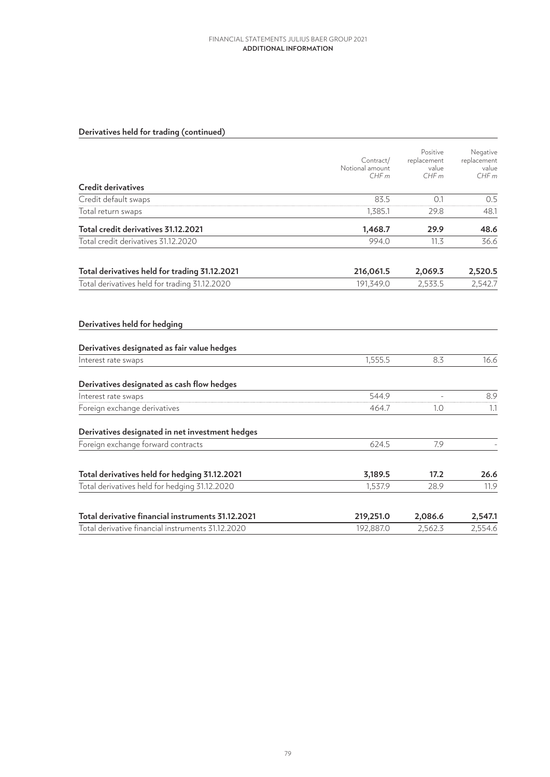# **Derivatives held for trading (continued)**

|                                                                                                        | Contract/<br>Notional amount<br>CHFm | Positive<br>replacement<br>value<br>CHFm | Negative<br>replacement<br>value<br>CHFm |
|--------------------------------------------------------------------------------------------------------|--------------------------------------|------------------------------------------|------------------------------------------|
| Credit derivatives                                                                                     |                                      |                                          |                                          |
| Credit default swaps                                                                                   | 83.5                                 | 0.1                                      | 0.5                                      |
| Total return swaps                                                                                     | 1.385.1                              | 29.8                                     | 48.1                                     |
| Total credit derivatives 31.12.2021                                                                    | 1,468.7                              | 29.9                                     | 48.6                                     |
| Total credit derivatives 31.12.2020                                                                    | 994.0                                | 11.3                                     | 36.6                                     |
| Total derivatives held for trading 31.12.2021                                                          | 216,061.5                            | 2,069.3                                  | 2,520.5                                  |
| Total derivatives held for trading 31.12.2020                                                          | 191,349.0                            | 2,533.5                                  | 2,542.7                                  |
| Derivatives held for hedging<br>Derivatives designated as fair value hedges                            |                                      |                                          |                                          |
| Interest rate swaps                                                                                    | 1,555.5                              | 8.3                                      | 16.6                                     |
| Derivatives designated as cash flow hedges                                                             |                                      |                                          |                                          |
| Interest rate swaps                                                                                    | 544.9                                |                                          | 8.9                                      |
| Foreign exchange derivatives                                                                           | 464.7                                | 1.0                                      | 1.1                                      |
| Derivatives designated in net investment hedges                                                        |                                      |                                          |                                          |
| Foreign exchange forward contracts                                                                     | 624.5                                | 7.9                                      |                                          |
| Total derivatives held for hedging 31.12.2021                                                          | 3,189.5                              | 17.2                                     | 26.6                                     |
| Total derivatives held for hedging 31.12.2020                                                          | 1,537.9                              | 28.9                                     | 11.9                                     |
| Total derivative financial instruments 31.12.2021<br>Total derivative financial instruments 31.12.2020 | 219,251.0<br>192,887.0               | 2,086.6<br>2,562.3                       | 2,547.1<br>2,554.6                       |
|                                                                                                        |                                      |                                          |                                          |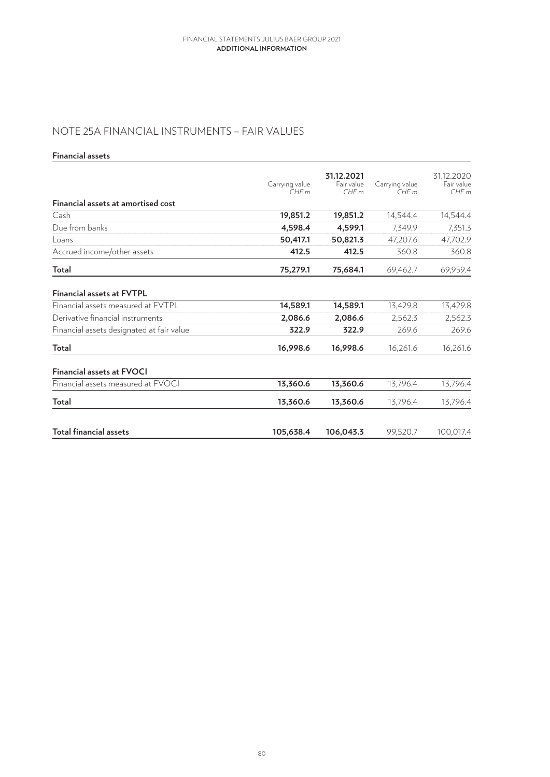# NOTE 25A FINANCIAL INSTRUMENTS – FAIR VALUES

### **Financial assets**

|                                           | Carrying value<br>CHFm | 31.12.2021<br>Fair value<br>CHFm | Carrying value<br>CHFm | 31.12.2020<br>Fair value<br>CHFm |
|-------------------------------------------|------------------------|----------------------------------|------------------------|----------------------------------|
| <b>Financial assets at amortised cost</b> |                        |                                  |                        |                                  |
| Cash                                      | 19,851.2               | 19,851.2                         | 14,544.4               | 14,544.4                         |
| Due from banks                            | 4,598.4                | 4,599.1                          | 7,349.9                | 7,351.3                          |
| Loans                                     | 50,417.1               | 50,821.3                         | 47,207.6               | 47,702.9                         |
| Accrued income/other assets               | 412.5                  | 412.5                            | 360.8                  | 360.8                            |
| Total                                     | 75,279.1               | 75,684.1                         | 69,462.7               | 69,959.4                         |
| <b>Financial assets at FVTPL</b>          |                        |                                  |                        |                                  |
| Financial assets measured at FVTPL        | 14,589.1               | 14,589.1                         | 13,429.8               | 13,429.8                         |
| Derivative financial instruments          | 2,086.6                | 2,086.6                          | 2,562.3                | 2,562.3                          |
| Financial assets designated at fair value | 322.9                  | 322.9                            | 269.6                  | 269.6                            |
| Total                                     | 16,998.6               | 16,998.6                         | 16,261.6               | 16,261.6                         |
| <b>Financial assets at FVOCI</b>          |                        |                                  |                        |                                  |
| Financial assets measured at FVOCI        | 13,360.6               | 13,360.6                         | 13,796.4               | 13,796.4                         |
| Total                                     | 13,360.6               | 13,360.6                         | 13,796.4               | 13,796.4                         |
| Total financial assets                    | 105,638.4              | 106,043.3                        | 99,520.7               | 100,017.4                        |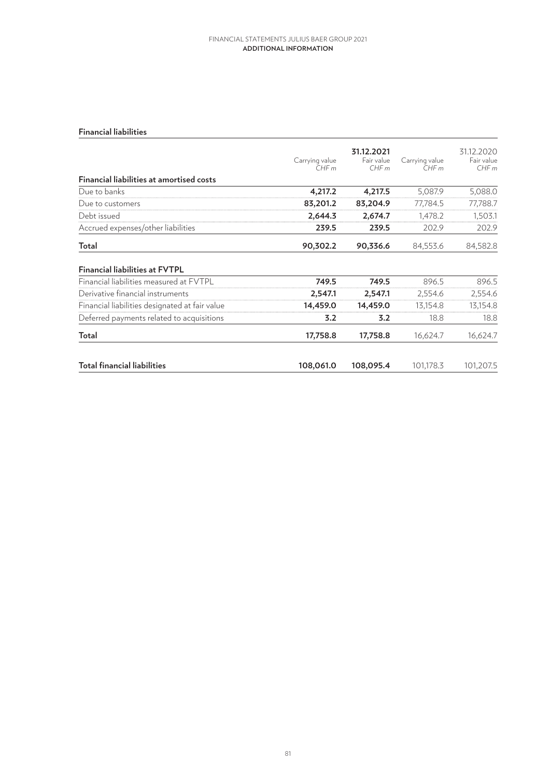#### **Financial liabilities**

|                                                | Carrying value<br>CHFm | 31.12.2021<br>Fair value<br>CHFm | Carrying value<br>CHFm | 31.12.2020<br>Fair value<br>CHFm |
|------------------------------------------------|------------------------|----------------------------------|------------------------|----------------------------------|
| Financial liabilities at amortised costs       |                        |                                  |                        |                                  |
| Due to banks                                   | 4,217.2                | 4,217.5                          | 5,087.9                | 5,088.0                          |
| Due to customers                               | 83,201.2               | 83,204.9                         | 77,784.5               | 77,788.7                         |
| Debt issued                                    | 2,644.3                | 2,674.7                          | 1,478.2                | 1,503.1                          |
| Accrued expenses/other liabilities             | 239.5                  | 239.5                            | 202.9                  | 202.9                            |
| Total                                          | 90,302.2               | 90,336.6                         | 84,553.6               | 84,582.8                         |
| <b>Financial liabilities at FVTPL</b>          |                        |                                  |                        |                                  |
| Financial liabilities measured at FVTPL        | 749.5                  | 749.5                            | 896.5                  | 896.5                            |
| Derivative financial instruments               | 2,547.1                | 2,547.1                          | 2,554.6                | 2,554.6                          |
| Financial liabilities designated at fair value | 14,459.0               | 14,459.0                         | 13,154.8               | 13,154.8                         |
| Deferred payments related to acquisitions      | 3.2                    | 3.2                              | 18.8                   | 18.8                             |
| Total                                          | 17,758.8               | 17,758.8                         | 16,624.7               | 16,624.7                         |
| <b>Total financial liabilities</b>             | 108,061.0              | 108,095.4                        | 101,178.3              | 101,207.5                        |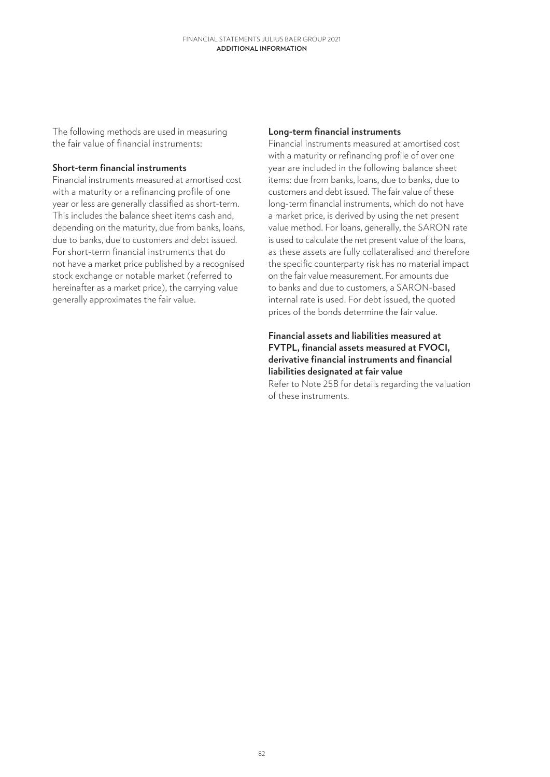The following methods are used in measuring the fair value of financial instruments:

## **Short-term financial instruments**

Financial instruments measured at amortised cost with a maturity or a refinancing profile of one year or less are generally classified as short-term. This includes the balance sheet items cash and, depending on the maturity, due from banks, loans, due to banks, due to customers and debt issued. For short-term financial instruments that do not have a market price published by a recognised stock exchange or notable market (referred to hereinafter as a market price), the carrying value generally approximates the fair value.

### **Long-term financial instruments**

Financial instruments measured at amortised cost with a maturity or refinancing profile of over one year are included in the following balance sheet items: due from banks, loans, due to banks, due to customers and debt issued. The fair value of these long-term financial instruments, which do not have a market price, is derived by using the net present value method. For loans, generally, the SARON rate is used to calculate the net present value of the loans, as these assets are fully collateralised and therefore the specific counterparty risk has no material impact on the fair value measurement. For amounts due to banks and due to customers, a SARON-based internal rate is used. For debt issued, the quoted prices of the bonds determine the fair value.

## **Financial assets and liabilities measured at FVTPL, financial assets measured at FVOCI, derivative financial instruments and financial liabilities designated at fair value** Refer to Note 25B for details regarding the valuation of these instruments.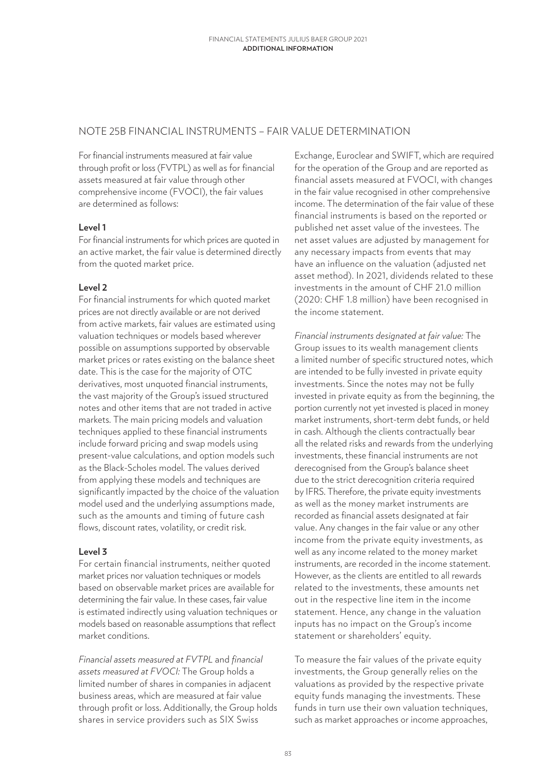## NOTE 25B FINANCIAL INSTRUMENTS – FAIR VALUE DETERMINATION

For financial instruments measured at fair value through profit or loss (FVTPL) as well as for financial assets measured at fair value through other comprehensive income (FVOCI), the fair values are determined as follows:

### **Level 1**

For financial instruments for which prices are quoted in an active market, the fair value is determined directly from the quoted market price.

### **Level 2**

For financial instruments for which quoted market prices are not directly available or are not derived from active markets, fair values are estimated using valuation techniques or models based wherever possible on assumptions supported by observable market prices or rates existing on the balance sheet date. This is the case for the majority of OTC derivatives, most unquoted financial instruments, the vast majority of the Group's issued structured notes and other items that are not traded in active markets. The main pricing models and valuation techniques applied to these financial instruments include forward pricing and swap models using present-value calculations, and option models such as the Black-Scholes model. The values derived from applying these models and techniques are significantly impacted by the choice of the valuation model used and the underlying assumptions made, such as the amounts and timing of future cash flows, discount rates, volatility, or credit risk.

### **Level 3**

For certain financial instruments, neither quoted market prices nor valuation techniques or models based on observable market prices are available for determining the fair value. In these cases, fair value is estimated indirectly using valuation techniques or models based on reasonable assumptions that reflect market conditions.

*Financial assets measured at FVTPL* and *financial assets measured at FVOCI:* The Group holds a limited number of shares in companies in adjacent business areas, which are measured at fair value through profit or loss. Additionally, the Group holds shares in service providers such as SIX Swiss

Exchange, Euroclear and SWIFT, which are required for the operation of the Group and are reported as financial assets measured at FVOCI, with changes in the fair value recognised in other comprehensive income. The determination of the fair value of these financial instruments is based on the reported or published net asset value of the investees. The net asset values are adjusted by management for any necessary impacts from events that may have an influence on the valuation (adjusted net asset method). In 2021, dividends related to these investments in the amount of CHF 21.0 million (2020: CHF 1.8 million) have been recognised in the income statement.

*Financial instruments designated at fair value:* The Group issues to its wealth management clients a limited number of specific structured notes, which are intended to be fully invested in private equity investments. Since the notes may not be fully invested in private equity as from the beginning, the portion currently not yet invested is placed in money market instruments, short-term debt funds, or held in cash. Although the clients contractually bear all the related risks and rewards from the underlying investments, these financial instruments are not derecognised from the Group's balance sheet due to the strict derecognition criteria required by IFRS. Therefore, the private equity investments as well as the money market instruments are recorded as financial assets designated at fair value. Any changes in the fair value or any other income from the private equity investments, as well as any income related to the money market instruments, are recorded in the income statement. However, as the clients are entitled to all rewards related to the investments, these amounts net out in the respective line item in the income statement. Hence, any change in the valuation inputs has no impact on the Group's income statement or shareholders' equity.

To measure the fair values of the private equity investments, the Group generally relies on the valuations as provided by the respective private equity funds managing the investments. These funds in turn use their own valuation techniques. such as market approaches or income approaches,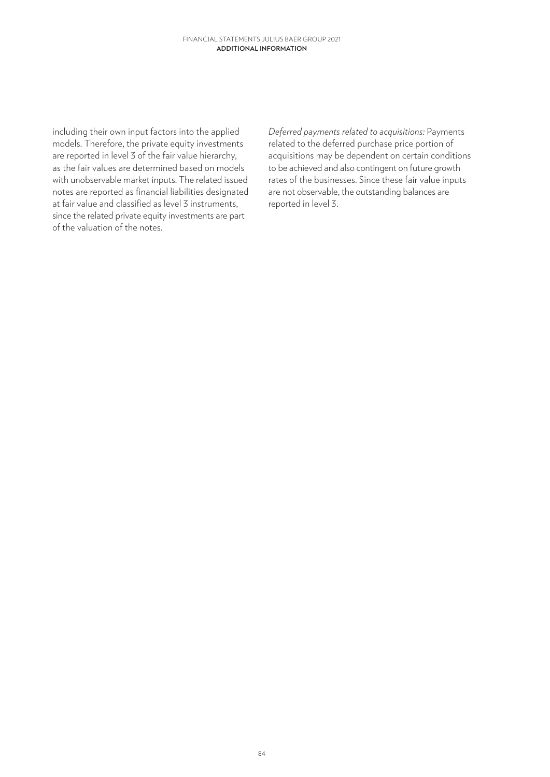including their own input factors into the applied models. Therefore, the private equity investments are reported in level 3 of the fair value hierarchy, as the fair values are determined based on models with unobservable market inputs. The related issued notes are reported as financial liabilities designated at fair value and classified as level 3 instruments, since the related private equity investments are part of the valuation of the notes.

*Deferred payments related to acquisitions:* Payments related to the deferred purchase price portion of acquisitions may be dependent on certain conditions to be achieved and also contingent on future growth rates of the businesses. Since these fair value inputs are not observable, the outstanding balances are reported in level 3.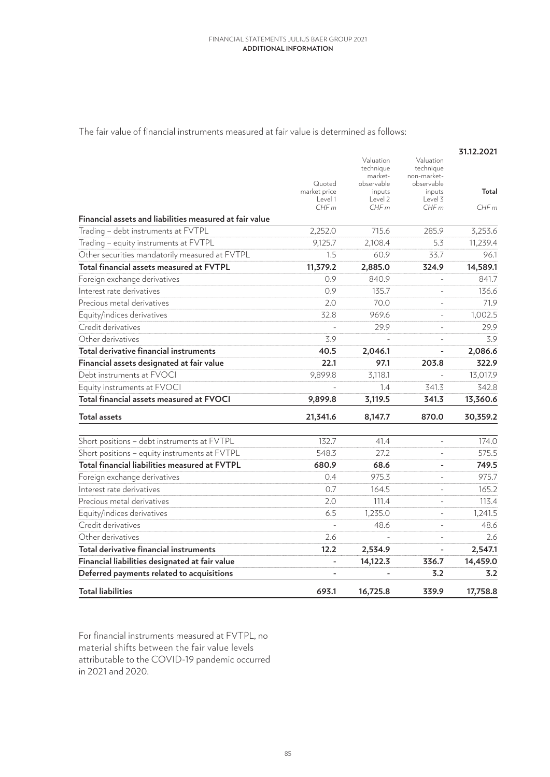The fair value of financial instruments measured at fair value is determined as follows:

|                                                         |                         |                                                 |                                                     | 31.12.2021 |
|---------------------------------------------------------|-------------------------|-------------------------------------------------|-----------------------------------------------------|------------|
|                                                         | Quoted                  | Valuation<br>technique<br>market-<br>observable | Valuation<br>technique<br>non-market-<br>observable |            |
|                                                         | market price<br>Level 1 | inputs<br>Level 2                               | inputs<br>Level 3                                   | Total      |
| Financial assets and liabilities measured at fair value | CHFm                    | CHFm                                            | CHFm                                                | CHFm       |
| Trading - debt instruments at FVTPL                     | 2,252.0                 | 715.6                                           | 285.9                                               | 3,253.6    |
| Trading - equity instruments at FVTPL                   | 9,125.7                 | 2,108.4                                         | 5.3                                                 | 11,239.4   |
| Other securities mandatorily measured at FVTPL          | 1.5                     | 60.9                                            | 33.7                                                | 96.1       |
| Total financial assets measured at FVTPL                | 11,379.2                | 2,885.0                                         | 324.9                                               | 14,589.1   |
| Foreign exchange derivatives                            | 0.9                     | 840.9                                           |                                                     | 841.7      |
| Interest rate derivatives                               | 0.9                     | 135.7                                           | $\overline{a}$                                      | 136.6      |
| Precious metal derivatives                              | 2.0                     | 70.0                                            |                                                     | 71.9       |
| Equity/indices derivatives                              | 32.8                    | 969.6                                           |                                                     | 1,002.5    |
| Credit derivatives                                      |                         | 29.9                                            |                                                     | 29.9       |
| Other derivatives                                       | 3.9                     |                                                 | $\overline{a}$                                      | 3.9        |
| Total derivative financial instruments                  | 40.5                    | 2,046.1                                         |                                                     | 2,086.6    |
| Financial assets designated at fair value               | 22.1                    | 97.1                                            | 203.8                                               | 322.9      |
| Debt instruments at FVOCI                               | 9,899.8                 | 3,118.1                                         |                                                     | 13,017.9   |
| Equity instruments at FVOCI                             |                         | 1.4                                             | 341.3                                               | 342.8      |
| Total financial assets measured at FVOCI                | 9,899.8                 | 3,119.5                                         | 341.3                                               | 13,360.6   |
| <b>Total assets</b>                                     | 21,341.6                | 8,147.7                                         | 870.0                                               | 30,359.2   |
| Short positions - debt instruments at FVTPL             | 132.7                   | 41.4                                            |                                                     | 174.0      |
| Short positions - equity instruments at FVTPL           | 548.3                   | 27.2                                            |                                                     | 575.5      |
| Total financial liabilities measured at FVTPL           | 680.9                   | 68.6                                            |                                                     | 749.5      |
| Foreign exchange derivatives                            | 0.4                     | 975.3                                           |                                                     | 975.7      |
| Interest rate derivatives                               | 0.7                     | 164.5                                           |                                                     | 165.2      |
| Precious metal derivatives                              | 2.0                     | 111.4                                           |                                                     | 113.4      |
| Equity/indices derivatives                              | 6.5                     | 1,235.0                                         | $\overline{\phantom{0}}$                            | 1,241.5    |
| Credit derivatives                                      |                         | 48.6                                            |                                                     | 48.6       |
| Other derivatives                                       | 2.6                     |                                                 |                                                     | 2.6        |
| Total derivative financial instruments                  | 12.2                    | 2,534.9                                         |                                                     | 2,547.1    |
| Financial liabilities designated at fair value          |                         | 14,122.3                                        | 336.7                                               | 14,459.0   |
| Deferred payments related to acquisitions               |                         |                                                 | 3.2                                                 | 3.2        |
| <b>Total liabilities</b>                                | 693.1                   | 16,725.8                                        | 339.9                                               | 17,758.8   |

For financial instruments measured at FVTPL, no material shifts between the fair value levels attributable to the COVID-19 pandemic occurred in 2021 and 2020.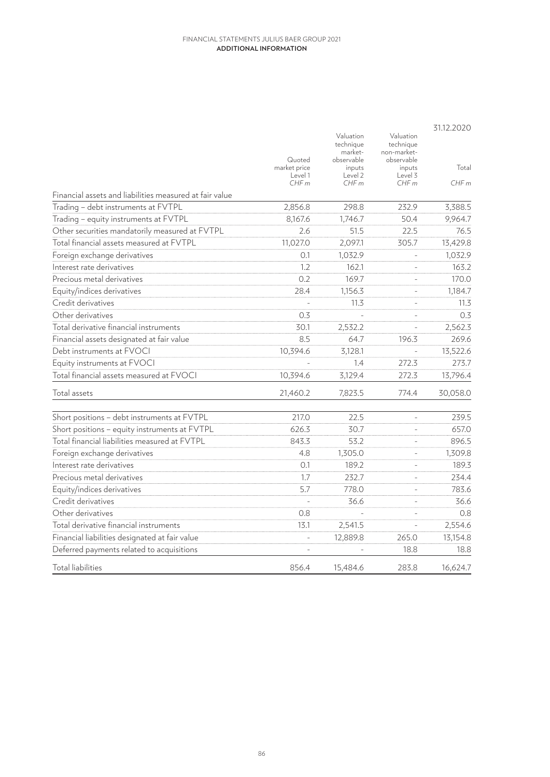|                                                         |                         | Valuation                          | Valuation                              | 31.12.2020  |
|---------------------------------------------------------|-------------------------|------------------------------------|----------------------------------------|-------------|
|                                                         | Quoted                  | technique<br>market-<br>observable | technique<br>non-market-<br>observable |             |
|                                                         | market price<br>Level 1 | inputs<br>Level 2                  | inputs<br>Level 3                      | Total       |
| Financial assets and liabilities measured at fair value | CHFm                    | CHFm                               | CHFm                                   | CHFm        |
| Trading - debt instruments at FVTPL                     | 2,856.8                 | 298.8                              | 232.9                                  | 3,388.5     |
| Trading - equity instruments at FVTPL                   | 8,167.6                 | 1,746.7                            | 50.4                                   | 9,964.7     |
| Other securities mandatorily measured at FVTPL          | 2.6                     | 51.5                               | 22.5                                   | 76.5        |
| Total financial assets measured at FVTPL                | 11,027.0                | 2,097.1                            | 305.7                                  | 13,429.8    |
| Foreign exchange derivatives                            | 0.1                     | 1,032.9                            |                                        | 1,032.9     |
| Interest rate derivatives                               | 1.2                     | 162.1                              |                                        | 163.2       |
| Precious metal derivatives                              | 0.2                     | 169.7                              |                                        | 170.0       |
|                                                         | 28.4                    |                                    |                                        |             |
| Equity/indices derivatives                              |                         | 1,156.3                            |                                        | 1,184.7     |
| Credit derivatives<br>Other derivatives                 |                         | 11.3                               |                                        | 11.3<br>0.3 |
| Total derivative financial instruments                  | 0.3                     |                                    |                                        |             |
|                                                         | 30.1                    | 2,532.2                            |                                        | 2,562.3     |
| Financial assets designated at fair value               | 8.5                     | 64.7                               | 196.3                                  | 269.6       |
| Debt instruments at FVOCI                               | 10,394.6                | 3,128.1                            |                                        | 13,522.6    |
| Equity instruments at FVOCI                             |                         | 1.4                                | 272.3                                  | 273.7       |
| Total financial assets measured at FVOCI                | 10,394.6                | 3,129.4                            | 272.3                                  | 13,796.4    |
| Total assets                                            | 21,460.2                | 7,823.5                            | 774.4                                  | 30,058.0    |
| Short positions - debt instruments at FVTPL             | 217.0                   | 22.5                               |                                        | 239.5       |
| Short positions - equity instruments at FVTPL           | 626.3                   | 30.7                               |                                        | 657.0       |
| Total financial liabilities measured at FVTPL           | 843.3                   | 53.2                               |                                        | 896.5       |
| Foreign exchange derivatives                            | 4.8                     | 1,305.0                            |                                        | 1,309.8     |
| Interest rate derivatives                               | 0.1                     | 189.2                              |                                        | 189.3       |
| Precious metal derivatives                              | 1.7                     | 232.7                              |                                        | 234.4       |
| Equity/indices derivatives                              | 5.7                     | 778.0                              |                                        | 783.6       |
| Credit derivatives                                      |                         | 36.6                               |                                        | 36.6        |
| Other derivatives                                       | 0.8                     |                                    |                                        | 0.8         |
| Total derivative financial instruments                  | 13.1                    | 2,541.5                            |                                        | 2,554.6     |
| Financial liabilities designated at fair value          |                         | 12,889.8                           | 265.0                                  | 13,154.8    |
| Deferred payments related to acquisitions               |                         |                                    | 18.8                                   | 18.8        |
| Total liabilities                                       | 856.4                   | 15.484.6                           | 283.8                                  | 16,624.7    |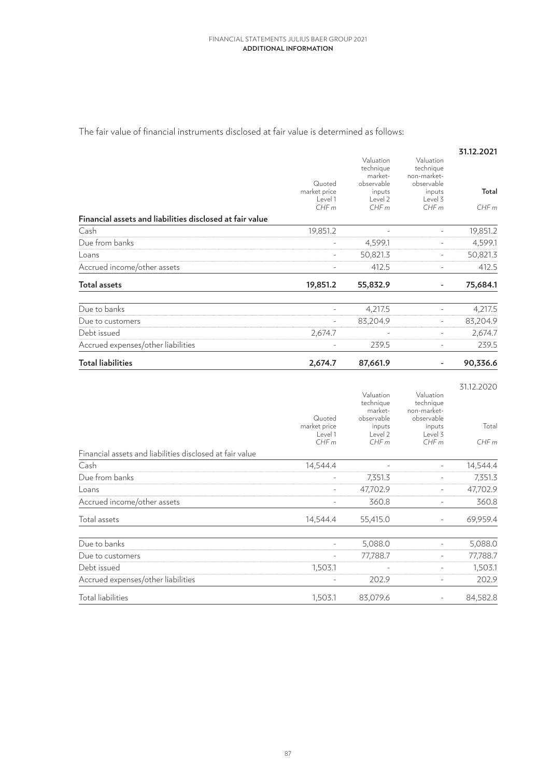The fair value of financial instruments disclosed at fair value is determined as follows:

|                                                          | Quoted<br>market price<br>Level 1<br>CHFm | Valuation<br>technique<br>market-<br>observable<br>inputs<br>Level 2<br>CHFm | Valuation<br>technique<br>non-market-<br>observable<br>inputs<br>Level 3<br>CHFm | 31.12.2021<br>Total<br>CHFm |
|----------------------------------------------------------|-------------------------------------------|------------------------------------------------------------------------------|----------------------------------------------------------------------------------|-----------------------------|
| Financial assets and liabilities disclosed at fair value |                                           |                                                                              |                                                                                  |                             |
| Cash                                                     | 19,851.2                                  | $\overline{a}$                                                               | $\overline{a}$                                                                   | 19,851.2                    |
| Due from banks                                           |                                           | 4,599.1                                                                      | ÷,                                                                               | 4,599.1                     |
| Loans                                                    |                                           | 50,821.3                                                                     | $\frac{1}{2}$                                                                    | 50,821.3                    |
| Accrued income/other assets                              | $\frac{1}{2}$                             | 412.5                                                                        | $\blacksquare$                                                                   | 412.5                       |
| Total assets                                             | 19,851.2                                  | 55,832.9                                                                     | $\overline{\phantom{0}}$                                                         | 75,684.1                    |
| Due to banks                                             | $\overline{\phantom{0}}$                  | 4,217.5                                                                      | ÷                                                                                | 4,217.5                     |
| Due to customers                                         |                                           | 83,204.9                                                                     | ÷                                                                                | 83,204.9                    |
| Debt issued                                              | 2,674.7                                   |                                                                              | $\overline{\phantom{0}}$                                                         | 2,674.7                     |
| Accrued expenses/other liabilities                       |                                           | 239.5                                                                        | ÷,                                                                               | 239.5                       |
| <b>Total liabilities</b>                                 | 2,674.7                                   | 87,661.9                                                                     |                                                                                  | 90,336.6                    |
|                                                          | Quoted<br>market price<br>Level 1<br>CHFm | Valuation<br>technique<br>market-<br>observable<br>inputs<br>Level 2<br>CHFm | Valuation<br>technique<br>non-market-<br>observable<br>inputs<br>Level 3<br>CHFm | 31.12.2020<br>Total<br>CHFm |
| Financial assets and liabilities disclosed at fair value |                                           |                                                                              |                                                                                  |                             |
| Cash                                                     | 14,544.4                                  | L,                                                                           | L,                                                                               | 14,544.4                    |
| Due from banks                                           |                                           | 7,351.3                                                                      | L,                                                                               | 7,351.3                     |
| Loans                                                    | L,                                        | 47,702.9                                                                     | $\overline{a}$                                                                   | 47,702.9                    |
| Accrued income/other assets                              | $\overline{a}$                            | 360.8                                                                        | $\frac{1}{2}$                                                                    | 360.8                       |
| Total assets                                             | 14,544.4                                  | 55,415.0                                                                     |                                                                                  | 69,959.4                    |
| Due to banks                                             |                                           | 5,088.0                                                                      |                                                                                  | 5,088.0                     |
| Due to customers                                         |                                           | 77,788.7                                                                     | $\frac{1}{2}$                                                                    | 77,788.7                    |
| Debt issued                                              | 1,503.1                                   |                                                                              | $\frac{1}{2}$                                                                    | 1,503.1                     |
| Accrued expenses/other liabilities                       |                                           | 202.9                                                                        | $\frac{1}{2}$                                                                    | 202.9                       |
| <b>Total liabilities</b>                                 | 1,503.1                                   | 83,079.6                                                                     | $\frac{1}{2}$                                                                    | 84,582.8                    |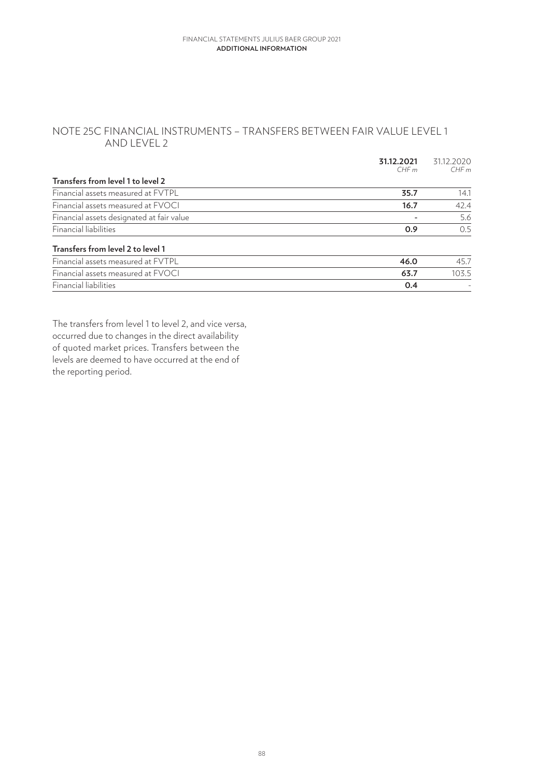## NOTE 25C FINANCIAL INSTRUMENTS – TRANSFERS BETWEEN FAIR VALUE LEVEL 1 AND LEVEL 2

|                                           | 31.12.2021<br>CHFm | 31.12.2020<br>CHFm |
|-------------------------------------------|--------------------|--------------------|
| Transfers from level 1 to level 2         |                    |                    |
| Financial assets measured at FVTPL        | 35.7               | 14.1               |
| Financial assets measured at FVOCI        | 16.7               | 42.4               |
| Financial assets designated at fair value |                    | 5.6                |
| Financial liabilities                     | 0.9                | 0.5                |
| Transfers from level 2 to level 1         |                    |                    |
| Financial assets measured at FVTPL        | 46.0               | 45.7               |
| Financial assets measured at FVOCI        | 63.7               | 103.5              |
| Financial liabilities                     | 0.4                |                    |
|                                           |                    |                    |

The transfers from level 1 to level 2, and vice versa, occurred due to changes in the direct availability of quoted market prices. Transfers between the levels are deemed to have occurred at the end of the reporting period.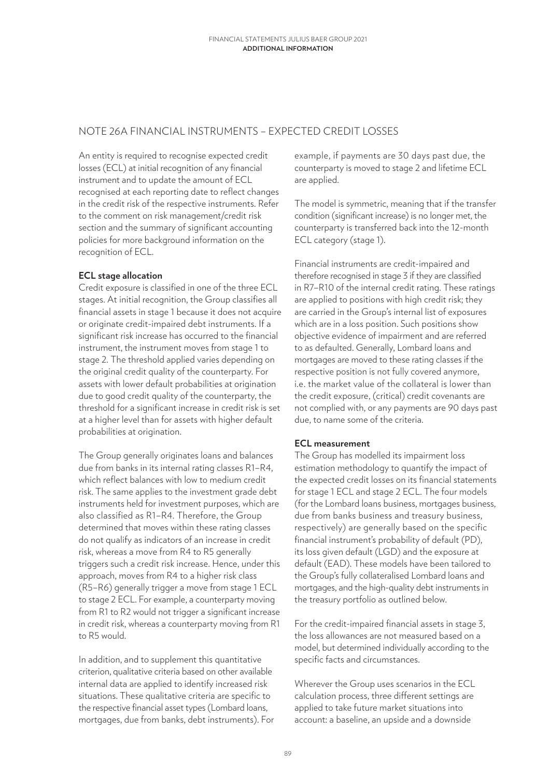## NOTE 26A FINANCIAL INSTRUMENTS – EXPECTED CREDIT LOSSES

An entity is required to recognise expected credit losses (ECL) at initial recognition of any financial instrument and to update the amount of ECL recognised at each reporting date to reflect changes in the credit risk of the respective instruments. Refer to the comment on risk management/credit risk section and the summary of significant accounting policies for more background information on the recognition of ECL.

## **ECL stage allocation**

Credit exposure is classified in one of the three ECL stages. At initial recognition, the Group classifies all financial assets in stage 1 because it does not acquire or originate credit-impaired debt instruments. If a significant risk increase has occurred to the financial instrument, the instrument moves from stage 1 to stage 2. The threshold applied varies depending on the original credit quality of the counterparty. For assets with lower default probabilities at origination due to good credit quality of the counterparty, the threshold for a significant increase in credit risk is set at a higher level than for assets with higher default probabilities at origination.

The Group generally originates loans and balances due from banks in its internal rating classes R1–R4, which reflect balances with low to medium credit risk. The same applies to the investment grade debt instruments held for investment purposes, which are also classified as R1–R4. Therefore, the Group determined that moves within these rating classes do not qualify as indicators of an increase in credit risk, whereas a move from R4 to R5 generally triggers such a credit risk increase. Hence, under this approach, moves from R4 to a higher risk class (R5–R6) generally trigger a move from stage 1 ECL to stage 2 ECL. For example, a counterparty moving from R1 to R2 would not trigger a significant increase in credit risk, whereas a counterparty moving from R1 to R5 would.

In addition, and to supplement this quantitative criterion, qualitative criteria based on other available internal data are applied to identify increased risk situations. These qualitative criteria are specific to the respective financial asset types (Lombard loans, mortgages, due from banks, debt instruments). For example, if payments are 30 days past due, the counterparty is moved to stage 2 and lifetime ECL are applied.

The model is symmetric, meaning that if the transfer condition (significant increase) is no longer met, the counterparty is transferred back into the 12-month ECL category (stage 1).

Financial instruments are credit-impaired and therefore recognised in stage 3 if they are classified in R7–R10 of the internal credit rating. These ratings are applied to positions with high credit risk; they are carried in the Group's internal list of exposures which are in a loss position. Such positions show objective evidence of impairment and are referred to as defaulted. Generally, Lombard loans and mortgages are moved to these rating classes if the respective position is not fully covered anymore, i.e. the market value of the collateral is lower than the credit exposure, (critical) credit covenants are not complied with, or any payments are 90 days past due, to name some of the criteria.

### **ECL measurement**

The Group has modelled its impairment loss estimation methodology to quantify the impact of the expected credit losses on its financial statements for stage 1 ECL and stage 2 ECL. The four models (for the Lombard loans business, mortgages business, due from banks business and treasury business, respectively) are generally based on the specific financial instrument's probability of default (PD), its loss given default (LGD) and the exposure at default (EAD). These models have been tailored to the Group's fully collateralised Lombard loans and mortgages, and the high-quality debt instruments in the treasury portfolio as outlined below.

For the credit-impaired financial assets in stage 3, the loss allowances are not measured based on a model, but determined individually according to the specific facts and circumstances.

Wherever the Group uses scenarios in the ECL calculation process, three different settings are applied to take future market situations into account: a baseline, an upside and a downside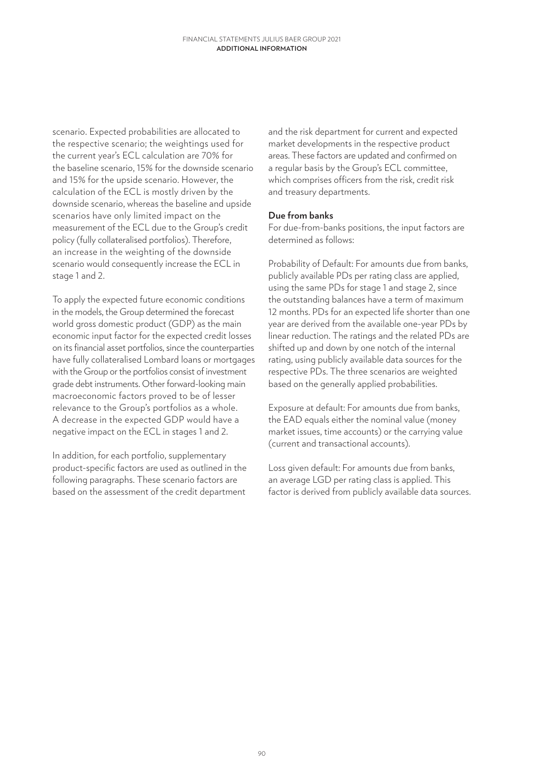scenario. Expected probabilities are allocated to the respective scenario; the weightings used for the current year's ECL calculation are 70% for the baseline scenario, 15% for the downside scenario and 15% for the upside scenario. However, the calculation of the ECL is mostly driven by the downside scenario, whereas the baseline and upside scenarios have only limited impact on the measurement of the ECL due to the Group's credit policy (fully collateralised portfolios). Therefore, an increase in the weighting of the downside scenario would consequently increase the ECL in stage 1 and 2.

To apply the expected future economic conditions in the models, the Group determined the forecast world gross domestic product (GDP) as the main economic input factor for the expected credit losses on its financial asset portfolios, since the counterparties have fully collateralised Lombard loans or mortgages with the Group or the portfolios consist of investment grade debt instruments. Other forward-looking main macroeconomic factors proved to be of lesser relevance to the Group's portfolios as a whole. A decrease in the expected GDP would have a negative impact on the ECL in stages 1 and 2.

In addition, for each portfolio, supplementary product-specific factors are used as outlined in the following paragraphs. These scenario factors are based on the assessment of the credit department

and the risk department for current and expected market developments in the respective product areas. These factors are updated and confirmed on a regular basis by the Group's ECL committee, which comprises officers from the risk, credit risk and treasury departments.

### **Due from banks**

For due-from-banks positions, the input factors are determined as follows:

Probability of Default: For amounts due from banks, publicly available PDs per rating class are applied, using the same PDs for stage 1 and stage 2, since the outstanding balances have a term of maximum 12 months. PDs for an expected life shorter than one year are derived from the available one-year PDs by linear reduction. The ratings and the related PDs are shifted up and down by one notch of the internal rating, using publicly available data sources for the respective PDs. The three scenarios are weighted based on the generally applied probabilities.

Exposure at default: For amounts due from banks, the EAD equals either the nominal value (money market issues, time accounts) or the carrying value (current and transactional accounts).

Loss given default: For amounts due from banks, an average LGD per rating class is applied. This factor is derived from publicly available data sources.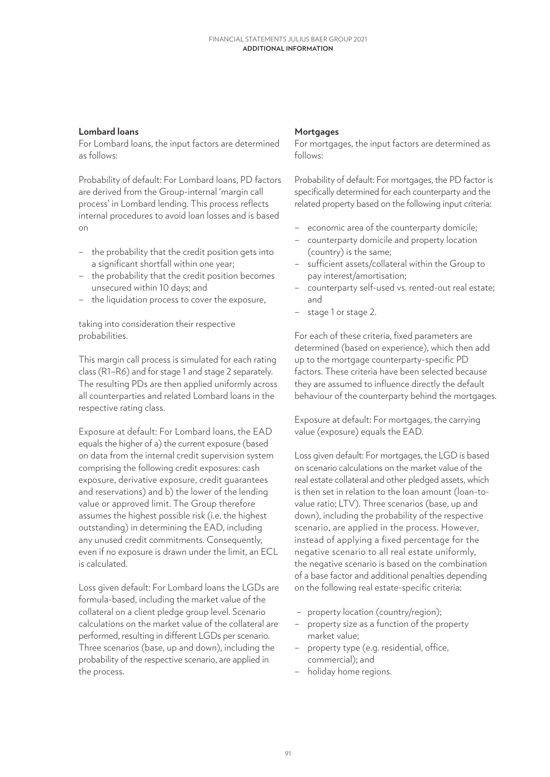## **Lombard loans**

For Lombard loans, the input factors are determined as follows:

Probability of default: For Lombard loans, PD factors are derived from the Group-internal 'margin call process' in Lombard lending. This process reflects internal procedures to avoid loan losses and is based on

- the probability that the credit position gets into a significant shortfall within one year;
- the probability that the credit position becomes unsecured within 10 days; and
- the liquidation process to cover the exposure,

taking into consideration their respective probabilities.

This margin call process is simulated for each rating class (R1–R6) and for stage 1 and stage 2 separately. The resulting PDs are then applied uniformly across all counterparties and related Lombard loans in the respective rating class.

Exposure at default: For Lombard loans, the EAD equals the higher of a) the current exposure (based on data from the internal credit supervision system comprising the following credit exposures: cash exposure, derivative exposure, credit guarantees and reservations) and b) the lower of the lending value or approved limit. The Group therefore assumes the highest possible risk (i.e. the highest outstanding) in determining the EAD, including any unused credit commitments. Consequently, even if no exposure is drawn under the limit, an ECL is calculated.

Loss given default: For Lombard loans the LGDs are formula-based, including the market value of the collateral on a client pledge group level. Scenario calculations on the market value of the collateral are performed, resulting in different LGDs per scenario. Three scenarios (base, up and down), including the probability of the respective scenario, are applied in the process.

## **Mortgages**

For mortgages, the input factors are determined as follows:

Probability of default: For mortgages, the PD factor is specifically determined for each counterparty and the related property based on the following input criteria:

- economic area of the counterparty domicile;
- counterparty domicile and property location (country) is the same;
- sufficient assets/collateral within the Group to pay interest/amortisation;
- counterparty self-used vs. rented-out real estate; and
- stage 1 or stage 2.

For each of these criteria, fixed parameters are determined (based on experience), which then add up to the mortgage counterparty-specific PD factors. These criteria have been selected because they are assumed to influence directly the default behaviour of the counterparty behind the mortgages.

Exposure at default: For mortgages, the carrying value (exposure) equals the EAD.

Loss given default: For mortgages, the LGD is based on scenario calculations on the market value of the real estate collateral and other pledged assets, which is then set in relation to the loan amount (loan-tovalue ratio; LTV). Three scenarios (base, up and down), including the probability of the respective scenario, are applied in the process. However, instead of applying a fixed percentage for the negative scenario to all real estate uniformly, the negative scenario is based on the combination of a base factor and additional penalties depending on the following real estate-specific criteria:

- property location (country/region);
- property size as a function of the property market value;
- property type (e.g. residential, office, commercial); and
- holiday home regions.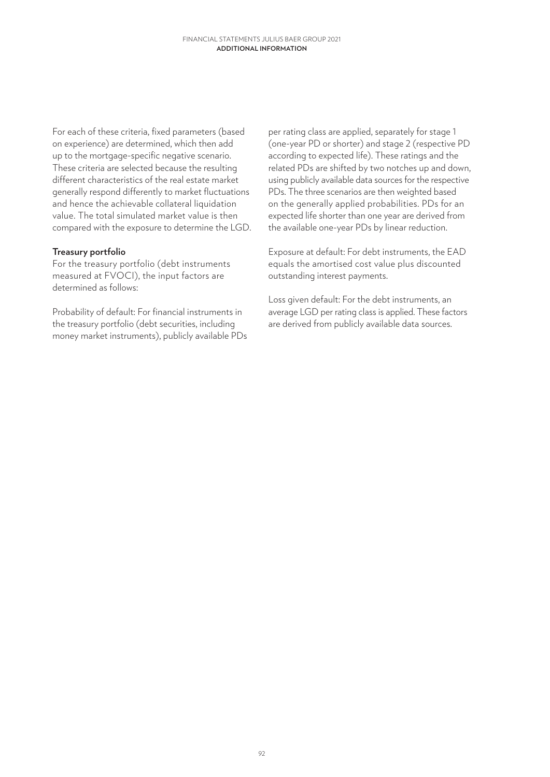For each of these criteria, fixed parameters (based on experience) are determined, which then add up to the mortgage-specific negative scenario. These criteria are selected because the resulting different characteristics of the real estate market generally respond differently to market fluctuations and hence the achievable collateral liquidation value. The total simulated market value is then compared with the exposure to determine the LGD.

### **Treasury portfolio**

For the treasury portfolio (debt instruments measured at FVOCI), the input factors are determined as follows:

Probability of default: For financial instruments in the treasury portfolio (debt securities, including money market instruments), publicly available PDs

per rating class are applied, separately for stage 1 (one-year PD or shorter) and stage 2 (respective PD according to expected life). These ratings and the related PDs are shifted by two notches up and down, using publicly available data sources for the respective PDs. The three scenarios are then weighted based on the generally applied probabilities. PDs for an expected life shorter than one year are derived from the available one-year PDs by linear reduction.

Exposure at default: For debt instruments, the EAD equals the amortised cost value plus discounted outstanding interest payments.

Loss given default: For the debt instruments, an average LGD per rating class is applied. These factors are derived from publicly available data sources.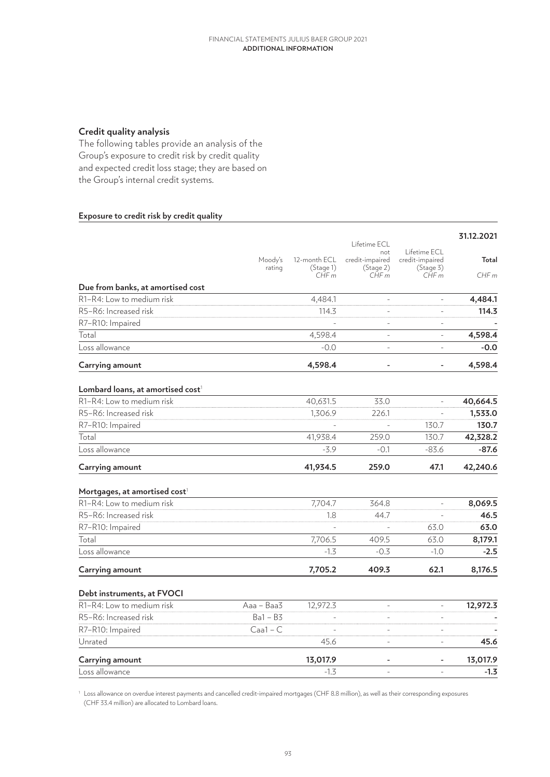## **Credit quality analysis**

The following tables provide an analysis of the Group's exposure to credit risk by credit quality and expected credit loss stage; they are based on the Group's internal credit systems.

### **Exposure to credit risk by credit quality**

|                                                                        |            |              |                        |                                 | 31.12.2021 |
|------------------------------------------------------------------------|------------|--------------|------------------------|---------------------------------|------------|
|                                                                        |            |              | Lifetime ECL           |                                 |            |
|                                                                        | Moody's    | 12-month ECL | not<br>credit-impaired | Lifetime ECL<br>credit-impaired | Total      |
|                                                                        | rating     | (Stage 1)    | (Stage 2)              | (Stage 3)                       |            |
|                                                                        |            | CHFm         | CHFm                   | CHFm                            | CHFm       |
| Due from banks, at amortised cost                                      |            |              |                        |                                 |            |
| R1-R4: Low to medium risk                                              |            | 4,484.1      |                        |                                 | 4,484.1    |
| R5-R6: Increased risk                                                  |            | 114.3        |                        | $\overline{a}$                  | 114.3      |
| R7-R10: Impaired                                                       |            |              |                        |                                 |            |
| Total                                                                  |            | 4,598.4      |                        | $\overline{a}$                  | 4,598.4    |
| Loss allowance                                                         |            | $-0.0$       | $\overline{a}$         | $\overline{a}$                  | $-0.0$     |
| Carrying amount                                                        |            | 4,598.4      |                        |                                 | 4,598.4    |
| Lombard loans, at amortised cost <sup>1</sup>                          |            |              |                        |                                 |            |
| R1-R4: Low to medium risk                                              |            | 40,631.5     | 33.0                   | $\overline{a}$                  | 40,664.5   |
| R5-R6: Increased risk                                                  |            | 1,306.9      | 226.1                  |                                 | 1,533.0    |
| R7-R10: Impaired                                                       |            |              |                        | 130.7                           | 130.7      |
| Total                                                                  |            | 41,938.4     | 259.0                  | 130.7                           | 42,328.2   |
| Loss allowance                                                         |            | $-3.9$       | $-0.1$                 | $-83.6$                         | $-87.6$    |
| Carrying amount                                                        |            | 41,934.5     | 259.0                  | 47.1                            | 42,240.6   |
|                                                                        |            |              |                        |                                 |            |
| Mortgages, at amortised cost <sup>1</sup><br>R1-R4: Low to medium risk |            | 7,704.7      | 364.8                  | $\overline{a}$                  | 8,069.5    |
| R5-R6: Increased risk                                                  |            | 1.8          | 44.7                   |                                 | 46.5       |
| R7-R10: Impaired                                                       |            |              |                        | 63.0                            | 63.0       |
| Total                                                                  |            | 7,706.5      |                        |                                 |            |
| Loss allowance                                                         |            |              | 409.5                  | 63.0                            | 8,179.1    |
|                                                                        |            | $-1.3$       | $-0.3$                 | $-1.0$                          | $-2.5$     |
| Carrying amount                                                        |            | 7,705.2      | 409.3                  | 62.1                            | 8,176.5    |
| Debt instruments, at FVOCI                                             |            |              |                        |                                 |            |
| R1-R4: Low to medium risk                                              | Aaa - Baa3 | 12,972.3     | $\overline{a}$         | $\frac{1}{2}$                   | 12,972.3   |
| R5-R6: Increased risk                                                  | $Ba1 - B3$ |              | $\equiv$               | L,                              |            |
| R7-R10: Impaired                                                       | $Caal - C$ |              | $\overline{a}$         | $\overline{a}$                  |            |
| Unrated                                                                |            | 45.6         |                        |                                 | 45.6       |
| Carrying amount                                                        |            | 13,017.9     |                        |                                 | 13,017.9   |
| Loss allowance                                                         |            | $-1.3$       |                        |                                 | $-1.3$     |

<sup>1</sup> Loss allowance on overdue interest payments and cancelled credit-impaired mortgages (CHF 8.8 million), as well as their corresponding exposures (CHF 33.4 million) are allocated to Lombard loans.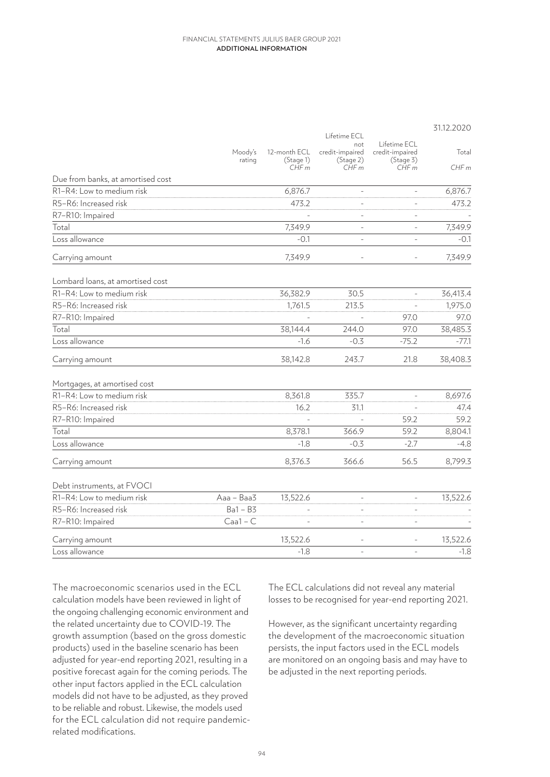|                                   | Lifetime ECL      |                                   |                                             |                                                      | 31.12.2020    |
|-----------------------------------|-------------------|-----------------------------------|---------------------------------------------|------------------------------------------------------|---------------|
|                                   | Moody's<br>rating | 12-month ECL<br>(Stage 1)<br>CHFm | not<br>credit-impaired<br>(Stage 2)<br>CHFm | Lifetime ECL<br>credit-impaired<br>(Stage 3)<br>CHFm | Total<br>CHFm |
| Due from banks, at amortised cost |                   |                                   |                                             |                                                      |               |
| R1-R4: Low to medium risk         |                   | 6,876.7                           | $\overline{a}$                              |                                                      | 6,876.7       |
| R5-R6: Increased risk             |                   | 473.2                             |                                             |                                                      | 473.2         |
| R7-R10: Impaired                  |                   |                                   |                                             |                                                      |               |
| Total                             |                   | 7,349.9                           | $\bar{ }$                                   |                                                      | 7,349.9       |
| Loss allowance                    |                   | $-0.1$                            | $\overline{\phantom{a}}$                    |                                                      | $-0.1$        |
| Carrying amount                   |                   | 7,349.9                           | $\overline{a}$                              |                                                      | 7,349.9       |
| Lombard loans, at amortised cost  |                   |                                   |                                             |                                                      |               |
| R1-R4: Low to medium risk         |                   | 36,382.9                          | 30.5                                        | $\overline{a}$                                       | 36,413.4      |
| R5-R6: Increased risk             |                   | 1,761.5                           | 213.5                                       |                                                      | 1,975.0       |
| R7-R10: Impaired                  |                   |                                   |                                             | 97.0                                                 | 97.0          |
| Total                             |                   | 38,144.4                          | 244.0                                       | 97.0                                                 | 38,485.3      |
| Loss allowance                    |                   | $-1.6$                            | $-0.3$                                      | $-75.2$                                              | $-77.1$       |
| Carrying amount                   |                   | 38,142.8                          | 243.7                                       | 21.8                                                 | 38,408.3      |
| Mortgages, at amortised cost      |                   |                                   |                                             |                                                      |               |
| R1-R4: Low to medium risk         |                   | 8,361.8                           | 335.7                                       |                                                      | 8,697.6       |
| R5-R6: Increased risk             |                   | 16.2                              | 31.1                                        |                                                      | 47.4          |
| R7-R10: Impaired                  |                   |                                   |                                             | 59.2                                                 | 59.2          |
| Total                             |                   | 8,378.1                           | 366.9                                       | 59.2                                                 | 8,804.1       |
| Loss allowance                    |                   | $-1.8$                            | $-0.3$                                      | $-2.7$                                               | $-4.8$        |
| Carrying amount                   |                   | 8,376.3                           | 366.6                                       | 56.5                                                 | 8,799.3       |
| Debt instruments, at FVOCI        |                   |                                   |                                             |                                                      |               |
| R1-R4: Low to medium risk         | Aaa - Baa3        | 13,522.6                          | $\bar{\phantom{a}}$                         | $\bar{\phantom{a}}$                                  | 13,522.6      |
| R5-R6: Increased risk             | $Ba1 - B3$        |                                   | $\bar{ }$                                   | $\blacksquare$                                       |               |
| R7-R10: Impaired                  | $Caal - C$        |                                   | L,                                          |                                                      |               |
| Carrying amount                   |                   | 13,522.6                          | $\overline{\phantom{a}}$                    |                                                      | 13,522.6      |
| Loss allowance                    |                   | $-1.8$                            |                                             |                                                      | $-1.8$        |

The macroeconomic scenarios used in the ECL calculation models have been reviewed in light of the ongoing challenging economic environment and the related uncertainty due to COVID-19. The growth assumption (based on the gross domestic products) used in the baseline scenario has been adjusted for year-end reporting 2021, resulting in a positive forecast again for the coming periods. The other input factors applied in the ECL calculation models did not have to be adjusted, as they proved to be reliable and robust. Likewise, the models used for the ECL calculation did not require pandemicrelated modifications.

The ECL calculations did not reveal any material losses to be recognised for year-end reporting 2021.

However, as the significant uncertainty regarding the development of the macroeconomic situation persists, the input factors used in the ECL models are monitored on an ongoing basis and may have to be adjusted in the next reporting periods.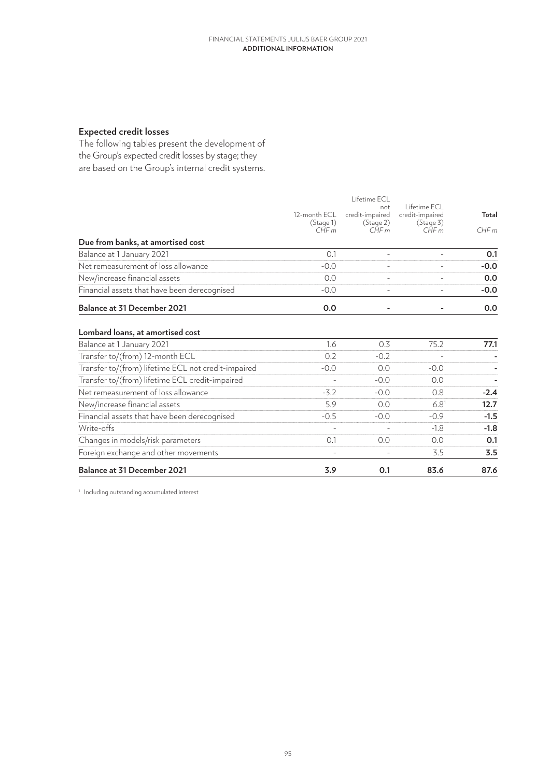# **Expected credit losses**

The following tables present the development of the Group's expected credit losses by stage; they are based on the Group's internal credit systems.

|                                                     |                                   | Lifetime ECL                                |                                                      |               |
|-----------------------------------------------------|-----------------------------------|---------------------------------------------|------------------------------------------------------|---------------|
|                                                     | 12-month ECL<br>(Stage 1)<br>CHFm | not<br>credit-impaired<br>(Stage 2)<br>CHFm | Lifetime FCL<br>credit-impaired<br>(Stage 3)<br>CHFm | Total<br>CHFm |
| Due from banks, at amortised cost                   |                                   |                                             |                                                      |               |
| Balance at 1 January 2021                           | 0.1                               |                                             |                                                      | 0.1           |
| Net remeasurement of loss allowance                 | $-0.0$                            |                                             |                                                      | $-0.0$        |
| New/increase financial assets                       | 0.0                               |                                             |                                                      | 0.0           |
| Financial assets that have been derecognised        | $-0.0$                            |                                             |                                                      | $-0.0$        |
| <b>Balance at 31 December 2021</b>                  | 0.0                               |                                             |                                                      | 0.0           |
| Lombard loans, at amortised cost                    |                                   |                                             |                                                      |               |
| Balance at 1 January 2021                           | 1.6                               | 0.3                                         | 75.2                                                 | 77.1          |
| Transfer to/(from) 12-month ECL                     | 0.2                               | $-0.2$                                      |                                                      |               |
| Transfer to/(from) lifetime ECL not credit-impaired | $-0.0$                            | 0.0                                         | $-0.0$                                               |               |
| Transfer to/(from) lifetime ECL credit-impaired     |                                   | $-0.0$                                      | 0.0                                                  |               |
| Net remeasurement of loss allowance                 | $-3.2$                            | $-0.0$                                      | 0.8                                                  | $-2.4$        |
| New/increase financial assets                       | 5.9                               | 0.0                                         | 6.8 <sup>1</sup>                                     | 12.7          |
| Financial assets that have been derecognised        | $-0.5$                            | $-0.0$                                      | $-0.9$                                               | $-1.5$        |
| Write-offs                                          |                                   |                                             | $-1.8$                                               | $-1.8$        |
| Changes in models/risk parameters                   | 0.1                               | 0.0                                         | 0.0                                                  | 0.1           |
| Foreign exchange and other movements                |                                   |                                             | 3.5                                                  | 3.5           |
| <b>Balance at 31 December 2021</b>                  | 3.9                               | 0.1                                         | 83.6                                                 | 87.6          |

<sup>1</sup> Including outstanding accumulated interest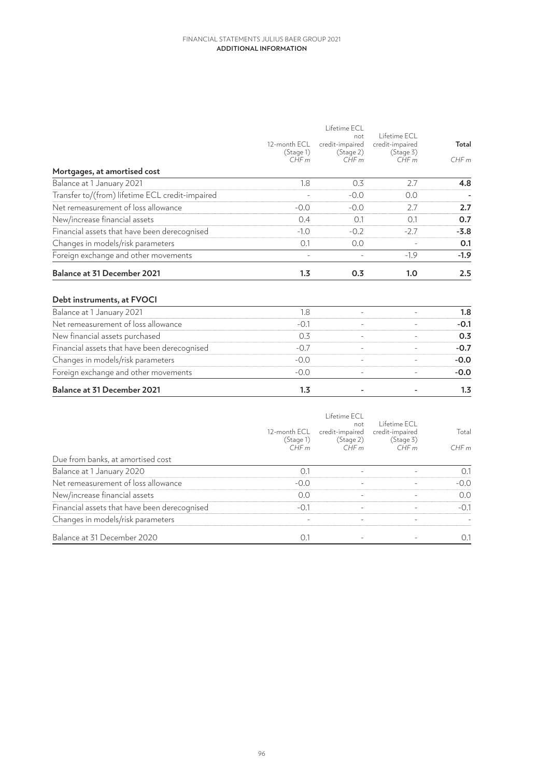|                                                 | 12-month ECL<br>(Stage 1)<br>CHFm | Lifetime ECL<br>not<br>credit-impaired<br>(Stage 2)<br>CHFm | Lifetime ECL<br>credit-impaired<br>(Stage 3)<br>CHFm | Total<br>CHFm |
|-------------------------------------------------|-----------------------------------|-------------------------------------------------------------|------------------------------------------------------|---------------|
| Mortgages, at amortised cost                    |                                   |                                                             |                                                      |               |
| Balance at 1 January 2021                       | 1.8                               | 0.3                                                         | 2.7                                                  | 4.8           |
| Transfer to/(from) lifetime ECL credit-impaired |                                   | $-0.0$                                                      | 0.0                                                  |               |
| Net remeasurement of loss allowance             | $-0.0$                            | $-0.0$                                                      | 2.7                                                  | 2.7           |
| New/increase financial assets                   | 0.4                               | 0.1                                                         | 0.1                                                  | 0.7           |
| Financial assets that have been derecognised    | $-1.0$                            | $-0.2$                                                      | $-2.7$                                               | $-3.8$        |
| Changes in models/risk parameters               | 0.1                               | 0.0                                                         |                                                      | 0.1           |
| Foreign exchange and other movements            |                                   |                                                             | $-1.9$                                               | $-1.9$        |
| <b>Balance at 31 December 2021</b>              | 1.3                               | 0.3                                                         | 1.0                                                  | 2.5           |
| Debt instruments, at FVOCI                      |                                   |                                                             |                                                      |               |
| Balance at 1 January 2021                       | 1.8                               | $\overline{\phantom{a}}$                                    |                                                      | 1.8           |
| Net remeasurement of loss allowance             | $-0.1$                            | $\equiv$                                                    |                                                      | $-0.1$        |
| New financial assets purchased                  | 0.3                               | $\equiv$                                                    |                                                      | 0.3           |
| Financial assets that have been derecognised    | $-0.7$                            |                                                             |                                                      | $-0.7$        |
| Changes in models/risk parameters               | $-0.0$                            | $\equiv$                                                    |                                                      | $-0.0$        |
| Foreign exchange and other movements            | $-0.0$                            | $\equiv$                                                    |                                                      | $-0.0$        |
| <b>Balance at 31 December 2021</b>              | 1.3                               |                                                             |                                                      | 1.3           |
|                                                 |                                   | Lifetime FCL                                                |                                                      |               |

|                                              | 12-month ECL<br>(Stage 1)<br>CHFm | not<br>credit-impaired<br>(Stage 2)<br>CHF m | Lifetime ECL<br>credit-impaired<br>(Stage 3)<br>CHFm | Total<br>CHFm |
|----------------------------------------------|-----------------------------------|----------------------------------------------|------------------------------------------------------|---------------|
| Due from banks, at amortised cost            |                                   |                                              |                                                      |               |
| Balance at 1 January 2020                    | 0.7                               |                                              |                                                      | 0.1           |
| Net remeasurement of loss allowance          | $-0.0$                            |                                              |                                                      | $-0.0$        |
| New/increase financial assets                | 0.0                               |                                              |                                                      | 0.0           |
| Financial assets that have been derecognised | $-0.1$                            |                                              |                                                      | $-0.1$        |
| Changes in models/risk parameters            |                                   |                                              |                                                      |               |
| Balance at 31 December 2020                  | $($ ).                            |                                              |                                                      | 0.1           |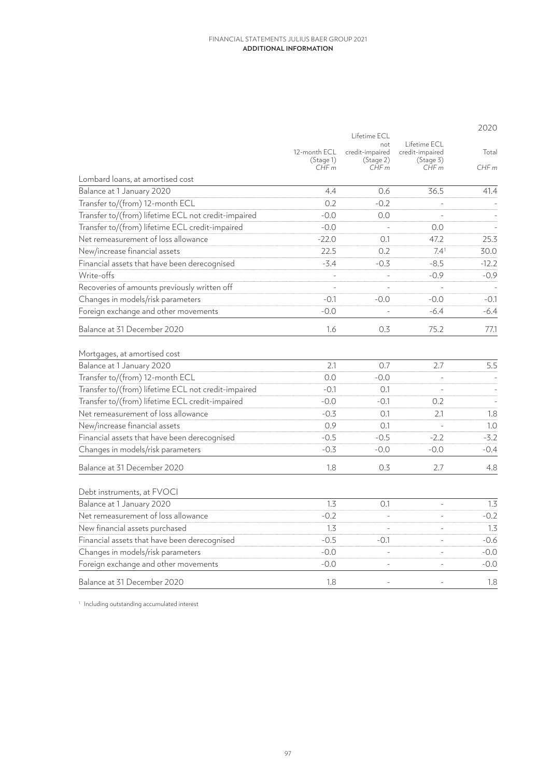|                                                     |                                   |                                                                    |                                                       | 2020          |
|-----------------------------------------------------|-----------------------------------|--------------------------------------------------------------------|-------------------------------------------------------|---------------|
|                                                     | 12-month ECL<br>(Stage 1)<br>CHFm | Lifetime ECL<br>$n \cap t$<br>credit-impaired<br>(Stage 2)<br>CHFm | Lifetime ECL<br>credit-impaired<br>(Stage 3)<br>CHF m | Total<br>CHFm |
| Lombard loans, at amortised cost                    |                                   |                                                                    |                                                       |               |
| Balance at 1 January 2020                           | 4.4                               | 0.6                                                                | 36.5                                                  | 41.4          |
| Transfer to/(from) 12-month ECL                     | 0.2                               | $-0.2$                                                             |                                                       |               |
| Transfer to/(from) lifetime ECL not credit-impaired | $-0.0$                            | 0.0                                                                |                                                       |               |
| Transfer to/(from) lifetime ECL credit-impaired     | $-0.0$                            |                                                                    | 0.0                                                   |               |
| Net remeasurement of loss allowance                 | $-22.0$                           | 0.1                                                                | 47.2                                                  | 25.3          |
| New/increase financial assets                       | 22.5                              | 0.2                                                                | 7.41                                                  | 30.0          |
| Financial assets that have been derecognised        | $-3.4$                            | $-0.3$                                                             | $-8.5$                                                | $-12.2$       |
| Write-offs                                          | $\overline{\phantom{a}}$          | $\bar{\phantom{a}}$                                                | $-0.9$                                                | $-0.9$        |
| Recoveries of amounts previously written off        | $\bar{a}$                         |                                                                    | $\overline{a}$                                        |               |
| Changes in models/risk parameters                   | $-0.1$                            | $-0.0$                                                             | $-0.0$                                                | $-0.1$        |
| Foreign exchange and other movements                | $-0.0$                            |                                                                    | $-6.4$                                                | $-6.4$        |
| Balance at 31 December 2020                         | 1.6                               | 0.3                                                                | 75.2                                                  | 77.1          |
| Mortgages, at amortised cost                        |                                   |                                                                    |                                                       |               |
| Balance at 1 January 2020                           | 2.1                               | 0.7                                                                | 2.7                                                   | 5.5           |
| Transfer to/(from) 12-month ECL                     | 0.0                               | $-0.0$                                                             |                                                       |               |
| Transfer to/(from) lifetime ECL not credit-impaired | $-0.1$                            | 0.1                                                                |                                                       |               |
| Transfer to/(from) lifetime ECL credit-impaired     | $-0.0$                            | $-0.1$                                                             | 0.2                                                   |               |
| Net remeasurement of loss allowance                 | $-0.3$                            | 0.1                                                                | 2.1                                                   | 1.8           |
| New/increase financial assets                       | 0.9                               | 0.1                                                                | $\overline{a}$                                        | 1.0           |
| Financial assets that have been derecognised        | $-0.5$                            | $-0.5$                                                             | $-2.2$                                                | $-3.2$        |
| Changes in models/risk parameters                   | $-0.3$                            | $-0.0$                                                             | $-0.0$                                                | $-0.4$        |
| Balance at 31 December 2020                         | 1.8                               | 0.3                                                                | 2.7                                                   | 4.8           |
| Debt instruments, at FVOCI                          |                                   |                                                                    |                                                       |               |
| Balance at 1 January 2020                           | 1.3                               | 0.1                                                                | $\overline{a}$                                        | 1.3           |
| Net remeasurement of loss allowance                 | $-0.2$                            | $\sim$                                                             | $\overline{a}$                                        | $-0.2$        |
| New financial assets purchased                      | 1.3                               |                                                                    |                                                       | 1.3           |
| Financial assets that have been derecognised        | $-0.5$                            | $-0.1$                                                             |                                                       | $-0.6$        |
| Changes in models/risk parameters                   | $-0.0$                            | $\frac{1}{2}$                                                      |                                                       | $-0.0$        |
| Foreign exchange and other movements                | $-0.0$                            | $\overline{a}$                                                     |                                                       | $-0.0$        |
| Balance at 31 December 2020                         | 1.8                               | $\overline{\phantom{a}}$                                           |                                                       | 1.8           |

<sup>1</sup> Including outstanding accumulated interest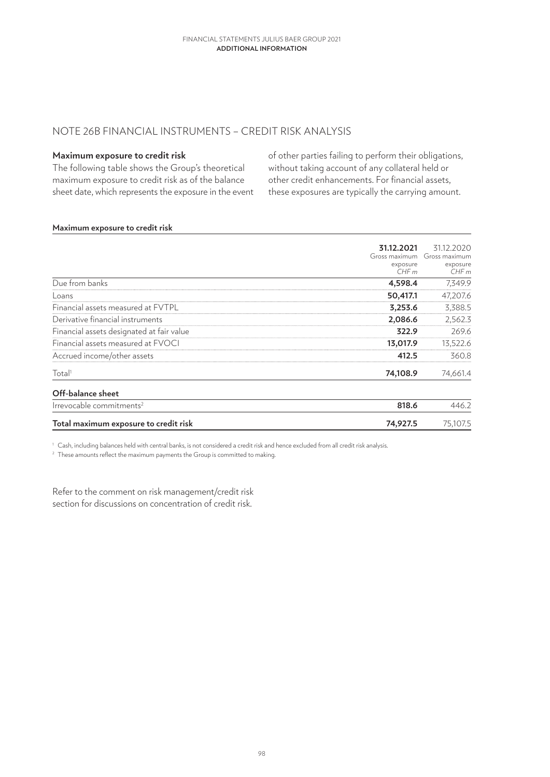## NOTE 26B FINANCIAL INSTRUMENTS – CREDIT RISK ANALYSIS

### **Maximum exposure to credit risk**

The following table shows the Group's theoretical maximum exposure to credit risk as of the balance sheet date, which represents the exposure in the event of other parties failing to perform their obligations, without taking account of any collateral held or other credit enhancements. For financial assets, these exposures are typically the carrying amount.

#### **Maximum exposure to credit risk**

|                                           | 31.12.2021    | 31.12.2020 |
|-------------------------------------------|---------------|------------|
|                                           | Gross maximum |            |
|                                           | exposure      | exposure   |
|                                           | CHFm          | CHFm       |
| Due from banks                            | 4,598.4       | 7,349.9    |
| Loans                                     | 50,417.1      | 47,207.6   |
| Financial assets measured at FVTPL        | 3,253.6       | 3,388.5    |
| Derivative financial instruments          | 2,086.6       | 2,562.3    |
| Financial assets designated at fair value | 322.9         | 269.6      |
| Financial assets measured at FVOCI        | 13,017.9      | 13,522.6   |
| Accrued income/other assets               | 412.5         | 360.8      |
| Total <sup>1</sup>                        | 74,108.9      | 74,661.4   |
| Off-balance sheet                         |               |            |
| Irrevocable commitments <sup>2</sup>      | 818.6         | 446.2      |
| Total maximum exposure to credit risk     | 74,927.5      | 75,107.5   |

<sup>1</sup> Cash, including balances held with central banks, is not considered a credit risk and hence excluded from all credit risk analysis.

<sup>2</sup> These amounts reflect the maximum payments the Group is committed to making.

Refer to the comment on risk management/credit risk section for discussions on concentration of credit risk.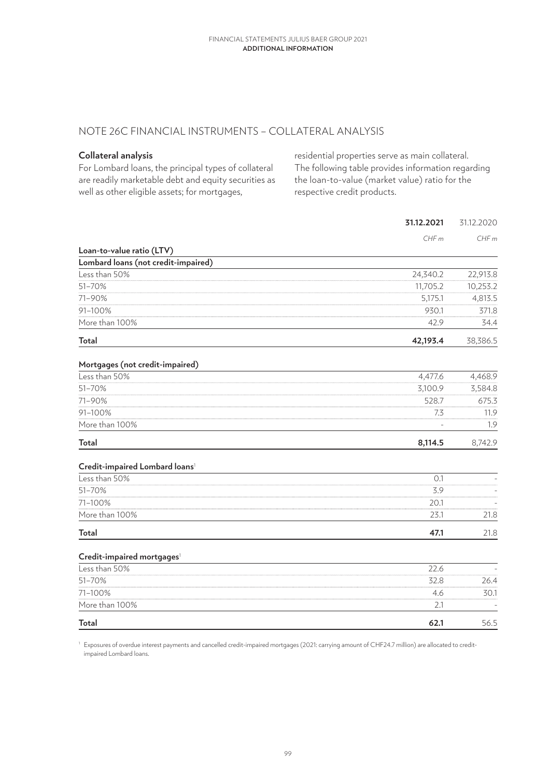## NOTE 26C FINANCIAL INSTRUMENTS – COLLATERAL ANALYSIS

### **Collateral analysis**

For Lombard loans, the principal types of collateral are readily marketable debt and equity securities as well as other eligible assets; for mortgages,

residential properties serve as main collateral. The following table provides information regarding the loan-to-value (market value) ratio for the respective credit products.

|                                            | 31.12.2021 | 31.12.2020 |
|--------------------------------------------|------------|------------|
|                                            | CHFm       | CHFm       |
| Loan-to-value ratio (LTV)                  |            |            |
| Lombard loans (not credit-impaired)        |            |            |
| Less than 50%                              | 24,340.2   | 22,913.8   |
| 51-70%                                     | 11,705.2   | 10,253.2   |
| 71-90%                                     | 5,175.1    | 4,813.5    |
| 91-100%                                    | 930.1      | 371.8      |
| More than 100%                             | 42.9       | 34.4       |
| Total                                      | 42,193.4   | 38,386.5   |
| Mortgages (not credit-impaired)            |            |            |
| Less than 50%                              | 4,477.6    | 4,468.9    |
| 51-70%                                     | 3,100.9    | 3,584.8    |
| 71-90%                                     | 528.7      | 675.3      |
| 91-100%                                    | 7.3        | 11.9       |
| More than 100%                             |            | 1.9        |
| <b>Total</b>                               | 8,114.5    | 8,742.9    |
| Credit-impaired Lombard loans <sup>1</sup> |            |            |
| Less than 50%                              | 0.1        |            |
| 51-70%                                     | 3.9        |            |
| 71-100%                                    | 20.1       |            |
| More than 100%                             | 23.1       | 21.8       |
| <b>Total</b>                               | 47.1       | 21.8       |
| Credit-impaired mortgages <sup>1</sup>     |            |            |
| Less than 50%                              | 22.6       |            |
| 51-70%                                     | 32.8       | 26.4       |
| 71-100%                                    | 4.6        | 30.1       |
| More than 100%                             | 2.1        |            |
| <b>Total</b>                               | 62.1       | 56.5       |

<sup>1</sup> Exposures of overdue interest payments and cancelled credit-impaired mortgages (2021: carrying amount of CHF24.7 million) are allocated to creditimpaired Lombard loans.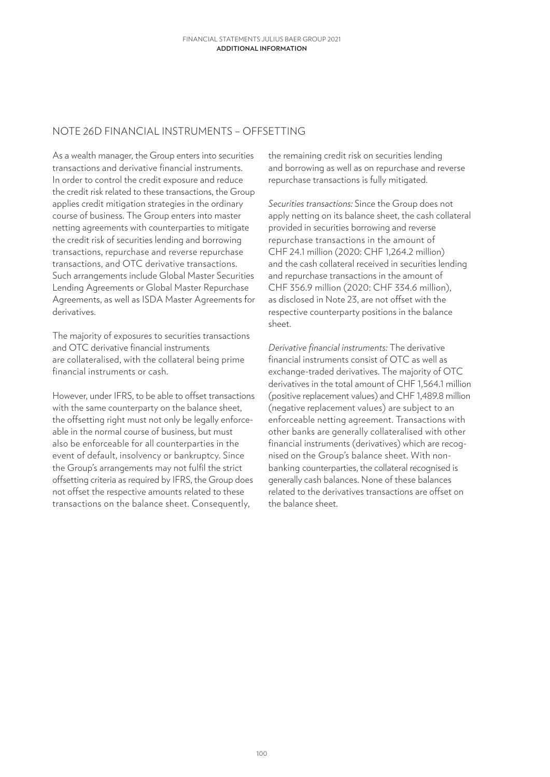## NOTE 26D FINANCIAL INSTRUMENTS – OFFSETTING

As a wealth manager, the Group enters into securities transactions and derivative financial instruments. In order to control the credit exposure and reduce the credit risk related to these transactions, the Group applies credit mitigation strategies in the ordinary course of business. The Group enters into master netting agreements with counterparties to mitigate the credit risk of securities lending and borrowing transactions, repurchase and reverse repurchase transactions, and OTC derivative transactions. Such arrangements include Global Master Securities Lending Agreements or Global Master Repurchase Agreements, as well as ISDA Master Agreements for derivatives.

The majority of exposures to securities transactions and OTC derivative financial instruments are collateralised, with the collateral being prime financial instruments or cash.

However, under IFRS, to be able to offset transactions with the same counterparty on the balance sheet, the offsetting right must not only be legally enforceable in the normal course of business, but must also be enforceable for all counterparties in the event of default, insolvency or bankruptcy. Since the Group's arrangements may not fulfil the strict offsetting criteria as required by IFRS, the Group does not offset the respective amounts related to these transactions on the balance sheet. Consequently,

the remaining credit risk on securities lending and borrowing as well as on repurchase and reverse repurchase transactions is fully mitigated.

*Securities transactions:* Since the Group does not apply netting on its balance sheet, the cash collateral provided in securities borrowing and reverse repurchase transactions in the amount of CHF 24.1 million (2020: CHF 1,264.2 million) and the cash collateral received in securities lending and repurchase transactions in the amount of CHF 356.9 million (2020: CHF 334.6 million), as disclosed in Note 23, are not offset with the respective counterparty positions in the balance sheet.

*Derivative financial instruments:* The derivative financial instruments consist of OTC as well as exchange-traded derivatives. The majority of OTC derivatives in the total amount of CHF 1,564.1 million (positive replacement values) and CHF 1,489.8 million (negative replacement values) are subject to an enforceable netting agreement. Transactions with other banks are generally collateralised with other financial instruments (derivatives) which are recognised on the Group's balance sheet. With nonbanking counterparties, the collateral recognised is generally cash balances. None of these balances related to the derivatives transactions are offset on the balance sheet.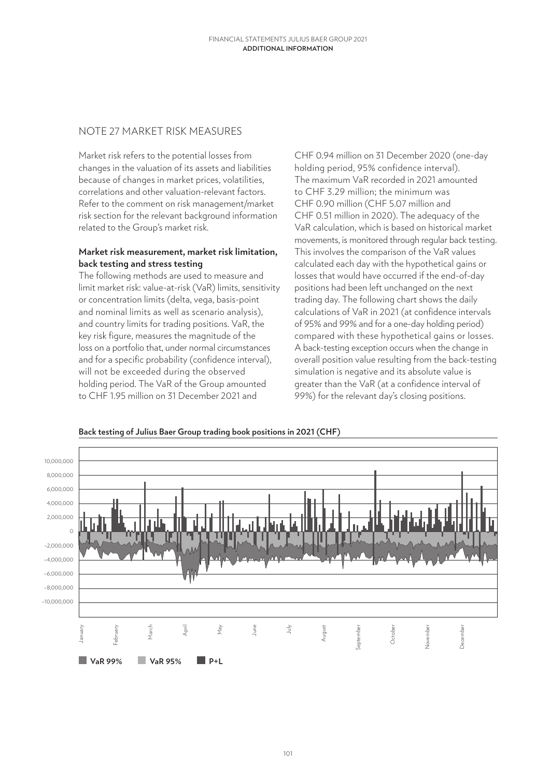## NOTE 27 MARKET RISK MEASURES

Market risk refers to the potential losses from changes in the valuation of its assets and liabilities because of changes in market prices, volatilities, correlations and other valuation-relevant factors. Refer to the comment on risk management/market risk section for the relevant background information related to the Group's market risk.

### **Market risk measurement, market risk limitation, back testing and stress testing**

The following methods are used to measure and limit market risk: value-at-risk (VaR) limits, sensitivity or concentration limits (delta, vega, basis-point and nominal limits as well as scenario analysis), and country limits for trading positions. VaR, the key risk figure, measures the magnitude of the loss on a portfolio that, under normal circumstances and for a specific probability (confidence interval), will not be exceeded during the observed holding period. The VaR of the Group amounted to CHF 1.95 million on 31 December 2021 and

CHF 0.94 million on 31 December 2020 (one-day holding period, 95% confidence interval). The maximum VaR recorded in 2021 amounted to CHF 3.29 million; the minimum was CHF 0.90 million (CHF 5.07 million and CHF 0.51 million in 2020). The adequacy of the VaR calculation, which is based on historical market movements, is monitored through regular back testing. This involves the comparison of the VaR values calculated each day with the hypothetical gains or losses that would have occurred if the end-of-day positions had been left unchanged on the next trading day. The following chart shows the daily calculations of VaR in 2021 (at confidence intervals of 95% and 99% and for a one-day holding period) compared with these hypothetical gains or losses. A back-testing exception occurs when the change in overall position value resulting from the back-testing simulation is negative and its absolute value is greater than the VaR (at a confidence interval of 99%) for the relevant day's closing positions.



#### **Back testing of Julius Baer Group trading book positions in 2021 (CHF)**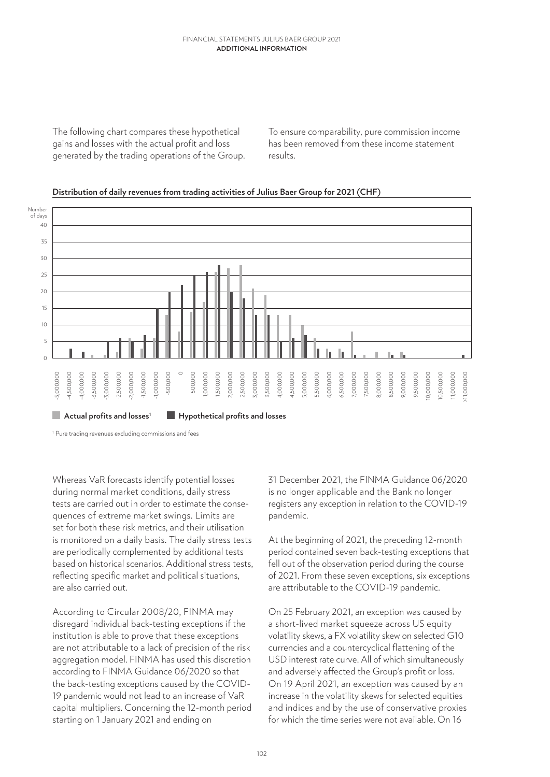The following chart compares these hypothetical gains and losses with the actual profit and loss generated by the trading operations of the Group.

To ensure comparability, pure commission income has been removed from these income statement results.



### **Distribution of daily revenues from trading activities of Julius Baer Group for 2021 (CHF)**

<sup>1</sup> Pure trading revenues excluding commissions and fees

Whereas VaR forecasts identify potential losses during normal market conditions, daily stress tests are carried out in order to estimate the consequences of extreme market swings. Limits are set for both these risk metrics, and their utilisation is monitored on a daily basis. The daily stress tests are periodically complemented by additional tests based on historical scenarios. Additional stress tests, reflecting specific market and political situations, are also carried out.

According to Circular 2008/20, FINMA may disregard individual back-testing exceptions if the institution is able to prove that these exceptions are not attributable to a lack of precision of the risk aggregation model. FINMA has used this discretion according to FINMA Guidance 06/2020 so that the back-testing exceptions caused by the COVID-19 pandemic would not lead to an increase of VaR capital multipliers. Concerning the 12-month period starting on 1 January 2021 and ending on

31 December 2021, the FINMA Guidance 06/2020 is no longer applicable and the Bank no longer registers any exception in relation to the COVID-19 pandemic.

At the beginning of 2021, the preceding 12-month period contained seven back-testing exceptions that fell out of the observation period during the course of 2021. From these seven exceptions, six exceptions are attributable to the COVID-19 pandemic.

On 25 February 2021, an exception was caused by a short-lived market squeeze across US equity volatility skews, a FX volatility skew on selected G10 currencies and a countercyclical flattening of the USD interest rate curve. All of which simultaneously and adversely affected the Group's profit or loss. On 19 April 2021, an exception was caused by an increase in the volatility skews for selected equities and indices and by the use of conservative proxies for which the time series were not available. On 16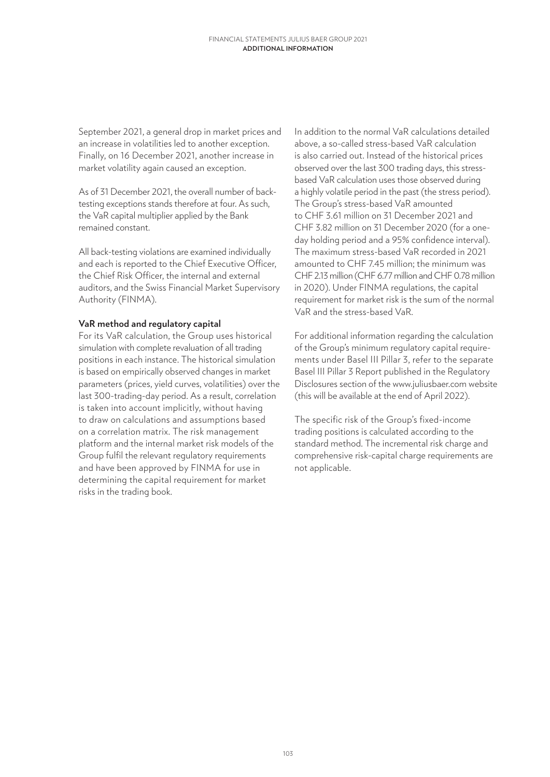September 2021, a general drop in market prices and an increase in volatilities led to another exception. Finally, on 16 December 2021, another increase in market volatility again caused an exception.

As of 31 December 2021, the overall number of backtesting exceptions stands therefore at four. As such, the VaR capital multiplier applied by the Bank remained constant.

All back-testing violations are examined individually and each is reported to the Chief Executive Officer, the Chief Risk Officer, the internal and external auditors, and the Swiss Financial Market Supervisory Authority (FINMA).

### **VaR method and regulatory capital**

For its VaR calculation, the Group uses historical simulation with complete revaluation of all trading positions in each instance. The historical simulation is based on empirically observed changes in market parameters (prices, yield curves, volatilities) over the last 300-trading-day period. As a result, correlation is taken into account implicitly, without having to draw on calculations and assumptions based on a correlation matrix. The risk management platform and the internal market risk models of the Group fulfil the relevant regulatory requirements and have been approved by FINMA for use in determining the capital requirement for market risks in the trading book.

In addition to the normal VaR calculations detailed above, a so-called stress-based VaR calculation is also carried out. Instead of the historical prices observed over the last 300 trading days, this stressbased VaR calculation uses those observed during a highly volatile period in the past (the stress period). The Group's stress-based VaR amounted to CHF 3.61 million on 31 December 2021 and CHF 3.82 million on 31 December 2020 (for a oneday holding period and a 95% confidence interval). The maximum stress-based VaR recorded in 2021 amounted to CHF 7.45 million; the minimum was CHF 2.13 million (CHF 6.77 million and CHF 0.78 million in 2020). Under FINMA regulations, the capital requirement for market risk is the sum of the normal VaR and the stress-based VaR.

For additional information regarding the calculation of the Group's minimum regulatory capital requirements under Basel III Pillar 3, refer to the separate Basel III Pillar 3 Report published in the Regulatory Disclosures section of the www.juliusbaer.com website (this will be available at the end of April 2022).

The specific risk of the Group's fixed-income trading positions is calculated according to the standard method. The incremental risk charge and comprehensive risk-capital charge requirements are not applicable.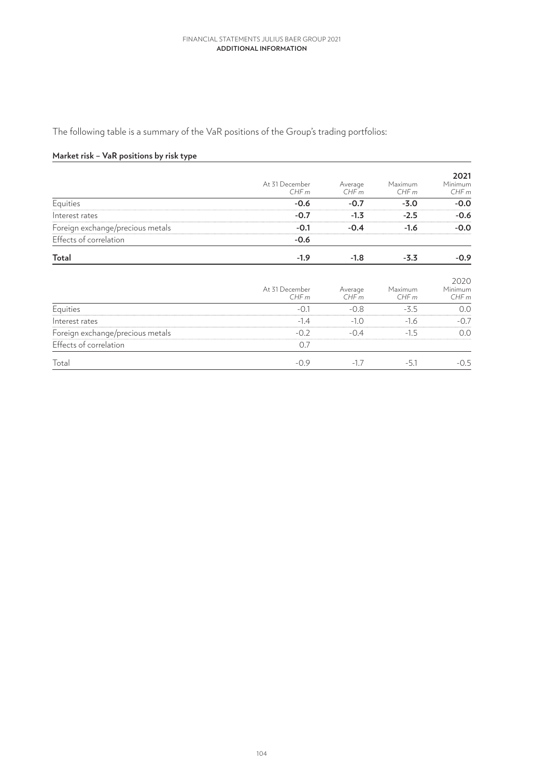The following table is a summary of the VaR positions of the Group's trading portfolios:

## **Market risk – VaR positions by risk type**

|                                  | At 31 December<br>CHFm | Average<br>CHFm | Maximum<br>CHFm | 2021<br>Minimum<br>CHFm |
|----------------------------------|------------------------|-----------------|-----------------|-------------------------|
| Equities                         | $-0.6$                 | $-0.7$          | $-3.0$          | $-0.0$                  |
| Interest rates                   | $-0.7$                 | $-1.3$          | $-2.5$          | $-0.6$                  |
| Foreign exchange/precious metals | $-0.1$                 | $-0.4$          | $-1.6$          | $-0.0$                  |
| Effects of correlation           | $-0.6$                 |                 |                 |                         |
| <b>Total</b>                     | $-1.9$                 | $-1.8$          | $-3.3$          | $-0.9$                  |
|                                  | At 31 December<br>CHFm | Average<br>CHFm | Maximum<br>CHFm | 2020<br>Minimum<br>CHFm |
| Equities                         | $-0.1$                 | $-0.8$          | $-3.5$          | 0.0                     |
| Interest rates                   | $-1.4$                 | $-1.0$          | $-1.6$          | $-0.7$                  |
| Foreign exchange/precious metals | $-0.2$                 | $-0.4$          | $-1.5$          | 0.0                     |
| Effects of correlation           | 0.7                    |                 |                 |                         |
| Total                            | $-0.9$                 | $-1.7$          | $-5.1$          | $-0.5$                  |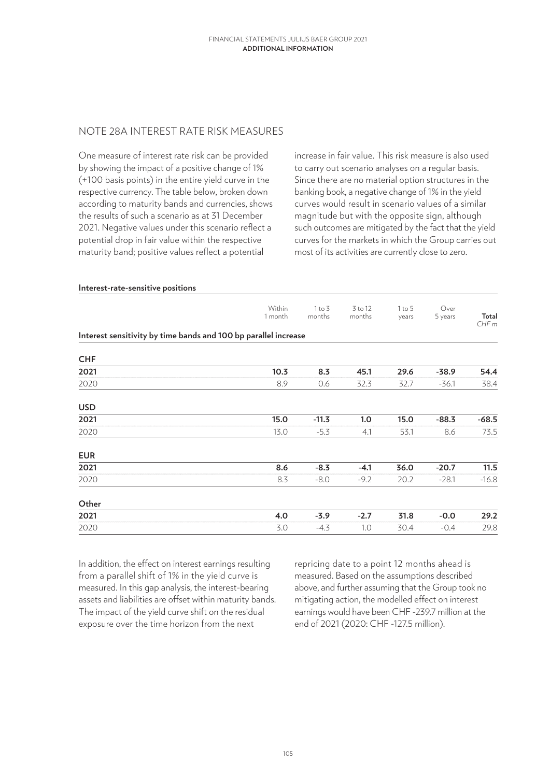## NOTE 28A INTEREST RATE RISK MEASURES

One measure of interest rate risk can be provided by showing the impact of a positive change of 1% (+100 basis points) in the entire yield curve in the respective currency. The table below, broken down according to maturity bands and currencies, shows the results of such a scenario as at 31 December 2021. Negative values under this scenario reflect a potential drop in fair value within the respective maturity band; positive values reflect a potential

increase in fair value. This risk measure is also used to carry out scenario analyses on a regular basis. Since there are no material option structures in the banking book, a negative change of 1% in the yield curves would result in scenario values of a similar magnitude but with the opposite sign, although such outcomes are mitigated by the fact that the yield curves for the markets in which the Group carries out most of its activities are currently close to zero.

| Within<br>1 month | $1$ to $3$<br>months | 3 to 12<br>months                                               | 1 to 5<br>years | Over<br>5 years | Total<br>CHFm |
|-------------------|----------------------|-----------------------------------------------------------------|-----------------|-----------------|---------------|
|                   |                      |                                                                 |                 |                 |               |
|                   |                      |                                                                 |                 |                 |               |
| 10.3              | 8.3                  | 45.1                                                            | 29.6            | $-38.9$         | 54.4          |
| 8.9               | 0.6                  | 32.3                                                            | 32.7            | $-36.1$         | 38.4          |
|                   |                      |                                                                 |                 |                 |               |
| 15.0              | $-11.3$              | 1.0                                                             | 15.0            | $-88.3$         | $-68.5$       |
| 13.0              | $-5.3$               | 4.1                                                             | 53.1            | 8.6             | 73.5          |
|                   |                      |                                                                 |                 |                 |               |
| 8.6               | $-8.3$               | $-4.1$                                                          | 36.0            | $-20.7$         | 11.5          |
| 8.3               | $-8.0$               | $-9.2$                                                          | 20.2            | $-28.1$         | $-16.8$       |
|                   |                      |                                                                 |                 |                 |               |
| 4.0               | $-3.9$               | $-2.7$                                                          | 31.8            | $-0.0$          | 29.2          |
| 3.0               | $-4.3$               | 1.0                                                             | 30.4            | $-0.4$          | 29.8          |
|                   |                      | Interest sensitivity by time bands and 100 bp parallel increase |                 |                 |               |

In addition, the effect on interest earnings resulting from a parallel shift of 1% in the yield curve is measured. In this gap analysis, the interest-bearing assets and liabilities are offset within maturity bands. The impact of the yield curve shift on the residual exposure over the time horizon from the next

repricing date to a point 12 months ahead is measured. Based on the assumptions described above, and further assuming that the Group took no mitigating action, the modelled effect on interest earnings would have been CHF -239.7 million at the end of 2021 (2020: CHF -127.5 million).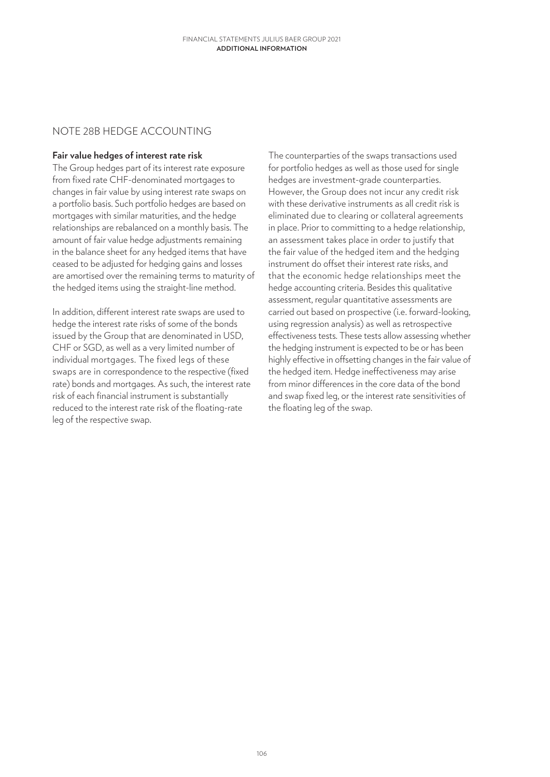## NOTE 28B HEDGE ACCOUNTING

### **Fair value hedges of interest rate risk**

The Group hedges part of its interest rate exposure from fixed rate CHF-denominated mortgages to changes in fair value by using interest rate swaps on a portfolio basis. Such portfolio hedges are based on mortgages with similar maturities, and the hedge relationships are rebalanced on a monthly basis. The amount of fair value hedge adjustments remaining in the balance sheet for any hedged items that have ceased to be adjusted for hedging gains and losses are amortised over the remaining terms to maturity of the hedged items using the straight-line method.

In addition, different interest rate swaps are used to hedge the interest rate risks of some of the bonds issued by the Group that are denominated in USD, CHF or SGD, as well as a very limited number of individual mortgages. The fixed legs of these swaps are in correspondence to the respective (fixed rate) bonds and mortgages. As such, the interest rate risk of each financial instrument is substantially reduced to the interest rate risk of the floating-rate leg of the respective swap.

The counterparties of the swaps transactions used for portfolio hedges as well as those used for single hedges are investment-grade counterparties. However, the Group does not incur any credit risk with these derivative instruments as all credit risk is eliminated due to clearing or collateral agreements in place. Prior to committing to a hedge relationship, an assessment takes place in order to justify that the fair value of the hedged item and the hedging instrument do offset their interest rate risks, and that the economic hedge relationships meet the hedge accounting criteria. Besides this qualitative assessment, regular quantitative assessments are carried out based on prospective (i.e. forward-looking, using regression analysis) as well as retrospective effectiveness tests. These tests allow assessing whether the hedging instrument is expected to be or has been highly effective in offsetting changes in the fair value of the hedged item. Hedge ineffectiveness may arise from minor differences in the core data of the bond and swap fixed leg, or the interest rate sensitivities of the floating leg of the swap.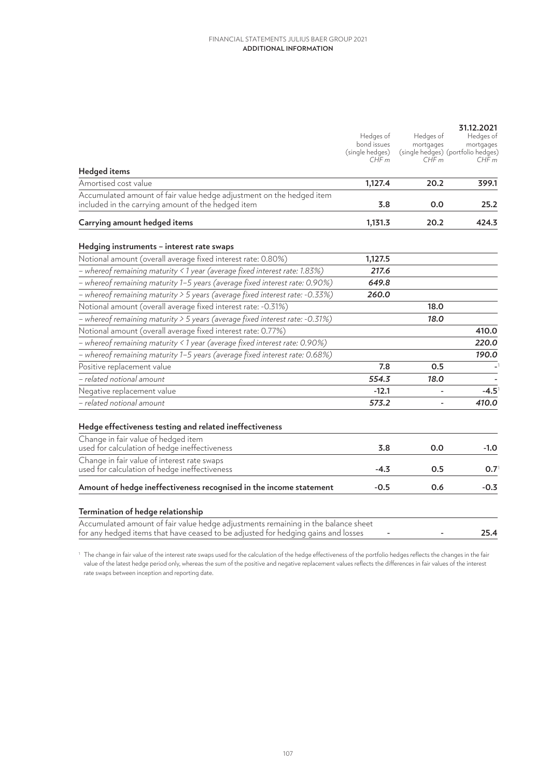|                                                                                                                                                                        | Hedges of<br>bond issues<br>(single hedges)<br>CHFm | Hedges of<br>mortgages<br>CHFm | 31.12.2021<br>Hedges of<br>mortgages<br>(single hedges) (portfolio hedges)<br>CHFm |
|------------------------------------------------------------------------------------------------------------------------------------------------------------------------|-----------------------------------------------------|--------------------------------|------------------------------------------------------------------------------------|
| Hedged items                                                                                                                                                           |                                                     |                                |                                                                                    |
| Amortised cost value                                                                                                                                                   | 1,127.4                                             | 20.2                           | 399.1                                                                              |
| Accumulated amount of fair value hedge adjustment on the hedged item<br>included in the carrying amount of the hedged item                                             | 3.8                                                 | 0.0                            | 25.2                                                                               |
| Carrying amount hedged items                                                                                                                                           | 1,131.3                                             | 20.2                           | 424.3                                                                              |
| Hedging instruments - interest rate swaps                                                                                                                              |                                                     |                                |                                                                                    |
| Notional amount (overall average fixed interest rate: 0.80%)                                                                                                           | 1,127.5                                             |                                |                                                                                    |
| - whereof remaining maturity < 1 year (average fixed interest rate: 1.83%)                                                                                             | 217.6                                               |                                |                                                                                    |
| - whereof remaining maturity 1-5 years (average fixed interest rate: 0.90%)                                                                                            | 649.8                                               |                                |                                                                                    |
| - whereof remaining maturity > 5 years (average fixed interest rate: -0.33%)                                                                                           | 260.0                                               |                                |                                                                                    |
| Notional amount (overall average fixed interest rate: -0.31%)                                                                                                          |                                                     | 18.0                           |                                                                                    |
| - whereof remaining maturity > 5 years (average fixed interest rate: -0.31%)                                                                                           |                                                     | 18.0                           |                                                                                    |
| Notional amount (overall average fixed interest rate: 0.77%)                                                                                                           |                                                     |                                | 410.0                                                                              |
| - whereof remaining maturity < 1 year (average fixed interest rate: 0.90%)                                                                                             |                                                     |                                | 220.0                                                                              |
| - whereof remaining maturity 1-5 years (average fixed interest rate: 0.68%)                                                                                            |                                                     |                                | 190.0                                                                              |
| Positive replacement value                                                                                                                                             | 7.8                                                 | 0.5                            |                                                                                    |
| $-$ related notional amount                                                                                                                                            | 554.3                                               | 18.0                           |                                                                                    |
| Negative replacement value                                                                                                                                             | $-12.1$                                             |                                | $-4.5$                                                                             |
| - related notional amount                                                                                                                                              | 573.2                                               |                                | 410.0                                                                              |
| Hedge effectiveness testing and related ineffectiveness                                                                                                                |                                                     |                                |                                                                                    |
| Change in fair value of hedged item<br>used for calculation of hedge ineffectiveness                                                                                   | 3.8                                                 | 0.0                            | -1.0                                                                               |
| Change in fair value of interest rate swaps<br>used for calculation of hedge ineffectiveness                                                                           | $-4.3$                                              | 0.5                            | $0.7^{\circ}$                                                                      |
| Amount of hedge ineffectiveness recognised in the income statement                                                                                                     | $-0.5$                                              | 0.6                            | $-0.3$                                                                             |
| Termination of hedge relationship                                                                                                                                      |                                                     |                                |                                                                                    |
| Accumulated amount of fair value hedge adjustments remaining in the balance sheet<br>for any hedged items that have ceased to be adjusted for hedging gains and losses |                                                     |                                | 25.4                                                                               |

 $^{\rm 1}$  The change in fair value of the interest rate swaps used for the calculation of the hedge effectiveness of the portfolio hedges reflects the changes in the fair value of the latest hedge period only, whereas the sum of the positive and negative replacement values reflects the differences in fair values of the interest rate swaps between inception and reporting date.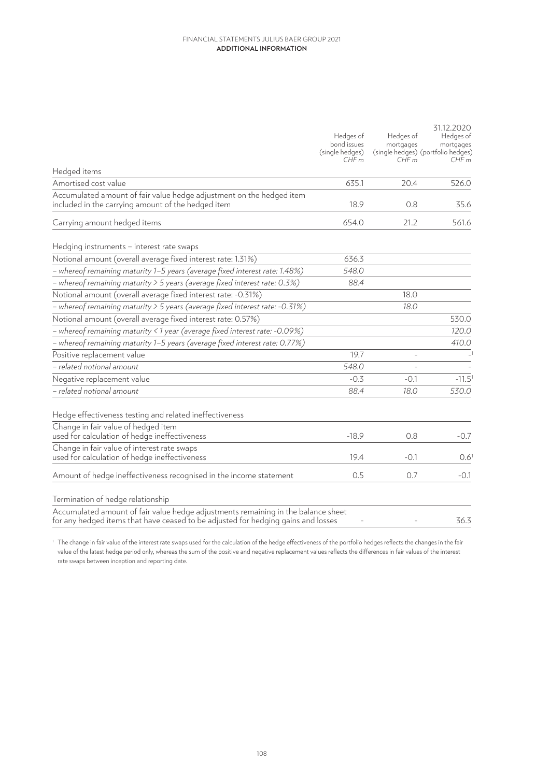|                                                                                                                                                                        | Hedges of<br>bond issues<br>(single hedges)<br>CHFm | Hedges of<br>mortgages<br>CHFm | 31.12.2020<br>Hedges of<br>mortgages<br>(single hedges) (portfolio hedges)<br>CHFm |
|------------------------------------------------------------------------------------------------------------------------------------------------------------------------|-----------------------------------------------------|--------------------------------|------------------------------------------------------------------------------------|
| Hedged items                                                                                                                                                           |                                                     |                                |                                                                                    |
| Amortised cost value                                                                                                                                                   | 635.1                                               | 20.4                           | 526.0                                                                              |
| Accumulated amount of fair value hedge adjustment on the hedged item<br>included in the carrying amount of the hedged item                                             | 18.9                                                | 0.8                            | 35.6                                                                               |
| Carrying amount hedged items                                                                                                                                           | 654.0                                               | 21.2                           | 561.6                                                                              |
| Hedging instruments – interest rate swaps                                                                                                                              |                                                     |                                |                                                                                    |
| Notional amount (overall average fixed interest rate: 1.31%)                                                                                                           | 636.3                                               |                                |                                                                                    |
| - whereof remaining maturity 1–5 years (average fixed interest rate: 1.48%)                                                                                            | 548.0                                               |                                |                                                                                    |
| - whereof remaining maturity > 5 years (average fixed interest rate: 0.3%)                                                                                             | 88.4                                                |                                |                                                                                    |
| Notional amount (overall average fixed interest rate: -0.31%)                                                                                                          |                                                     | 18.0                           |                                                                                    |
| - whereof remaining maturity > 5 years (average fixed interest rate: -0.31%)                                                                                           |                                                     | 18.0                           |                                                                                    |
| Notional amount (overall average fixed interest rate: 0.57%)                                                                                                           |                                                     |                                | 530.0                                                                              |
| - whereof remaining maturity < 1 year (average fixed interest rate: -0.09%)                                                                                            |                                                     |                                | 120.0                                                                              |
| - whereof remaining maturity 1-5 years (average fixed interest rate: 0.77%)                                                                                            |                                                     |                                | 410.0                                                                              |
| Positive replacement value                                                                                                                                             | 19.7                                                | ÷,                             |                                                                                    |
| - related notional amount                                                                                                                                              | 548.0                                               |                                |                                                                                    |
| Negative replacement value                                                                                                                                             | $-0.3$                                              | $-0.1$                         | $-11.5$ <sup>1</sup>                                                               |
| - related notional amount                                                                                                                                              | 88.4                                                | 18.0                           | 530.0                                                                              |
| Hedge effectiveness testing and related ineffectiveness                                                                                                                |                                                     |                                |                                                                                    |
| Change in fair value of hedged item<br>used for calculation of hedge ineffectiveness                                                                                   | $-18.9$                                             | 0.8                            | $-0.7$                                                                             |
| Change in fair value of interest rate swaps<br>used for calculation of hedge ineffectiveness                                                                           | 19.4                                                | $-0.1$                         | $0.6^1$                                                                            |
| Amount of hedge ineffectiveness recognised in the income statement                                                                                                     | 0.5                                                 | 0.7                            | $-0.1$                                                                             |
| Termination of hedge relationship                                                                                                                                      |                                                     |                                |                                                                                    |
| Accumulated amount of fair value hedge adjustments remaining in the balance sheet<br>for any hedged items that have ceased to be adjusted for hedging gains and losses |                                                     |                                | 36.3                                                                               |

 $^{\rm 1}$  The change in fair value of the interest rate swaps used for the calculation of the hedge effectiveness of the portfolio hedges reflects the changes in the fair value of the latest hedge period only, whereas the sum of the positive and negative replacement values reflects the differences in fair values of the interest rate swaps between inception and reporting date.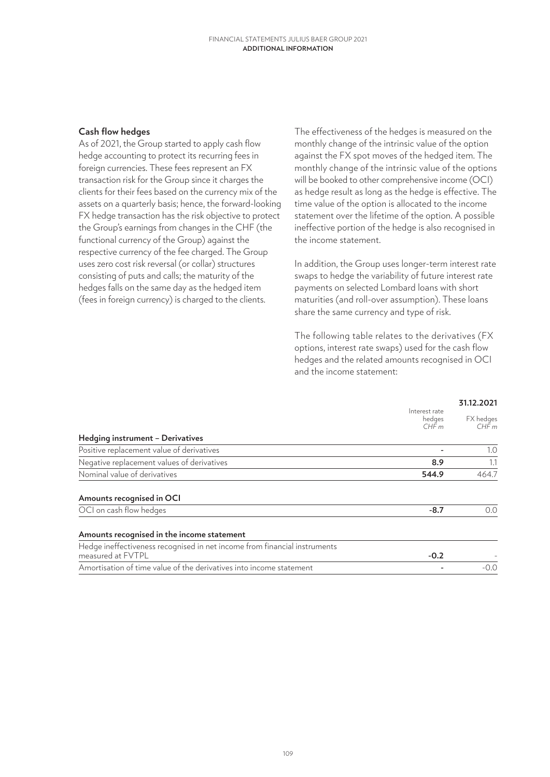## **Cash flow hedges**

As of 2021, the Group started to apply cash flow hedge accounting to protect its recurring fees in foreign currencies. These fees represent an FX transaction risk for the Group since it charges the clients for their fees based on the currency mix of the assets on a quarterly basis; hence, the forward-looking FX hedge transaction has the risk objective to protect the Group's earnings from changes in the CHF (the functional currency of the Group) against the respective currency of the fee charged. The Group uses zero cost risk reversal (or collar) structures consisting of puts and calls; the maturity of the hedges falls on the same day as the hedged item (fees in foreign currency) is charged to the clients.

The effectiveness of the hedges is measured on the monthly change of the intrinsic value of the option against the FX spot moves of the hedged item. The monthly change of the intrinsic value of the options will be booked to other comprehensive income (OCI) as hedge result as long as the hedge is effective. The time value of the option is allocated to the income statement over the lifetime of the option. A possible ineffective portion of the hedge is also recognised in the income statement.

In addition, the Group uses longer-term interest rate swaps to hedge the variability of future interest rate payments on selected Lombard loans with short maturities (and roll-over assumption). These loans share the same currency and type of risk.

The following table relates to the derivatives (FX options, interest rate swaps) used for the cash flow hedges and the related amounts recognised in OCI and the income statement:

|                                                                                                |                                 | 31.12.2021        |  |
|------------------------------------------------------------------------------------------------|---------------------------------|-------------------|--|
|                                                                                                | Interest rate<br>hedges<br>CHFm | FX hedges<br>CHFm |  |
| Hedging instrument - Derivatives                                                               |                                 |                   |  |
| Positive replacement value of derivatives                                                      |                                 | 1.0               |  |
| Negative replacement values of derivatives                                                     | 8.9                             | 1.1               |  |
| Nominal value of derivatives                                                                   | 544.9                           | 464.7             |  |
| Amounts recognised in OCI                                                                      |                                 |                   |  |
| OCI on cash flow hedges                                                                        | $-8.7$                          | 0.0               |  |
| Amounts recognised in the income statement                                                     |                                 |                   |  |
| Hedge ineffectiveness recognised in net income from financial instruments<br>measured at FVTPL | $-0.2$                          |                   |  |
| Amortisation of time value of the derivatives into income statement                            |                                 | $-0.0$            |  |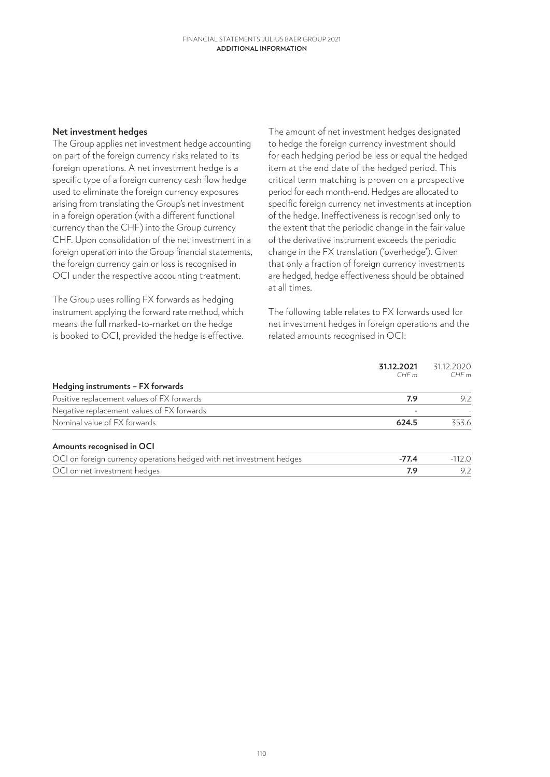#### **Net investment hedges**

The Group applies net investment hedge accounting on part of the foreign currency risks related to its foreign operations. A net investment hedge is a specific type of a foreign currency cash flow hedge used to eliminate the foreign currency exposures arising from translating the Group's net investment in a foreign operation (with a different functional currency than the CHF) into the Group currency CHF. Upon consolidation of the net investment in a foreign operation into the Group financial statements, the foreign currency gain or loss is recognised in OCI under the respective accounting treatment.

The Group uses rolling FX forwards as hedging instrument applying the forward rate method, which means the full marked-to-market on the hedge is booked to OCI, provided the hedge is effective. The amount of net investment hedges designated to hedge the foreign currency investment should for each hedging period be less or equal the hedged item at the end date of the hedged period. This critical term matching is proven on a prospective period for each month-end. Hedges are allocated to specific foreign currency net investments at inception of the hedge. Ineffectiveness is recognised only to the extent that the periodic change in the fair value of the derivative instrument exceeds the periodic change in the FX translation ('overhedge'). Given that only a fraction of foreign currency investments are hedged, hedge effectiveness should be obtained at all times.

The following table relates to FX forwards used for net investment hedges in foreign operations and the related amounts recognised in OCI:

| 31.12.2021<br>CHFm | 31.12.2020<br>CHFm |
|--------------------|--------------------|
|                    |                    |
| 7.9                | 9.2                |
|                    |                    |
| 624.5              | 353.6              |
|                    |                    |
| $-77.4$            | $-112.0$           |
| 7.9                | 9.2                |
|                    |                    |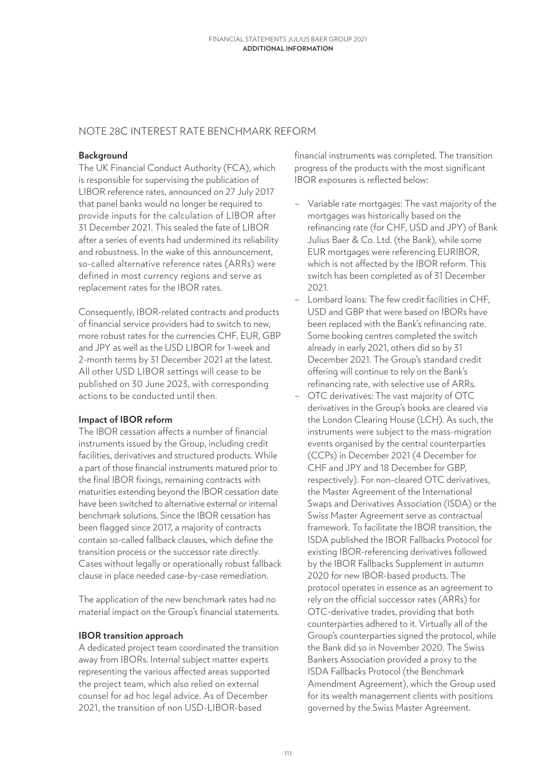# NOTE 28C INTEREST RATE BENCHMARK REFORM

## **Background**

The UK Financial Conduct Authority (FCA), which is responsible for supervising the publication of LIBOR reference rates, announced on 27 July 2017 that panel banks would no longer be required to provide inputs for the calculation of LIBOR after 31 December 2021. This sealed the fate of LIBOR after a series of events had undermined its reliability and robustness. In the wake of this announcement, so-called alternative reference rates (ARRs) were defined in most currency regions and serve as replacement rates for the IBOR rates.

Consequently, IBOR-related contracts and products of financial service providers had to switch to new, more robust rates for the currencies CHF, EUR, GBP and JPY as well as the USD LIBOR for 1-week and 2-month terms by 31 December 2021 at the latest. All other USD LIBOR settings will cease to be published on 30 June 2023, with corresponding actions to be conducted until then.

# **Impact of IBOR reform**

The IBOR cessation affects a number of financial instruments issued by the Group, including credit facilities, derivatives and structured products. While a part of those financial instruments matured prior to the final IBOR fixings, remaining contracts with maturities extending beyond the IBOR cessation date have been switched to alternative external or internal benchmark solutions. Since the IBOR cessation has been flagged since 2017, a majority of contracts contain so-called fallback clauses, which define the transition process or the successor rate directly. Cases without legally or operationally robust fallback clause in place needed case-by-case remediation.

The application of the new benchmark rates had no material impact on the Group's financial statements.

## **IBOR transition approach**

A dedicated project team coordinated the transition away from IBORs. Internal subject matter experts representing the various affected areas supported the project team, which also relied on external counsel for ad hoc legal advice. As of December 2021, the transition of non USD-LIBOR-based

financial instruments was completed. The transition progress of the products with the most significant IBOR exposures is reflected below:

- Variable rate mortgages: The vast majority of the mortgages was historically based on the refinancing rate (for CHF, USD and JPY) of Bank Julius Baer & Co. Ltd. (the Bank), while some EUR mortgages were referencing EURIBOR, which is not affected by the IBOR reform. This switch has been completed as of 31 December 2021.
- Lombard loans: The few credit facilities in CHF, USD and GBP that were based on IBORs have been replaced with the Bank's refinancing rate. Some booking centres completed the switch already in early 2021, others did so by 31 December 2021. The Group's standard credit offering will continue to rely on the Bank's refinancing rate, with selective use of ARRs.
- OTC derivatives: The vast majority of OTC derivatives in the Group's books are cleared via the London Clearing House (LCH). As such, the instruments were subject to the mass-migration events organised by the central counterparties (CCPs) in December 2021 (4 December for CHF and JPY and 18 December for GBP, respectively). For non-cleared OTC derivatives, the Master Agreement of the International Swaps and Derivatives Association (ISDA) or the Swiss Master Agreement serve as contractual framework. To facilitate the IBOR transition, the ISDA published the IBOR Fallbacks Protocol for existing IBOR-referencing derivatives followed by the IBOR Fallbacks Supplement in autumn 2020 for new IBOR-based products. The protocol operates in essence as an agreement to rely on the official successor rates (ARRs) for OTC-derivative trades, providing that both counterparties adhered to it. Virtually all of the Group's counterparties signed the protocol, while the Bank did so in November 2020. The Swiss Bankers Association provided a proxy to the ISDA Fallbacks Protocol (the Benchmark Amendment Agreement), which the Group used for its wealth management clients with positions governed by the Swiss Master Agreement.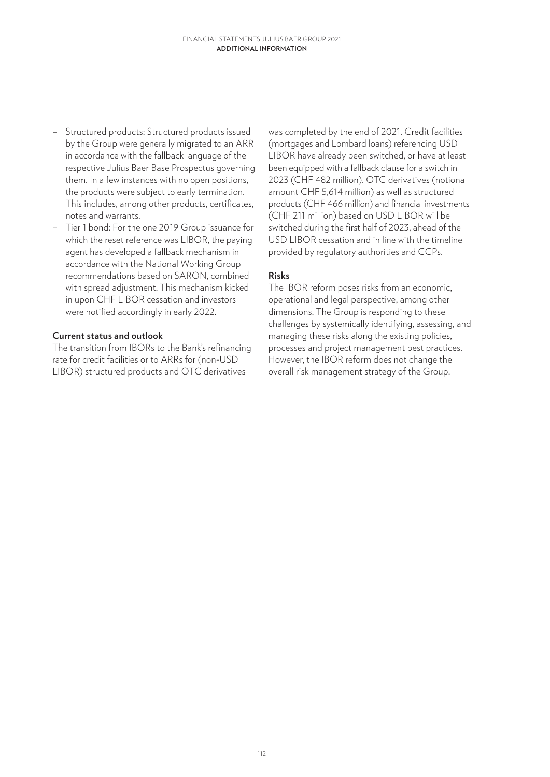- Structured products: Structured products issued by the Group were generally migrated to an ARR in accordance with the fallback language of the respective Julius Baer Base Prospectus governing them. In a few instances with no open positions, the products were subject to early termination. This includes, among other products, certificates, notes and warrants.
- Tier 1 bond: For the one 2019 Group issuance for which the reset reference was LIBOR, the paying agent has developed a fallback mechanism in accordance with the National Working Group recommendations based on SARON, combined with spread adjustment. This mechanism kicked in upon CHF LIBOR cessation and investors were notified accordingly in early 2022.

## **Current status and outlook**

The transition from IBORs to the Bank's refinancing rate for credit facilities or to ARRs for (non-USD LIBOR) structured products and OTC derivatives

was completed by the end of 2021. Credit facilities (mortgages and Lombard loans) referencing USD LIBOR have already been switched, or have at least been equipped with a fallback clause for a switch in 2023 (CHF 482 million). OTC derivatives (notional amount CHF 5,614 million) as well as structured products (CHF 466 million) and financial investments (CHF 211 million) based on USD LIBOR will be switched during the first half of 2023, ahead of the USD LIBOR cessation and in line with the timeline provided by regulatory authorities and CCPs.

## **Risks**

The IBOR reform poses risks from an economic, operational and legal perspective, among other dimensions. The Group is responding to these challenges by systemically identifying, assessing, and managing these risks along the existing policies, processes and project management best practices. However, the IBOR reform does not change the overall risk management strategy of the Group.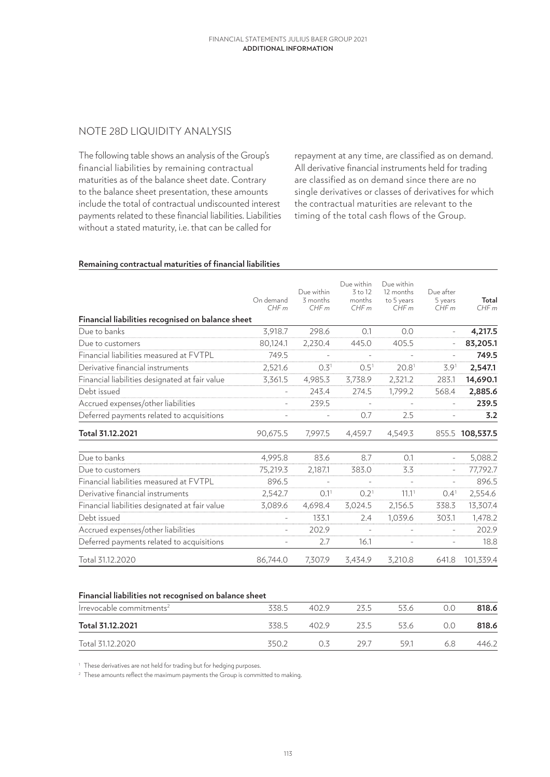# NOTE 28D LIQUIDITY ANALYSIS

The following table shows an analysis of the Group's financial liabilities by remaining contractual maturities as of the balance sheet date. Contrary to the balance sheet presentation, these amounts include the total of contractual undiscounted interest payments related to these financial liabilities. Liabilities without a stated maturity, i.e. that can be called for

repayment at any time, are classified as on demand. All derivative financial instruments held for trading are classified as on demand since there are no single derivatives or classes of derivatives for which the contractual maturities are relevant to the timing of the total cash flows of the Group.

#### **Remaining contractual maturities of financial liabilities**

|                                                   | On demand<br>CHFm | Due within<br>3 months<br>CHFm | Due within<br>3 to 12<br>months<br>CHFm | Due within<br>12 months<br>to 5 years<br>CHFm | Due after<br>5 years<br>CHFm | Total<br>CHFm   |
|---------------------------------------------------|-------------------|--------------------------------|-----------------------------------------|-----------------------------------------------|------------------------------|-----------------|
| Financial liabilities recognised on balance sheet |                   |                                |                                         |                                               |                              |                 |
| Due to banks                                      | 3.918.7           | 298.6                          | 0.1                                     | 0.0                                           |                              | 4,217.5         |
| Due to customers                                  | 80,124.1          | 2,230.4                        | 445.0                                   | 405.5                                         |                              | 83,205.1        |
| Financial liabilities measured at FVTPL           | 749.5             |                                |                                         |                                               |                              | 749.5           |
| Derivative financial instruments                  | 2,521.6           | 0.3 <sup>1</sup>               | 0.5 <sup>1</sup>                        | 20.8 <sup>1</sup>                             | 3.9 <sup>1</sup>             | 2,547.1         |
| Financial liabilities designated at fair value    | 3,361.5           | 4,985.3                        | 3,738.9                                 | 2,321.2                                       | 283.1                        | 14,690.1        |
| Debt issued                                       |                   | 243.4                          | 274.5                                   | 1,799.2                                       | 568.4                        | 2,885.6         |
| Accrued expenses/other liabilities                | $\bar{a}$         | 239.5                          |                                         |                                               | $\sim$                       | 239.5           |
| Deferred payments related to acquisitions         |                   |                                | 0.7                                     | 2.5                                           |                              | 3.2             |
| Total 31.12.2021                                  | 90,675.5          | 7,997.5                        | 4,459.7                                 | 4,549.3                                       |                              | 855.5 108,537.5 |
| Due to banks                                      | 4,995.8           | 83.6                           | 8.7                                     | 0.1                                           | $\equiv$                     | 5,088.2         |
| Due to customers                                  | 75,219.3          | 2,187.1                        | 383.0                                   | 3.3                                           |                              | 77,792.7        |
| Financial liabilities measured at FVTPL           | 896.5             |                                |                                         |                                               | $\bar{a}$                    | 896.5           |
| Derivative financial instruments                  | 2,542.7           | 0.1 <sup>1</sup>               | 0.2 <sup>1</sup>                        | 11.1 <sup>1</sup>                             | 0.4 <sup>1</sup>             | 2,554.6         |
| Financial liabilities designated at fair value    | 3,089.6           | 4,698.4                        | 3,024.5                                 | 2,156.5                                       | 338.3                        | 13,307.4        |
| Debt issued                                       |                   | 133.1                          | 2.4                                     | 1,039.6                                       | 303.1                        | 1,478.2         |
| Accrued expenses/other liabilities                |                   | 202.9                          | $\sim$                                  | $\bar{a}$                                     |                              | 202.9           |
| Deferred payments related to acquisitions         |                   | 2.7                            | 16.1                                    | $\equiv$                                      | $\equiv$                     | 18.8            |
| Total 31.12.2020                                  | 86,744.0          | 7,307.9                        | 3,434.9                                 | 3,210.8                                       | 641.8                        | 101,339.4       |

#### **Financial liabilities not recognised on balance sheet**

| Irrevocable commitments <sup>2</sup> | 338.5 | 402.9 | 23 5 | 53.6 |     | 818.6 |
|--------------------------------------|-------|-------|------|------|-----|-------|
| Total 31.12.2021                     | 338.5 | 402.9 | フス ら | 53.6 |     | 818.6 |
| Total 31.12.2020                     | 3502  |       | 297  | 591  | 6.8 | 446.2 |

<sup>1</sup> These derivatives are not held for trading but for hedging purposes.

<sup>2</sup> These amounts reflect the maximum payments the Group is committed to making.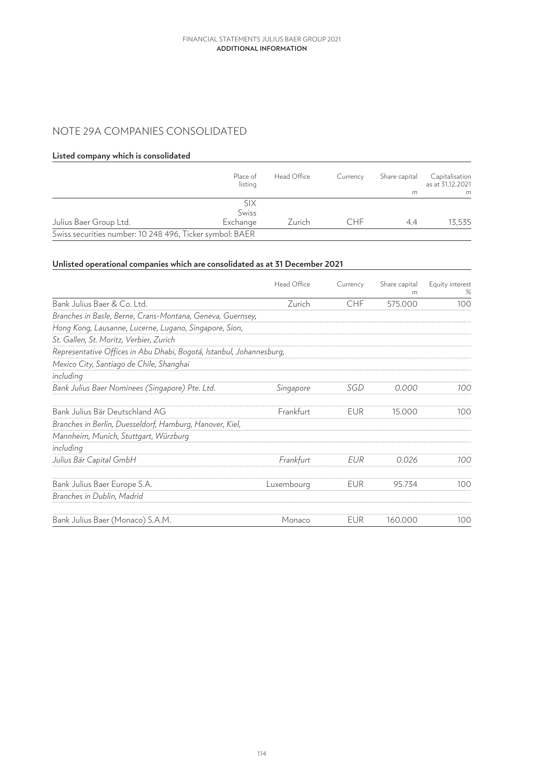# NOTE 29A COMPANIES CONSOLIDATED

#### **Listed company which is consolidated**

|                                                          | Place of<br>listing | Head Office | Currency | Share capital | Capitalisation<br>as at 31.12.2021 |
|----------------------------------------------------------|---------------------|-------------|----------|---------------|------------------------------------|
|                                                          |                     |             |          | m             | m                                  |
|                                                          | six<br>Swiss        |             |          |               |                                    |
| Julius Baer Group Ltd.                                   | Exchange            | Zurich      | CHF      | 4.4           | 13.535                             |
| Swiss securities number: 10 248 496, Ticker symbol: BAER |                     |             |          |               |                                    |

# **Unlisted operational companies which are consolidated as at 31 December 2021**

|                                                                      | Head Office | Currency   | Share capital<br>m | Equity interest<br>% |
|----------------------------------------------------------------------|-------------|------------|--------------------|----------------------|
| Bank Julius Baer & Co. Ltd.                                          | Zurich      | <b>CHF</b> | 575.000            | 100                  |
| Branches in Basle, Berne, Crans-Montana, Geneva, Guernsey,           |             |            |                    |                      |
| Hong Kong, Lausanne, Lucerne, Lugano, Singapore, Sion,               |             |            |                    |                      |
| St. Gallen, St. Moritz, Verbier, Zurich                              |             |            |                    |                      |
| Representative Offices in Abu Dhabi, Bogotá, Istanbul, Johannesburg, |             |            |                    |                      |
| Mexico City, Santiago de Chile, Shanghai                             |             |            |                    |                      |
| including                                                            |             |            |                    |                      |
| Bank Julius Baer Nominees (Singapore) Pte. Ltd.                      | Singapore   | SGD        | 0.000              | 100                  |
| Bank Julius Bär Deutschland AG                                       | Frankfurt   | EUR        | 15.000             | 100                  |
| Branches in Berlin, Duesseldorf, Hamburg, Hanover, Kiel,             |             |            |                    |                      |
| Mannheim, Munich, Stuttgart, Würzburg                                |             |            |                    |                      |
| including                                                            |             |            |                    |                      |
| Julius Bär Capital GmbH                                              | Frankfurt   | EUR        | 0.026              | 100                  |
| Bank Julius Baer Europe S.A.                                         | Luxembourg  | <b>EUR</b> | 95.734             | 100                  |
| Branches in Dublin, Madrid                                           |             |            |                    |                      |
| Bank Julius Baer (Monaco) S.A.M.                                     | Monaco      | <b>EUR</b> | 160.000            | 100                  |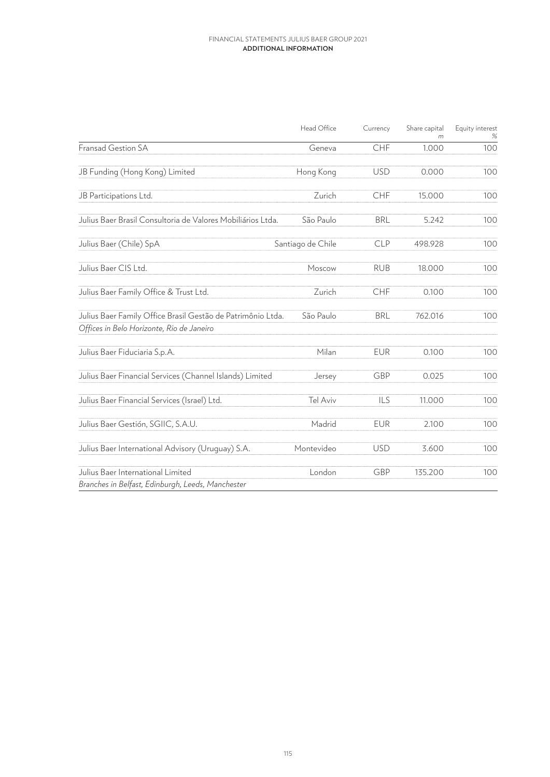|                                                                                                          | Head Office       | Currency   | Share capital | Equity interest |
|----------------------------------------------------------------------------------------------------------|-------------------|------------|---------------|-----------------|
| Fransad Gestion SA                                                                                       | Geneva            | CHF        | 1.000         | 100             |
| JB Funding (Hong Kong) Limited                                                                           | Hong Kong         | <b>USD</b> | 0.000         | 100             |
| JB Participations Ltd.                                                                                   | Zurich            | CHF        | 15.000        | 100             |
| Julius Baer Brasil Consultoria de Valores Mobiliários Ltda.                                              | São Paulo         | <b>BRL</b> | 5.242         | 100             |
| Julius Baer (Chile) SpA                                                                                  | Santiago de Chile | <b>CLP</b> | 498.928       | 100             |
| Julius Baer CIS Ltd.                                                                                     | Moscow            | <b>RUB</b> | 18.000        | 100             |
| Julius Baer Family Office & Trust Ltd.                                                                   | Zurich            | <b>CHF</b> | 0.100         | 100             |
| Julius Baer Family Office Brasil Gestão de Patrimônio Ltda.<br>Offices in Belo Horizonte, Rio de Janeiro | São Paulo         | <b>BRL</b> | 762.016       | 100             |
| Julius Baer Fiduciaria S.p.A.                                                                            | Milan             | <b>EUR</b> | 0.100         | 100             |
| Julius Baer Financial Services (Channel Islands) Limited                                                 | Jersey            | GBP        | 0.025         | 100             |
| Julius Baer Financial Services (Israel) Ltd.                                                             | Tel Aviv          | ILS        | 11.000        | 100             |
| Julius Baer Gestión, SGIIC, S.A.U.                                                                       | Madrid            | <b>EUR</b> | 2.100         | 100             |
| Julius Baer International Advisory (Uruquay) S.A.                                                        | Montevideo        | <b>USD</b> | 3.600         | 100             |
| Julius Baer International Limited<br>Branches in Belfast, Edinburgh, Leeds, Manchester                   | London            | GBP        | 135.200       | 100             |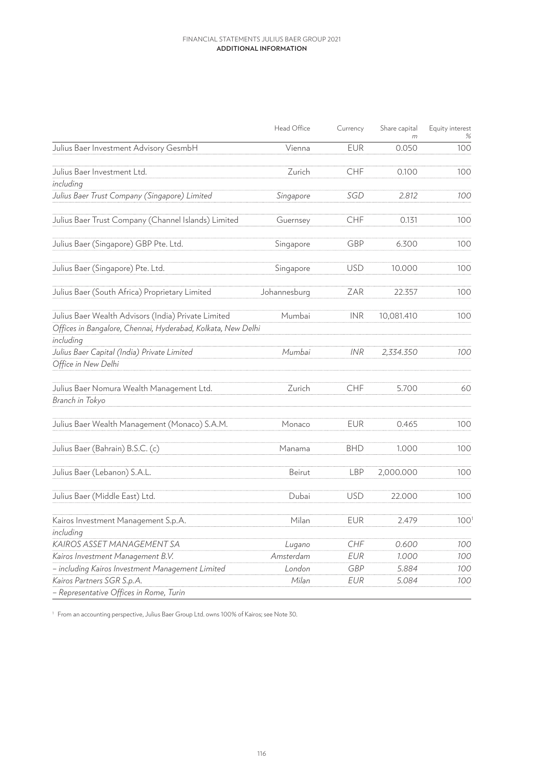|                                                                    | Head Office  | Currency   | Share capital | Equity interest<br>% |
|--------------------------------------------------------------------|--------------|------------|---------------|----------------------|
| Julius Baer Investment Advisory GesmbH                             | Vienna       | <b>EUR</b> | 0.050         | 100                  |
| Julius Baer Investment Ltd.                                        | Zurich       | CHF        | 0.100         | 100                  |
| including                                                          |              |            |               |                      |
| Julius Baer Trust Company (Singapore) Limited                      | Singapore    | SGD        | 2.812         | 100                  |
| Julius Baer Trust Company (Channel Islands) Limited                | Guernsey     | <b>CHF</b> | 0.131         | 100                  |
| Julius Baer (Singapore) GBP Pte. Ltd.                              | Singapore    | GBP        | 6.300         | 100                  |
| Julius Baer (Singapore) Pte. Ltd.                                  | Singapore    | <b>USD</b> | 10.000        | 100                  |
| Julius Baer (South Africa) Proprietary Limited                     | Johannesburg | ZAR        | 22.357        | 100                  |
| Julius Baer Wealth Advisors (India) Private Limited                | Mumbai       | <b>INR</b> | 10,081.410    | 100                  |
| Offices in Bangalore, Chennai, Hyderabad, Kolkata, New Delhi       |              |            |               |                      |
| including                                                          |              |            |               |                      |
| Julius Baer Capital (India) Private Limited<br>Office in New Delhi | Mumbai       | <b>INR</b> | 2,334.350     | 100                  |
| Julius Baer Nomura Wealth Management Ltd.                          | Zurich       | CHF        | 5.700         | 60                   |
| Branch in Tokyo                                                    |              |            |               |                      |
| Julius Baer Wealth Management (Monaco) S.A.M.                      | Monaco       | <b>EUR</b> | 0.465         | 100                  |
| Julius Baer (Bahrain) B.S.C. (c)                                   | Manama       | <b>BHD</b> | 1.000         | 100                  |
| Julius Baer (Lebanon) S.A.L.                                       | Beirut       | <b>LBP</b> | 2,000.000     | 100                  |
| Julius Baer (Middle East) Ltd.                                     | Dubai        | <b>USD</b> | 22.000        | 100                  |
| Kairos Investment Management S.p.A.                                | Milan        | <b>EUR</b> | 2.479         | 100 <sup>1</sup>     |
| includina                                                          |              |            |               |                      |
| KAIROS ASSET MANAGEMENT SA                                         | Lugano       | CHF        | 0.600         | 100                  |
| Kairos Investment Management B.V.                                  | Amsterdam    | <b>EUR</b> | 1.000         | 100                  |
| - including Kairos Investment Management Limited                   | London       | <b>GBP</b> | 5.884         | 100                  |
| Kairos Partners SGR S.p.A.                                         | Milan        | <b>EUR</b> | 5.084         | 100                  |
| - Representative Offices in Rome, Turin                            |              |            |               |                      |

<sup>1</sup> From an accounting perspective, Julius Baer Group Ltd. owns 100% of Kairos; see Note 30.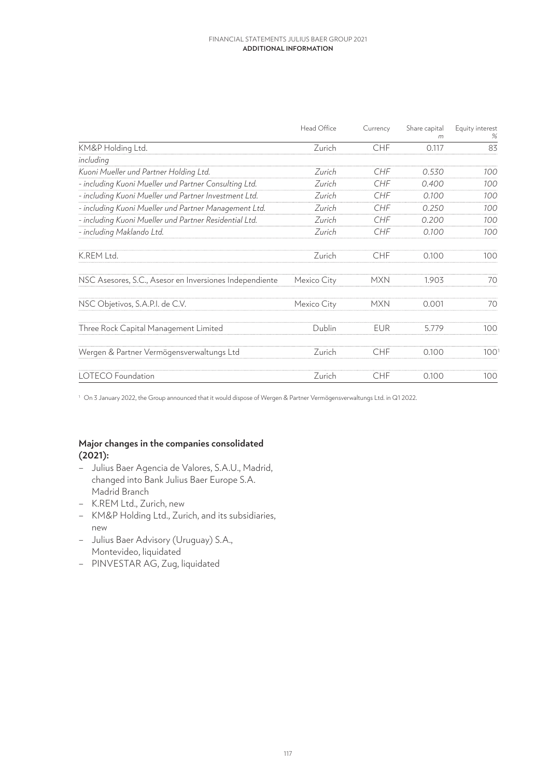|                                                         | Head Office | Currency   | Share capital<br>m | Equity interest<br>% |
|---------------------------------------------------------|-------------|------------|--------------------|----------------------|
| KM&P Holding Ltd.                                       | Zurich      | CHF        | 0.117              | 83                   |
| including                                               |             |            |                    |                      |
| Kuoni Mueller und Partner Holding Ltd.                  | Zurich      | <b>CHF</b> | 0.530              | 100                  |
| - including Kuoni Mueller und Partner Consulting Ltd.   | Zurich      | CHF        | 0.400              | 100                  |
| - including Kuoni Mueller und Partner Investment Ltd.   | Zurich      | <b>CHF</b> | 0.100              | 100                  |
| - including Kuoni Mueller und Partner Management Ltd.   | Zurich      | <b>CHF</b> | 0.250              | 100                  |
| - including Kuoni Mueller und Partner Residential Ltd.  | Zurich      | CHF        | 0.200              | 100                  |
| - including Maklando Ltd.                               | Zurich      | CHF        | 0.100              | 100                  |
| K.REM Ltd.                                              | Zurich      | <b>CHF</b> | 0.100              | 100                  |
| NSC Asesores, S.C., Asesor en Inversiones Independiente | Mexico City | <b>MXN</b> | 1.903              | 70                   |
| NSC Objetivos, S.A.P.I. de C.V.                         | Mexico City | <b>MXN</b> | 0.001              | 70                   |
| Three Rock Capital Management Limited                   | Dublin      | <b>EUR</b> | 5.779              | 100                  |
| Wergen & Partner Vermögensverwaltungs Ltd               | Zurich      | <b>CHF</b> | 0.100              | 100 <sup>1</sup>     |
| <b>LOTECO</b> Foundation                                | Zurich      | <b>CHF</b> | 0.100              | 100                  |

<sup>1</sup> On 3 January 2022, the Group announced that it would dispose of Wergen & Partner Vermögensverwaltungs Ltd. in Q1 2022.

# **Major changes in the companies consolidated (2021):**

- Julius Baer Agencia de Valores, S.A.U., Madrid, changed into Bank Julius Baer Europe S.A. Madrid Branch
- K.REM Ltd., Zurich, new
- KM&P Holding Ltd., Zurich, and its subsidiaries, new
- Julius Baer Advisory (Uruguay) S.A., Montevideo, liquidated
- PINVESTAR AG, Zug, liquidated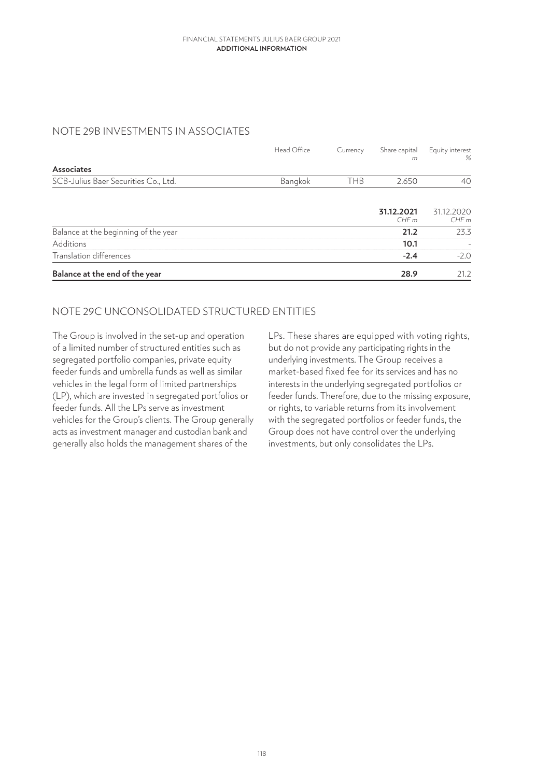# NOTE 29B INVESTMENTS IN ASSOCIATES

|                                      | Head Office | Currency   | Share capital<br>m | Equity interest<br>% |
|--------------------------------------|-------------|------------|--------------------|----------------------|
| Associates                           |             |            |                    |                      |
| SCB-Julius Baer Securities Co., Ltd. | Bangkok     | <b>THB</b> | 2.650              | 40                   |
|                                      |             |            | 31.12.2021<br>CHFm | 31.12.2020<br>CHFm   |
| Balance at the beginning of the year |             |            | 21.2               | 23.3                 |
| Additions                            |             |            | 10.1               |                      |
| Translation differences              |             |            | $-2.4$             | $-2.0$               |
| Balance at the end of the year       |             |            | 28.9               | 21.2                 |

# NOTE 29C UNCONSOLIDATED STRUCTURED ENTITIES

The Group is involved in the set-up and operation of a limited number of structured entities such as segregated portfolio companies, private equity feeder funds and umbrella funds as well as similar vehicles in the legal form of limited partnerships (LP), which are invested in segregated portfolios or feeder funds. All the LPs serve as investment vehicles for the Group's clients. The Group generally acts as investment manager and custodian bank and generally also holds the management shares of the

LPs. These shares are equipped with voting rights, but do not provide any participating rights in the underlying investments. The Group receives a market-based fixed fee for its services and has no interests in the underlying segregated portfolios or feeder funds. Therefore, due to the missing exposure, or rights, to variable returns from its involvement with the segregated portfolios or feeder funds, the Group does not have control over the underlying investments, but only consolidates the LPs.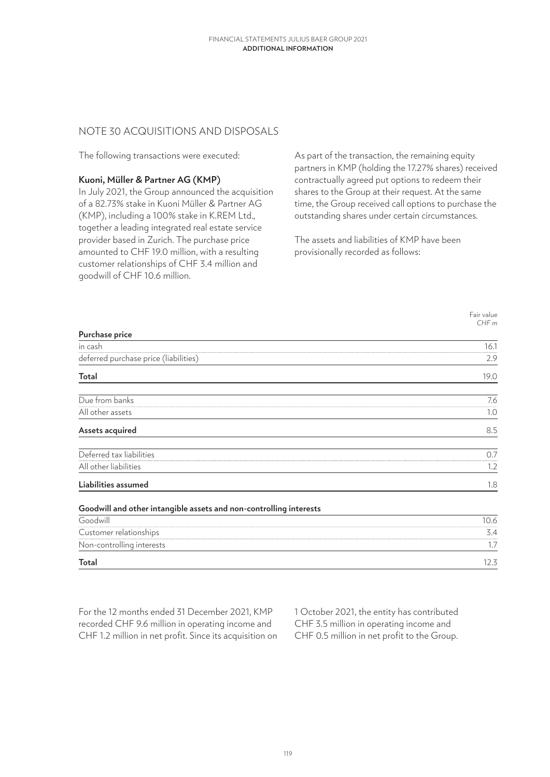# NOTE 30 ACQUISITIONS AND DISPOSALS

The following transactions were executed:

## **Kuoni, Müller & Partner AG (KMP)**

In July 2021, the Group announced the acquisition of a 82.73% stake in Kuoni Müller & Partner AG (KMP), including a 100% stake in K.REM Ltd., together a leading integrated real estate service provider based in Zurich. The purchase price amounted to CHF 19.0 million, with a resulting customer relationships of CHF 3.4 million and goodwill of CHF 10.6 million.

As part of the transaction, the remaining equity partners in KMP (holding the 17.27% shares) received contractually agreed put options to redeem their shares to the Group at their request. At the same time, the Group received call options to purchase the outstanding shares under certain circumstances.

The assets and liabilities of KMP have been provisionally recorded as follows:

> Fair value *CHF m*

| Purchase price                                                     |      |
|--------------------------------------------------------------------|------|
| in cash                                                            | 16.1 |
| deferred purchase price (liabilities)                              | 2.9  |
| Total                                                              | 19.0 |
| Due from banks                                                     | 7.6  |
| All other assets                                                   | 1.0  |
| Assets acquired                                                    | 8.5  |
| Deferred tax liabilities                                           | 0.7  |
| All other liabilities                                              | 1.2  |
| Liabilities assumed                                                | 1.8  |
| Goodwill and other intangible assets and non-controlling interests |      |
| Goodwill                                                           | 10.6 |
| Customer relationships                                             | 3.4  |
| Non-controlling interests                                          | 1.7  |
| <b>Total</b>                                                       | 12.3 |

For the 12 months ended 31 December 2021, KMP recorded CHF 9.6 million in operating income and CHF 1.2 million in net profit. Since its acquisition on 1 October 2021, the entity has contributed CHF 3.5 million in operating income and CHF 0.5 million in net profit to the Group.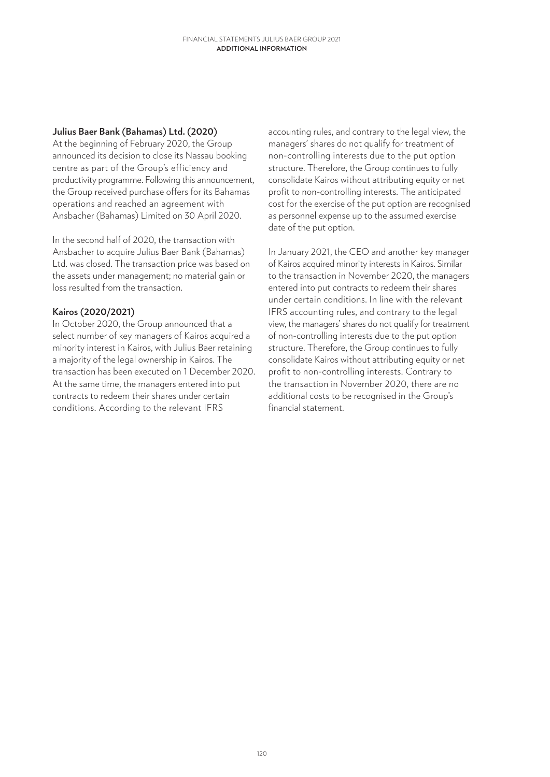## **Julius Baer Bank (Bahamas) Ltd. (2020)**

At the beginning of February 2020, the Group announced its decision to close its Nassau booking centre as part of the Group's efficiency and productivity programme. Following this announcement, the Group received purchase offers for its Bahamas operations and reached an agreement with Ansbacher (Bahamas) Limited on 30 April 2020.

In the second half of 2020, the transaction with Ansbacher to acquire Julius Baer Bank (Bahamas) Ltd. was closed. The transaction price was based on the assets under management; no material gain or loss resulted from the transaction.

# **Kairos (2020/2021)**

In October 2020, the Group announced that a select number of key managers of Kairos acquired a minority interest in Kairos, with Julius Baer retaining a majority of the legal ownership in Kairos. The transaction has been executed on 1 December 2020. At the same time, the managers entered into put contracts to redeem their shares under certain conditions. According to the relevant IFRS

accounting rules, and contrary to the legal view, the managers' shares do not qualify for treatment of non-controlling interests due to the put option structure. Therefore, the Group continues to fully consolidate Kairos without attributing equity or net profit to non-controlling interests. The anticipated cost for the exercise of the put option are recognised as personnel expense up to the assumed exercise date of the put option.

In January 2021, the CEO and another key manager of Kairos acquired minority interests in Kairos. Similar to the transaction in November 2020, the managers entered into put contracts to redeem their shares under certain conditions. In line with the relevant IFRS accounting rules, and contrary to the legal view, the managers' shares do not qualify for treatment of non-controlling interests due to the put option structure. Therefore, the Group continues to fully consolidate Kairos without attributing equity or net profit to non-controlling interests. Contrary to the transaction in November 2020, there are no additional costs to be recognised in the Group's financial statement.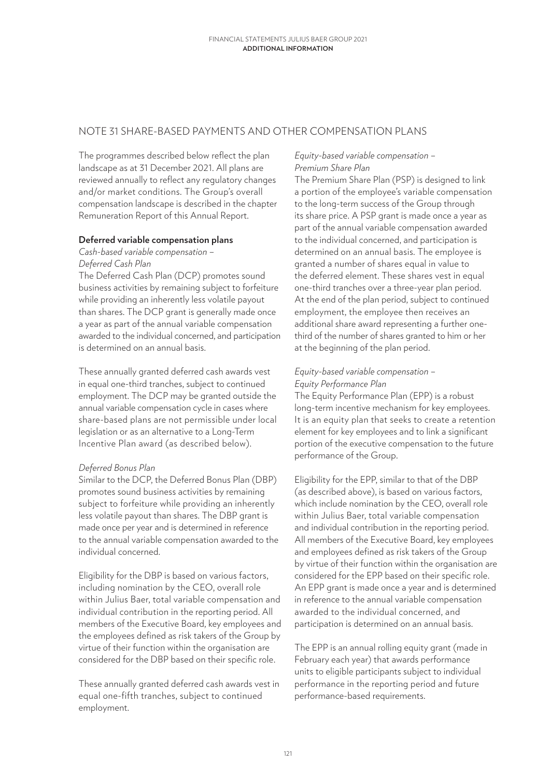# NOTE 31 SHARE-BASED PAYMENTS AND OTHER COMPENSATION PLANS

The programmes described below reflect the plan landscape as at 31 December 2021. All plans are reviewed annually to reflect any regulatory changes and/or market conditions. The Group's overall compensation landscape is described in the chapter Remuneration Report of this Annual Report.

## **Deferred variable compensation plans**

*Cash-based variable compensation – Deferred Cash Plan*

The Deferred Cash Plan (DCP) promotes sound business activities by remaining subject to forfeiture while providing an inherently less volatile payout than shares. The DCP grant is generally made once a year as part of the annual variable compensation awarded to the individual concerned, and participation is determined on an annual basis.

These annually granted deferred cash awards vest in equal one-third tranches, subject to continued employment. The DCP may be granted outside the annual variable compensation cycle in cases where share-based plans are not permissible under local legislation or as an alternative to a Long-Term Incentive Plan award (as described below).

## *Deferred Bonus Plan*

Similar to the DCP, the Deferred Bonus Plan (DBP) promotes sound business activities by remaining subject to forfeiture while providing an inherently less volatile payout than shares. The DBP grant is made once per year and is determined in reference to the annual variable compensation awarded to the individual concerned.

Eligibility for the DBP is based on various factors, including nomination by the CEO, overall role within Julius Baer, total variable compensation and individual contribution in the reporting period. All members of the Executive Board, key employees and the employees defined as risk takers of the Group by virtue of their function within the organisation are considered for the DBP based on their specific role.

These annually granted deferred cash awards vest in equal one-fifth tranches, subject to continued employment.

## *Equity-based variable compensation – Premium Share Plan*

The Premium Share Plan (PSP) is designed to link a portion of the employee's variable compensation to the long-term success of the Group through its share price. A PSP grant is made once a year as part of the annual variable compensation awarded to the individual concerned, and participation is determined on an annual basis. The employee is granted a number of shares equal in value to the deferred element. These shares vest in equal one-third tranches over a three-year plan period. At the end of the plan period, subject to continued employment, the employee then receives an additional share award representing a further onethird of the number of shares granted to him or her at the beginning of the plan period.

# *Equity-based variable compensation – Equity Performance Plan*

The Equity Performance Plan (EPP) is a robust long-term incentive mechanism for key employees. It is an equity plan that seeks to create a retention element for key employees and to link a significant portion of the executive compensation to the future performance of the Group.

Eligibility for the EPP, similar to that of the DBP (as described above), is based on various factors, which include nomination by the CEO, overall role within Julius Baer, total variable compensation and individual contribution in the reporting period. All members of the Executive Board, key employees and employees defined as risk takers of the Group by virtue of their function within the organisation are considered for the EPP based on their specific role. An EPP grant is made once a year and is determined in reference to the annual variable compensation awarded to the individual concerned, and participation is determined on an annual basis.

The EPP is an annual rolling equity grant (made in February each year) that awards performance units to eligible participants subject to individual performance in the reporting period and future performance-based requirements.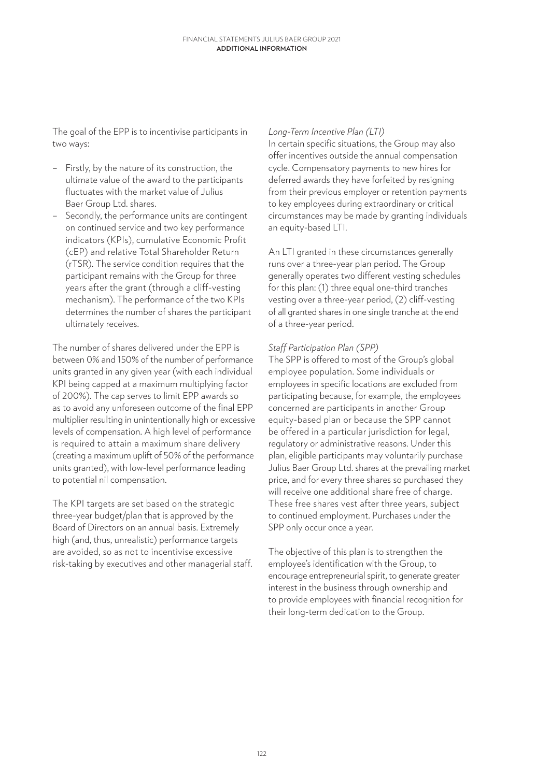The goal of the EPP is to incentivise participants in two ways:

- Firstly, by the nature of its construction, the ultimate value of the award to the participants fluctuates with the market value of Julius Baer Group Ltd. shares.
- Secondly, the performance units are contingent on continued service and two key performance indicators (KPIs), cumulative Economic Profit (cEP) and relative Total Shareholder Return (rTSR). The service condition requires that the participant remains with the Group for three years after the grant (through a cliff-vesting mechanism). The performance of the two KPIs determines the number of shares the participant ultimately receives.

The number of shares delivered under the EPP is between 0% and 150% of the number of performance units granted in any given year (with each individual KPI being capped at a maximum multiplying factor of 200%). The cap serves to limit EPP awards so as to avoid any unforeseen outcome of the final EPP multiplier resulting in unintentionally high or excessive levels of compensation. A high level of performance is required to attain a maximum share delivery (creating a maximum uplift of 50% of the performance units granted), with low-level performance leading to potential nil compensation.

The KPI targets are set based on the strategic three-year budget/plan that is approved by the Board of Directors on an annual basis. Extremely high (and, thus, unrealistic) performance targets are avoided, so as not to incentivise excessive risk-taking by executives and other managerial staff.

#### *Long-Term Incentive Plan (LTI)*

In certain specific situations, the Group may also offer incentives outside the annual compensation cycle. Compensatory payments to new hires for deferred awards they have forfeited by resigning from their previous employer or retention payments to key employees during extraordinary or critical circumstances may be made by granting individuals an equity-based LTI.

An LTI granted in these circumstances generally runs over a three-year plan period. The Group generally operates two different vesting schedules for this plan: (1) three equal one-third tranches vesting over a three-year period, (2) cliff-vesting of all granted shares in one single tranche at the end of a three-year period.

## *Staff Participation Plan (SPP)*

The SPP is offered to most of the Group's global employee population. Some individuals or employees in specific locations are excluded from participating because, for example, the employees concerned are participants in another Group equity-based plan or because the SPP cannot be offered in a particular jurisdiction for legal, regulatory or administrative reasons. Under this plan, eligible participants may voluntarily purchase Julius Baer Group Ltd. shares at the prevailing market price, and for every three shares so purchased they will receive one additional share free of charge. These free shares vest after three years, subject to continued employment. Purchases under the SPP only occur once a year.

The objective of this plan is to strengthen the employee's identification with the Group, to encourage entrepreneurial spirit, to generate greater interest in the business through ownership and to provide employees with financial recognition for their long-term dedication to the Group.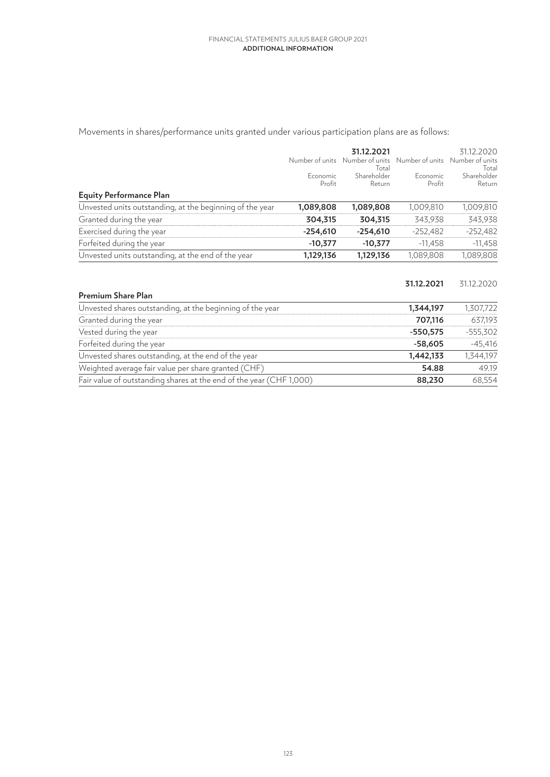Movements in shares/performance units granted under various participation plans are as follows:

|                                                          |                    | 31.12.2021<br>Number of units Number of units<br>Total |                           | 31.12.2020<br>Number of units Number of units<br>Total |
|----------------------------------------------------------|--------------------|--------------------------------------------------------|---------------------------|--------------------------------------------------------|
|                                                          | Economic<br>Profit | Shareholder<br>Return                                  | <b>Economic</b><br>Profit | Shareholder<br>Return                                  |
| <b>Equity Performance Plan</b>                           |                    |                                                        |                           |                                                        |
| Unvested units outstanding, at the beginning of the year | 1,089,808          | 1,089,808                                              | 1,009,810                 | 1,009,810                                              |
| Granted during the year                                  | 304,315            | 304,315                                                | 343,938                   | 343,938                                                |
| Exercised during the year                                | $-254,610$         | $-254,610$                                             | $-252.482$                | $-252,482$                                             |
| Forfeited during the year                                | $-10,377$          | $-10,377$                                              | $-11,458$                 | $-11,458$                                              |
| Unvested units outstanding, at the end of the year       | 1,129,136          | 1,129,136                                              | 1,089,808                 | 1,089,808                                              |

|                                                                     | 31.12.2021 | 31.12.2020 |
|---------------------------------------------------------------------|------------|------------|
| Premium Share Plan                                                  |            |            |
| Unvested shares outstanding, at the beginning of the year           | 1,344,197  | 1,307,722  |
| Granted during the year                                             | 707,116    | 637,193    |
| Vested during the year                                              | $-550,575$ | $-555,302$ |
| Forfeited during the year                                           | $-58,605$  | $-45,416$  |
| Unvested shares outstanding, at the end of the year                 | 1,442,133  | 1,344,197  |
| Weighted average fair value per share granted (CHF)                 | 54.88      | 49.19      |
| Fair value of outstanding shares at the end of the year (CHF 1,000) | 88,230     | 68,554     |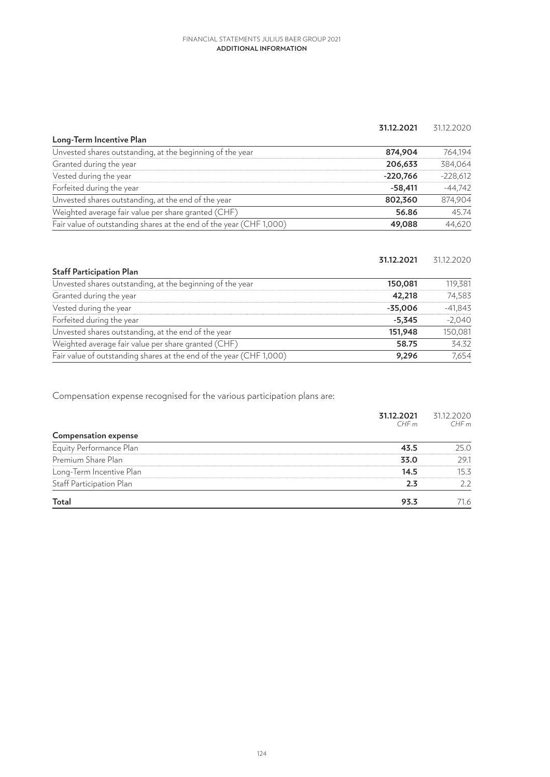#### **31.12.2021** 31.12.2020

| Long-Term Incentive Plan                                            |            |            |
|---------------------------------------------------------------------|------------|------------|
| Unvested shares outstanding, at the beginning of the year           | 874,904    | 764,194    |
| Granted during the year                                             | 206,633    | 384.064    |
| Vested during the year                                              | $-220,766$ | $-228,612$ |
| Forfeited during the year                                           | $-58,411$  | $-44,742$  |
| Unvested shares outstanding, at the end of the year                 | 802,360    | 874,904    |
| Weighted average fair value per share granted (CHF)                 | 56.86      | 45.74      |
| Fair value of outstanding shares at the end of the year (CHF 1,000) | 49,088     | 44,620     |
|                                                                     |            |            |

|                                                                     | 31.12.2021 | 31.12.2020 |
|---------------------------------------------------------------------|------------|------------|
| <b>Staff Participation Plan</b>                                     |            |            |
| Unvested shares outstanding, at the beginning of the year           | 150,081    | 119,381    |
| Granted during the year                                             | 42,218     | 74,583     |
| Vested during the year                                              | $-35,006$  | $-41,843$  |
| Forfeited during the year                                           | $-5,345$   | $-2,040$   |
| Unvested shares outstanding, at the end of the year                 | 151,948    | 150,081    |
| Weighted average fair value per share granted (CHF)                 | 58.75      | 34.32      |
| Fair value of outstanding shares at the end of the year (CHF 1,000) | 9.296      | 7.654      |

Compensation expense recognised for the various participation plans are:

|                             | 31.12.2021<br>CHF m | 31.12.2020<br>CHFm |
|-----------------------------|---------------------|--------------------|
| <b>Compensation expense</b> |                     |                    |
| Equity Performance Plan     | 43.5                | 25.0               |
| Premium Share Plan          | 33.0                | 29.1               |
| Long-Term Incentive Plan    | 14.5                | 15.3               |
| Staff Participation Plan    | 2.3                 | 2.2                |
| Total                       | 93.3                | 71.6               |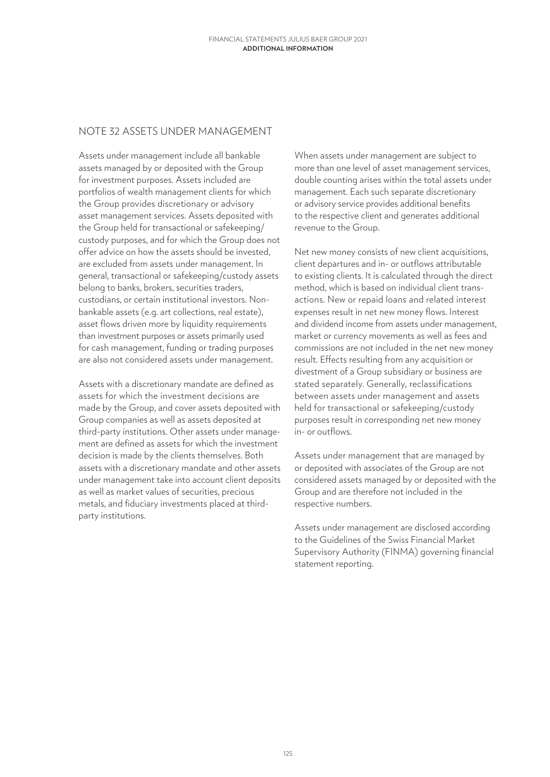# NOTE 32 ASSETS UNDER MANAGEMENT

Assets under management include all bankable assets managed by or deposited with the Group for investment purposes. Assets included are portfolios of wealth management clients for which the Group provides discretionary or advisory asset management services. Assets deposited with the Group held for transactional or safekeeping/ custody purposes, and for which the Group does not offer advice on how the assets should be invested, are excluded from assets under management. In general, transactional or safekeeping/custody assets belong to banks, brokers, securities traders, custodians, or certain institutional investors. Nonbankable assets (e.g. art collections, real estate), asset flows driven more by liquidity requirements than investment purposes or assets primarily used for cash management, funding or trading purposes are also not considered assets under management.

Assets with a discretionary mandate are defined as assets for which the investment decisions are made by the Group, and cover assets deposited with Group companies as well as assets deposited at third-party institutions. Other assets under management are defined as assets for which the investment decision is made by the clients themselves. Both assets with a discretionary mandate and other assets under management take into account client deposits as well as market values of securities, precious metals, and fiduciary investments placed at thirdparty institutions.

When assets under management are subject to more than one level of asset management services, double counting arises within the total assets under management. Each such separate discretionary or advisory service provides additional benefits to the respective client and generates additional revenue to the Group.

Net new money consists of new client acquisitions, client departures and in- or outflows attributable to existing clients. It is calculated through the direct method, which is based on individual client transactions. New or repaid loans and related interest expenses result in net new money flows. Interest and dividend income from assets under management, market or currency movements as well as fees and commissions are not included in the net new money result. Effects resulting from any acquisition or divestment of a Group subsidiary or business are stated separately. Generally, reclassifications between assets under management and assets held for transactional or safekeeping/custody purposes result in corresponding net new money in- or outflows.

Assets under management that are managed by or deposited with associates of the Group are not considered assets managed by or deposited with the Group and are therefore not included in the respective numbers.

Assets under management are disclosed according to the Guidelines of the Swiss Financial Market Supervisory Authority (FINMA) governing financial statement reporting.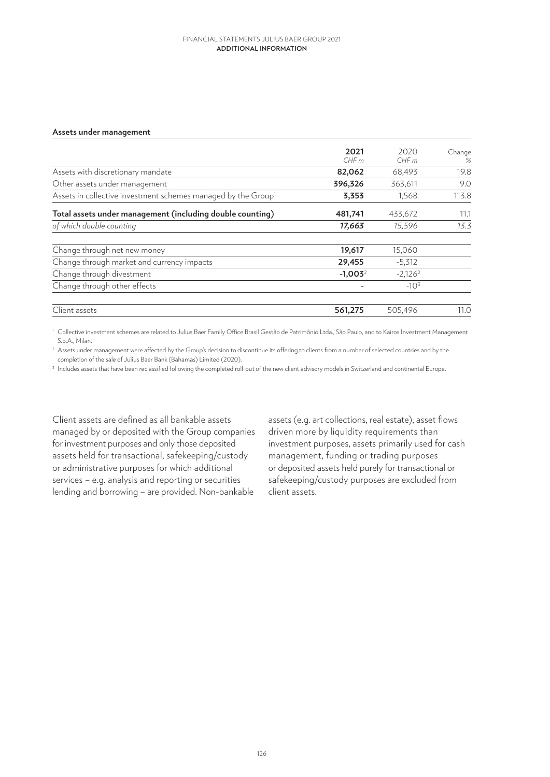#### **Assets under management**

| 2021<br>CHFm | 2020<br>CHFm | Change<br>% |
|--------------|--------------|-------------|
| 82,062       | 68,493       | 19.8        |
| 396,326      | 363,611      | 9.0         |
| 3,353        | 1,568        | 113.8       |
| 481,741      | 433,672      | 11.1        |
| 17,663       | 15,596       | 13.3        |
| 19,617       | 15,060       |             |
| 29,455       | $-5,312$     |             |
| $-1,003^2$   | $-2,126^2$   |             |
|              | $-10^{3}$    |             |
| 561,275      | 505,496      | 11.0        |
|              |              |             |

<sup>1</sup> Collective investment schemes are related to Julius Baer Family Office Brasil Gestão de Patrimônio Ltda., São Paulo, and to Kairos Investment Management S.p.A., Milan.

<sup>2</sup> Assets under management were affected by the Group's decision to discontinue its offering to clients from a number of selected countries and by the completion of the sale of Julius Baer Bank (Bahamas) Limited (2020).

<sup>3</sup> Includes assets that have been reclassified following the completed roll-out of the new client advisory models in Switzerland and continental Europe.

Client assets are defined as all bankable assets managed by or deposited with the Group companies for investment purposes and only those deposited assets held for transactional, safekeeping/custody or administrative purposes for which additional services – e.g. analysis and reporting or securities lending and borrowing – are provided. Non-bankable

assets (e.g. art collections, real estate), asset flows driven more by liquidity requirements than investment purposes, assets primarily used for cash management, funding or trading purposes or deposited assets held purely for transactional or safekeeping/custody purposes are excluded from client assets.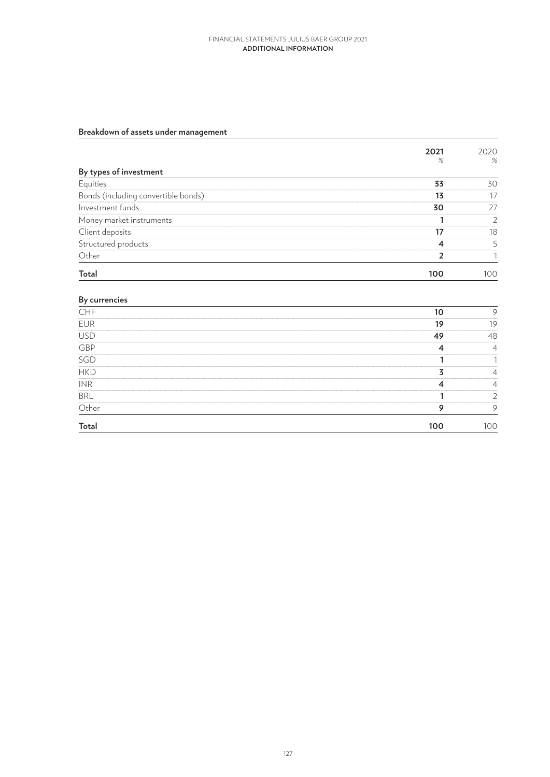# **Breakdown of assets under management**

| 2021<br>% | 2020<br>%      |
|-----------|----------------|
|           |                |
| 33        | 30             |
| 13        | 17             |
| 30        | 27             |
|           | $\overline{2}$ |
| 17        | 18             |
| 4         | 5              |
| 2         |                |
| 100       | 100            |
|           |                |

## **By currencies**

| CHF                       | 10      | 9              |
|---------------------------|---------|----------------|
| EUR                       | 19      | 19             |
| <b>USD</b>                | 49      | 48             |
| $\overline{\mathsf{GBP}}$ | 4       | $\overline{4}$ |
| SGD                       |         |                |
| HKD                       | 7       | 4              |
| <b>INR</b>                |         | 4              |
| <b>BRL</b>                |         |                |
| $\overline{\text{Other}}$ | $\circ$ | 9              |
| <b>Total</b>              | 100     | 100            |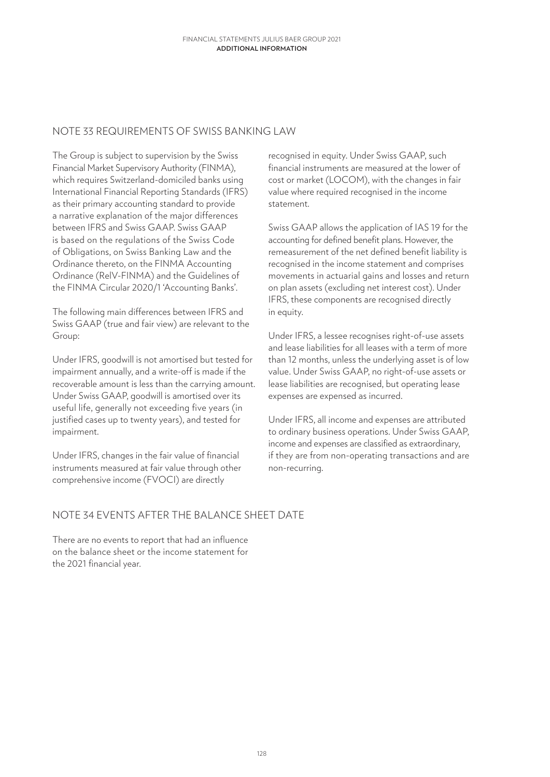# NOTE 33 REQUIREMENTS OF SWISS BANKING LAW

The Group is subject to supervision by the Swiss Financial Market Supervisory Authority (FINMA), which requires Switzerland-domiciled banks using International Financial Reporting Standards (IFRS) as their primary accounting standard to provide a narrative explanation of the major differences between IFRS and Swiss GAAP. Swiss GAAP is based on the regulations of the Swiss Code of Obligations, on Swiss Banking Law and the Ordinance thereto, on the FINMA Accounting Ordinance (RelV-FINMA) and the Guidelines of the FINMA Circular 2020/1 'Accounting Banks'.

The following main differences between IFRS and Swiss GAAP (true and fair view) are relevant to the Group:

Under IFRS, goodwill is not amortised but tested for impairment annually, and a write-off is made if the recoverable amount is less than the carrying amount. Under Swiss GAAP, goodwill is amortised over its useful life, generally not exceeding five years (in justified cases up to twenty years), and tested for impairment.

Under IFRS, changes in the fair value of financial instruments measured at fair value through other comprehensive income (FVOCI) are directly

recognised in equity. Under Swiss GAAP, such financial instruments are measured at the lower of cost or market (LOCOM), with the changes in fair value where required recognised in the income statement.

Swiss GAAP allows the application of IAS 19 for the accounting for defined benefit plans. However, the remeasurement of the net defined benefit liability is recognised in the income statement and comprises movements in actuarial gains and losses and return on plan assets (excluding net interest cost). Under IFRS, these components are recognised directly in equity.

Under IFRS, a lessee recognises right-of-use assets and lease liabilities for all leases with a term of more than 12 months, unless the underlying asset is of low value. Under Swiss GAAP, no right-of-use assets or lease liabilities are recognised, but operating lease expenses are expensed as incurred.

Under IFRS, all income and expenses are attributed to ordinary business operations. Under Swiss GAAP, income and expenses are classified as extraordinary, if they are from non-operating transactions and are non-recurring.

# NOTE 34 EVENTS AFTER THE BALANCE SHEET DATE

There are no events to report that had an influence on the balance sheet or the income statement for the 2021 financial year.